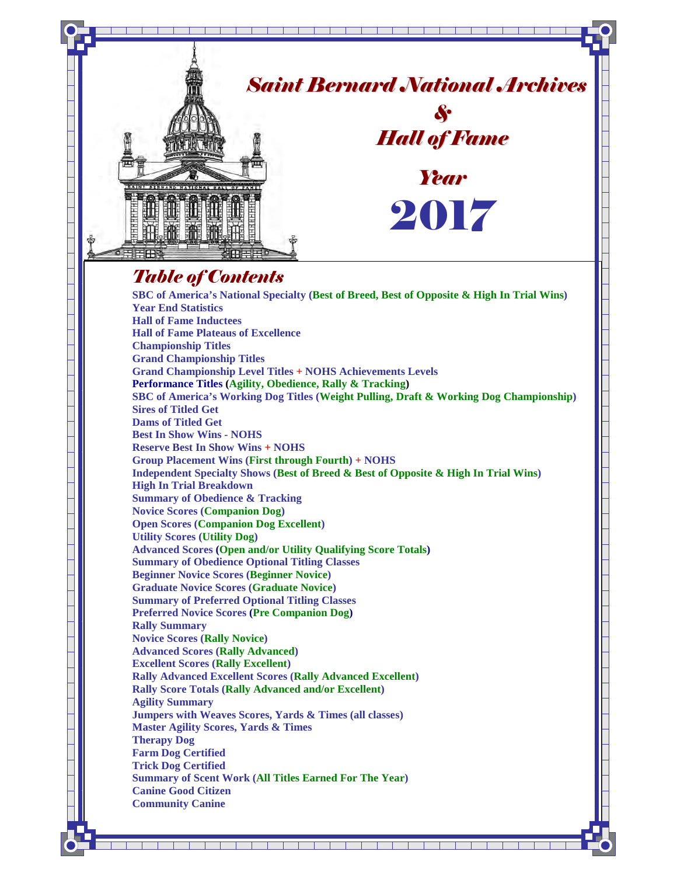

**Beginner Novice Scores (Beginner Novice)** 

**Graduate Novice Scores (Graduate Novice)**

**Summary of Preferred Optional Titling Classes** 

**Preferred Novice Scores (Pre Companion Dog)**

**Rally Summary Novice Scores (Rally Novice)** 

**Advanced Scores (Rally Advanced)**

**Excellent Scores (Rally Excellent)** 

**Rally Advanced Excellent Scores (Rally Advanced Excellent) Rally Score Totals (Rally Advanced and/or Excellent)** 

**Agility Summary** 

**Jumpers with Weaves Scores, Yards & Times (all classes) Master Agility Scores, Yards & Times Therapy Dog** 

- **Farm Dog Certified**
- **Trick Dog Certified**
- **Summary of Scent Work (All Titles Earned For The Year)**

<u>s pro letro de seu provincia </u>

**Canine Good Citizen Community Canine**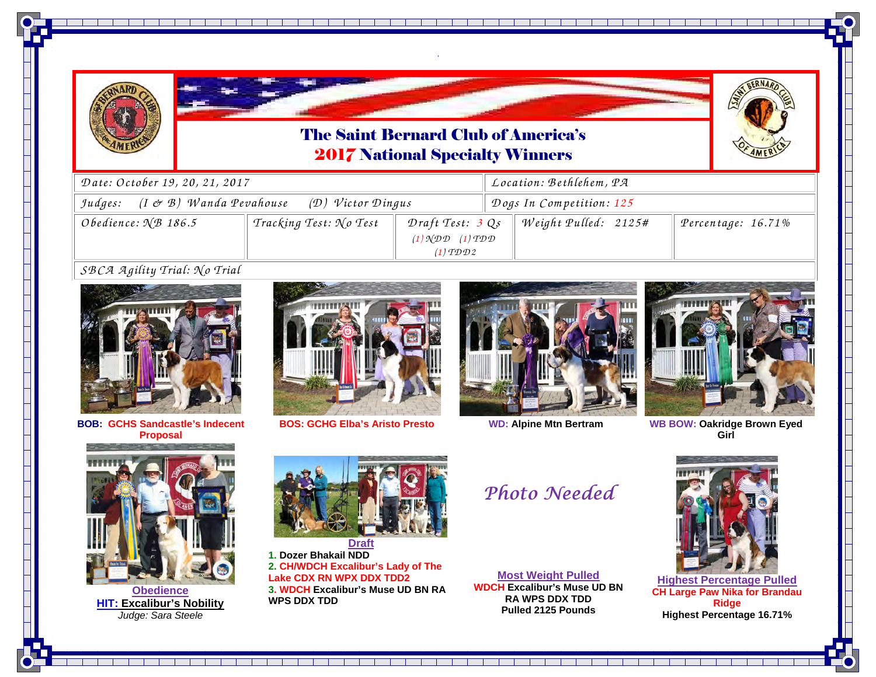



*.* 

والمسار المسار المساركات المساركات والمساركات المساركات المسار



| Date: October 19, 20, 21, 2017                                                               |                        |                                                                                                                       |  | Location: Bethlehem, PA  |  |                    |  |
|----------------------------------------------------------------------------------------------|------------------------|-----------------------------------------------------------------------------------------------------------------------|--|--------------------------|--|--------------------|--|
| Judges: $(I \not\subset B)$ Wanda Pevahouse<br>$(D)$ Victor Dingus                           |                        |                                                                                                                       |  | Dogs In Competition: 125 |  |                    |  |
| Obedience: $\mathcal{N}B$ 186.5                                                              | Tracking Test: No Test | Draft Test: 3 Qs<br>$(1) \mathcal{N} \mathcal{D} \mathcal{D}$ $(1) \mathcal{T} \mathcal{D} \mathcal{D}$<br>$(1)$ TDD2 |  | Weight Pulled: 2125#     |  | Percentage: 16.71% |  |
| $c \oplus c \oplus d$ $\oplus$ $\vdots$ $\vdots$ $c \oplus c$ $\vdots$ $c \oplus c$ $\vdots$ |                        |                                                                                                                       |  |                          |  |                    |  |

*SB CA <sup>A</sup> <sup>g</sup>ility Trial: N o Trial*



**BOB: GCHS Sandcastle's Indecent Proposal**



**BOS: GCHG Elba's Aristo Presto**



**WD: Alpine Mtn Bertram**



 **WB BOW: Oakridge Brown Eyed Girl** 



**Obedience HIT: Excalibur's Nobility**Judge: Sara Steele



 **Draft 1. Dozer Bhakail NDD 2. CH/WDCH Excalibur's Lady of TheLake CDX RN WPX DDX TDD2 3. WDCH Excalibur's Muse UD BN RA WPS DDX TDD**

Photo Needed

**Most Weight Pulled WDCH Excalibur's Muse UD BN RA WPS DDX TDDPulled 2125 Pounds**



**Highest Percentage Pulled CH Large Paw Nika for Brandau Ridge Highest Percentage 16.71%**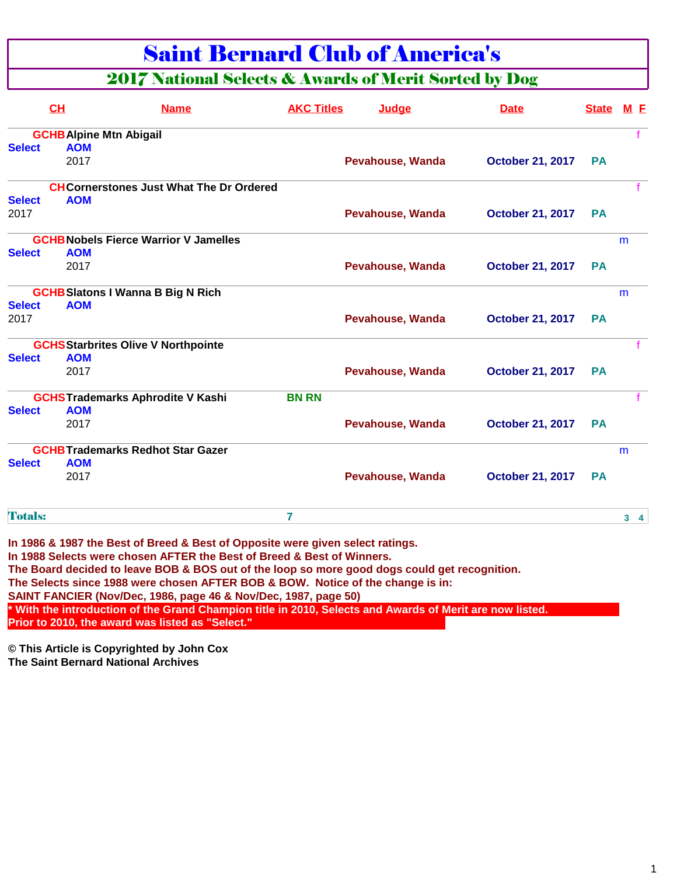### Saint Bernard Club of America's

### 2017 National Selects & Awards of Merit Sorted by Dog

|                | CH                             | <b>Name</b>                                    | <b>AKC Titles</b> | Judge                   | <b>Date</b>             | <b>State</b> | M E            |
|----------------|--------------------------------|------------------------------------------------|-------------------|-------------------------|-------------------------|--------------|----------------|
|                | <b>GCHB Alpine Mtn Abigail</b> |                                                |                   |                         |                         |              |                |
| <b>Select</b>  | <b>AOM</b>                     |                                                |                   |                         |                         |              |                |
|                | 2017                           |                                                |                   | <b>Pevahouse, Wanda</b> | <b>October 21, 2017</b> | <b>PA</b>    |                |
|                |                                | <b>CHCornerstones Just What The Dr Ordered</b> |                   |                         |                         |              |                |
| <b>Select</b>  | <b>AOM</b>                     |                                                |                   |                         |                         |              |                |
| 2017           |                                |                                                |                   | <b>Pevahouse, Wanda</b> | <b>October 21, 2017</b> | <b>PA</b>    |                |
|                |                                | <b>GCHB Nobels Fierce Warrior V Jamelles</b>   |                   |                         |                         |              | m              |
| <b>Select</b>  | <b>AOM</b>                     |                                                |                   |                         |                         |              |                |
|                | 2017                           |                                                |                   | <b>Pevahouse, Wanda</b> | <b>October 21, 2017</b> | <b>PA</b>    |                |
|                |                                | <b>GCHB Slatons I Wanna B Big N Rich</b>       |                   |                         |                         |              | m              |
| <b>Select</b>  | <b>AOM</b>                     |                                                |                   |                         |                         |              |                |
| 2017           |                                |                                                |                   | <b>Pevahouse, Wanda</b> | <b>October 21, 2017</b> | <b>PA</b>    |                |
|                |                                | <b>GCHS Starbrites Olive V Northpointe</b>     |                   |                         |                         |              |                |
| <b>Select</b>  | <b>AOM</b>                     |                                                |                   |                         |                         |              |                |
|                | 2017                           |                                                |                   | <b>Pevahouse, Wanda</b> | <b>October 21, 2017</b> | <b>PA</b>    |                |
|                |                                | <b>GCHSTrademarks Aphrodite V Kashi</b>        | <b>BN RN</b>      |                         |                         |              |                |
| <b>Select</b>  | <b>AOM</b>                     |                                                |                   |                         |                         |              |                |
|                | 2017                           |                                                |                   | <b>Pevahouse, Wanda</b> | <b>October 21, 2017</b> | <b>PA</b>    |                |
|                |                                | <b>GCHB Trademarks Redhot Star Gazer</b>       |                   |                         |                         |              | m              |
| <b>Select</b>  | <b>AOM</b>                     |                                                |                   |                         |                         |              |                |
|                | 2017                           |                                                |                   | <b>Pevahouse, Wanda</b> | <b>October 21, 2017</b> | <b>PA</b>    |                |
| <b>Totals:</b> |                                |                                                | 7                 |                         |                         |              | 3 <sub>4</sub> |

**In 1986 & 1987 the Best of Breed & Best of Opposite were given select ratings. In 1988 Selects were chosen AFTER the Best of Breed & Best of Winners. The Board decided to leave BOB & BOS out of the loop so more good dogs could get recognition. The Selects since 1988 were chosen AFTER BOB & BOW. Notice of the change is in: SAINT FANCIER (Nov/Dec, 1986, page 46 & Nov/Dec, 1987, page 50) \* With the introduction of the Grand Champion title in 2010, Selects and Awards of Merit are now listed. Prior to 2010, the award was listed as "Select."**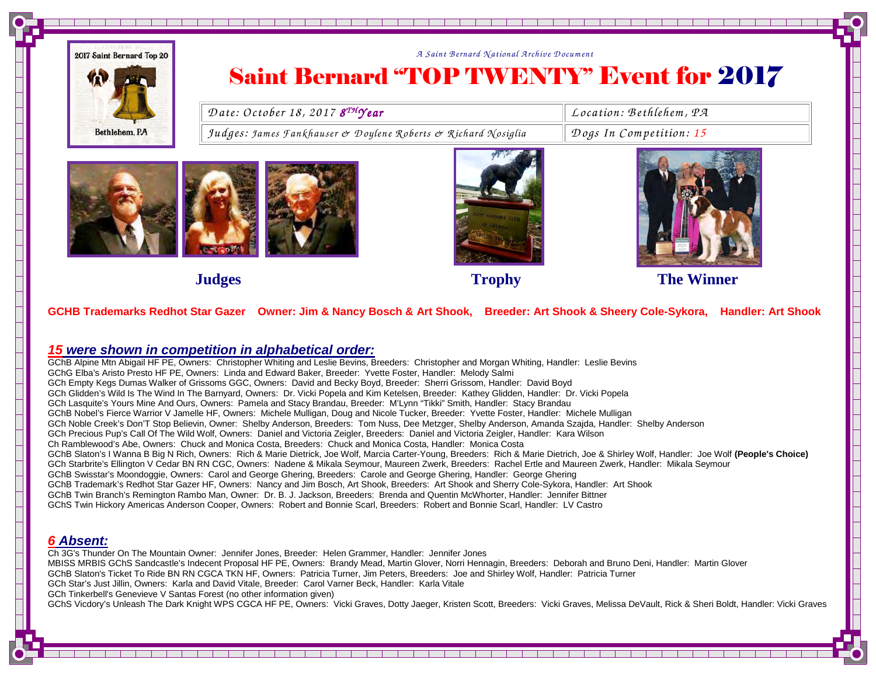

### *<sup>A</sup> Saint B ernard N ational A rchive D ocum ent*  Saint Bernard "TOP TWENTY" Event for 2017

Date: October 18, 2017 8<sup>TH</sup>Year Location: Bethlehem, PA<br>Judges: James Fankhauser & Doylene Roberts & Richard Nosiglia Dogs In Competition: 15







**Trophy Trophy The Winner Construction Construction Construction Construction Construction Construction Construction Construction Construction Construction Construction Construction Construction Construction Construction C** 

#### **GCHB Trademarks Redhot Star Gazer Owner: Jim & Nancy Bosch & Art Shook, Breeder: Art Shook & Sheery Cole-Sykora, Handler: Art Shook**

#### **15 were shown in competition in alphabetical order:**

 GChB Alpine Mtn Abigail HF PE, Owners: Christopher Whiting and Leslie Bevins, Breeders: Christopher and Morgan Whiting, Handler: Leslie Bevins GChG Elba's Aristo Presto HF PE, Owners: Linda and Edward Baker, Breeder: Yvette Foster, Handler: Melody Salmi GCh Empty Kegs Dumas Walker of Grissoms GGC, Owners: David and Becky Boyd, Breeder: Sherri Grissom, Handler: David Boyd GCh Glidden's Wild Is The Wind In The Barnyard, Owners: Dr. Vicki Popela and Kim Ketelsen, Breeder: Kathey Glidden, Handler: Dr. Vicki Popela GCh Lasquite's Yours Mine And Ours, Owners: Pamela and Stacy Brandau, Breeder: M'Lynn "Tikki" Smith, Handler: Stacy Brandau GChB Nobel's Fierce Warrior V Jamelle HF, Owners: Michele Mulligan, Doug and Nicole Tucker, Breeder: Yvette Foster, Handler: Michele Mulligan GCh Noble Creek's Don'T Stop Believin, Owner: Shelby Anderson, Breeders: Tom Nuss, Dee Metzger, Shelby Anderson, Amanda Szajda, Handler: Shelby Anderson GCh Precious Pup's Call Of The Wild Wolf, Owners: Daniel and Victoria Zeigler, Breeders: Daniel and Victoria Zeigler, Handler: Kara Wilson Ch Ramblewood's Abe, Owners: Chuck and Monica Costa, Breeders: Chuck and Monica Costa, Handler: Monica Costa GChB Slaton's I Wanna B Big N Rich, Owners: Rich & Marie Dietrick, Joe Wolf, Marcia Carter-Young, Breeders: Rich & Marie Dietrich, Joe & Shirley Wolf, Handler: Joe Wolf **(People's Choice)**GCh Starbrite's Ellington V Cedar BN RN CGC, Owners: Nadene & Mikala Seymour, Maureen Zwerk, Breeders: Rachel Ertle and Maureen Zwerk, Handler: Mikala Seymour GChB Swisstar's Moondoggie, Owners: Carol and George Ghering, Breeders: Carole and George Ghering, Handler: George Ghering GChB Trademark's Redhot Star Gazer HF, Owners: Nancy and Jim Bosch, Art Shook, Breeders: Art Shook and Sherry Cole-Sykora, Handler: Art Shook GChB Twin Branch's Remington Rambo Man, Owner: Dr. B. J. Jackson, Breeders: Brenda and Quentin McWhorter, Handler: Jennifer Bittner GChS Twin Hickory Americas Anderson Cooper, Owners: Robert and Bonnie Scarl, Breeders: Robert and Bonnie Scarl, Handler: LV Castro

#### **6 Absent:**

 Ch 3G's Thunder On The Mountain Owner: Jennifer Jones, Breeder: Helen Grammer, Handler: Jennifer Jones MBISS MRBIS GChS Sandcastle's Indecent Proposal HF PE, Owners: Brandy Mead, Martin Glover, Norri Hennagin, Breeders: Deborah and Bruno Deni, Handler: Martin Glover GChB Slaton's Ticket To Ride BN RN CGCA TKN HF, Owners: Patricia Turner, Jim Peters, Breeders: Joe and Shirley Wolf, Handler: Patricia TurnerGCh Star's Just Jillin, Owners: Karla and David Vitale, Breeder: Carol Varner Beck, Handler: Karla Vitale GCh Tinkerbell's Genevieve V Santas Forest (no other information given)GChS Vicdory's Unleash The Dark Knight WPS CGCA HF PE, Owners: Vicki Graves, Dotty Jaeger, Kristen Scott, Breeders: Vicki Graves, Melissa DeVault, Rick & Sheri Boldt, Handler: Vicki Graves

<u>s kan januar sama kan kan kan kan kan kan </u>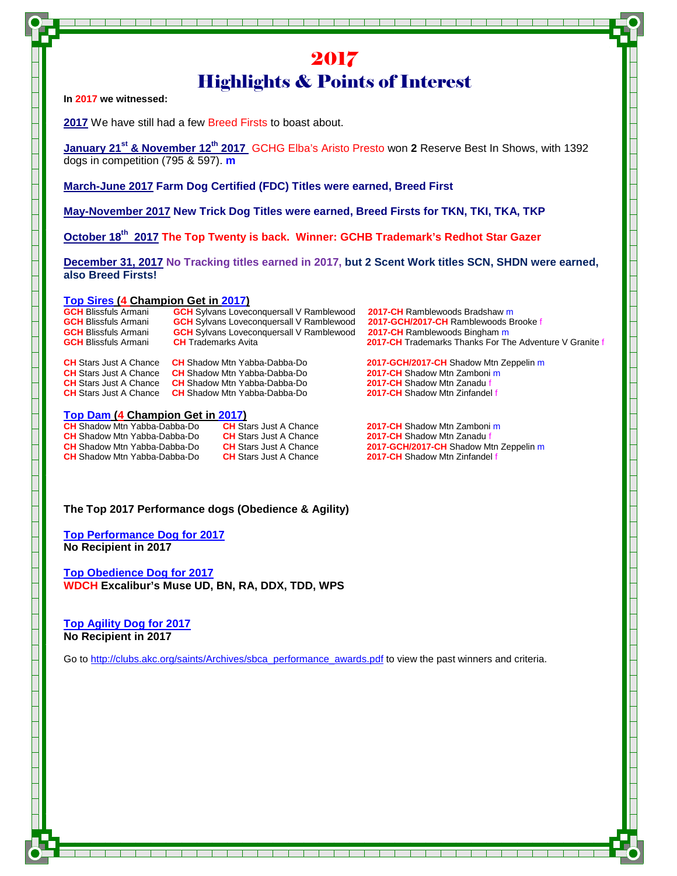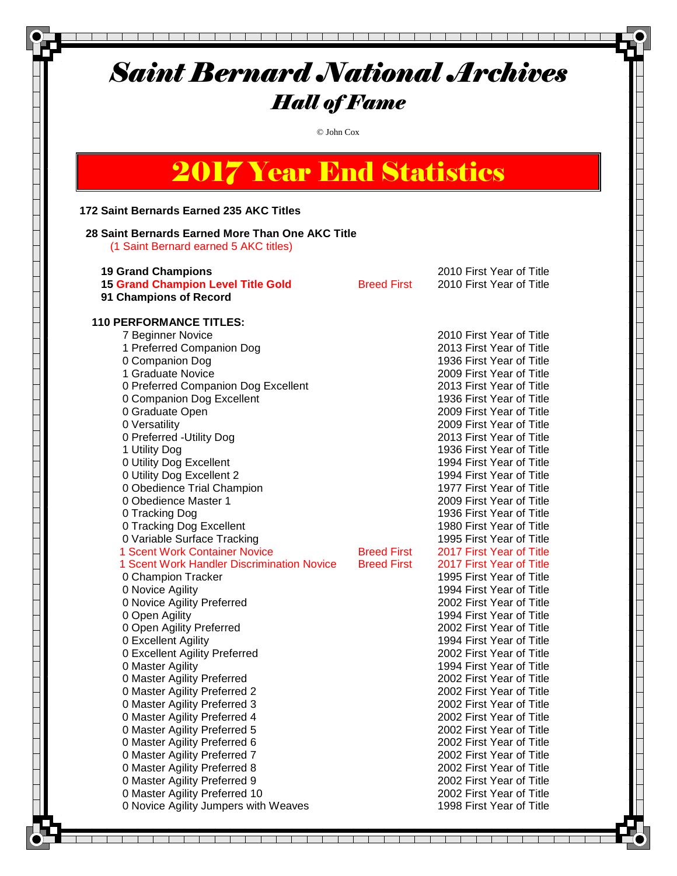© John Cox

# 2017 Year End Statistics

#### **172 Saint Bernards Earned 235 AKC Titles**

#### **28 Saint Bernards Earned More Than One AKC Title**

(1 Saint Bernard earned 5 AKC titles)

| <b>19 Grand Champions</b><br><b>15 Grand Champion Level Title Gold</b><br>91 Champions of Record                                                                                                                                                                                                                                                                                                                                                                                                                                                                                                                                                                                                                                                                                                                                                                                                                                                                                                                                                                                                                                  | <b>Breed First</b>                       | 2010 First Year of Title<br>2010 First Year of Title                                                                                                                                                                                                                                                                                                                                                                                                                                                                                                                                                                                                                                                                                                                                                                                                                                                                                                                                                                                                                                                 |
|-----------------------------------------------------------------------------------------------------------------------------------------------------------------------------------------------------------------------------------------------------------------------------------------------------------------------------------------------------------------------------------------------------------------------------------------------------------------------------------------------------------------------------------------------------------------------------------------------------------------------------------------------------------------------------------------------------------------------------------------------------------------------------------------------------------------------------------------------------------------------------------------------------------------------------------------------------------------------------------------------------------------------------------------------------------------------------------------------------------------------------------|------------------------------------------|------------------------------------------------------------------------------------------------------------------------------------------------------------------------------------------------------------------------------------------------------------------------------------------------------------------------------------------------------------------------------------------------------------------------------------------------------------------------------------------------------------------------------------------------------------------------------------------------------------------------------------------------------------------------------------------------------------------------------------------------------------------------------------------------------------------------------------------------------------------------------------------------------------------------------------------------------------------------------------------------------------------------------------------------------------------------------------------------------|
| <b>110 PERFORMANCE TITLES:</b><br>7 Beginner Novice<br>1 Preferred Companion Dog<br>0 Companion Dog<br>1 Graduate Novice<br>0 Preferred Companion Dog Excellent<br>0 Companion Dog Excellent<br>0 Graduate Open<br>0 Versatility<br>0 Preferred - Utility Dog<br>1 Utility Dog<br>0 Utility Dog Excellent<br>0 Utility Dog Excellent 2<br>0 Obedience Trial Champion<br>0 Obedience Master 1<br>0 Tracking Dog<br>0 Tracking Dog Excellent<br>0 Variable Surface Tracking<br>1 Scent Work Container Novice<br>1 Scent Work Handler Discrimination Novice<br>0 Champion Tracker<br>0 Novice Agility<br>0 Novice Agility Preferred<br>0 Open Agility<br>0 Open Agility Preferred<br>0 Excellent Agility<br>0 Excellent Agility Preferred<br>0 Master Agility<br>0 Master Agility Preferred<br>0 Master Agility Preferred 2<br>0 Master Agility Preferred 3<br>0 Master Agility Preferred 4<br>0 Master Agility Preferred 5<br>0 Master Agility Preferred 6<br>0 Master Agility Preferred 7<br>0 Master Agility Preferred 8<br>0 Master Agility Preferred 9<br>0 Master Agility Preferred 10<br>0 Novice Agility Jumpers with Weaves | <b>Breed First</b><br><b>Breed First</b> | 2010 First Year of Title<br>2013 First Year of Title<br>1936 First Year of Title<br>2009 First Year of Title<br>2013 First Year of Title<br>1936 First Year of Title<br>2009 First Year of Title<br>2009 First Year of Title<br>2013 First Year of Title<br>1936 First Year of Title<br>1994 First Year of Title<br>1994 First Year of Title<br>1977 First Year of Title<br>2009 First Year of Title<br>1936 First Year of Title<br>1980 First Year of Title<br>1995 First Year of Title<br>2017 First Year of Title<br>2017 First Year of Title<br>1995 First Year of Title<br>1994 First Year of Title<br>2002 First Year of Title<br>1994 First Year of Title<br>2002 First Year of Title<br>1994 First Year of Title<br>2002 First Year of Title<br>1994 First Year of Title<br>2002 First Year of Title<br>2002 First Year of Title<br>2002 First Year of Title<br>2002 First Year of Title<br>2002 First Year of Title<br>2002 First Year of Title<br>2002 First Year of Title<br>2002 First Year of Title<br>2002 First Year of Title<br>2002 First Year of Title<br>1998 First Year of Title |
|                                                                                                                                                                                                                                                                                                                                                                                                                                                                                                                                                                                                                                                                                                                                                                                                                                                                                                                                                                                                                                                                                                                                   |                                          |                                                                                                                                                                                                                                                                                                                                                                                                                                                                                                                                                                                                                                                                                                                                                                                                                                                                                                                                                                                                                                                                                                      |

<u>al ad ad ad ad ad ad a</u>

T ┱

 $\mathbf{1}$ 

T.

TT T

┰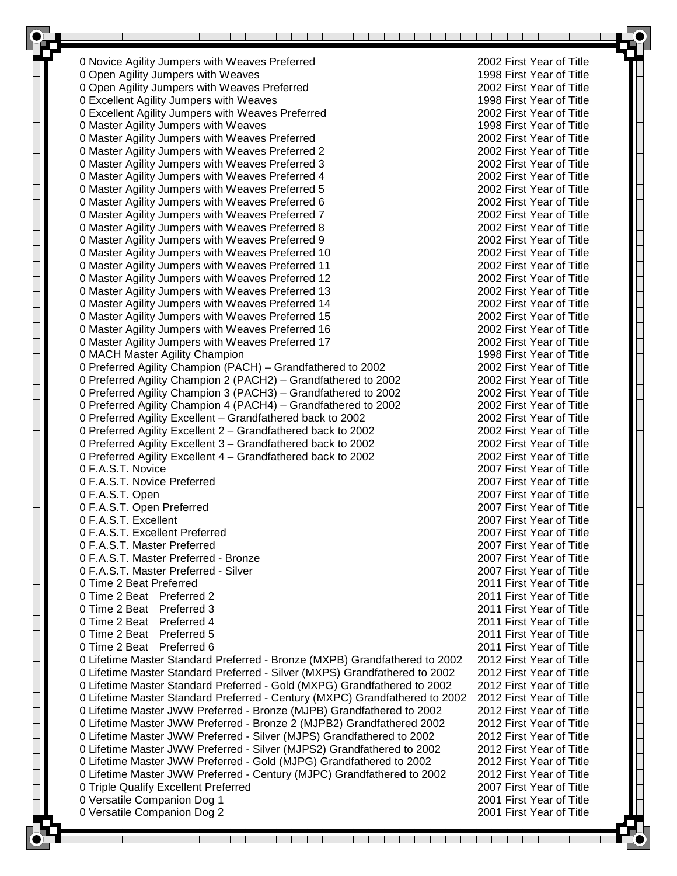0 Novice Agility Jumpers with Weaves Preferred 2002 First Year of Title<br>1998 First Year of Title 2002 First Year of Title 0 Open Agility Jumpers with Weaves 0 Open Agility Jumpers with Weaves Preferred 2002 First Year of Title 0 Excellent Agility Jumpers with Weaves 1998 First Year of Title 0 Excellent Agility Jumpers with Weaves Preferred 2002 First Year of Title 0 Master Agility Jumpers with Weaves 1998 First Year of Title 0 Master Agility Jumpers with Weaves Preferred 2002 First Year of Title 0 Master Agility Jumpers with Weaves Preferred 2 2002 First Year of Title 0 Master Agility Jumpers with Weaves Preferred 3 2002 First Year of Title 0 Master Agility Jumpers with Weaves Preferred 4 2002 First Year of Title 0 Master Agility Jumpers with Weaves Preferred 5 2002 First Year of Title 0 Master Agility Jumpers with Weaves Preferred 6 2002 First Year of Title 0 Master Agility Jumpers with Weaves Preferred 7 2002 First Year of Title 0 Master Agility Jumpers with Weaves Preferred 8 2002 First Year of Title 0 Master Agility Jumpers with Weaves Preferred 9 2002 First Year of Title 0 Master Agility Jumpers with Weaves Preferred 10 2002 First Year of Title 0 Master Agility Jumpers with Weaves Preferred 11 2002 First Year of Title 0 Master Agility Jumpers with Weaves Preferred 12 2002 First Year of Title 0 Master Agility Jumpers with Weaves Preferred 13 2002 First Year of Title 0 Master Agility Jumpers with Weaves Preferred 14 2002 First Year of Title 0 Master Agility Jumpers with Weaves Preferred 15 2002 First Year of Title 0 Master Agility Jumpers with Weaves Preferred 16 2002 First Year of Title 0 Master Agility Jumpers with Weaves Preferred 17 2002 First Year of Title 0 MACH Master Agility Champion 1998 First Year of Title 0 Preferred Agility Champion (PACH) – Grandfathered to 2002 2002 2002 First Year of Title 0 Preferred Agility Champion 2 (PACH2) – Grandfathered to 2002 2002 2002 First Year of Title 0 Preferred Agility Champion 3 (PACH3) – Grandfathered to 2002 2002 2002 First Year of Title 0 Preferred Agility Champion 4 (PACH4) – Grandfathered to 2002 2002 2002 First Year of Title 0 Preferred Agility Excellent – Grandfathered back to 2002 2002 2002 First Year of Title 0 Preferred Agility Excellent 2 - Grandfathered back to 2002 2002 2002 First Year of Title 0 Preferred Agility Excellent 3 – Grandfathered back to 2002 2002 2002 First Year of Title 0 Preferred Agility Excellent 4 – Grandfathered back to 2002 2002 2002 First Year of Title 0 F.A.S.T. Novice 2007 First Year of Title 0 F.A.S.T. Novice Preferred 2007 First Year of Title 0 F.A.S.T. Open 2007 First Year of Title 0 F.A.S.T. Open Preferred 2007 First Year of Title 0 F.A.S.T. Excellent 2007 First Year of Title 0 F.A.S.T. Excellent Preferred 2007 First Year of Title 0 F.A.S.T. Master Preferred 2007 First Year of Title 0 F.A.S.T. Master Preferred - Bronze 2007 First Year of Title 0 F.A.S.T. Master Preferred - Silver 2007 First Year of Title 0 Time 2 Beat Preferred 2011 First Year of Title 0 Time 2 Beat Preferred 2 2011 First Year of Title 0 Time 2 Beat Preferred 3 2011 First Year of Title 0 Time 2 Beat Preferred 4 2011 First Year of Title 0 Time 2 Beat Preferred 5 2011 First Year of Title 0 Time 2 Beat Preferred 6 2011 First Year of Title 0 Lifetime Master Standard Preferred - Bronze (MXPB) Grandfathered to 2002 2012 First Year of Title 0 Lifetime Master Standard Preferred - Silver (MXPS) Grandfathered to 2002 2012 First Year of Title 0 Lifetime Master Standard Preferred - Gold (MXPG) Grandfathered to 2002 2012 First Year of Title 0 Lifetime Master Standard Preferred - Century (MXPC) Grandfathered to 2002 2012 First Year of Title 0 Lifetime Master JWW Preferred - Bronze (MJPB) Grandfathered to 2002 2012 First Year of Title 0 Lifetime Master JWW Preferred - Bronze 2 (MJPB2) Grandfathered 2002 2012 First Year of Title 0 Lifetime Master JWW Preferred - Silver (MJPS) Grandfathered to 2002 2012 First Year of Title 0 Lifetime Master JWW Preferred - Silver (MJPS2) Grandfathered to 2002 2012 First Year of Title 0 Lifetime Master JWW Preferred - Gold (MJPG) Grandfathered to 2002 2012 First Year of Title 0 Lifetime Master JWW Preferred - Century (MJPC) Grandfathered to 2002 2012 First Year of Title 0 Triple Qualify Excellent Preferred 2007 First Year of Title 0 Versatile Companion Dog 1 2001 First Year of Title 0 Versatile Companion Dog 2 2001 First Year of Title <u> 1 - Jean Andreis II, ann an t-Iad an t-Iad an t-</u>  $\mathbb{R}$ a kara and the state of the state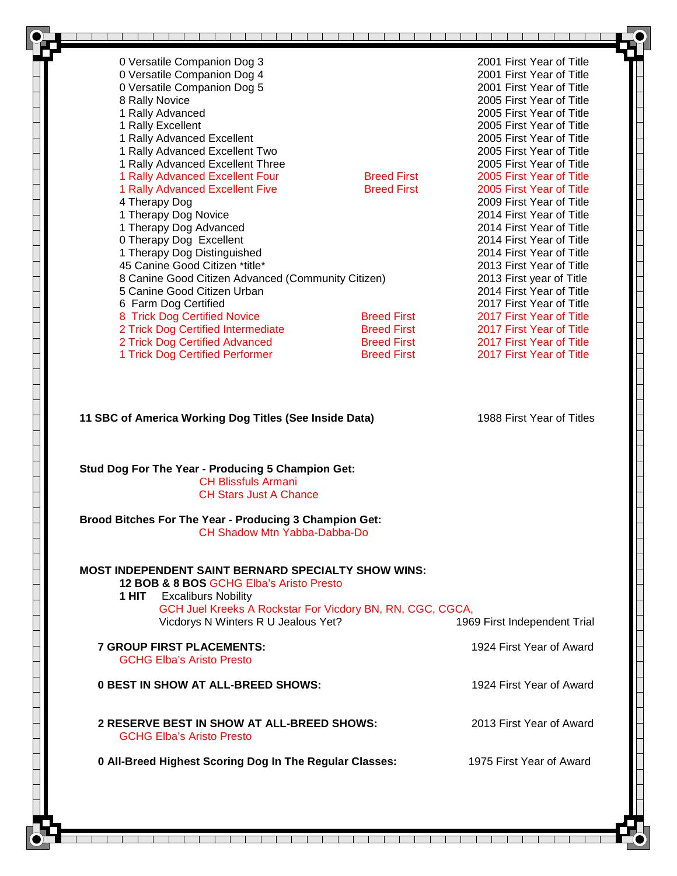| 0 Versatile Companion Dog 3                                                                                                                                                                                                                    |                    | 2001 First Year of Title     |
|------------------------------------------------------------------------------------------------------------------------------------------------------------------------------------------------------------------------------------------------|--------------------|------------------------------|
| 0 Versatile Companion Dog 4                                                                                                                                                                                                                    |                    | 2001 First Year of Title     |
| 0 Versatile Companion Dog 5                                                                                                                                                                                                                    |                    | 2001 First Year of Title     |
| 8 Rally Novice                                                                                                                                                                                                                                 |                    | 2005 First Year of Title     |
| 1 Rally Advanced                                                                                                                                                                                                                               |                    | 2005 First Year of Title     |
| 1 Rally Excellent                                                                                                                                                                                                                              |                    | 2005 First Year of Title     |
| 1 Rally Advanced Excellent                                                                                                                                                                                                                     |                    | 2005 First Year of Title     |
| 1 Rally Advanced Excellent Two                                                                                                                                                                                                                 |                    | 2005 First Year of Title     |
| 1 Rally Advanced Excellent Three                                                                                                                                                                                                               |                    | 2005 First Year of Title     |
| 1 Rally Advanced Excellent Four                                                                                                                                                                                                                | <b>Breed First</b> | 2005 First Year of Title     |
| 1 Rally Advanced Excellent Five                                                                                                                                                                                                                | <b>Breed First</b> | 2005 First Year of Title     |
| 4 Therapy Dog                                                                                                                                                                                                                                  |                    | 2009 First Year of Title     |
| 1 Therapy Dog Novice                                                                                                                                                                                                                           |                    | 2014 First Year of Title     |
| 1 Therapy Dog Advanced                                                                                                                                                                                                                         |                    | 2014 First Year of Title     |
| 0 Therapy Dog Excellent                                                                                                                                                                                                                        |                    | 2014 First Year of Title     |
| 1 Therapy Dog Distinguished                                                                                                                                                                                                                    |                    | 2014 First Year of Title     |
| 45 Canine Good Citizen *title*                                                                                                                                                                                                                 |                    | 2013 First Year of Title     |
| 8 Canine Good Citizen Advanced (Community Citizen)                                                                                                                                                                                             |                    | 2013 First year of Title     |
| 5 Canine Good Citizen Urban                                                                                                                                                                                                                    |                    | 2014 First Year of Title     |
| 6 Farm Dog Certified                                                                                                                                                                                                                           |                    | 2017 First Year of Title     |
| 8 Trick Dog Certified Novice                                                                                                                                                                                                                   | <b>Breed First</b> | 2017 First Year of Title     |
| 2 Trick Dog Certified Intermediate                                                                                                                                                                                                             | <b>Breed First</b> | 2017 First Year of Title     |
| 2 Trick Dog Certified Advanced                                                                                                                                                                                                                 | <b>Breed First</b> | 2017 First Year of Title     |
| 1 Trick Dog Certified Performer                                                                                                                                                                                                                | <b>Breed First</b> | 2017 First Year of Title     |
| Stud Dog For The Year - Producing 5 Champion Get:<br><b>CH Blissfuls Armani</b><br><b>CH Stars Just A Chance</b>                                                                                                                               |                    |                              |
| Brood Bitches For The Year - Producing 3 Champion Get:<br><b>CH Shadow Mtn Yabba-Dabba-Do</b>                                                                                                                                                  |                    |                              |
| <b>MOST INDEPENDENT SAINT BERNARD SPECIALTY SHOW WINS:</b><br>12 BOB & 8 BOS GCHG Elba's Aristo Presto<br><b>1 HIT</b> Excaliburs Nobility<br>GCH Juel Kreeks A Rockstar For Vicdory BN, RN, CGC, CGCA,<br>Vicdorys N Winters R U Jealous Yet? |                    | 1969 First Independent Trial |
|                                                                                                                                                                                                                                                |                    |                              |
| <b>7 GROUP FIRST PLACEMENTS:</b>                                                                                                                                                                                                               |                    | 1924 First Year of Award     |
| <b>GCHG Elba's Aristo Presto</b>                                                                                                                                                                                                               |                    |                              |
| <b>0 BEST IN SHOW AT ALL-BREED SHOWS:</b>                                                                                                                                                                                                      |                    | 1924 First Year of Award     |
| 2 RESERVE BEST IN SHOW AT ALL-BREED SHOWS:<br><b>GCHG Elba's Aristo Presto</b>                                                                                                                                                                 |                    | 2013 First Year of Award     |

 $\mathbf{L}$ т T. T.  $\mathbb{R}^n$ T T. T. T. T ┰ ┰ T. T п, T. T T  $\perp$  25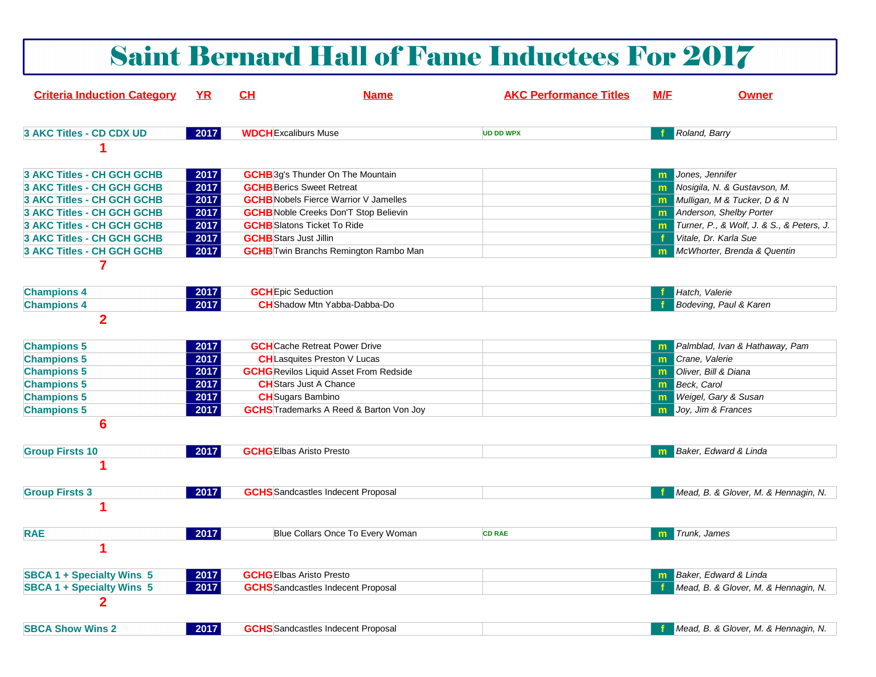|                                               |              |                                    |                                                | <b>Saint Bernard Hall of Fame Inductees For 2017</b> |     |                                           |
|-----------------------------------------------|--------------|------------------------------------|------------------------------------------------|------------------------------------------------------|-----|-------------------------------------------|
| <b>Criteria Induction Category</b>            | <u>YR</u>    | CH                                 | <b>Name</b>                                    | <b>AKC Performance Titles</b>                        | M/F | <b>Owner</b>                              |
| 3 AKC Titles - CD CDX UD                      | 2017         | <b>WDCH</b> Excaliburs Muse        |                                                | <b>UD DD WPX</b>                                     |     | Roland, Barry                             |
|                                               |              |                                    |                                                |                                                      |     |                                           |
| 3 AKC Titles - CH GCH GCHB                    | 2017         |                                    | <b>GCHB</b> 3g's Thunder On The Mountain       |                                                      | m.  | Jones, Jennifer                           |
| <b>3 AKC Titles - CH GCH GCHB</b>             | 2017         | <b>GCHB</b> Berics Sweet Retreat   |                                                |                                                      | m   | Nosigila, N. & Gustavson, M.              |
| 3 AKC Titles - CH GCH GCHB                    | 2017         |                                    | <b>GCHB</b> Nobels Fierce Warrior V Jamelles   |                                                      | m.  | Mulligan, M & Tucker, D & N               |
| 3 AKC Titles - CH GCH GCHB                    | 2017         |                                    | <b>GCHB</b> Noble Creeks Don'T Stop Believin   |                                                      |     | <b>m</b> Anderson, Shelby Porter          |
| 3 AKC Titles - CH GCH GCHB                    | 2017         | <b>GCHB</b> Slatons Ticket To Ride |                                                |                                                      | m   | Turner, P., & Wolf, J. & S., & Peters, J. |
| 3 AKC Titles - CH GCH GCHB                    | 2017         | <b>GCHB</b> Stars Just Jillin      |                                                |                                                      |     | Vitale, Dr. Karla Sue                     |
| 3 AKC Titles - CH GCH GCHB                    | 2017         |                                    | <b>GCHB</b> Twin Branchs Remington Rambo Man   |                                                      | m   | McWhorter, Brenda & Quentin               |
| 7<br><b>Champions 4</b><br><b>Champions 4</b> | 2017<br>2017 | <b>GCH</b> Epic Seduction          | <b>CH</b> Shadow Mtn Yabba-Dabba-Do            |                                                      |     | Hatch, Valerie<br>Bodeving, Paul & Karen  |
| $\overline{2}$                                |              |                                    |                                                |                                                      |     |                                           |
| <b>Champions 5</b>                            | 2017         |                                    | <b>GCH</b> Cache Retreat Power Drive           |                                                      | m   | Palmblad, Ivan & Hathaway, Pam            |
| <b>Champions 5</b>                            | 2017         |                                    | <b>CH</b> Lasquites Preston V Lucas            |                                                      | m   | Crane, Valerie                            |
| <b>Champions 5</b>                            | 2017         |                                    | <b>GCHG</b> Revilos Liquid Asset From Redside  |                                                      | m   | Oliver, Bill & Diana                      |
| <b>Champions 5</b>                            | 2017         | <b>CH</b> Stars Just A Chance      |                                                |                                                      | m   | Beck, Carol                               |
| <b>Champions 5</b>                            | 2017         | <b>CH</b> Sugars Bambino           |                                                |                                                      | m   | Weigel, Gary & Susan                      |
| <b>Champions 5</b>                            | 2017         |                                    | <b>GCHS</b> Trademarks A Reed & Barton Von Joy |                                                      | m   | Joy, Jim & Frances                        |
| 6                                             |              |                                    |                                                |                                                      |     |                                           |
| <b>Group Firsts 10</b>                        | 2017         | <b>GCHGEIbas Aristo Presto</b>     |                                                |                                                      |     | Baker, Edward & Linda                     |
|                                               |              |                                    |                                                |                                                      |     |                                           |
| <b>Group Firsts 3</b>                         | 2017         |                                    | <b>GCHS</b> Sandcastles Indecent Proposal      |                                                      |     | Mead, B. & Glover, M. & Hennagin, N.      |
|                                               |              |                                    |                                                |                                                      |     |                                           |
| <b>RAE</b>                                    | 2017         |                                    | Blue Collars Once To Every Woman               | <b>CD RAE</b>                                        | m   | Trunk, James                              |
|                                               |              |                                    |                                                |                                                      |     |                                           |
| <b>SBCA 1 + Specialty Wins 5</b>              | 2017         | <b>GCHG</b> Elbas Aristo Presto    |                                                |                                                      |     | <b>Baker, Edward &amp; Linda</b>          |
| <b>SBCA 1 + Specialty Wins 5</b>              | 2017         |                                    | <b>GCHS</b> Sandcastles Indecent Proposal      |                                                      |     | Mead, B. & Glover, M. & Hennagin, N.      |
| 2                                             |              |                                    |                                                |                                                      |     |                                           |
| <b>SBCA Show Wins 2</b>                       | 2017         |                                    | <b>GCHS</b> Sandcastles Indecent Proposal      |                                                      |     | Mead, B. & Glover, M. & Hennagin, N.      |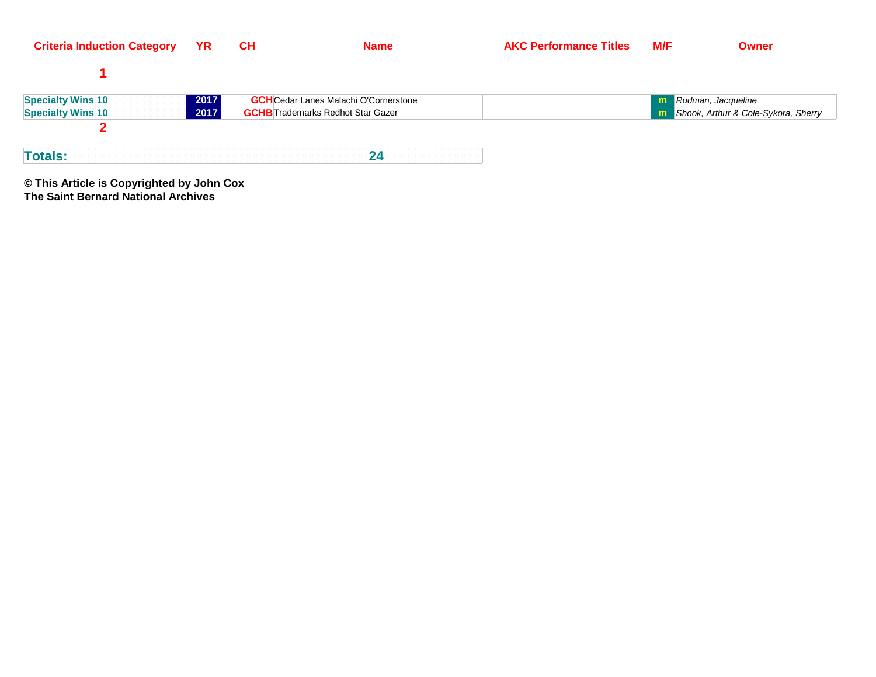| <b>Criteria Induction Category</b> | <u>YR</u> | CL                                           | <b>Name</b> | <b>AKC Performance Titles</b> | <b>M/E</b> | <b>Owner</b>                                 |
|------------------------------------|-----------|----------------------------------------------|-------------|-------------------------------|------------|----------------------------------------------|
|                                    |           |                                              |             |                               |            |                                              |
| <b>Specialty Wins 10</b>           | 2017      | <b>GCH</b> Cedar Lanes Malachi O'Cornerstone |             |                               | m          | Rudman, Jacqueline                           |
| <b>Specialty Wins 10</b>           | 2017      | <b>GCHB</b> Trademarks Redhot Star Gazer     |             |                               |            | <b>n</b> Shook, Arthur & Cole-Sykora, Sherry |
|                                    |           |                                              |             |                               |            |                                              |
| <b>Totals:</b>                     |           |                                              | 24          |                               |            |                                              |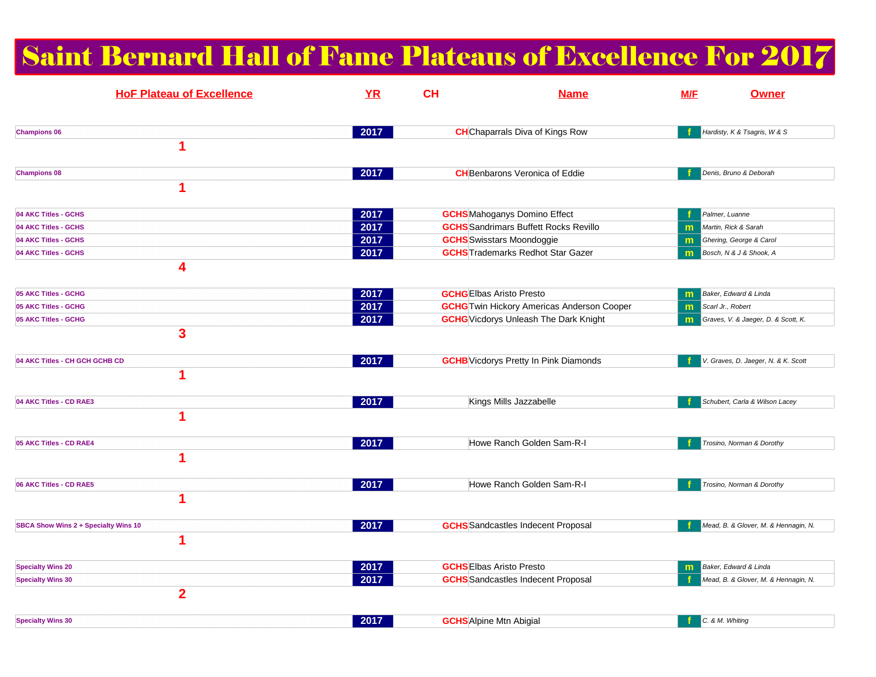# Saint Bernard Hall of Fame Plateaus of Excellence For 2017

| <b>HoF Plateau of Excellence</b>     | YR   | <b>CH</b> | <b>Name</b>                                       | M/F | <b>Owner</b>                         |
|--------------------------------------|------|-----------|---------------------------------------------------|-----|--------------------------------------|
| <b>Champions 06</b>                  | 2017 |           | <b>CH</b> Chaparrals Diva of Kings Row            |     | Hardisty, K & Tsagris, W & S         |
| 1                                    |      |           |                                                   |     |                                      |
| <b>Champions 08</b>                  | 2017 |           | <b>CH</b> Benbarons Veronica of Eddie             |     | Denis, Bruno & Deborah               |
| 1                                    |      |           |                                                   |     |                                      |
| 04 AKC Titles - GCHS                 | 2017 |           | <b>GCHS</b> Mahoganys Domino Effect               |     | Palmer, Luanne                       |
| 04 AKC Titles - GCHS                 | 2017 |           | <b>GCHS</b> Sandrimars Buffett Rocks Revillo      | m   | Martin, Rick & Sarah                 |
| 04 AKC Titles - GCHS                 | 2017 |           | <b>GCHS</b> Swisstars Moondoggie                  | m   | Ghering, George & Carol              |
| 04 AKC Titles - GCHS                 | 2017 |           | <b>GCHS</b> Trademarks Redhot Star Gazer          | m   | Bosch, N & J & Shook, A              |
| 4                                    |      |           |                                                   |     |                                      |
| 05 AKC Titles - GCHG                 | 2017 |           | <b>GCHG</b> EIbas Aristo Presto                   | m   | Baker, Edward & Linda                |
| 05 AKC Titles - GCHG                 | 2017 |           | <b>GCHG</b> Twin Hickory Americas Anderson Cooper | m.  | Scarl Jr., Robert                    |
| 05 AKC Titles - GCHG                 | 2017 |           | <b>GCHG</b> Vicdorys Unleash The Dark Knight      | m   | Graves, V. & Jaeger, D. & Scott, K.  |
| 3                                    |      |           |                                                   |     |                                      |
| 04 AKC Titles - CH GCH GCHB CD       | 2017 |           | <b>GCHB</b> Vicdorys Pretty In Pink Diamonds      |     | V. Graves, D. Jaeger, N. & K. Scott  |
| 1                                    |      |           |                                                   |     |                                      |
| 04 AKC Titles - CD RAE3              | 2017 |           | Kings Mills Jazzabelle                            |     | Schubert, Carla & Wilson Lacey       |
| 1                                    |      |           |                                                   |     |                                      |
| 05 AKC Titles - CD RAE4              | 2017 |           | Howe Ranch Golden Sam-R-I                         |     | Trosino, Norman & Dorothy            |
| 1                                    |      |           |                                                   |     |                                      |
| 06 AKC Titles - CD RAE5              | 2017 |           | Howe Ranch Golden Sam-R-I                         |     | Trosino, Norman & Dorothy            |
| 1                                    |      |           |                                                   |     |                                      |
| SBCA Show Wins 2 + Specialty Wins 10 | 2017 |           | <b>GCHS</b> Sandcastles Indecent Proposal         |     | Mead, B. & Glover, M. & Hennagin, N. |
| 1                                    |      |           |                                                   |     |                                      |
| <b>Specialty Wins 20</b>             | 2017 |           | <b>GCHS</b> Elbas Aristo Presto                   | m   | Baker, Edward & Linda                |
| <b>Specialty Wins 30</b>             | 2017 |           | <b>GCHS</b> Sandcastles Indecent Proposal         |     | Mead, B. & Glover, M. & Hennagin, N. |
| $\overline{2}$                       |      |           |                                                   |     |                                      |
| <b>Specialty Wins 30</b>             | 2017 |           | <b>GCHS</b> Alpine Mtn Abigial                    |     | C. & M. Whiting                      |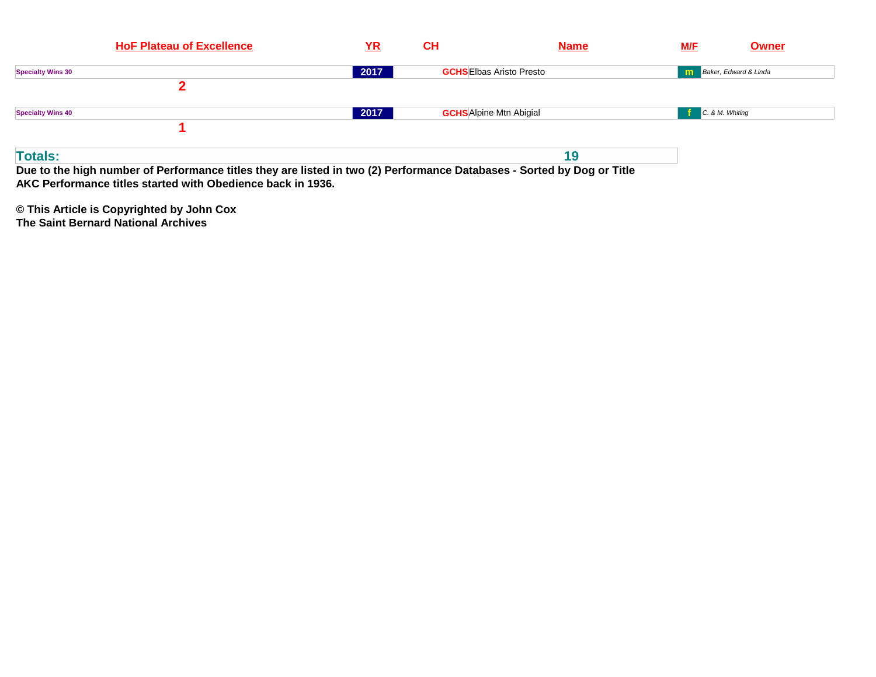| <b>HoF Plateau of Excellence</b> | $YR$ | <b>CH</b>                       | <b>Name</b> | <b>Owner</b><br><u>M/F</u>     |
|----------------------------------|------|---------------------------------|-------------|--------------------------------|
| <b>Specialty Wins 30</b>         | 2017 | <b>GCHS</b> Elbas Aristo Presto |             | <b>n</b> Baker, Edward & Linda |
|                                  |      |                                 |             |                                |
| <b>Specialty Wins 40</b>         | 2017 | <b>GCHS</b> Alpine Mtn Abigial  |             | C. & M. Whiting                |
|                                  |      |                                 |             |                                |
| <b>Totals:</b>                   |      |                                 | 19          |                                |

**Due to the high number of Performance titles they are listed in two (2) Performance Databases - Sorted by Dog or TitleAKC Performance titles started with Obedience back in 1936.**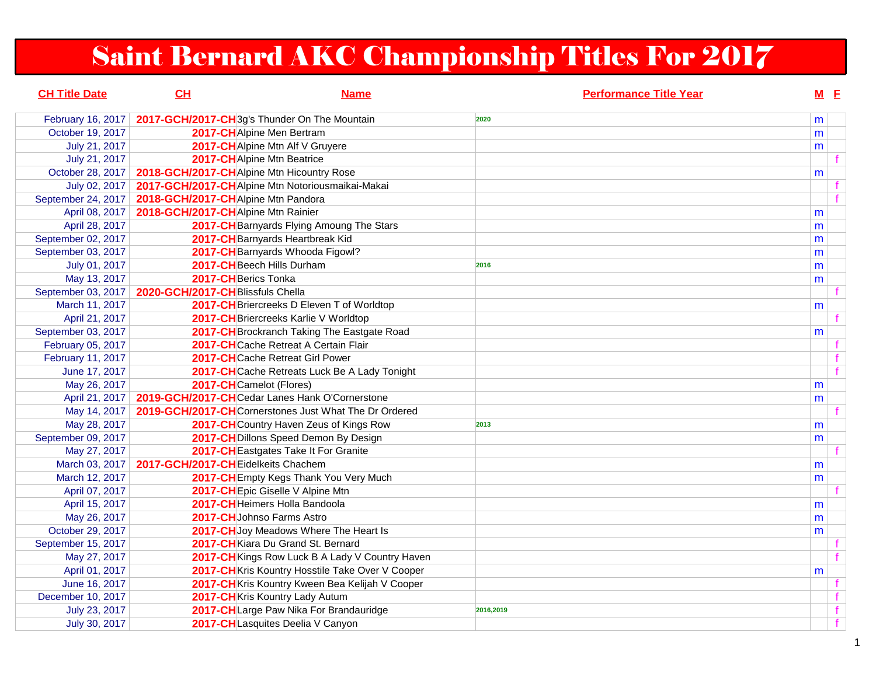# Saint Bernard AKC Championship Titles For 2017

| <b>CH Title Date</b> | CH                                           | <b>Name</b>                                           | <b>Performance Title Year</b> | $M$ E |              |
|----------------------|----------------------------------------------|-------------------------------------------------------|-------------------------------|-------|--------------|
| February 16, 2017    | 2017-GCH/2017-CH3g's Thunder On The Mountain |                                                       | 2020                          | m     |              |
| October 19, 2017     | 2017-CHAlpine Men Bertram                    |                                                       |                               | m     |              |
| July 21, 2017        |                                              | 2017-CHAlpine Mtn Alf V Gruyere                       |                               | m     |              |
| July 21, 2017        | 2017-CHAlpine Mtn Beatrice                   |                                                       |                               |       |              |
| October 28, 2017     | 2018-GCH/2017-CHAlpine Mtn Hicountry Rose    |                                                       |                               | m     |              |
| July 02, 2017        |                                              | 2017-GCH/2017-CHAIpine Mtn Notoriousmaikai-Makai      |                               |       |              |
| September 24, 2017   | 2018-GCH/2017-CHAlpine Mtn Pandora           |                                                       |                               |       |              |
| April 08, 2017       | 2018-GCH/2017-CH Alpine Mtn Rainier          |                                                       |                               | m     |              |
| April 28, 2017       |                                              | 2017-CH Barnyards Flying Amoung The Stars             |                               | m     |              |
| September 02, 2017   |                                              | 2017-CH Barnyards Heartbreak Kid                      |                               | m     |              |
| September 03, 2017   |                                              | 2017-CH Barnyards Whooda Figowl?                      |                               | m     |              |
| July 01, 2017        | 2017-CH Beech Hills Durham                   |                                                       | 2016                          | m     |              |
| May 13, 2017         | 2017-CH Berics Tonka                         |                                                       |                               | m     |              |
| September 03, 2017   | 2020-GCH/2017-CHBlissfuls Chella             |                                                       |                               |       |              |
| March 11, 2017       |                                              | 2017-CH Briercreeks D Eleven T of Worldtop            |                               | m     |              |
| April 21, 2017       |                                              | 2017-CH Briercreeks Karlie V Worldtop                 |                               |       |              |
| September 03, 2017   |                                              | 2017-CH Brockranch Taking The Eastgate Road           |                               | m     |              |
| February 05, 2017    |                                              | 2017-CHCache Retreat A Certain Flair                  |                               |       |              |
| February 11, 2017    |                                              | 2017-CHCache Retreat Girl Power                       |                               |       | $\mathbf{f}$ |
| June 17, 2017        |                                              | 2017-CHCache Retreats Luck Be A Lady Tonight          |                               |       |              |
| May 26, 2017         | 2017-CHCamelot (Flores)                      |                                                       |                               | m     |              |
| April 21, 2017       |                                              | 2019-GCH/2017-CHCedar Lanes Hank O'Cornerstone        |                               | m     |              |
| May 14, 2017         |                                              | 2019-GCH/2017-CHCornerstones Just What The Dr Ordered |                               |       |              |
| May 28, 2017         |                                              | 2017-CHCountry Haven Zeus of Kings Row                | 2013                          | m     |              |
| September 09, 2017   |                                              | 2017-CH Dillons Speed Demon By Design                 |                               | m     |              |
| May 27, 2017         |                                              | 2017-CH Eastgates Take It For Granite                 |                               |       |              |
| March 03, 2017       | 2017-GCH/2017-CH Eidelkeits Chachem          |                                                       |                               | m     |              |
| March 12, 2017       |                                              | 2017-CH Empty Kegs Thank You Very Much                |                               | m     |              |
| April 07, 2017       |                                              | 2017-CH Epic Giselle V Alpine Mtn                     |                               |       |              |
| April 15, 2017       |                                              | 2017-CHHeimers Holla Bandoola                         |                               | m     |              |
| May 26, 2017         |                                              | 2017-CHJohnso Farms Astro                             |                               | m     |              |
| October 29, 2017     |                                              | 2017-CH Joy Meadows Where The Heart Is                |                               | m     |              |
| September 15, 2017   |                                              | 2017-CH Kiara Du Grand St. Bernard                    |                               |       |              |
| May 27, 2017         |                                              | 2017-CH Kings Row Luck B A Lady V Country Haven       |                               |       | $\mathbf{f}$ |
| April 01, 2017       |                                              | 2017-CHKris Kountry Hosstile Take Over V Cooper       |                               | m     |              |
| June 16, 2017        |                                              | 2017-CH Kris Kountry Kween Bea Kelijah V Cooper       |                               |       |              |
| December 10, 2017    |                                              | 2017-CHKris Kountry Lady Autum                        |                               |       | $\mathbf{f}$ |
| July 23, 2017        |                                              | 2017-CHLarge Paw Nika For Brandauridge                | 2016,2019                     |       | f            |
| July 30, 2017        |                                              | 2017-CHLasquites Deelia V Canyon                      |                               |       | f            |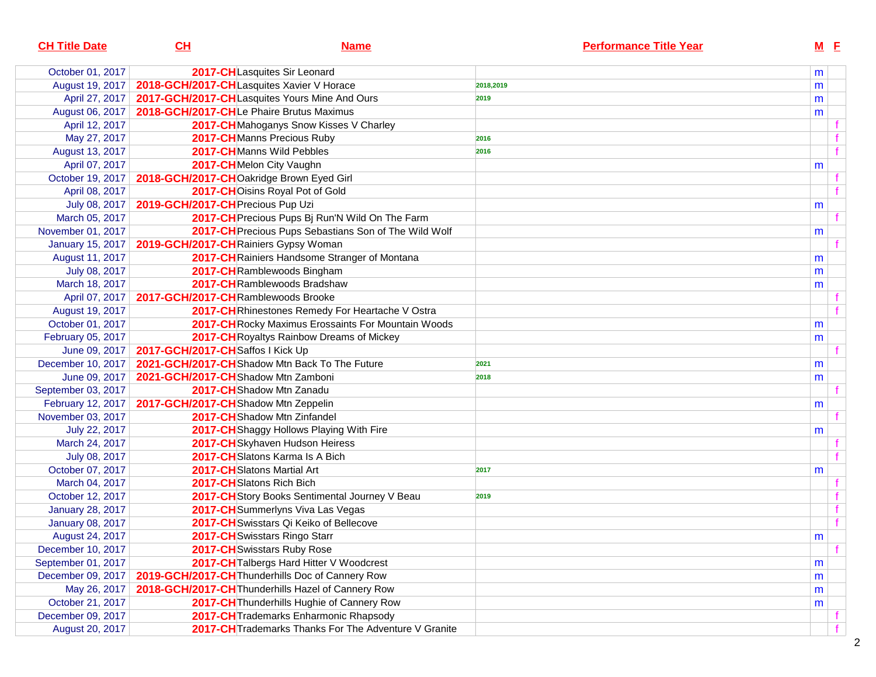| <b>CH Title Date</b>    | <u>CH</u>                                 | <u>Name</u>                                           | <b>Performance Title Year</b> |           | $M$ E |  |
|-------------------------|-------------------------------------------|-------------------------------------------------------|-------------------------------|-----------|-------|--|
| October 01, 2017        |                                           | 2017-CHLasquites Sir Leonard                          |                               | m         |       |  |
| August 19, 2017         | 2018-GCH/2017-CHLasquites Xavier V Horace |                                                       | 2018,2019                     | m         |       |  |
| April 27, 2017          |                                           | 2017-GCH/2017-CHLasquites Yours Mine And Ours         | 2019                          | m         |       |  |
| August 06, 2017         | 2018-GCH/2017-CHLe Phaire Brutus Maximus  |                                                       |                               | m         |       |  |
| April 12, 2017          |                                           | 2017-CHMahoganys Snow Kisses V Charley                |                               |           |       |  |
| May 27, 2017            |                                           | 2017-CHManns Precious Ruby                            | 2016                          |           |       |  |
| August 13, 2017         |                                           | 2017-CHManns Wild Pebbles                             | 2016                          |           |       |  |
| April 07, 2017          |                                           | 2017-CHMelon City Vaughn                              |                               | m         |       |  |
| October 19, 2017        | 2018-GCH/2017-CHOakridge Brown Eyed Girl  |                                                       |                               |           |       |  |
| April 08, 2017          |                                           | 2017-CHOisins Royal Pot of Gold                       |                               |           |       |  |
| July 08, 2017           | 2019-GCH/2017-CH Precious Pup Uzi         |                                                       |                               | m         |       |  |
| March 05, 2017          |                                           | 2017-CH Precious Pups Bj Run'N Wild On The Farm       |                               |           |       |  |
| November 01, 2017       |                                           | 2017-CH Precious Pups Sebastians Son of The Wild Wolf |                               | m         |       |  |
| <b>January 15, 2017</b> | 2019-GCH/2017-CHRainiers Gypsy Woman      |                                                       |                               |           |       |  |
| August 11, 2017         |                                           | 2017-CH Rainiers Handsome Stranger of Montana         |                               | m         |       |  |
| July 08, 2017           |                                           | 2017-CHRamblewoods Bingham                            |                               | m         |       |  |
| March 18, 2017          |                                           | 2017-CHRamblewoods Bradshaw                           |                               | m         |       |  |
| April 07, 2017          | 2017-GCH/2017-CHRamblewoods Brooke        |                                                       |                               |           |       |  |
| August 19, 2017         |                                           | 2017-CHRhinestones Remedy For Heartache V Ostra       |                               |           |       |  |
| October 01, 2017        |                                           | 2017-CH Rocky Maximus Erossaints For Mountain Woods   |                               | m         |       |  |
| February 05, 2017       |                                           | 2017-CH Royaltys Rainbow Dreams of Mickey             |                               | m         |       |  |
| June 09, 2017           | 2017-GCH/2017-CHSaffos I Kick Up          |                                                       |                               |           |       |  |
| December 10, 2017       |                                           | 2021-GCH/2017-CHShadow Mtn Back To The Future         | 2021                          | m         |       |  |
| June 09, 2017           | 2021-GCH/2017-CHShadow Mtn Zamboni        |                                                       | 2018                          | m         |       |  |
| September 03, 2017      |                                           | 2017-CHShadow Mtn Zanadu                              |                               |           |       |  |
| February 12, 2017       | 2017-GCH/2017-CHShadow Mtn Zeppelin       |                                                       |                               | m         |       |  |
| November 03, 2017       |                                           | 2017-CHShadow Mtn Zinfandel                           |                               |           |       |  |
| July 22, 2017           |                                           | 2017-CH Shaggy Hollows Playing With Fire              |                               | m         |       |  |
| March 24, 2017          |                                           | 2017-CHSkyhaven Hudson Heiress                        |                               |           |       |  |
| July 08, 2017           |                                           | 2017-CHSlatons Karma Is A Bich                        |                               |           |       |  |
| October 07, 2017        |                                           | 2017-CH Slatons Martial Art                           | 2017                          | m         |       |  |
| March 04, 2017          |                                           | 2017-CHSlatons Rich Bich                              |                               |           |       |  |
| October 12, 2017        |                                           | 2017-CH Story Books Sentimental Journey V Beau        | 2019                          |           |       |  |
| <b>January 28, 2017</b> |                                           | 2017-CHSummerlyns Viva Las Vegas                      |                               |           |       |  |
| <b>January 08, 2017</b> |                                           | 2017-CH Swisstars Qi Keiko of Bellecove               |                               |           |       |  |
| August 24, 2017         |                                           | 2017-CH Swisstars Ringo Starr                         |                               | ${\sf m}$ |       |  |
| December 10, 2017       |                                           | 2017-CH Swisstars Ruby Rose                           |                               |           |       |  |
| September 01, 2017      |                                           | 2017-CH Talbergs Hard Hitter V Woodcrest              |                               | m         |       |  |
| December 09, 2017       |                                           | 2019-GCH/2017-CH Thunderhills Doc of Cannery Row      |                               | m         |       |  |
| May 26, 2017            |                                           | 2018-GCH/2017-CH Thunderhills Hazel of Cannery Row    |                               | m         |       |  |
| October 21, 2017        |                                           | 2017-CH Thunderhills Hughie of Cannery Row            |                               | m         |       |  |
| December 09, 2017       |                                           | 2017-CH Trademarks Enharmonic Rhapsody                |                               |           |       |  |
| August 20, 2017         |                                           | 2017-CH Trademarks Thanks For The Adventure V Granite |                               |           |       |  |
|                         |                                           |                                                       |                               |           |       |  |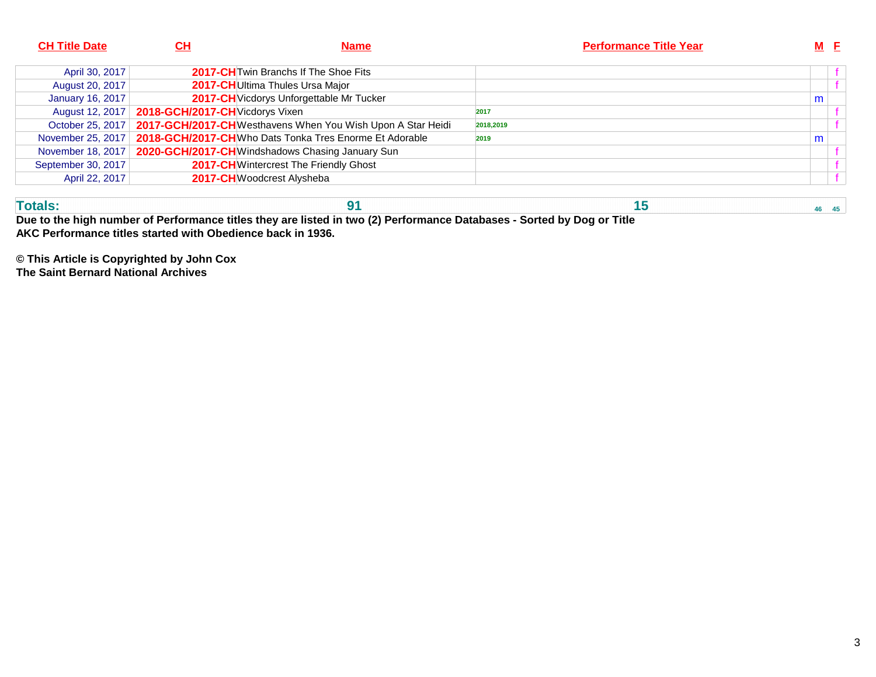| <b>CH Title Date</b> | <u>СН</u>                       | <b>Name</b>                                                | <b>Performance Title Year</b> |   | $M$ $E$ |
|----------------------|---------------------------------|------------------------------------------------------------|-------------------------------|---|---------|
| April 30, 2017       |                                 | 2017-CH Twin Branchs If The Shoe Fits                      |                               |   |         |
| August 20, 2017      |                                 | 2017-CHUltima Thules Ursa Major                            |                               |   |         |
| January 16, 2017     |                                 | 2017-CH Vicdorys Unforgettable Mr Tucker                   |                               | m |         |
| August 12, 2017      | 2018-GCH/2017-CH Vicdorys Vixen |                                                            | 2017                          |   |         |
| October 25, 2017     |                                 | 2017-GCH/2017-CHWesthavens When You Wish Upon A Star Heidi | 2018,2019                     |   |         |
| November 25, 2017    |                                 | 2018-GCH/2017-CHWho Dats Tonka Tres Enorme Et Adorable     | 2019                          | m |         |
| November 18, 2017    |                                 | 2020-GCH/2017-CHWindshadows Chasing January Sun            |                               |   |         |
| September 30, 2017   |                                 | <b>2017-CH</b> Wintercrest The Friendly Ghost              |                               |   |         |
| April 22, 2017       |                                 | 2017-CHWoodcrest Alysheba                                  |                               |   |         |

**Totals: 91 15 46 45 Due to the high number of Performance titles they are listed in two (2) Performance Databases - Sorted by Dog or TitleAKC Performance titles started with Obedience back in 1936.**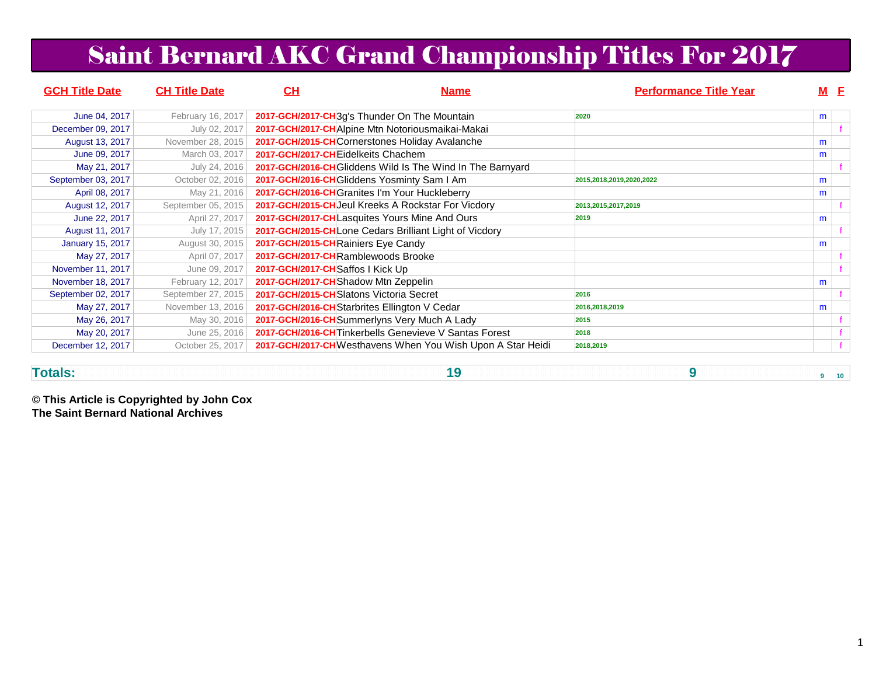## Saint Bernard AKC Grand Championship Titles For 2017

| <b>GCH Title Date</b>   | <b>CH Title Date</b><br>CН                           | <b>Name</b>                                                | <b>Performance Title Year</b> |   | $M$ $E$ |
|-------------------------|------------------------------------------------------|------------------------------------------------------------|-------------------------------|---|---------|
| June 04, 2017           | February 16, 2017                                    | 2017-GCH/2017-CH3g's Thunder On The Mountain               | 2020                          | m |         |
| December 09, 2017       | July 02, 2017                                        | 2017-GCH/2017-CHAlpine Mtn Notoriousmaikai-Makai           |                               |   |         |
| August 13, 2017         | November 28, 2015                                    | 2017-GCH/2015-CHCornerstones Holiday Avalanche             |                               | m |         |
| June 09, 2017           | March 03, 2017<br>2017-GCH/2017-CHEidelkeits Chachem |                                                            |                               | m |         |
| May 21, 2017            | July 24, 2016                                        | 2017-GCH/2016-CH Gliddens Wild Is The Wind In The Barnyard |                               |   |         |
| September 03, 2017      | October 02, 2016                                     | 2017-GCH/2016-CH Gliddens Yosminty Sam I Am                | 2015,2018,2019,2020,2022      | m |         |
| April 08, 2017          | May 21, 2016                                         | 2017-GCH/2016-CH Granites I'm Your Huckleberry             |                               | m |         |
| August 12, 2017         | September 05, 2015                                   | 2017-GCH/2015-CH Jeul Kreeks A Rockstar For Vicdory        | 2013,2015,2017,2019           |   |         |
| June 22, 2017           | April 27, 2017                                       | 2017-GCH/2017-CHLasquites Yours Mine And Ours              | 2019                          | m |         |
| August 11, 2017         | July 17, 2015                                        | 2017-GCH/2015-CHLone Cedars Brilliant Light of Vicdory     |                               |   |         |
| <b>January 15, 2017</b> | August 30, 2015                                      | 2017-GCH/2015-CH Rainiers Eye Candy                        |                               | m |         |
| May 27, 2017            | April 07, 2017                                       | 2017-GCH/2017-CHRamblewoods Brooke                         |                               |   |         |
| November 11, 2017       | 2017-GCH/2017-CHSaffos I Kick Up<br>June 09, 2017    |                                                            |                               |   |         |
| November 18, 2017       | February 12, 2017                                    | 2017-GCH/2017-CH Shadow Mtn Zeppelin                       |                               | m |         |
| September 02, 2017      | September 27, 2015                                   | 2017-GCH/2015-CHSlatons Victoria Secret                    | 2016                          |   |         |
| May 27, 2017            | November 13, 2016                                    | 2017-GCH/2016-CH Starbrites Ellington V Cedar              | 2016,2018,2019                | m |         |
| May 26, 2017            | May 30, 2016                                         | 2017-GCH/2016-CH Summerlyns Very Much A Lady               | 2015                          |   |         |
| May 20, 2017            | June 25, 2016                                        | 2017-GCH/2016-CH Tinkerbells Genevieve V Santas Forest     | 2018                          |   |         |
| December 12, 2017       | October 25, 2017                                     | 2017-GCH/2017-CHWesthavens When You Wish Upon A Star Heidi | 2018,2019                     |   |         |

**Totals:**

**19 9 9 10**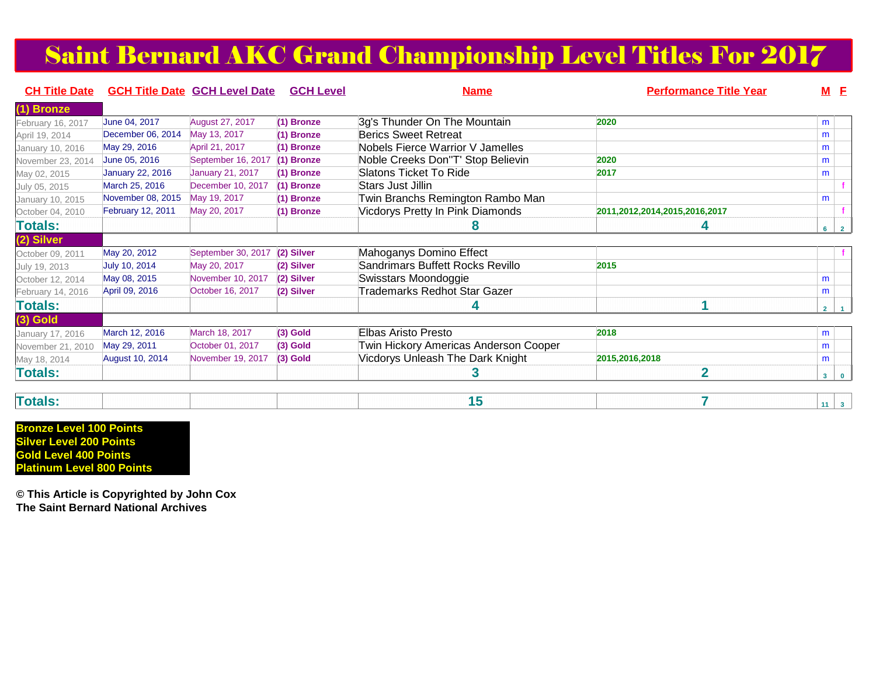## Saint Bernard AKC Grand Championship Level Titles For 2017

| <b>CH Title Date</b> | <b>GCH Title Date GCH Level Date</b> |                         | <b>GCH Level</b> | <b>Name</b>                           | <b>Performance Title Year</b> | <b>M</b> E     |                |
|----------------------|--------------------------------------|-------------------------|------------------|---------------------------------------|-------------------------------|----------------|----------------|
| (1) Bronze           |                                      |                         |                  |                                       |                               |                |                |
| February 16, 2017    | June 04, 2017                        | August 27, 2017         | (1) Bronze       | 3g's Thunder On The Mountain          | 2020                          | m              |                |
| April 19, 2014       | December 06, 2014                    | May 13, 2017            | (1) Bronze       | <b>Berics Sweet Retreat</b>           |                               | m              |                |
| January 10, 2016     | May 29, 2016                         | April 21, 2017          | (1) Bronze       | Nobels Fierce Warrior V Jamelles      |                               | m              |                |
| November 23, 2014    | June 05, 2016                        | September 16, 2017      | (1) Bronze       | Noble Creeks Don"T' Stop Believin     | 2020                          | m              |                |
| May 02, 2015         | <b>January 22, 2016</b>              | <b>January 21, 2017</b> | (1) Bronze       | Slatons Ticket To Ride                | 2017                          | m              |                |
| July 05, 2015        | March 25, 2016                       | December 10, 2017       | (1) Bronze       | Stars Just Jillin                     |                               |                |                |
| January 10, 2015     | November 08, 2015                    | May 19, 2017            | (1) Bronze       | Twin Branchs Remington Rambo Man      |                               | m              |                |
| October 04, 2010     | <b>February 12, 2011</b>             | May 20, 2017            | (1) Bronze       | Vicdorys Pretty In Pink Diamonds      | 2011,2012,2014,2015,2016,2017 |                |                |
| Totals:              |                                      |                         |                  | ŏ                                     | 4                             | $6 \mid 2$     |                |
| (2) Silver           |                                      |                         |                  |                                       |                               |                |                |
| October 09, 2011     | May 20, 2012                         | September 30, 2017      | (2) Silver       | Mahoganys Domino Effect               |                               |                |                |
| July 19, 2013        | July 10, 2014                        | May 20, 2017            | (2) Silver       | Sandrimars Buffett Rocks Revillo      | 2015                          |                |                |
| October 12, 2014     | May 08, 2015                         | November 10, 2017       | (2) Silver       | Swisstars Moondoggie                  |                               | m              |                |
| February 14, 2016    | April 09, 2016                       | October 16, 2017        | (2) Silver       | Trademarks Redhot Star Gazer          |                               | m              |                |
| Totals:              |                                      |                         |                  |                                       | и                             | 2 <sup>1</sup> | $\blacksquare$ |
| $(3)$ Gold           |                                      |                         |                  |                                       |                               |                |                |
| January 17, 2016     | March 12, 2016                       | March 18, 2017          | $(3)$ Gold       | Elbas Aristo Presto                   | 2018                          | m              |                |
| November 21, 2010    | May 29, 2011                         | October 01, 2017        | $(3)$ Gold       | Twin Hickory Americas Anderson Cooper |                               | m              |                |
| May 18, 2014         | <b>August 10, 2014</b>               | November 19, 2017       | $(3)$ Gold       | Vicdorys Unleash The Dark Knight      | 2015,2016,2018                | m              |                |
| <b>Totals:</b>       |                                      |                         |                  | 3                                     | $\overline{2}$                | 3 <sup>1</sup> | $\bullet$      |

#### **Totals:**• <u>15 秒 8 15 秒 8 15 秒 8 7 秒 8 7 秒 8 11 12 14 13</u>

**Bronze Level 100 PointsSilver Level 200 Points Gold Level 400 PointsPlatinum Level 800 Points**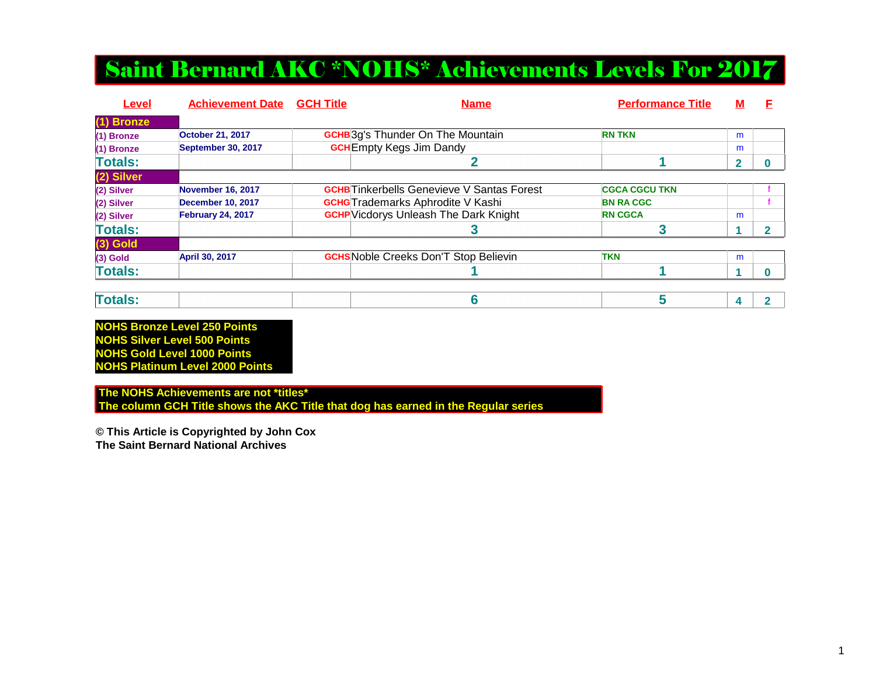### Saint Bernard AKC \*NOHS\* Achievements Levels For 2017

| <b>Level</b>   | <b>Achievement Date</b>  | <b>GCH Title</b> | <b>Name</b>                                       | <b>Performance Title</b> | М |  |
|----------------|--------------------------|------------------|---------------------------------------------------|--------------------------|---|--|
| (1) Bronze     |                          |                  |                                                   |                          |   |  |
| (1) Bronze     | <b>October 21, 2017</b>  |                  | <b>GCHB</b> 3g's Thunder On The Mountain          | <b>RN TKN</b>            | m |  |
| (1) Bronze     | September 30, 2017       |                  | <b>GCH</b> Empty Kegs Jim Dandy                   |                          | m |  |
| <b>Totals:</b> |                          |                  |                                                   |                          | 2 |  |
| (2) Silver     |                          |                  |                                                   |                          |   |  |
| (2) Silver     | <b>November 16, 2017</b> |                  | <b>GCHB</b> Tinkerbells Genevieve V Santas Forest | <b>CGCA CGCU TKN</b>     |   |  |
| (2) Silver     | <b>December 10, 2017</b> |                  | <b>GCHG</b> Trademarks Aphrodite V Kashi          | <b>BN RA CGC</b>         |   |  |
| (2) Silver     | <b>February 24, 2017</b> |                  | <b>GCHP</b> Vicdorys Unleash The Dark Knight      | <b>RN CGCA</b>           | m |  |
| <b>Totals:</b> |                          |                  |                                                   |                          |   |  |
| $(3)$ Gold     |                          |                  |                                                   |                          |   |  |
| $(3)$ Gold     | April 30, 2017           |                  | <b>GCHS</b> Noble Creeks Don'T Stop Believin      | <b>TKN</b>               | m |  |
| <b>Totals:</b> |                          |                  |                                                   |                          |   |  |

| Tota |
|------|
|------|

**NOHS Bronze Level 250 Points NOHS Silver Level 500 Points NOHS Gold Level 1000 PointsNOHS Platinum Level 2000 Points**

 **The NOHS Achievements are not \*titles\* The column GCH Title shows the AKC Title that dog has earned in the Regular series**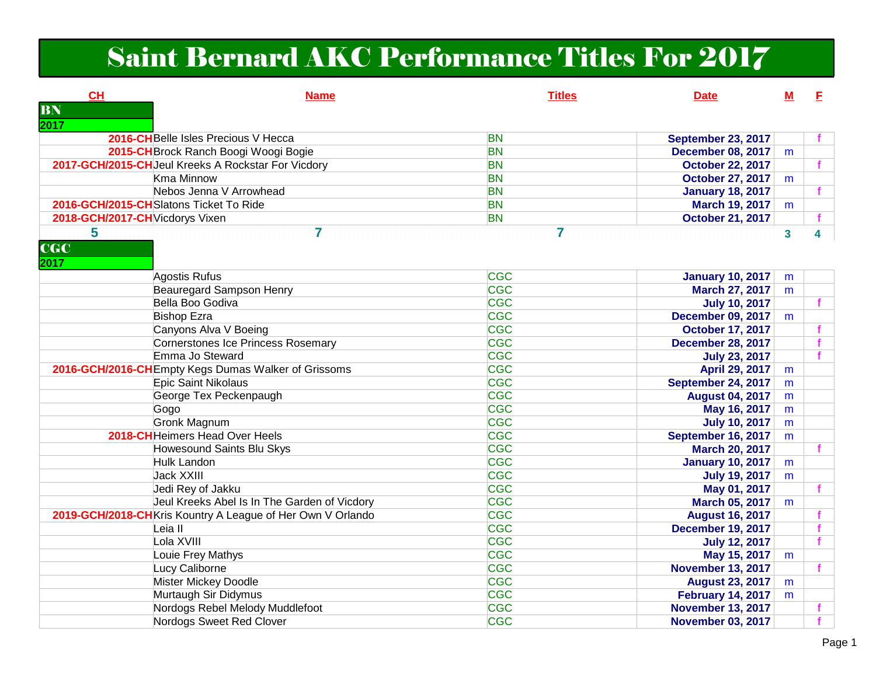# Saint Bernard AKC Performance Titles For 2017

| <b>CH</b>                              | <b>Name</b>                                                 | <b>Titles</b> | <b>Date</b>               | м            | F.           |
|----------------------------------------|-------------------------------------------------------------|---------------|---------------------------|--------------|--------------|
| BN                                     |                                                             |               |                           |              |              |
| 2017                                   |                                                             |               |                           |              |              |
|                                        | 2016-CHBelle Isles Precious V Hecca                         | <b>BN</b>     | <b>September 23, 2017</b> |              |              |
|                                        | 2015-CH Brock Ranch Boogi Woogi Bogie                       | <b>BN</b>     | <b>December 08, 2017</b>  | m            |              |
|                                        | 2017-GCH/2015-CHJeul Kreeks A Rockstar For Vicdory          | <b>BN</b>     | <b>October 22, 2017</b>   |              | $\mathbf{f}$ |
|                                        | <b>Kma Minnow</b>                                           | <b>BN</b>     | <b>October 27, 2017</b>   | m            |              |
|                                        | Nebos Jenna V Arrowhead                                     | <b>BN</b>     | <b>January 18, 2017</b>   |              | $\mathbf{f}$ |
| 2016-GCH/2015-CHSlatons Ticket To Ride |                                                             | <b>BN</b>     | March 19, 2017            | m            |              |
| 2018-GCH/2017-CH Vicdorys Vixen        |                                                             | <b>BN</b>     | <b>October 21, 2017</b>   |              | $\mathbf{f}$ |
| 5<br>CC<br>2017                        | $\overline{7}$                                              | 7             |                           | $\mathbf{3}$ | 4            |
|                                        | <b>Agostis Rufus</b>                                        | <b>CGC</b>    | <b>January 10, 2017</b>   | m            |              |
|                                        | <b>Beauregard Sampson Henry</b>                             | <b>CGC</b>    | <b>March 27, 2017</b>     | m            |              |
|                                        | Bella Boo Godiva                                            | CGC           | <b>July 10, 2017</b>      |              |              |
|                                        | <b>Bishop Ezra</b>                                          | CGC           | <b>December 09, 2017</b>  | m            |              |
|                                        | Canyons Alva V Boeing                                       | <b>CGC</b>    | <b>October 17, 2017</b>   |              | f            |
|                                        | <b>Cornerstones Ice Princess Rosemary</b>                   | <b>CGC</b>    | <b>December 28, 2017</b>  |              |              |
|                                        | Emma Jo Steward                                             | <b>CGC</b>    | <b>July 23, 2017</b>      |              | f            |
|                                        | 2016-GCH/2016-CHEmpty Kegs Dumas Walker of Grissoms         | <b>CGC</b>    | April 29, 2017            | m            |              |
|                                        | Epic Saint Nikolaus                                         | <b>CGC</b>    | September 24, 2017        | m            |              |
|                                        | George Tex Peckenpaugh                                      | <b>CGC</b>    | <b>August 04, 2017</b>    | m            |              |
|                                        | Gogo                                                        | <b>CGC</b>    | May 16, 2017              | m            |              |
|                                        | <b>Gronk Magnum</b>                                         | <b>CGC</b>    | <b>July 10, 2017</b>      | m            |              |
|                                        | 2018-CH Heimers Head Over Heels                             | CGC           | September 16, 2017        | m            |              |
|                                        | <b>Howesound Saints Blu Skys</b>                            | CGC           | <b>March 20, 2017</b>     |              | $\mathbf{f}$ |
|                                        | <b>Hulk Landon</b>                                          | <b>CGC</b>    | <b>January 10, 2017</b>   | m            |              |
|                                        | <b>Jack XXIII</b>                                           | <b>CGC</b>    | <b>July 19, 2017</b>      | m            |              |
|                                        | Jedi Rey of Jakku                                           | <b>CGC</b>    | May 01, 2017              |              |              |
|                                        | Jeul Kreeks Abel Is In The Garden of Vicdory                | <b>CGC</b>    | March 05, 2017            | m            |              |
|                                        | 2019-GCH/2018-CH Kris Kountry A League of Her Own V Orlando | <b>CGC</b>    | <b>August 16, 2017</b>    |              |              |
|                                        | Leia II                                                     | CGC           | <b>December 19, 2017</b>  |              | f            |
|                                        | Lola XVIII                                                  | CGC           | <b>July 12, 2017</b>      |              |              |
|                                        | Louie Frey Mathys                                           | <b>CGC</b>    | May 15, 2017              | m            |              |
|                                        | Lucy Caliborne                                              | <b>CGC</b>    | <b>November 13, 2017</b>  |              | $\mathbf{f}$ |
|                                        | <b>Mister Mickey Doodle</b>                                 | CGC           | <b>August 23, 2017</b>    | m            |              |
|                                        | Murtaugh Sir Didymus                                        | <b>CGC</b>    | <b>February 14, 2017</b>  | m            |              |
|                                        | Nordogs Rebel Melody Muddlefoot                             | <b>CGC</b>    | <b>November 13, 2017</b>  |              | $\mathbf f$  |
|                                        | Nordogs Sweet Red Clover                                    | <b>CGC</b>    | <b>November 03, 2017</b>  |              |              |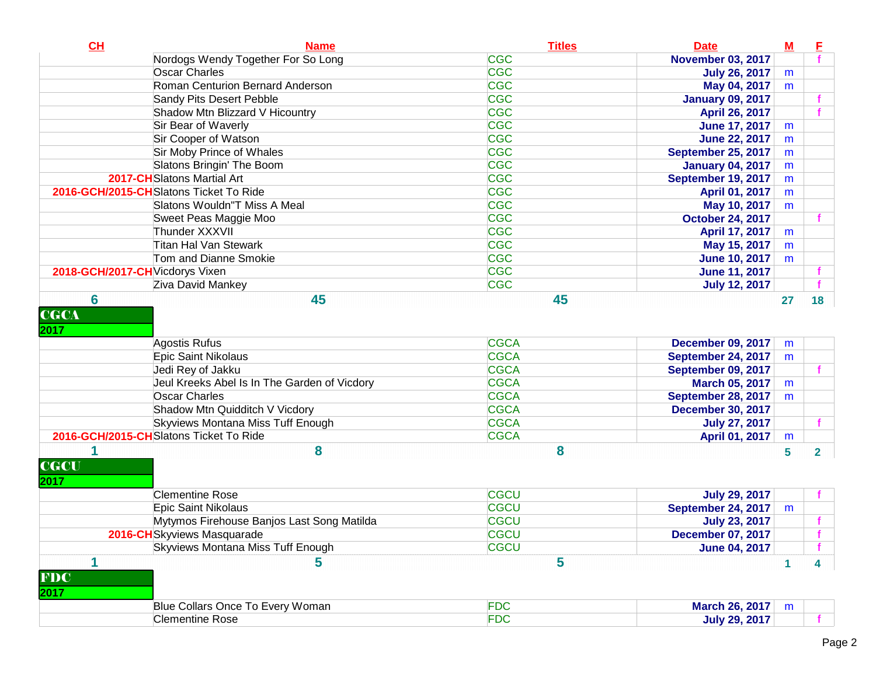| Nordogs Wendy Together For So Long<br><b>November 03, 2017</b><br><b>CGC</b><br><b>Oscar Charles</b><br><b>July 26, 2017</b><br>m<br><b>CGC</b><br>Roman Centurion Bernard Anderson<br>May 04, 2017<br>m<br><b>CGC</b><br>Sandy Pits Desert Pebble<br><b>January 09, 2017</b><br><b>CGC</b><br>Shadow Mtn Blizzard V Hicountry<br>April 26, 2017<br><b>CGC</b><br>Sir Bear of Waverly<br><b>June 17, 2017</b><br>m<br><b>CGC</b><br>Sir Cooper of Watson<br><b>June 22, 2017</b><br>m<br><b>CGC</b><br><b>Sir Moby Prince of Whales</b><br>September 25, 2017<br>m<br><b>CGC</b><br>Slatons Bringin' The Boom<br><b>January 04, 2017</b><br>m<br><b>CGC</b><br>2017-CH Slatons Martial Art<br>September 19, 2017<br>m<br><b>CGC</b><br>2016-GCH/2015-CH Slatons Ticket To Ride<br>April 01, 2017<br>m<br><b>CGC</b><br>Slatons Wouldn"T Miss A Meal<br>May 10, 2017<br>m<br><b>CGC</b><br>Sweet Peas Maggie Moo<br><b>October 24, 2017</b><br><b>CGC</b><br>Thunder XXXVII<br>April 17, 2017<br>m<br><b>CGC</b><br><b>Titan Hal Van Stewark</b><br>May 15, 2017<br>m<br><b>CGC</b><br>Tom and Dianne Smokie<br><b>June 10, 2017</b><br>m<br><b>CGC</b><br>2018-GCH/2017-CH Vicdorys Vixen<br><b>June 11, 2017</b><br><b>CGC</b><br>Ziva David Mankey<br><b>July 12, 2017</b><br>6<br>45<br>45<br>18<br>27<br><b>CGCA</b><br><b>CGCA</b><br>Agostis Rufus<br><b>December 09, 2017</b><br>m<br><b>CGCA</b><br>Epic Saint Nikolaus<br>September 24, 2017<br>m<br><b>CGCA</b><br>Jedi Rey of Jakku<br>September 09, 2017<br><b>CGCA</b><br>Jeul Kreeks Abel Is In The Garden of Vicdory<br>March 05, 2017<br>m<br><b>CGCA</b><br><b>Oscar Charles</b><br>September 28, 2017<br>m<br>Shadow Mtn Quidditch V Vicdory<br><b>CGCA</b><br><b>December 30, 2017</b><br>Skyviews Montana Miss Tuff Enough<br><b>CGCA</b><br><b>July 27, 2017</b><br>f<br>2016-GCH/2015-CHSlatons Ticket To Ride<br><b>CGCA</b><br>April 01, 2017<br>m<br>8<br>8<br>5<br>$\overline{\mathbf{2}}$<br><b>Clementine Rose</b><br><b>CGCU</b><br><b>July 29, 2017</b><br><b>CGCU</b><br>Epic Saint Nikolaus<br>September 24, 2017<br>m<br>Mytymos Firehouse Banjos Last Song Matilda<br><b>CGCU</b><br><b>July 23, 2017</b><br>CGCU<br>2016-CHSkyviews Masquarade<br><b>December 07, 2017</b><br>Skyviews Montana Miss Tuff Enough<br><b>CGCU</b><br><b>June 04, 2017</b><br>1<br>5<br>5<br>4<br>1<br><b>FDC</b><br>Blue Collars Once To Every Woman<br>March 26, 2017<br>m<br><b>FDC</b><br><b>Clementine Rose</b><br><b>July 29, 2017</b> | CH                                                           | <b>Name</b> | <b>Titles</b> | <b>Date</b> | $\underline{\mathbf{M}}$ | F |
|-------------------------------------------------------------------------------------------------------------------------------------------------------------------------------------------------------------------------------------------------------------------------------------------------------------------------------------------------------------------------------------------------------------------------------------------------------------------------------------------------------------------------------------------------------------------------------------------------------------------------------------------------------------------------------------------------------------------------------------------------------------------------------------------------------------------------------------------------------------------------------------------------------------------------------------------------------------------------------------------------------------------------------------------------------------------------------------------------------------------------------------------------------------------------------------------------------------------------------------------------------------------------------------------------------------------------------------------------------------------------------------------------------------------------------------------------------------------------------------------------------------------------------------------------------------------------------------------------------------------------------------------------------------------------------------------------------------------------------------------------------------------------------------------------------------------------------------------------------------------------------------------------------------------------------------------------------------------------------------------------------------------------------------------------------------------------------------------------------------------------------------------------------------------------------------------------------------------------------------------------------------------------------------------------------------------------------------------------------------------------------------------------------------------------------------------------------------------------------------------------------------|--------------------------------------------------------------|-------------|---------------|-------------|--------------------------|---|
|                                                                                                                                                                                                                                                                                                                                                                                                                                                                                                                                                                                                                                                                                                                                                                                                                                                                                                                                                                                                                                                                                                                                                                                                                                                                                                                                                                                                                                                                                                                                                                                                                                                                                                                                                                                                                                                                                                                                                                                                                                                                                                                                                                                                                                                                                                                                                                                                                                                                                                             |                                                              |             | <b>CGC</b>    |             |                          |   |
|                                                                                                                                                                                                                                                                                                                                                                                                                                                                                                                                                                                                                                                                                                                                                                                                                                                                                                                                                                                                                                                                                                                                                                                                                                                                                                                                                                                                                                                                                                                                                                                                                                                                                                                                                                                                                                                                                                                                                                                                                                                                                                                                                                                                                                                                                                                                                                                                                                                                                                             |                                                              |             |               |             |                          |   |
|                                                                                                                                                                                                                                                                                                                                                                                                                                                                                                                                                                                                                                                                                                                                                                                                                                                                                                                                                                                                                                                                                                                                                                                                                                                                                                                                                                                                                                                                                                                                                                                                                                                                                                                                                                                                                                                                                                                                                                                                                                                                                                                                                                                                                                                                                                                                                                                                                                                                                                             |                                                              |             |               |             |                          |   |
|                                                                                                                                                                                                                                                                                                                                                                                                                                                                                                                                                                                                                                                                                                                                                                                                                                                                                                                                                                                                                                                                                                                                                                                                                                                                                                                                                                                                                                                                                                                                                                                                                                                                                                                                                                                                                                                                                                                                                                                                                                                                                                                                                                                                                                                                                                                                                                                                                                                                                                             |                                                              |             |               |             |                          |   |
|                                                                                                                                                                                                                                                                                                                                                                                                                                                                                                                                                                                                                                                                                                                                                                                                                                                                                                                                                                                                                                                                                                                                                                                                                                                                                                                                                                                                                                                                                                                                                                                                                                                                                                                                                                                                                                                                                                                                                                                                                                                                                                                                                                                                                                                                                                                                                                                                                                                                                                             |                                                              |             |               |             |                          |   |
|                                                                                                                                                                                                                                                                                                                                                                                                                                                                                                                                                                                                                                                                                                                                                                                                                                                                                                                                                                                                                                                                                                                                                                                                                                                                                                                                                                                                                                                                                                                                                                                                                                                                                                                                                                                                                                                                                                                                                                                                                                                                                                                                                                                                                                                                                                                                                                                                                                                                                                             |                                                              |             |               |             |                          |   |
|                                                                                                                                                                                                                                                                                                                                                                                                                                                                                                                                                                                                                                                                                                                                                                                                                                                                                                                                                                                                                                                                                                                                                                                                                                                                                                                                                                                                                                                                                                                                                                                                                                                                                                                                                                                                                                                                                                                                                                                                                                                                                                                                                                                                                                                                                                                                                                                                                                                                                                             |                                                              |             |               |             |                          |   |
|                                                                                                                                                                                                                                                                                                                                                                                                                                                                                                                                                                                                                                                                                                                                                                                                                                                                                                                                                                                                                                                                                                                                                                                                                                                                                                                                                                                                                                                                                                                                                                                                                                                                                                                                                                                                                                                                                                                                                                                                                                                                                                                                                                                                                                                                                                                                                                                                                                                                                                             |                                                              |             |               |             |                          |   |
|                                                                                                                                                                                                                                                                                                                                                                                                                                                                                                                                                                                                                                                                                                                                                                                                                                                                                                                                                                                                                                                                                                                                                                                                                                                                                                                                                                                                                                                                                                                                                                                                                                                                                                                                                                                                                                                                                                                                                                                                                                                                                                                                                                                                                                                                                                                                                                                                                                                                                                             |                                                              |             |               |             |                          |   |
|                                                                                                                                                                                                                                                                                                                                                                                                                                                                                                                                                                                                                                                                                                                                                                                                                                                                                                                                                                                                                                                                                                                                                                                                                                                                                                                                                                                                                                                                                                                                                                                                                                                                                                                                                                                                                                                                                                                                                                                                                                                                                                                                                                                                                                                                                                                                                                                                                                                                                                             |                                                              |             |               |             |                          |   |
|                                                                                                                                                                                                                                                                                                                                                                                                                                                                                                                                                                                                                                                                                                                                                                                                                                                                                                                                                                                                                                                                                                                                                                                                                                                                                                                                                                                                                                                                                                                                                                                                                                                                                                                                                                                                                                                                                                                                                                                                                                                                                                                                                                                                                                                                                                                                                                                                                                                                                                             |                                                              |             |               |             |                          |   |
|                                                                                                                                                                                                                                                                                                                                                                                                                                                                                                                                                                                                                                                                                                                                                                                                                                                                                                                                                                                                                                                                                                                                                                                                                                                                                                                                                                                                                                                                                                                                                                                                                                                                                                                                                                                                                                                                                                                                                                                                                                                                                                                                                                                                                                                                                                                                                                                                                                                                                                             |                                                              |             |               |             |                          |   |
|                                                                                                                                                                                                                                                                                                                                                                                                                                                                                                                                                                                                                                                                                                                                                                                                                                                                                                                                                                                                                                                                                                                                                                                                                                                                                                                                                                                                                                                                                                                                                                                                                                                                                                                                                                                                                                                                                                                                                                                                                                                                                                                                                                                                                                                                                                                                                                                                                                                                                                             |                                                              |             |               |             |                          |   |
|                                                                                                                                                                                                                                                                                                                                                                                                                                                                                                                                                                                                                                                                                                                                                                                                                                                                                                                                                                                                                                                                                                                                                                                                                                                                                                                                                                                                                                                                                                                                                                                                                                                                                                                                                                                                                                                                                                                                                                                                                                                                                                                                                                                                                                                                                                                                                                                                                                                                                                             |                                                              |             |               |             |                          |   |
|                                                                                                                                                                                                                                                                                                                                                                                                                                                                                                                                                                                                                                                                                                                                                                                                                                                                                                                                                                                                                                                                                                                                                                                                                                                                                                                                                                                                                                                                                                                                                                                                                                                                                                                                                                                                                                                                                                                                                                                                                                                                                                                                                                                                                                                                                                                                                                                                                                                                                                             |                                                              |             |               |             |                          |   |
|                                                                                                                                                                                                                                                                                                                                                                                                                                                                                                                                                                                                                                                                                                                                                                                                                                                                                                                                                                                                                                                                                                                                                                                                                                                                                                                                                                                                                                                                                                                                                                                                                                                                                                                                                                                                                                                                                                                                                                                                                                                                                                                                                                                                                                                                                                                                                                                                                                                                                                             |                                                              |             |               |             |                          |   |
|                                                                                                                                                                                                                                                                                                                                                                                                                                                                                                                                                                                                                                                                                                                                                                                                                                                                                                                                                                                                                                                                                                                                                                                                                                                                                                                                                                                                                                                                                                                                                                                                                                                                                                                                                                                                                                                                                                                                                                                                                                                                                                                                                                                                                                                                                                                                                                                                                                                                                                             |                                                              |             |               |             |                          |   |
|                                                                                                                                                                                                                                                                                                                                                                                                                                                                                                                                                                                                                                                                                                                                                                                                                                                                                                                                                                                                                                                                                                                                                                                                                                                                                                                                                                                                                                                                                                                                                                                                                                                                                                                                                                                                                                                                                                                                                                                                                                                                                                                                                                                                                                                                                                                                                                                                                                                                                                             |                                                              |             |               |             |                          |   |
|                                                                                                                                                                                                                                                                                                                                                                                                                                                                                                                                                                                                                                                                                                                                                                                                                                                                                                                                                                                                                                                                                                                                                                                                                                                                                                                                                                                                                                                                                                                                                                                                                                                                                                                                                                                                                                                                                                                                                                                                                                                                                                                                                                                                                                                                                                                                                                                                                                                                                                             | 2017                                                         |             |               |             |                          |   |
|                                                                                                                                                                                                                                                                                                                                                                                                                                                                                                                                                                                                                                                                                                                                                                                                                                                                                                                                                                                                                                                                                                                                                                                                                                                                                                                                                                                                                                                                                                                                                                                                                                                                                                                                                                                                                                                                                                                                                                                                                                                                                                                                                                                                                                                                                                                                                                                                                                                                                                             |                                                              |             |               |             |                          |   |
|                                                                                                                                                                                                                                                                                                                                                                                                                                                                                                                                                                                                                                                                                                                                                                                                                                                                                                                                                                                                                                                                                                                                                                                                                                                                                                                                                                                                                                                                                                                                                                                                                                                                                                                                                                                                                                                                                                                                                                                                                                                                                                                                                                                                                                                                                                                                                                                                                                                                                                             |                                                              |             |               |             |                          |   |
|                                                                                                                                                                                                                                                                                                                                                                                                                                                                                                                                                                                                                                                                                                                                                                                                                                                                                                                                                                                                                                                                                                                                                                                                                                                                                                                                                                                                                                                                                                                                                                                                                                                                                                                                                                                                                                                                                                                                                                                                                                                                                                                                                                                                                                                                                                                                                                                                                                                                                                             |                                                              |             |               |             |                          |   |
|                                                                                                                                                                                                                                                                                                                                                                                                                                                                                                                                                                                                                                                                                                                                                                                                                                                                                                                                                                                                                                                                                                                                                                                                                                                                                                                                                                                                                                                                                                                                                                                                                                                                                                                                                                                                                                                                                                                                                                                                                                                                                                                                                                                                                                                                                                                                                                                                                                                                                                             |                                                              |             |               |             |                          |   |
|                                                                                                                                                                                                                                                                                                                                                                                                                                                                                                                                                                                                                                                                                                                                                                                                                                                                                                                                                                                                                                                                                                                                                                                                                                                                                                                                                                                                                                                                                                                                                                                                                                                                                                                                                                                                                                                                                                                                                                                                                                                                                                                                                                                                                                                                                                                                                                                                                                                                                                             |                                                              |             |               |             |                          |   |
|                                                                                                                                                                                                                                                                                                                                                                                                                                                                                                                                                                                                                                                                                                                                                                                                                                                                                                                                                                                                                                                                                                                                                                                                                                                                                                                                                                                                                                                                                                                                                                                                                                                                                                                                                                                                                                                                                                                                                                                                                                                                                                                                                                                                                                                                                                                                                                                                                                                                                                             |                                                              |             |               |             |                          |   |
|                                                                                                                                                                                                                                                                                                                                                                                                                                                                                                                                                                                                                                                                                                                                                                                                                                                                                                                                                                                                                                                                                                                                                                                                                                                                                                                                                                                                                                                                                                                                                                                                                                                                                                                                                                                                                                                                                                                                                                                                                                                                                                                                                                                                                                                                                                                                                                                                                                                                                                             | ${\bf C}\overline{{\bf G}{\bf C}\overline{{\bf U}}}$<br>2017 |             |               |             |                          |   |
|                                                                                                                                                                                                                                                                                                                                                                                                                                                                                                                                                                                                                                                                                                                                                                                                                                                                                                                                                                                                                                                                                                                                                                                                                                                                                                                                                                                                                                                                                                                                                                                                                                                                                                                                                                                                                                                                                                                                                                                                                                                                                                                                                                                                                                                                                                                                                                                                                                                                                                             |                                                              |             |               |             |                          |   |
|                                                                                                                                                                                                                                                                                                                                                                                                                                                                                                                                                                                                                                                                                                                                                                                                                                                                                                                                                                                                                                                                                                                                                                                                                                                                                                                                                                                                                                                                                                                                                                                                                                                                                                                                                                                                                                                                                                                                                                                                                                                                                                                                                                                                                                                                                                                                                                                                                                                                                                             |                                                              |             |               |             |                          |   |
|                                                                                                                                                                                                                                                                                                                                                                                                                                                                                                                                                                                                                                                                                                                                                                                                                                                                                                                                                                                                                                                                                                                                                                                                                                                                                                                                                                                                                                                                                                                                                                                                                                                                                                                                                                                                                                                                                                                                                                                                                                                                                                                                                                                                                                                                                                                                                                                                                                                                                                             |                                                              |             |               |             |                          |   |
|                                                                                                                                                                                                                                                                                                                                                                                                                                                                                                                                                                                                                                                                                                                                                                                                                                                                                                                                                                                                                                                                                                                                                                                                                                                                                                                                                                                                                                                                                                                                                                                                                                                                                                                                                                                                                                                                                                                                                                                                                                                                                                                                                                                                                                                                                                                                                                                                                                                                                                             |                                                              |             |               |             |                          |   |
|                                                                                                                                                                                                                                                                                                                                                                                                                                                                                                                                                                                                                                                                                                                                                                                                                                                                                                                                                                                                                                                                                                                                                                                                                                                                                                                                                                                                                                                                                                                                                                                                                                                                                                                                                                                                                                                                                                                                                                                                                                                                                                                                                                                                                                                                                                                                                                                                                                                                                                             |                                                              |             |               |             |                          |   |
|                                                                                                                                                                                                                                                                                                                                                                                                                                                                                                                                                                                                                                                                                                                                                                                                                                                                                                                                                                                                                                                                                                                                                                                                                                                                                                                                                                                                                                                                                                                                                                                                                                                                                                                                                                                                                                                                                                                                                                                                                                                                                                                                                                                                                                                                                                                                                                                                                                                                                                             | <b>FDC</b><br>2017                                           |             |               |             |                          |   |
|                                                                                                                                                                                                                                                                                                                                                                                                                                                                                                                                                                                                                                                                                                                                                                                                                                                                                                                                                                                                                                                                                                                                                                                                                                                                                                                                                                                                                                                                                                                                                                                                                                                                                                                                                                                                                                                                                                                                                                                                                                                                                                                                                                                                                                                                                                                                                                                                                                                                                                             |                                                              |             |               |             |                          |   |
|                                                                                                                                                                                                                                                                                                                                                                                                                                                                                                                                                                                                                                                                                                                                                                                                                                                                                                                                                                                                                                                                                                                                                                                                                                                                                                                                                                                                                                                                                                                                                                                                                                                                                                                                                                                                                                                                                                                                                                                                                                                                                                                                                                                                                                                                                                                                                                                                                                                                                                             |                                                              |             |               |             |                          |   |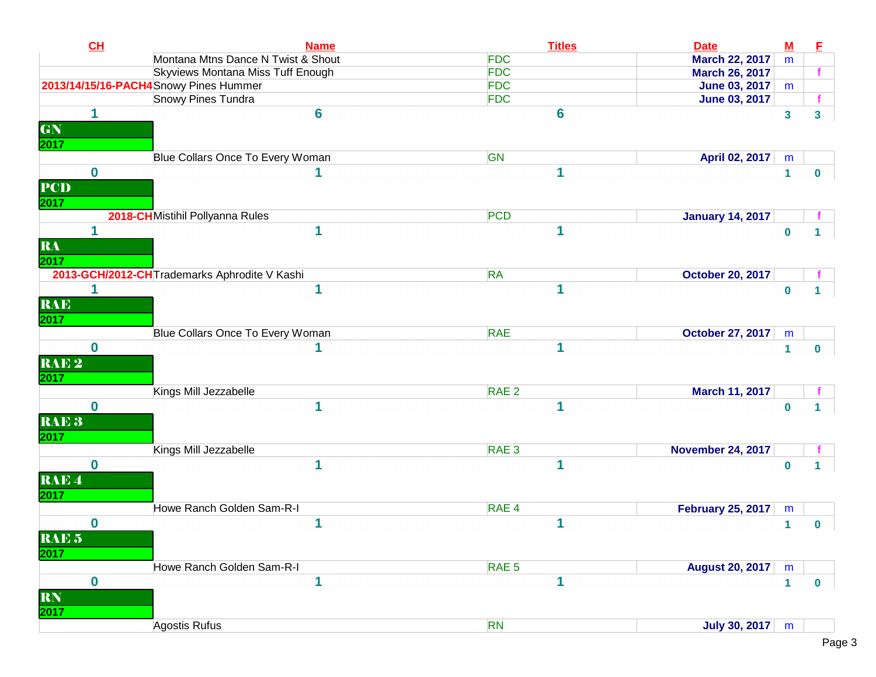| CL               | <b>Name</b>                                  | <b>Titles</b>    | <b>Date</b>              | $M$          | Е            |
|------------------|----------------------------------------------|------------------|--------------------------|--------------|--------------|
|                  | Montana Mtns Dance N Twist & Shout           | <b>FDC</b>       | <b>March 22, 2017</b>    | m            |              |
|                  | Skyviews Montana Miss Tuff Enough            | <b>FDC</b>       | <b>March 26, 2017</b>    |              |              |
|                  | 2013/14/15/16-PACH4 Snowy Pines Hummer       | <b>FDC</b>       | <b>June 03, 2017</b>     | m            |              |
|                  | Snowy Pines Tundra                           | <b>FDC</b>       | <b>June 03, 2017</b>     |              |              |
| 1                | 6                                            | 6                |                          | $\mathbf{3}$ | 3            |
| GN               |                                              |                  |                          |              |              |
| 2017             |                                              |                  |                          |              |              |
|                  | Blue Collars Once To Every Woman             | GN               | April 02, 2017           | m            |              |
| $\bf{0}$         |                                              |                  |                          | $\mathbf{1}$ | $\mathbf 0$  |
| <b>PCD</b>       |                                              |                  |                          |              |              |
| 2017             |                                              |                  |                          |              |              |
|                  | 2018-CHMistihil Pollyanna Rules              | <b>PCD</b>       | <b>January 14, 2017</b>  |              |              |
| 1                |                                              |                  |                          | $\bf{0}$     |              |
| RA               |                                              |                  |                          |              |              |
| 2017             |                                              |                  |                          |              |              |
|                  | 2013-GCH/2012-CHTrademarks Aphrodite V Kashi | <b>RA</b>        | <b>October 20, 2017</b>  |              |              |
| 1                |                                              |                  |                          | $\bf{0}$     | 1.           |
| <b>RAE</b>       |                                              |                  |                          |              |              |
| 2017             |                                              |                  |                          |              |              |
|                  | Blue Collars Once To Every Woman             | <b>RAE</b>       | <b>October 27, 2017</b>  | m            |              |
| $\bf{0}$         |                                              |                  |                          | $\mathbf{1}$ | $\mathbf{0}$ |
| RAE <sub>2</sub> |                                              |                  |                          |              |              |
|                  |                                              |                  |                          |              |              |
| 2017             | Kings Mill Jezzabelle                        | RAE <sub>2</sub> | March 11, 2017           |              |              |
| $\bf{0}$         | 1                                            |                  |                          |              |              |
|                  |                                              |                  |                          | $\bf{0}$     |              |
| RAE <sub>3</sub> |                                              |                  |                          |              |              |
| 2017             |                                              |                  |                          |              |              |
|                  | Kings Mill Jezzabelle                        | RAE <sub>3</sub> | <b>November 24, 2017</b> |              |              |
| $\bf{0}$         |                                              |                  |                          | $\bf{0}$     |              |
| RAE <sup>4</sup> |                                              |                  |                          |              |              |
| <b>2017</b>      |                                              |                  |                          |              |              |
|                  | Howe Ranch Golden Sam-R-I                    | RAE <sub>4</sub> | <b>February 25, 2017</b> | m            |              |
| 0                | 1                                            | 1                |                          | $\mathbf{1}$ | $\mathbf 0$  |
| RAE <sub>5</sub> |                                              |                  |                          |              |              |
| 2017             |                                              |                  |                          |              |              |
|                  | Howe Ranch Golden Sam-R-I                    | RAE <sub>5</sub> | <b>August 20, 2017</b>   | m            |              |
| $\bf{0}$         | 1                                            | 1                |                          | $\mathbf{1}$ | $\bf{0}$     |
| RN               |                                              |                  |                          |              |              |
| 2017             |                                              |                  |                          |              |              |
|                  | Agostis Rufus                                | <b>RN</b>        | <b>July 30, 2017</b>     | m            |              |
|                  |                                              |                  |                          |              |              |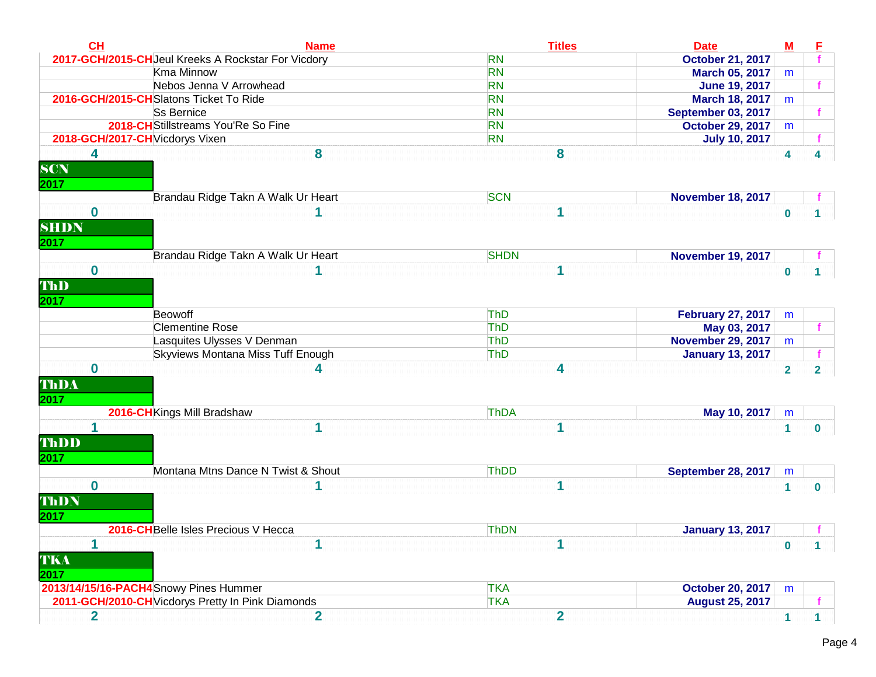| CL                       | <b>Name</b>                                                     | <b>Titles</b>                          | <b>Date</b>                                                          | $\underline{\mathbf{M}}$ | E                       |
|--------------------------|-----------------------------------------------------------------|----------------------------------------|----------------------------------------------------------------------|--------------------------|-------------------------|
|                          | 2017-GCH/2015-CHJeul Kreeks A Rockstar For Vicdory              | <b>RN</b>                              | <b>October 21, 2017</b>                                              |                          |                         |
|                          | Kma Minnow                                                      | <b>RN</b>                              | <b>March 05, 2017</b>                                                | m                        |                         |
|                          | Nebos Jenna V Arrowhead                                         | <b>RN</b>                              | <b>June 19, 2017</b>                                                 |                          |                         |
|                          | 2016-GCH/2015-CHSlatons Ticket To Ride                          | <b>RN</b>                              | <b>March 18, 2017</b>                                                | m                        |                         |
|                          | Ss Bernice                                                      | <b>RN</b>                              | <b>September 03, 2017</b>                                            |                          |                         |
|                          | 2018-CH Stillstreams You'Re So Fine                             | <b>RN</b>                              | <b>October 29, 2017</b>                                              | m                        |                         |
|                          | 2018-GCH/2017-CH Vicdorys Vixen                                 | <b>RN</b>                              | <b>July 10, 2017</b>                                                 |                          |                         |
| 4<br><b>SCN</b><br>2017  | 8                                                               | 8                                      |                                                                      | 4                        | 4                       |
|                          | Brandau Ridge Takn A Walk Ur Heart                              | <b>SCN</b>                             | <b>November 18, 2017</b>                                             |                          |                         |
| 0<br><b>SHDN</b><br>2017 |                                                                 | 1                                      |                                                                      | $\bf{0}$                 |                         |
|                          | Brandau Ridge Takn A Walk Ur Heart                              | <b>SHDN</b>                            | <b>November 19, 2017</b>                                             |                          |                         |
| $\bf{0}$                 |                                                                 | 1                                      |                                                                      | $\bf{0}$                 |                         |
| 2017                     | Beowoff<br><b>Clementine Rose</b><br>Lasquites Ulysses V Denman | <b>ThD</b><br><b>ThD</b><br><b>ThD</b> | <b>February 27, 2017</b><br>May 03, 2017<br><b>November 29, 2017</b> | m<br>m                   |                         |
|                          | Skyviews Montana Miss Tuff Enough                               | ThD                                    | <b>January 13, 2017</b>                                              |                          |                         |
| $\bf{0}$<br>ThDA<br>2017 | 4                                                               | 4                                      |                                                                      | $\overline{\mathbf{2}}$  | $\overline{\mathbf{2}}$ |
|                          | 2016-CH Kings Mill Bradshaw                                     | <b>ThDA</b>                            | May 10, 2017                                                         | m                        |                         |
| 1<br>ThDD<br>2017        | 1                                                               | и                                      |                                                                      | 1                        | $\bf{0}$                |
|                          | Montana Mtns Dance N Twist & Shout                              | <b>ThDD</b>                            | <b>September 28, 2017</b>                                            | m                        |                         |
| $\bf{0}$<br>ThDN<br>2017 |                                                                 | и                                      |                                                                      | 1                        | $\bf{0}$                |
|                          | 2016-CH Belle Isles Precious V Hecca                            | <b>ThDN</b>                            | <b>January 13, 2017</b>                                              |                          |                         |
| TKA<br>2017              | 1                                                               | и                                      |                                                                      | $\bf{0}$                 | 1                       |
|                          | 2013/14/15/16-PACH4 Snowy Pines Hummer                          | <b>TKA</b>                             | <b>October 20, 2017</b>                                              | m                        |                         |
|                          | 2011-GCH/2010-CH Vicdorys Pretty In Pink Diamonds               | <b>TKA</b>                             | <b>August 25, 2017</b>                                               |                          |                         |
| $\mathbf 2$              | $\overline{2}$                                                  | $\overline{2}$                         |                                                                      | 1                        | 1                       |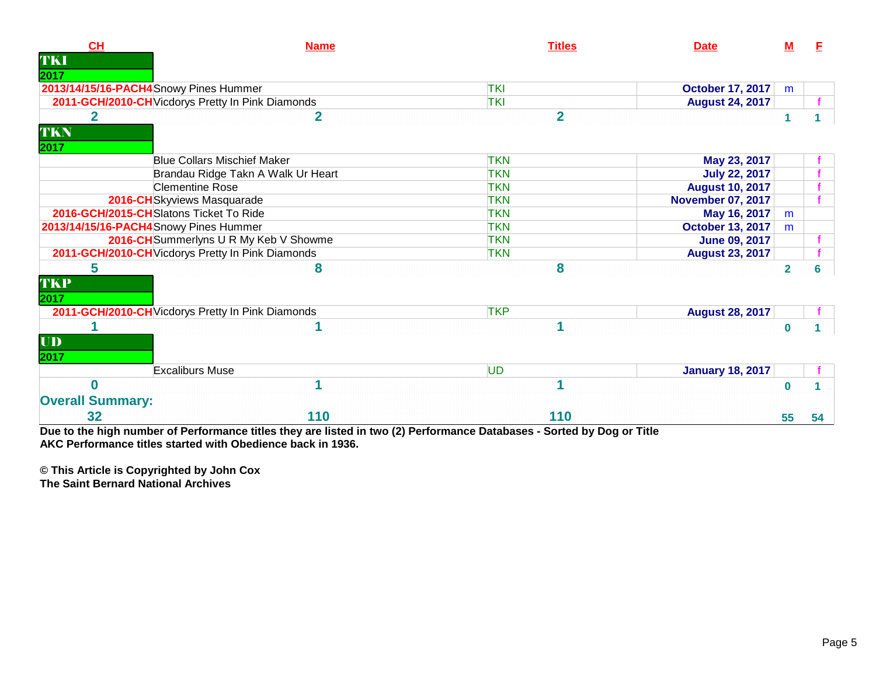| CH                      | <b>Name</b>                                       | <b>Titles</b>  | <b>Date</b>              | M              |    |
|-------------------------|---------------------------------------------------|----------------|--------------------------|----------------|----|
| TKI                     |                                                   |                |                          |                |    |
| 2017                    | 2013/14/15/16-PACH4Snowy Pines Hummer             | <b>TKI</b>     | <b>October 17, 2017</b>  | m              |    |
|                         | 2011-GCH/2010-CH Vicdorys Pretty In Pink Diamonds | <b>TKI</b>     | <b>August 24, 2017</b>   |                |    |
| 2                       | 2                                                 | $\overline{2}$ |                          |                |    |
| TKN                     |                                                   |                |                          |                |    |
| 2017                    |                                                   |                |                          |                |    |
|                         | <b>Blue Collars Mischief Maker</b>                | <b>TKN</b>     | May 23, 2017             |                |    |
|                         | Brandau Ridge Takn A Walk Ur Heart                | <b>TKN</b>     | <b>July 22, 2017</b>     |                |    |
|                         | <b>Clementine Rose</b>                            | <b>TKN</b>     | <b>August 10, 2017</b>   |                |    |
|                         | 2016-CHSkyviews Masquarade                        | <b>TKN</b>     | <b>November 07, 2017</b> |                |    |
|                         | 2016-GCH/2015-CHSlatons Ticket To Ride            | <b>TKN</b>     | May 16, 2017             | m              |    |
|                         | 2013/14/15/16-PACH4Snowy Pines Hummer             | <b>TKN</b>     | <b>October 13, 2017</b>  | m              |    |
|                         | 2016-CH Summerlyns U R My Keb V Showme            | <b>TKN</b>     | <b>June 09, 2017</b>     |                |    |
|                         | 2011-GCH/2010-CH Vicdorys Pretty In Pink Diamonds | <b>TKN</b>     | <b>August 23, 2017</b>   |                |    |
| 5                       | 8                                                 | 8              |                          | $\overline{2}$ | 6  |
| <b>TKP</b>              |                                                   |                |                          |                |    |
| 2017                    |                                                   |                |                          |                |    |
|                         | 2011-GCH/2010-CH Vicdorys Pretty In Pink Diamonds | <b>TKP</b>     | <b>August 28, 2017</b>   |                |    |
|                         |                                                   | 1              |                          | $\bf{0}$       |    |
| $\mathbf{U}\mathbf{D}$  |                                                   |                |                          |                |    |
| 2017                    |                                                   |                |                          |                |    |
|                         | <b>Excaliburs Muse</b>                            | <b>UD</b>      | <b>January 18, 2017</b>  |                |    |
| O                       |                                                   |                |                          | $\bf{0}$       |    |
|                         |                                                   |                |                          |                |    |
| <b>Overall Summary:</b> |                                                   |                |                          |                |    |
| 32                      | 110                                               | 110            |                          | 55             | 54 |

**Due to the high number of Performance titles they are listed in two (2) Performance Databases - Sorted by Dog or Title AKC Performance titles started with Obedience back in 1936.**

**© This Article is Copyrighted by John Cox**

**The Saint Bernard National Archives**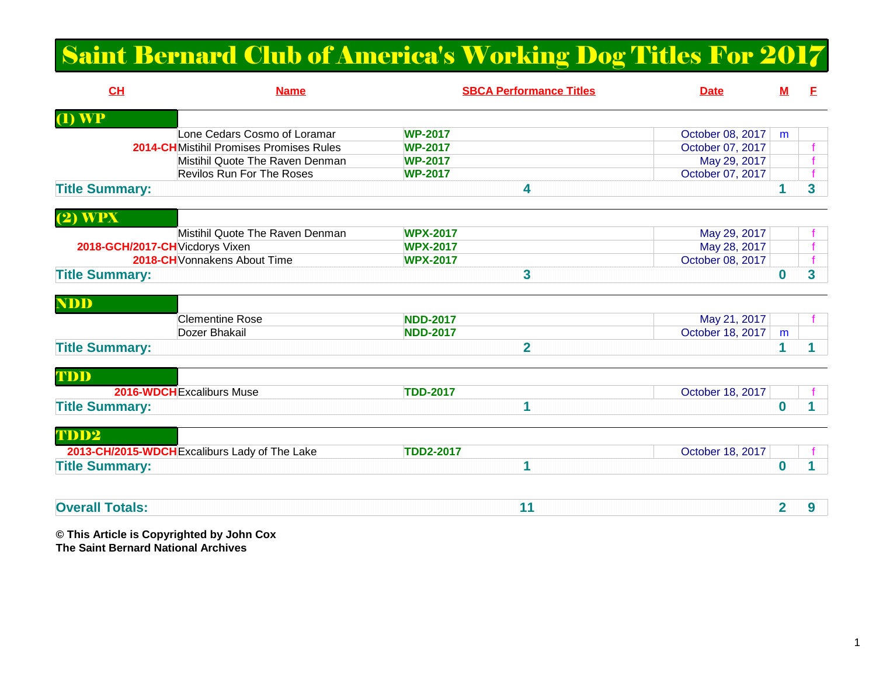## Saint Bernard Club of America's Working Dog Titles For 2017

| CH                                     | <b>Name</b>                                   | <b>SBCA Performance Titles</b> | <b>Date</b>      | ${\bf M}$ | Е |
|----------------------------------------|-----------------------------------------------|--------------------------------|------------------|-----------|---|
| $\overline{(\mathbf{I})\ \mathbf{WP}}$ |                                               |                                |                  |           |   |
|                                        | Lone Cedars Cosmo of Loramar                  | <b>WP-2017</b>                 | October 08, 2017 | m         |   |
|                                        | 2014-CHMistihil Promises Promises Rules       | <b>WP-2017</b>                 | October 07, 2017 |           |   |
|                                        | Mistihil Quote The Raven Denman               | <b>WP-2017</b>                 | May 29, 2017     |           |   |
|                                        | <b>Revilos Run For The Roses</b>              | <b>WP-2017</b>                 | October 07, 2017 |           |   |
| <b>Title Summary:</b>                  |                                               | 4                              |                  |           | 3 |
| $(2)$ WPX                              |                                               |                                |                  |           |   |
|                                        | Mistihil Quote The Raven Denman               | <b>WPX-2017</b>                | May 29, 2017     |           |   |
| 2018-GCH/2017-CH Vicdorys Vixen        |                                               | <b>WPX-2017</b>                | May 28, 2017     |           |   |
|                                        | 2018-CH Vonnakens About Time                  | <b>WPX-2017</b>                | October 08, 2017 |           |   |
| <b>Title Summary:</b>                  |                                               | 3                              |                  | 0         | 3 |
| <b>NDD</b>                             |                                               |                                |                  |           |   |
|                                        | <b>Clementine Rose</b>                        | <b>NDD-2017</b>                | May 21, 2017     |           |   |
|                                        | Dozer Bhakail                                 | <b>NDD-2017</b>                | October 18, 2017 | m         |   |
| <b>Title Summary:</b>                  |                                               | $\overline{2}$                 |                  |           |   |
| TDD                                    |                                               |                                |                  |           |   |
|                                        | 2016-WDCH Excaliburs Muse                     | <b>TDD-2017</b>                | October 18, 2017 |           |   |
| <b>Title Summary:</b>                  |                                               | 1                              |                  | 0         |   |
| TDD2                                   |                                               |                                |                  |           |   |
|                                        | 2013-CH/2015-WDCH Excaliburs Lady of The Lake | <b>TDD2-2017</b>               | October 18, 2017 |           |   |
| <b>Title Summary:</b>                  |                                               | 1                              |                  | 0         |   |
|                                        |                                               |                                |                  |           |   |
| <b>Overall Totals:</b>                 |                                               | 11                             |                  | 2         | 9 |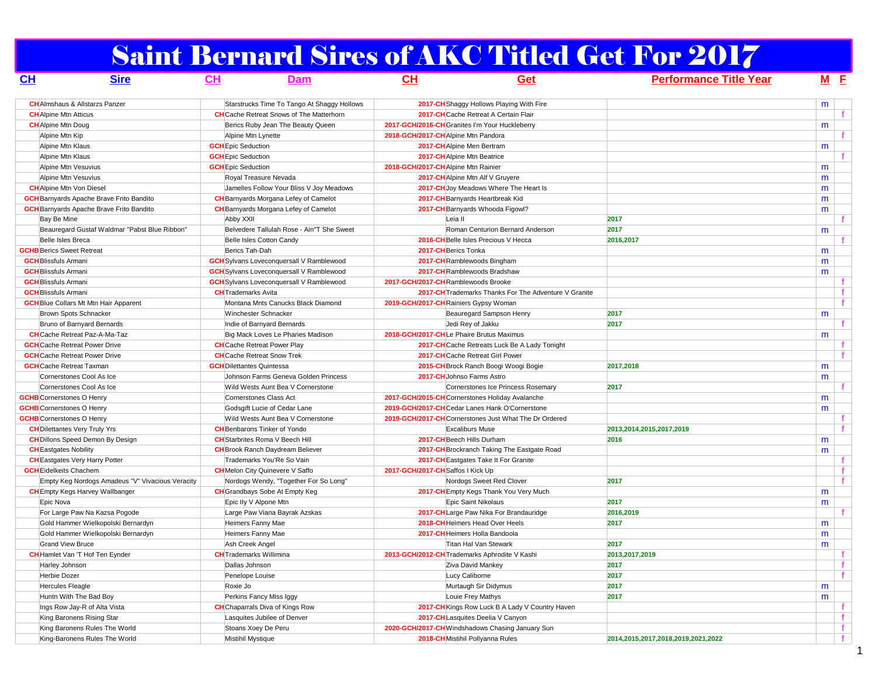# Saint Bernard Sires of AKC Titled Get For 2017

| CL                          | <b>Sire</b>                                      | CH | <b>Dam</b>                                      | CH                                  | Get                                                   | <b>Performance Title Year</b>      |   | $M$ $F$      |  |
|-----------------------------|--------------------------------------------------|----|-------------------------------------------------|-------------------------------------|-------------------------------------------------------|------------------------------------|---|--------------|--|
|                             | <b>CH</b> Almshaus & Allstarzs Panzer            |    | Starstrucks Time To Tango At Shaggy Hollows     |                                     | 2017-CH Shaggy Hollows Playing With Fire              |                                    | m |              |  |
|                             | <b>CH</b> Alpine Mtn Atticus                     |    | <b>CH</b> Cache Retreat Snows of The Matterhorn |                                     | 2017-CHCache Retreat A Certain Flair                  |                                    |   |              |  |
|                             | <b>CH</b> Alpine Mtn Doug                        |    | Berics Ruby Jean The Beauty Queen               |                                     | 2017-GCH/2016-CH Granites I'm Your Huckleberry        |                                    | m |              |  |
|                             | Alpine Mtn Kip                                   |    | Alpine Mtn Lynette                              |                                     | 2018-GCH/2017-CHAlpine Mtn Pandora                    |                                    |   |              |  |
|                             | Alpine Mtn Klaus                                 |    | <b>GCH</b> Epic Seduction                       |                                     | 2017-CH Alpine Men Bertram                            |                                    | m |              |  |
|                             | Alpine Mtn Klaus                                 |    | <b>GCH</b> Epic Seduction                       |                                     | 2017-CHAlpine Mtn Beatrice                            |                                    |   |              |  |
|                             | Alpine Mtn Vesuvius                              |    | <b>GCH</b> Epic Seduction                       | 2018-GCH/2017-CH Alpine Mtn Rainier |                                                       |                                    | m |              |  |
|                             | Alpine Mtn Vesuvius                              |    | Royal Treasure Nevada                           |                                     | 2017-CH Alpine Mtn Alf V Gruyere                      |                                    | m |              |  |
|                             | <b>CH</b> Alpine Mtn Von Diesel                  |    | Jamelles Follow Your Bliss V Joy Meadows        |                                     | 2017-CH Joy Meadows Where The Heart Is                |                                    | m |              |  |
|                             | <b>GCH</b> Barnyards Apache Brave Frito Bandito  |    | <b>CH</b> Barnyards Morgana Lefey of Camelot    |                                     | 2017-CH Barnyards Heartbreak Kid                      |                                    | m |              |  |
|                             | <b>GCH</b> Barnyards Apache Brave Frito Bandito  |    | <b>CH</b> Barnyards Morgana Lefey of Camelot    |                                     | 2017-CH Barnyards Whooda Figowl?                      |                                    | m |              |  |
| Bay Be Mine                 |                                                  |    | Abby XXII                                       |                                     | Leia II                                               | 2017                               |   |              |  |
|                             | Beauregard Gustaf Waldmar "Pabst Blue Ribbon"    |    | Belvedere Tallulah Rose - Ain"T She Sweet       |                                     | Roman Centurion Bernard Anderson                      | 2017                               | m |              |  |
|                             | Belle Isles Breca                                |    | Belle Isles Cotton Candy                        |                                     | 2016-CH Belle Isles Precious V Hecca                  | 2016,2017                          |   |              |  |
|                             | <b>GCHB</b> Berics Sweet Retreat                 |    | Berics Tah-Dah                                  |                                     | 2017-CH Berics Tonka                                  |                                    | m |              |  |
| <b>GCH</b> Blissfuls Armani |                                                  |    | <b>GCH</b> Sylvans Loveconquersall V Ramblewood |                                     | 2017-CH Ramblewoods Bingham                           |                                    |   |              |  |
| <b>GCH</b> Blissfuls Armani |                                                  |    | <b>GCH</b> Sylvans Loveconquersall V Ramblewood |                                     | 2017-CH Ramblewoods Bradshaw                          |                                    | m |              |  |
| <b>GCH</b> Blissfuls Armani |                                                  |    |                                                 |                                     |                                                       |                                    | m |              |  |
|                             |                                                  |    | <b>GCH</b> Sylvans Loveconquersall V Ramblewood |                                     | 2017-GCH/2017-CHRamblewoods Brooke                    |                                    |   |              |  |
| <b>GCH</b> Blissfuls Armani |                                                  |    | <b>CH</b> Trademarks Avita                      |                                     | 2017-CH Trademarks Thanks For The Adventure V Granite |                                    |   |              |  |
|                             | <b>GCH</b> Blue Collars Mt Mtn Hair Apparent     |    | Montana Mnts Canucks Black Diamond              |                                     | 2019-GCH/2017-CHRainiers Gypsy Woman                  |                                    |   |              |  |
|                             | Brown Spots Schnacker                            |    | Winchester Schnacker                            |                                     | Beauregard Sampson Henry                              | 2017                               | m |              |  |
|                             | Bruno of Barnyard Bernards                       |    | Indie of Barnyard Bernards                      |                                     | Jedi Rey of Jakku                                     | 2017                               |   |              |  |
|                             | <b>CH</b> Cache Retreat Paz-A-Ma-Taz             |    | Big Mack Loves Le Pharies Madison               |                                     | 2018-GCH/2017-CHLe Phaire Brutus Maximus              |                                    | m |              |  |
|                             | <b>GCH</b> Cache Retreat Power Drive             |    | <b>CH</b> Cache Retreat Power Play              |                                     | 2017-CH Cache Retreats Luck Be A Lady Tonight         |                                    |   |              |  |
|                             | <b>GCH</b> Cache Retreat Power Drive             |    | <b>CH</b> Cache Retreat Snow Trek               |                                     | 2017-CH Cache Retreat Girl Power                      |                                    |   |              |  |
|                             | <b>GCH</b> Cache Retreat Taxman                  |    | <b>GCH</b> Dilettantes Quintessa                |                                     | 2015-CH Brock Ranch Boogi Woogi Bogie                 | 2017,2018                          | m |              |  |
|                             | Cornerstones Cool As Ice                         |    | Johnson Farms Geneva Golden Princess            |                                     | 2017-CH Johnso Farms Astro                            |                                    | m |              |  |
|                             | Cornerstones Cool As Ice                         |    | Wild Wests Aunt Bea V Cornerstone               |                                     | Cornerstones Ice Princess Rosemary                    | 2017                               |   |              |  |
|                             | <b>GCHB</b> Cornerstones O Henry                 |    | Cornerstones Class Act                          |                                     | 2017-GCH/2015-CHCornerstones Holiday Avalanche        |                                    | m |              |  |
|                             | <b>GCHB</b> Cornerstones O Henry                 |    | Godsgift Lucie of Cedar Lane                    |                                     | 2019-GCH/2017-CHCedar Lanes Hank O'Cornerstone        |                                    | m |              |  |
|                             | <b>GCHB</b> Cornerstones O Henry                 |    | Wild Wests Aunt Bea V Cornerstone               |                                     | 2019-GCH/2017-CHCornerstones Just What The Dr Ordered |                                    |   |              |  |
|                             | <b>CH</b> Dilettantes Very Truly Yrs             |    | <b>CH</b> Benbarons Tinker of Yondo             |                                     | <b>Excaliburs Muse</b>                                | 2013,2014,2015,2017,2019           |   |              |  |
|                             | <b>CH</b> Dillons Speed Demon By Design          |    | <b>CH</b> Starbrites Roma V Beech Hill          |                                     | 2017-CH Beech Hills Durham                            | 2016                               | m |              |  |
|                             | <b>CH</b> Eastgates Nobility                     |    | <b>CH</b> Brook Ranch Daydream Believer         |                                     | 2017-CH Brockranch Taking The Eastgate Road           |                                    | m |              |  |
|                             | <b>CH</b> Eastgates Very Harry Potter            |    | Trademarks You'Re So Vain                       |                                     | 2017-CH Eastgates Take It For Granite                 |                                    |   |              |  |
|                             | <b>GCH</b> Eidelkeits Chachem                    |    | <b>CH</b> Melon City Quinevere V Saffo          | 2017-GCH/2017-CH Saffos I Kick Up   |                                                       |                                    |   |              |  |
|                             | Empty Keg Nordogs Amadeus "V" Vivacious Veracity |    | Nordogs Wendy, "Together For So Long"           |                                     | Nordogs Sweet Red Clover                              | 2017                               |   |              |  |
|                             | <b>CH</b> Empty Kegs Harvey Wallbanger           |    | <b>CH</b> Grandbays Sobe At Empty Keg           |                                     | 2017-CH Empty Kegs Thank You Very Much                |                                    | m |              |  |
| Epic Nova                   |                                                  |    | Epic Ily V Alpone Mtn                           |                                     | Epic Saint Nikolaus                                   | 2017                               | m |              |  |
|                             | For Large Paw Na Kazsa Pogode                    |    | Large Paw Viana Bayrak Azskas                   |                                     | 2017-CHLarge Paw Nika For Brandauridge                | 2016,2019                          |   |              |  |
|                             | Gold Hammer Wielkopolski Bernardyn               |    | Heimers Fanny Mae                               |                                     | 2018-CH Heimers Head Over Heels                       | 2017                               | m |              |  |
|                             | Gold Hammer Wielkopolski Bernardyn               |    | Heimers Fanny Mae                               |                                     | 2017-CH Heimers Holla Bandoola                        |                                    | m |              |  |
|                             | <b>Grand View Bruce</b>                          |    | Ash Creek Angel                                 |                                     | Titan Hal Van Stewark                                 | 2017                               | m |              |  |
|                             | CH Hamlet Van 'T Hof Ten Eynder                  |    | <b>CH</b> Trademarks Willimina                  |                                     | 2013-GCH/2012-CH Trademarks Aphrodite V Kashi         | 2013,2017,2019                     |   |              |  |
|                             | Harley Johnson                                   |    | Dallas Johnson                                  |                                     | Ziva David Mankey                                     | 2017                               |   |              |  |
|                             | Herbie Dozer                                     |    | Penelope Louise                                 |                                     | Lucy Caliborne                                        | 2017                               |   |              |  |
|                             | Hercules Fleagle                                 |    | Roxie Jo                                        |                                     | Murtaugh Sir Didymus                                  | 2017                               | m |              |  |
|                             | Huntn With The Bad Boy                           |    | Perkins Fancy Miss Iggy                         |                                     | Louie Frey Mathys                                     | 2017                               | m |              |  |
|                             | Ings Row Jay-R of Alta Vista                     |    | <b>CH</b> Chaparrals Diva of Kings Row          |                                     | 2017-CH Kings Row Luck B A Lady V Country Haven       |                                    |   |              |  |
|                             | King Baronens Rising Star                        |    | Lasquites Jubilee of Denver                     |                                     | 2017-CH Lasquites Deelia V Canyon                     |                                    |   |              |  |
|                             | King Baronens Rules The World                    |    | Stoans Xoey De Peru                             |                                     | 2020-GCH/2017-CH Windshadows Chasing January Sun      |                                    |   | $\mathbf{f}$ |  |
|                             | King-Baronens Rules The World                    |    | Mistihil Mystique                               |                                     | 2018-CH Mistihil Pollyanna Rules                      | 2014.2015.2017.2018.2019.2021.2022 |   |              |  |
|                             |                                                  |    |                                                 |                                     |                                                       |                                    |   |              |  |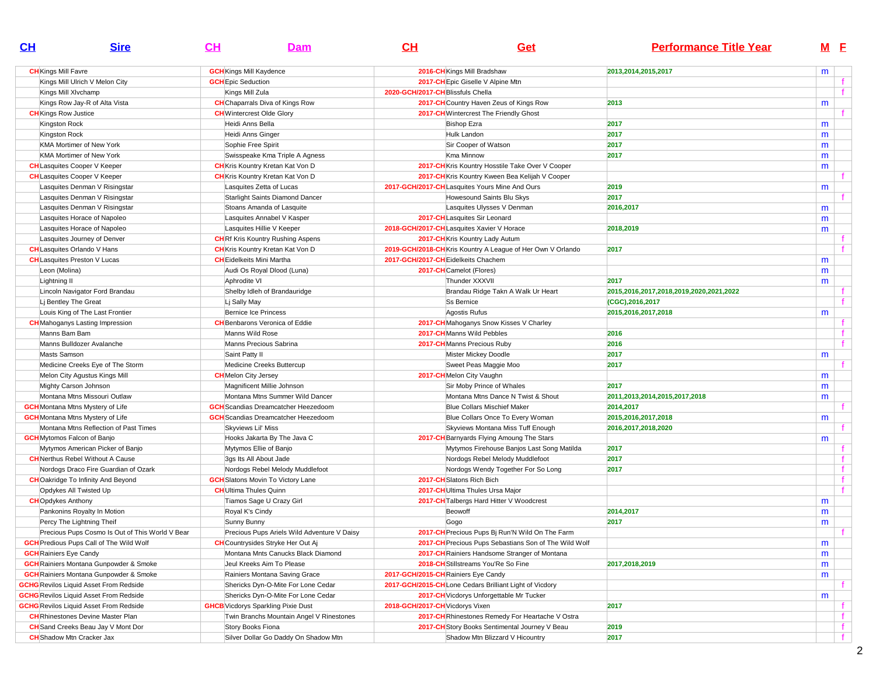| CL | <b>Sire</b>                                     | $CH$                      | Dam                                         | CH                                  | Get                                                        | <b>Performance Title Year</b>           |   | M <sub>E</sub> |
|----|-------------------------------------------------|---------------------------|---------------------------------------------|-------------------------------------|------------------------------------------------------------|-----------------------------------------|---|----------------|
|    | <b>CH</b> Kings Mill Favre                      |                           | <b>GCH</b> Kings Mill Kaydence              |                                     | 2016-CH Kings Mill Bradshaw                                | 2013,2014,2015,2017                     | m |                |
|    | Kings Mill Ulrich V Melon City                  | <b>GCH</b> Epic Seduction |                                             |                                     | 2017-CH Epic Giselle V Alpine Mtn                          |                                         |   |                |
|    | Kings Mill XIvchamp                             |                           | Kings Mill Zula                             | 2020-GCH/2017-CH Blissfuls Chella   |                                                            |                                         |   |                |
|    | Kings Row Jay-R of Alta Vista                   |                           | <b>CH</b> Chaparrals Diva of Kings Row      |                                     | 2017-CH Country Haven Zeus of Kings Row                    | 2013                                    | m |                |
|    | <b>CH</b> Kings Row Justice                     |                           | <b>CH</b> Wintercrest Olde Glory            |                                     | 2017-CH Wintercrest The Friendly Ghost                     |                                         |   |                |
|    | Kingston Rock                                   |                           | Heidi Anns Bella                            |                                     | <b>Bishop Ezra</b>                                         | 2017                                    | m |                |
|    | Kingston Rock                                   |                           | Heidi Anns Ginger                           |                                     | Hulk Landon                                                | 2017                                    | m |                |
|    | KMA Mortimer of New York                        |                           | Sophie Free Spirit                          |                                     | Sir Cooper of Watson                                       | 2017                                    | m |                |
|    | KMA Mortimer of New York                        |                           | Swisspeake Kma Triple A Agness              |                                     | Kma Minnow                                                 | 2017                                    | m |                |
|    | <b>CH</b> Lasquites Cooper V Keeper             |                           | <b>CH</b> Kris Kountry Kretan Kat Von D     |                                     | 2017-CH Kris Kountry Hosstile Take Over V Cooper           |                                         | m |                |
|    | <b>CH</b> Lasquites Cooper V Keeper             |                           | <b>CH</b> Kris Kountry Kretan Kat Von D     |                                     | 2017-CH Kris Kountry Kween Bea Kelijah V Cooper            |                                         |   |                |
|    | Lasquites Denman V Risingstar                   |                           | Lasquites Zetta of Lucas                    |                                     | 2017-GCH/2017-CH Lasquites Yours Mine And Ours             | 2019                                    | m |                |
|    | Lasquites Denman V Risingstar                   |                           | Starlight Saints Diamond Dancer             |                                     | Howesound Saints Blu Skys                                  | 2017                                    |   |                |
|    | Lasquites Denman V Risingstar                   |                           | Stoans Amanda of Lasquite                   |                                     | Lasquites Ulysses V Denman                                 | 2016,2017                               | m |                |
|    | Lasquites Horace of Napoleo                     |                           | Lasquites Annabel V Kasper                  |                                     | 2017-CHLasquites Sir Leonard                               |                                         | m |                |
|    | Lasquites Horace of Napoleo                     |                           | Lasquites Hillie V Keeper                   |                                     | 2018-GCH/2017-CHLasquites Xavier V Horace                  | 2018,2019                               | m |                |
|    | Lasquites Journey of Denver                     |                           | <b>CH</b> Rf Kris Kountry Rushing Aspens    |                                     | 2017-CHKris Kountry Lady Autum                             |                                         |   |                |
|    | <b>CH</b> Lasquites Orlando V Hans              |                           | <b>CH</b> Kris Kountry Kretan Kat Von D     |                                     | 2019-GCH/2018-CHKris Kountry A League of Her Own V Orlando | 2017                                    |   |                |
|    | <b>CH</b> Lasquites Preston V Lucas             |                           | <b>CH</b> Eidelkeits Mini Martha            | 2017-GCH/2017-CH Eidelkeits Chachem |                                                            |                                         | m |                |
|    | Leon (Molina)                                   |                           | Audi Os Royal Dlood (Luna)                  |                                     | 2017-CHCamelot (Flores)                                    |                                         | m |                |
|    | Lightning II                                    |                           | Aphrodite VI                                |                                     | Thunder XXXVII                                             | 2017                                    | m |                |
|    | Lincoln Navigator Ford Brandau                  |                           | Shelby Idleh of Brandauridge                |                                     | Brandau Ridge Takn A Walk Ur Heart                         | 2015,2016,2017,2018,2019,2020,2021,2022 |   |                |
|    | Li Bentley The Great                            |                           | Li Sally May                                |                                     | <b>Ss Bernice</b>                                          | (CGC), 2016, 2017                       |   |                |
|    | Louis King of The Last Frontier                 |                           | Bernice Ice Princess                        |                                     | Agostis Rufus                                              | 2015,2016,2017,2018                     | m |                |
|    | <b>CH</b> Mahoganys Lasting Impression          |                           | <b>CH</b> Benbarons Veronica of Eddie       |                                     | 2017-CH Mahoganys Snow Kisses V Charley                    |                                         |   |                |
|    | Manns Bam Bam                                   |                           | Manns Wild Rose                             |                                     | 2017-CH Manns Wild Pebbles                                 | 2016                                    |   |                |
|    | Manns Bulldozer Avalanche                       |                           | Manns Precious Sabrina                      |                                     | 2017-CHManns Precious Ruby                                 | 2016                                    |   |                |
|    | <b>Masts Samson</b>                             |                           | Saint Patty II                              |                                     | Mister Mickey Doodle                                       | 2017                                    | m |                |
|    | Medicine Creeks Eye of The Storm                |                           | Medicine Creeks Buttercup                   |                                     | Sweet Peas Maggie Moo                                      | 2017                                    |   |                |
|    | Melon City Agustus Kings Mill                   |                           | <b>CH</b> Melon City Jersey                 |                                     | 2017-CHMelon City Vaughn                                   |                                         | m |                |
|    | Mighty Carson Johnson                           |                           | Magnificent Millie Johnson                  |                                     | Sir Moby Prince of Whales                                  | 2017                                    | m |                |
|    | Montana Mtns Missouri Outlaw                    |                           | Montana Mtns Summer Wild Dancer             |                                     | Montana Mtns Dance N Twist & Shout                         | 2011,2013,2014,2015,2017,2018           | m |                |
|    | <b>GCH</b> Montana Mtns Mystery of Life         |                           | <b>GCH</b> Scandias Dreamcatcher Heezedoom  |                                     | <b>Blue Collars Mischief Maker</b>                         | 2014,2017                               |   |                |
|    | <b>GCH</b> Montana Mtns Mystery of Life         |                           | <b>GCH</b> Scandias Dreamcatcher Heezedoom  |                                     | Blue Collars Once To Every Woman                           | 2015,2016,2017,2018                     | m |                |
|    | Montana Mtns Reflection of Past Times           |                           | Skyviews Lil' Miss                          |                                     | Skyviews Montana Miss Tuff Enough                          | 2016,2017,2018,2020                     |   |                |
|    | <b>GCH</b> Mytomos Falcon of Banjo              |                           | Hooks Jakarta By The Java C                 |                                     | 2017-CH Barnyards Flying Amoung The Stars                  |                                         | m |                |
|    | Mytymos American Picker of Banjo                |                           | Mytymos Ellie of Banjo                      |                                     | Mytymos Firehouse Banjos Last Song Matilda                 | 2017                                    |   |                |
|    | <b>CH</b> Nerthus Rebel Without A Cause         |                           | 3gs Its All About Jade                      |                                     | Nordogs Rebel Melody Muddlefoot                            | 2017                                    |   |                |
|    | Nordogs Draco Fire Guardian of Ozark            |                           | Nordogs Rebel Melody Muddlefoot             |                                     | Nordogs Wendy Together For So Long                         | 2017                                    |   |                |
|    | <b>CH</b> Oakridge To Infinity And Beyond       |                           | <b>GCH</b> Slatons Movin To Victory Lane    |                                     | 2017-CH Slatons Rich Bich                                  |                                         |   | $\mathbf{f}$   |
|    | Opdykes All Twisted Up                          |                           | <b>CH</b> Ultima Thules Quinn               |                                     | 2017-CHUltima Thules Ursa Major                            |                                         |   | f.             |
|    | <b>CH</b> Opdykes Anthony                       |                           | Tiamos Sage U Crazy Girl                    |                                     | 2017-CH Talbergs Hard Hitter V Woodcrest                   |                                         | m |                |
|    | Pankonins Royalty In Motion                     |                           | Royal K's Cindy                             |                                     | Beowoff                                                    | 2014,2017                               | m |                |
|    | Percy The Lightning Theif                       |                           | Sunny Bunny                                 |                                     | Gogo                                                       | 2017                                    | m |                |
|    | Precious Pups Cosmo Is Out of This World V Bear |                           | Precious Pups Ariels Wild Adventure V Daisy |                                     | 2017-CH Precious Pups Bj Run'N Wild On The Farm            |                                         |   |                |
|    | <b>GCH</b> Predious Pups Call of The Wild Wolf  |                           | <b>CH</b> Countrysides Stryke Her Out Aj    |                                     | 2017-CH Precious Pups Sebastians Son of The Wild Wolf      |                                         | m |                |
|    | <b>GCH</b> Rainiers Eye Candy                   |                           | Montana Mnts Canucks Black Diamond          |                                     | 2017-CH Rainiers Handsome Stranger of Montana              |                                         | m |                |
|    | <b>GCH</b> Rainiers Montana Gunpowder & Smoke   |                           | Jeul Kreeks Aim To Please                   |                                     | 2018-CH Stillstreams You'Re So Fine                        | 2017,2018,2019                          | m |                |
|    | <b>GCH</b> Rainiers Montana Gunpowder & Smoke   |                           | Rainiers Montana Saving Grace               | 2017-GCH/2015-CH Rainiers Eye Candy |                                                            |                                         | m |                |
|    | <b>GCHG</b> Revilos Liquid Asset From Redside   |                           | Shericks Dyn-O-Mite For Lone Cedar          |                                     | 2017-GCH/2015-CHLone Cedars Brilliant Light of Vicdory     |                                         |   |                |
|    | <b>GCHG</b> Revilos Liquid Asset From Redside   |                           | Shericks Dyn-O-Mite For Lone Cedar          |                                     | 2017-CH Vicdorys Unforgettable Mr Tucker                   |                                         | m |                |
|    | <b>GCHG</b> Revilos Liquid Asset From Redside   |                           | <b>GHCB</b> Vicdorys Sparkling Pixie Dust   | 2018-GCH/2017-CH Vicdorys Vixen     |                                                            | 2017                                    |   |                |
|    | <b>CH</b> Rhinestones Devine Master Plan        |                           | Twin Branchs Mountain Angel V Rinestones    |                                     | 2017-CH Rhinestones Remedy For Heartache V Ostra           |                                         |   | f.             |
|    | <b>CH</b> Sand Creeks Beau Jay V Mont Dor       |                           | Story Books Fiona                           |                                     | 2017-CH Story Books Sentimental Journey V Beau             | 2019                                    |   | f              |
|    | <b>CH</b> Shadow Mtn Cracker Jax                |                           | Silver Dollar Go Daddy On Shadow Mtn        |                                     | Shadow Mtn Blizzard V Hicountry                            | 2017                                    |   | f              |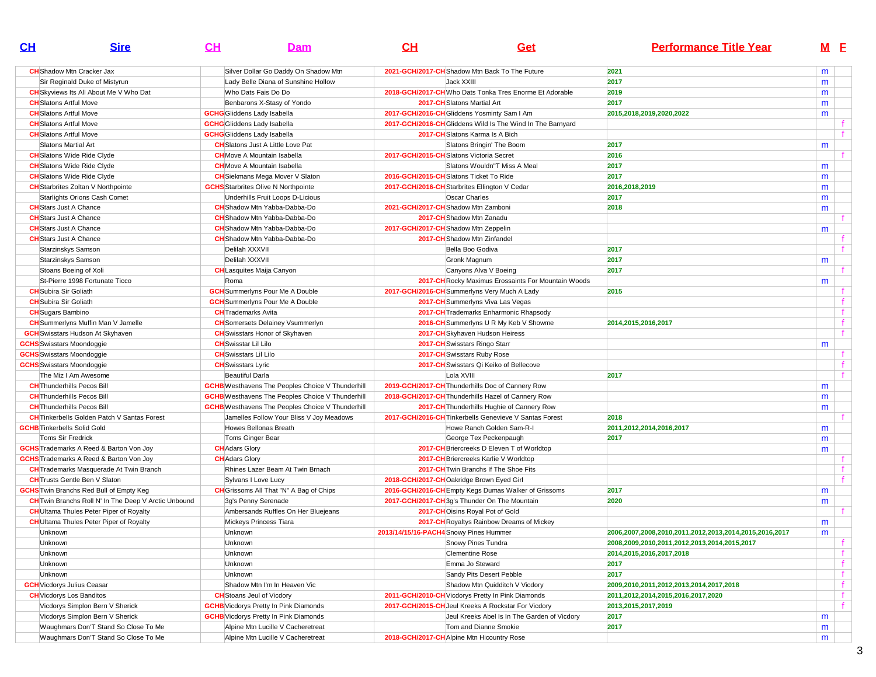| CL      | <b>Sire</b>                                                 | CH | Dam                                                     | CH                                     | Get                                                        | <b>Performance Title Year</b>                          |   | M <sub>E</sub> |
|---------|-------------------------------------------------------------|----|---------------------------------------------------------|----------------------------------------|------------------------------------------------------------|--------------------------------------------------------|---|----------------|
|         | <b>CH</b> Shadow Mtn Cracker Jax                            |    | Silver Dollar Go Daddy On Shadow Mtn                    |                                        | 2021-GCH/2017-CH Shadow Mtn Back To The Future             | 2021                                                   | m |                |
|         | Sir Reginald Duke of Mistyrun                               |    | Lady Belle Diana of Sunshine Hollow                     |                                        | Jack XXIII                                                 | 2017                                                   | m |                |
|         | <b>CH</b> Skyviews Its All About Me V Who Dat               |    | Who Dats Fais Do Do                                     |                                        | 2018-GCH/2017-CH Who Dats Tonka Tres Enorme Et Adorable    | 2019                                                   | m |                |
|         | <b>CH</b> Slatons Artful Move                               |    | Benbarons X-Stasy of Yondo                              |                                        | 2017-CH Slatons Martial Art                                | 2017                                                   | m |                |
|         | <b>CH</b> Slatons Artful Move                               |    | <b>GCHG</b> Gliddens Lady Isabella                      |                                        | 2017-GCH/2016-CH Gliddens Yosminty Sam I Am                | 2015,2018,2019,2020,2022                               | m |                |
|         | <b>CH</b> Slatons Artful Move                               |    | <b>GCHG</b> Gliddens Lady Isabella                      |                                        | 2017-GCH/2016-CH Gliddens Wild Is The Wind In The Barnyard |                                                        |   |                |
|         | <b>CH</b> Slatons Artful Move                               |    | <b>GCHG</b> Gliddens Lady Isabella                      |                                        | 2017-CH Slatons Karma Is A Bich                            |                                                        |   |                |
|         | Slatons Martial Art                                         |    | <b>CH</b> Slatons Just A Little Love Pat                |                                        | Slatons Bringin' The Boom                                  | 2017                                                   | m |                |
|         | <b>CH</b> Slatons Wide Ride Clyde                           |    | <b>CH</b> Move A Mountain Isabella                      |                                        | 2017-GCH/2015-CH Slatons Victoria Secret                   | 2016                                                   |   |                |
|         | <b>CH</b> Slatons Wide Ride Clyde                           |    | <b>CH</b> Move A Mountain Isabella                      |                                        | Slatons Wouldn"T Miss A Meal                               | 2017                                                   | m |                |
|         | <b>CH</b> Slatons Wide Ride Clyde                           |    | <b>CH</b> Siekmans Mega Mover V Slaton                  |                                        | 2016-GCH/2015-CH Slatons Ticket To Ride                    | 2017                                                   | m |                |
|         | <b>CH</b> Starbrites Zoltan V Northpointe                   |    | <b>GCHS</b> Starbrites Olive N Northpointe              |                                        | 2017-GCH/2016-CH Starbrites Ellington V Cedar              | 2016,2018,2019                                         | m |                |
|         | Starlights Orions Cash Comet                                |    | Underhills Fruit Loops D-Licious                        |                                        | <b>Oscar Charles</b>                                       | 2017                                                   | m |                |
|         | <b>CH</b> Stars Just A Chance                               |    | <b>CH</b> Shadow Mtn Yabba-Dabba-Do                     |                                        | 2021-GCH/2017-CHShadow Mtn Zamboni                         | 2018                                                   | m |                |
|         | <b>CH</b> Stars Just A Chance                               |    | <b>CH</b> Shadow Mtn Yabba-Dabba-Do                     |                                        | 2017-CH Shadow Mtn Zanadu                                  |                                                        |   |                |
|         | <b>CH</b> Stars Just A Chance                               |    | <b>CH</b> Shadow Mtn Yabba-Dabba-Do                     |                                        | 2017-GCH/2017-CH Shadow Mtn Zeppelin                       |                                                        | m |                |
|         | <b>CH</b> Stars Just A Chance                               |    | <b>CH</b> Shadow Mtn Yabba-Dabba-Do                     |                                        | 2017-CH Shadow Mtn Zinfandel                               |                                                        |   |                |
|         | Starzinskys Samson                                          |    | Delilah XXXVII                                          |                                        | Bella Boo Godiva                                           | 2017                                                   |   |                |
|         | Starzinskys Samson                                          |    | Delilah XXXVII                                          |                                        | Gronk Magnum                                               | 2017                                                   | m |                |
|         | Stoans Boeing of Xoli                                       |    | <b>CH</b> Lasquites Maija Canyon                        |                                        | Canyons Alva V Boeing                                      | 2017                                                   |   |                |
|         | St-Pierre 1998 Fortunate Ticco                              |    | Roma                                                    |                                        | 2017-CH Rocky Maximus Erossaints For Mountain Woods        |                                                        | m |                |
|         | <b>CH</b> Subira Sir Goliath                                |    | <b>GCH</b> Summerlyns Pour Me A Double                  |                                        | 2017-GCH/2016-CH Summerlyns Very Much A Lady               | 2015                                                   |   | f.             |
|         | <b>CH</b> Subira Sir Goliath                                |    | <b>GCH</b> Summerlyns Pour Me A Double                  |                                        | 2017-CH Summerlyns Viva Las Vegas                          |                                                        |   |                |
|         | <b>CH</b> Sugars Bambino                                    |    | <b>CH</b> Trademarks Avita                              |                                        | 2017-CH Trademarks Enharmonic Rhapsody                     |                                                        |   |                |
|         | <b>CH</b> Summerlyns Muffin Man V Jamelle                   |    | <b>CH</b> Somersets Delainey Vsummerlyn                 |                                        | 2016-CH Summerlyns U R My Keb V Showme                     | 2014,2015,2016,2017                                    |   |                |
|         | <b>GCH</b> Swisstars Hudson At Skyhaven                     |    | <b>CH</b> Swisstars Honor of Skyhaven                   |                                        | 2017-CH Skyhaven Hudson Heiress                            |                                                        |   |                |
|         | <b>GCHS</b> Swisstars Moondoggie                            |    | <b>CH</b> Swisstar Lil Lilo                             |                                        | 2017-CH Swisstars Ringo Starr                              |                                                        | m |                |
|         | <b>GCHS</b> Swisstars Moondoggie                            |    | <b>CH</b> Swisstars Lil Lilo                            |                                        | 2017-CH Swisstars Ruby Rose                                |                                                        |   |                |
|         | <b>GCHS</b> Swisstars Moondoggie                            |    | <b>CH</b> Swisstars Lyric                               |                                        | 2017-CH Swisstars Qi Keiko of Bellecove                    |                                                        |   |                |
|         | The Miz I Am Awesome                                        |    | <b>Beautiful Darla</b>                                  |                                        | Lola XVIII                                                 | 2017                                                   |   |                |
|         | <b>CH</b> Thunderhills Pecos Bill                           |    | <b>GCHB</b> Westhavens The Peoples Choice V Thunderhill |                                        | 2019-GCH/2017-CH Thunderhills Doc of Cannery Row           |                                                        | m |                |
|         | <b>CH</b> Thunderhills Pecos Bill                           |    | <b>GCHB</b> Westhavens The Peoples Choice V Thunderhill |                                        | 2018-GCH/2017-CH Thunderhills Hazel of Cannery Row         |                                                        | m |                |
|         | <b>CH</b> Thunderhills Pecos Bill                           |    | <b>GCHB</b> Westhavens The Peoples Choice V Thunderhill |                                        | 2017-CH Thunderhills Hughie of Cannery Row                 |                                                        | m |                |
|         | <b>CH</b> Tinkerbells Golden Patch V Santas Forest          |    | Jamelles Follow Your Bliss V Joy Meadows                |                                        | 2017-GCH/2016-CH Tinkerbells Genevieve V Santas Forest     | 2018                                                   |   |                |
|         | <b>GCHB</b> Tinkerbells Solid Gold                          |    | Howes Bellonas Breath                                   |                                        | Howe Ranch Golden Sam-R-I                                  | 2011,2012,2014,2016,2017                               | m |                |
|         | Toms Sir Fredrick                                           |    | Toms Ginger Bear                                        |                                        | George Tex Peckenpaugh                                     | 2017                                                   | m |                |
|         | <b>GCHS</b> Trademarks A Reed & Barton Von Joy              |    | <b>CH</b> Adars Glory                                   |                                        | 2017-CH Briercreeks D Eleven T of Worldtop                 |                                                        | m |                |
|         | <b>GCHS</b> Trademarks A Reed & Barton Von Joy              |    | <b>CH</b> Adars Glory                                   |                                        | 2017-CH Briercreeks Karlie V Worldtop                      |                                                        |   |                |
|         | <b>CH</b> Trademarks Masquerade At Twin Branch              |    | Rhines Lazer Beam At Twin Brnach                        |                                        | 2017-CH Twin Branchs If The Shoe Fits                      |                                                        |   |                |
|         | <b>CH</b> Trusts Gentle Ben V Slaton                        |    | Sylvans I Love Lucy                                     |                                        | 2018-GCH/2017-CH Oakridge Brown Eyed Girl                  |                                                        |   |                |
|         | <b>GCHS</b> Twin Branchs Red Bull of Empty Keg              |    | <b>CH</b> Grissoms All That "N" A Bag of Chips          |                                        | 2016-GCH/2016-CH Empty Kegs Dumas Walker of Grissoms       | 2017                                                   | m |                |
|         | <b>CH</b> Twin Branchs Roll N' In The Deep V Arctic Unbound |    | 3g's Penny Serenade                                     |                                        | 2017-GCH/2017-CH3q's Thunder On The Mountain               | 2020                                                   | m |                |
|         | <b>CH</b> UItama Thules Peter Piper of Royalty              |    | Ambersands Ruffles On Her Bluejeans                     |                                        | 2017-CHOisins Royal Pot of Gold                            |                                                        |   |                |
|         | <b>CH</b> UItama Thules Peter Piper of Royalty              |    | Mickeys Princess Tiara                                  |                                        | <b>2017-CH</b> Royaltys Rainbow Dreams of Mickey           |                                                        | m |                |
| Unknown |                                                             |    | Unknown                                                 | 2013/14/15/16-PACH4 Snowy Pines Hummer |                                                            | 2006,2007,2008,2010,2011,2012,2013,2014,2015,2016,2017 | m |                |
| Unknown |                                                             |    | Unknown                                                 |                                        | Snowy Pines Tundra                                         | 2008,2009,2010,2011,2012,2013,2014,2015,2017           |   |                |
| Unknown |                                                             |    | Unknown                                                 |                                        | <b>Clementine Rose</b>                                     | 2014,2015,2016,2017,2018                               |   | f              |
| Unknown |                                                             |    | Unknown                                                 |                                        | Emma Jo Steward                                            | 2017                                                   |   | f              |
| Unknown |                                                             |    | Unknown                                                 |                                        | Sandy Pits Desert Pebble                                   | 2017                                                   |   |                |
|         | <b>GCH</b> Vicdorys Julius Ceasar                           |    | Shadow Mtn I'm In Heaven Vic                            |                                        | Shadow Mtn Quidditch V Vicdory                             | 2009,2010,2011,2012,2013,2014,2017,2018                |   |                |
|         | <b>CH</b> Vicdorys Los Banditos                             |    | <b>CH</b> Stoans Jeul of Vicdory                        |                                        | 2011-GCH/2010-CH Vicdorys Pretty In Pink Diamonds          | 2011,2012,2014,2015,2016,2017,2020                     |   |                |
|         | Vicdorys Simplon Bern V Sherick                             |    | <b>GCHB</b> Vicdorys Pretty In Pink Diamonds            |                                        | 2017-GCH/2015-CH Jeul Kreeks A Rockstar For Vicdory        | 2013, 2015, 2017, 2019                                 |   | f.             |
|         | Vicdorys Simplon Bern V Sherick                             |    | <b>GCHB</b> Vicdorys Pretty In Pink Diamonds            |                                        | Jeul Kreeks Abel Is In The Garden of Vicdory               | 2017                                                   | m |                |
|         | Waughmars Don'T Stand So Close To Me                        |    | Alpine Mtn Lucille V Cacheretreat                       |                                        | Tom and Dianne Smokie                                      | 2017                                                   | m |                |
|         | Waughmars Don'T Stand So Close To Me                        |    | Alpine Mtn Lucille V Cacheretreat                       |                                        | 2018-GCH/2017-CH Alpine Mtn Hicountry Rose                 |                                                        | m |                |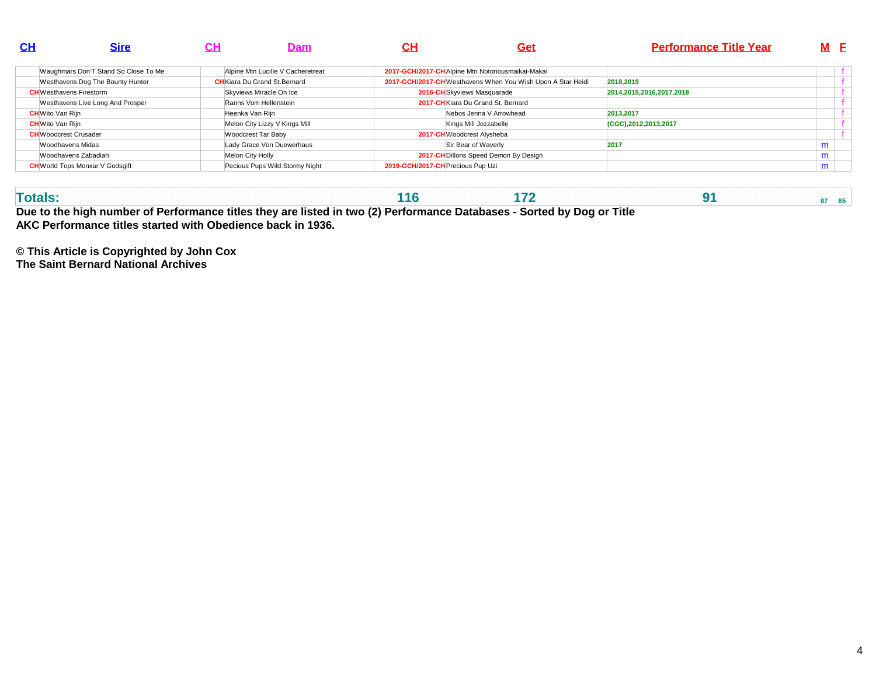| <u>CH</u>                      | <b>Sire</b>                            | ςн               | Dam                                  | CН                                | Get                                                         | <b>Performance Title Year</b> | M F |  |
|--------------------------------|----------------------------------------|------------------|--------------------------------------|-----------------------------------|-------------------------------------------------------------|-------------------------------|-----|--|
|                                | Waughmars Don'T Stand So Close To Me   |                  | Alpine Mtn Lucille V Cacheretreat    |                                   | 2017-GCH/2017-CH Alpine Mtn Notoriousmaikai-Makai           |                               |     |  |
|                                | Westhavens Dog The Bounty Hunter       |                  | <b>CH</b> Kiara Du Grand St. Bernard |                                   | 2017-GCH/2017-CH Westhavens When You Wish Upon A Star Heidi | 2018,2019                     |     |  |
| <b>CH</b> Westhavens Firestorm |                                        |                  | Skyviews Miracle On Ice              |                                   | 2016-CH Skyviews Masquarade                                 | 2014, 2015, 2016, 2017, 2018  |     |  |
|                                | Westhavens Live Long And Prosper       |                  | Ranns Vom Hellenstein                |                                   | 2017-CH Kiara Du Grand St. Bernard                          |                               |     |  |
| <b>CH</b> Wito Van Rijn        |                                        | Heenka Van Rijn  |                                      |                                   | Nebos Jenna V Arrowhead                                     | 2013.2017                     |     |  |
| <b>CH</b> Wito Van Rijn        |                                        |                  | Melon City Lizzy V Kings Mill        |                                   | Kings Mill Jezzabelle                                       | (CGC), 2012, 2013, 2017       |     |  |
| <b>CH</b> Woodcrest Crusader   |                                        |                  | Woodcrest Tar Baby                   |                                   | 2017-CH Woodcrest Alysheba                                  |                               |     |  |
| Woodhavens Midas               |                                        |                  | Lady Grace Von Duewerhaus            |                                   | Sir Bear of Waverly                                         | 2017                          | m   |  |
|                                | Woodhavens Zabadiah                    | Melon City Holly |                                      |                                   | 2017-CH Dillons Speed Demon By Design                       |                               | m   |  |
|                                | <b>CH</b> World Tops Monxar V Godsgift |                  | Pecious Pups Wild Stormy Night       | 2019-GCH/2017-CH Precious Pup Uzi |                                                             |                               | m   |  |

| Due to the high number of Performance titles they are listed in two (2) Performance Databases - Sorted by Dog or<br>Title |  |  |  |  |  |  |  |  |  |  |  |
|---------------------------------------------------------------------------------------------------------------------------|--|--|--|--|--|--|--|--|--|--|--|

**AKC Performance titles started with Obedience back in 1936.**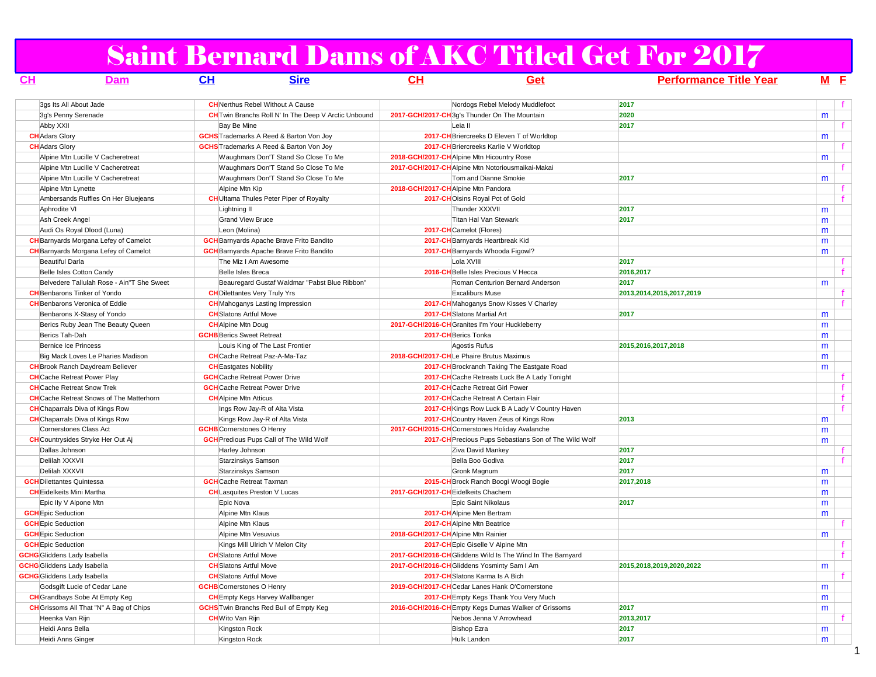# Saint Bernard Dams of AKC Titled Get For 2017

| CH                                 | Dam                                             | <b>CH</b>                            | <b>Sire</b>                                                 | <u>CН</u>                          | Get                                                        | <u>Performance Title Year</u> | M E |              |
|------------------------------------|-------------------------------------------------|--------------------------------------|-------------------------------------------------------------|------------------------------------|------------------------------------------------------------|-------------------------------|-----|--------------|
|                                    | 3qs Its All About Jade                          |                                      | <b>CH</b> Nerthus Rebel Without A Cause                     |                                    | Nordogs Rebel Melody Muddlefoot                            | 2017                          |     | f.           |
|                                    | 3q's Penny Serenade                             |                                      | <b>CH</b> Twin Branchs Roll N' In The Deep V Arctic Unbound |                                    | 2017-GCH/2017-CH3q's Thunder On The Mountain               | 2020                          | m   |              |
| Abby XXII                          |                                                 | Bay Be Mine                          |                                                             |                                    | Leia II                                                    | 2017                          |     | f.           |
| <b>CH</b> Adars Glory              |                                                 |                                      | <b>GCHS</b> Trademarks A Reed & Barton Von Joy              |                                    | 2017-CH Briercreeks D Eleven T of Worldtop                 |                               | m   |              |
| <b>CH</b> Adars Glory              |                                                 |                                      | <b>GCHS</b> Trademarks A Reed & Barton Von Joy              |                                    | 2017-CH Briercreeks Karlie V Worldtop                      |                               |     | f.           |
|                                    | Alpine Mtn Lucille V Cacheretreat               |                                      | Waughmars Don'T Stand So Close To Me                        |                                    | 2018-GCH/2017-CHAlpine Mtn Hicountry Rose                  |                               | m   |              |
|                                    | Alpine Mtn Lucille V Cacheretreat               |                                      | Waughmars Don'T Stand So Close To Me                        |                                    | 2017-GCH/2017-CH Alpine Mtn Notoriousmaikai-Makai          |                               |     |              |
|                                    | Alpine Mtn Lucille V Cacheretreat               |                                      | Waughmars Don'T Stand So Close To Me                        |                                    | Tom and Dianne Smokie                                      | 2017                          | m   |              |
|                                    | Alpine Mtn Lynette                              | Alpine Mtn Kip                       |                                                             |                                    | 2018-GCH/2017-CH Alpine Mtn Pandora                        |                               |     | f.           |
|                                    | Ambersands Ruffles On Her Bluejeans             |                                      | <b>CH</b> UItama Thules Peter Piper of Royalty              |                                    | 2017-CHOisins Royal Pot of Gold                            |                               |     |              |
| Aphrodite VI                       |                                                 | Lightning II                         |                                                             |                                    | Thunder XXXVII                                             | 2017                          | m   |              |
|                                    | Ash Creek Angel                                 | <b>Grand View Bruce</b>              |                                                             |                                    | Titan Hal Van Stewark                                      | 2017                          | m   |              |
|                                    | Audi Os Royal Dlood (Luna)                      | Leon (Molina)                        |                                                             |                                    | 2017-CHCamelot (Flores)                                    |                               | m   |              |
|                                    | <b>CH</b> Barnyards Morgana Lefey of Camelot    |                                      | <b>GCH</b> Barnyards Apache Brave Frito Bandito             |                                    | 2017-CH Barnyards Heartbreak Kid                           |                               | m   |              |
|                                    | <b>CH</b> Barnyards Morgana Lefey of Camelot    |                                      | <b>GCH</b> Barnyards Apache Brave Frito Bandito             |                                    | 2017-CH Barnyards Whooda Figowl?                           |                               | m   |              |
| <b>Beautiful Darla</b>             |                                                 | The Miz I Am Awesome                 |                                                             |                                    | Lola XVIII                                                 | 2017                          |     |              |
|                                    | Belle Isles Cotton Candy                        | <b>Belle Isles Breca</b>             |                                                             |                                    | 2016-CH Belle Isles Precious V Hecca                       | 2016,2017                     |     | $\mathbf{f}$ |
|                                    | Belvedere Tallulah Rose - Ain"T She Sweet       |                                      | Beauregard Gustaf Waldmar "Pabst Blue Ribbon"               |                                    | Roman Centurion Bernard Anderson                           | 2017                          | m   |              |
|                                    | <b>CH</b> Benbarons Tinker of Yondo             | <b>CH</b> Dilettantes Very Truly Yrs |                                                             |                                    | <b>Excaliburs Muse</b>                                     | 2013,2014,2015,2017,2019      |     | f.           |
|                                    | <b>CH</b> Benbarons Veronica of Eddie           |                                      | <b>CH</b> Mahoganys Lasting Impression                      |                                    | 2017-CH Mahoganys Snow Kisses V Charley                    |                               |     |              |
|                                    | Benbarons X-Stasy of Yondo                      | <b>CH</b> Slatons Artful Move        |                                                             |                                    | 2017-CH Slatons Martial Art                                | 2017                          | m   |              |
|                                    | Berics Ruby Jean The Beauty Queen               | <b>CH</b> Alpine Mtn Doug            |                                                             |                                    | 2017-GCH/2016-CH Granites I'm Your Huckleberry             |                               | m   |              |
| Berics Tah-Dah                     |                                                 | <b>GCHB</b> Berics Sweet Retreat     |                                                             |                                    | 2017-CH Berics Tonka                                       |                               | m   |              |
|                                    | Bernice Ice Princess                            |                                      | Louis King of The Last Frontier                             |                                    | Agostis Rufus                                              | 2015,2016,2017,2018           | m   |              |
|                                    | Big Mack Loves Le Pharies Madison               |                                      | <b>CH</b> Cache Retreat Paz-A-Ma-Taz                        |                                    | 2018-GCH/2017-CHLe Phaire Brutus Maximus                   |                               | m   |              |
|                                    | <b>CH</b> Brook Ranch Daydream Believer         | <b>CH</b> Eastgates Nobility         |                                                             |                                    | 2017-CH Brockranch Taking The Eastgate Road                |                               | m   |              |
|                                    | <b>CH</b> Cache Retreat Power Play              | <b>GCH</b> Cache Retreat Power Drive |                                                             |                                    | 2017-CH Cache Retreats Luck Be A Lady Tonight              |                               |     | f.           |
|                                    | <b>CH</b> Cache Retreat Snow Trek               | <b>GCH</b> Cache Retreat Power Drive |                                                             |                                    | 2017-CH Cache Retreat Girl Power                           |                               |     | $\mathbf{f}$ |
|                                    | <b>CH</b> Cache Retreat Snows of The Matterhorn | <b>CH</b> Alpine Mtn Atticus         |                                                             |                                    | 2017-CHCache Retreat A Certain Flair                       |                               |     |              |
|                                    | <b>CH</b> Chaparrals Diva of Kings Row          |                                      | Ings Row Jay-R of Alta Vista                                |                                    | 2017-CH Kings Row Luck B A Lady V Country Haven            |                               |     | $\mathbf{f}$ |
|                                    | <b>CH</b> Chaparrals Diva of Kings Row          |                                      | Kings Row Jay-R of Alta Vista                               |                                    | 2017-CH Country Haven Zeus of Kings Row                    | 2013                          | m   |              |
|                                    | Cornerstones Class Act                          | <b>GCHB</b> Cornerstones O Henry     |                                                             |                                    | 2017-GCH/2015-CHCornerstones Holiday Avalanche             |                               | m   |              |
|                                    | <b>CH</b> Countrysides Stryke Her Out Aj        |                                      | <b>GCH</b> Predious Pups Call of The Wild Wolf              |                                    | 2017-CH Precious Pups Sebastians Son of The Wild Wolf      |                               | m   |              |
| Dallas Johnson                     |                                                 | Harley Johnson                       |                                                             |                                    | Ziva David Mankey                                          | 2017                          |     | $\mathbf{f}$ |
| Delilah XXXVII                     |                                                 | Starzinskys Samson                   |                                                             |                                    | Bella Boo Godiva                                           | 2017                          |     | f.           |
| Delilah XXXVII                     |                                                 | Starzinskys Samson                   |                                                             |                                    | Gronk Magnum                                               | 2017                          | m   |              |
| <b>GCH</b> Dilettantes Quintessa   |                                                 | <b>GCH</b> Cache Retreat Taxman      |                                                             |                                    | 2015-CH Brock Ranch Boogi Woogi Bogie                      | 2017,2018                     | m   |              |
|                                    | <b>CH</b> Eidelkeits Mini Martha                | <b>CH</b> Lasquites Preston V Lucas  |                                                             |                                    | 2017-GCH/2017-CH Eidelkeits Chachem                        |                               | m   |              |
|                                    | Epic IIy V Alpone Mtn                           | Epic Nova                            |                                                             |                                    | Epic Saint Nikolaus                                        | 2017                          | m   |              |
| <b>GCH</b> Epic Seduction          |                                                 | Alpine Mtn Klaus                     |                                                             |                                    | 2017-CH Alpine Men Bertram                                 |                               | m   |              |
| <b>GCH</b> Epic Seduction          |                                                 | Alpine Mtn Klaus                     |                                                             |                                    | 2017-CH Alpine Mtn Beatrice                                |                               |     |              |
| <b>GCH</b> Epic Seduction          |                                                 | Alpine Mtn Vesuvius                  |                                                             | 2018-GCH/2017-CHAlpine Mtn Rainier |                                                            |                               | m   |              |
| <b>GCH</b> Epic Seduction          |                                                 |                                      | Kings Mill Ulrich V Melon City                              |                                    | 2017-CH Epic Giselle V Alpine Mtn                          |                               |     | f            |
| <b>GCHG</b> Gliddens Lady Isabella |                                                 | <b>CH</b> Slatons Artful Move        |                                                             |                                    | 2017-GCH/2016-CH Gliddens Wild Is The Wind In The Barnyard |                               |     | f            |
| <b>GCHG</b> Gliddens Lady Isabella |                                                 | <b>CH</b> Slatons Artful Move        |                                                             |                                    | 2017-GCH/2016-CH Gliddens Yosminty Sam I Am                | 2015,2018,2019,2020,2022      | m   |              |
| <b>GCHG</b> Gliddens Lady Isabella |                                                 | <b>CH</b> Slatons Artful Move        |                                                             |                                    | 2017-CH Slatons Karma Is A Bich                            |                               |     |              |
|                                    | Godsgift Lucie of Cedar Lane                    | <b>GCHB</b> Cornerstones O Henry     |                                                             |                                    | 2019-GCH/2017-CHCedar Lanes Hank O'Cornerstone             |                               | m   |              |
|                                    | <b>CH</b> Grandbays Sobe At Empty Keg           |                                      | <b>CH</b> Empty Kegs Harvey Wallbanger                      |                                    | 2017-CH Empty Kegs Thank You Very Much                     |                               | m   |              |
|                                    | <b>CH</b> Grissoms All That "N" A Bag of Chips  |                                      | <b>GCHS</b> Twin Branchs Red Bull of Empty Keg              |                                    | 2016-GCH/2016-CH Empty Kegs Dumas Walker of Grissoms       | 2017                          | m   |              |
|                                    | Heenka Van Rijn                                 | <b>CH</b> Wito Van Rijn              |                                                             |                                    | Nebos Jenna V Arrowhead                                    | 2013,2017                     |     |              |
| Heidi Anns Bella                   |                                                 | Kingston Rock                        |                                                             |                                    | <b>Bishop Ezra</b>                                         | 2017                          | m   |              |
|                                    | Heidi Anns Ginger                               | Kingston Rock                        |                                                             |                                    | Hulk Landon                                                | 2017                          | m   |              |

1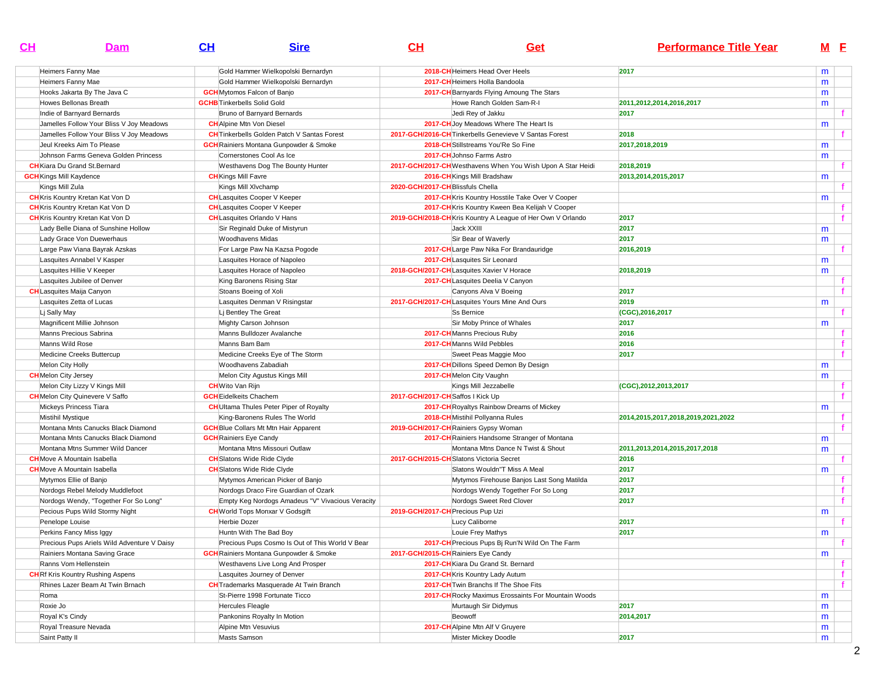| <u>CH</u> | Dam                                         | CL | <b>Sire</b>                                        | $CH$                                      | <b>Get</b>                                                  | <b>Performance Title Year</b>      |   | M E          |
|-----------|---------------------------------------------|----|----------------------------------------------------|-------------------------------------------|-------------------------------------------------------------|------------------------------------|---|--------------|
|           | Heimers Fanny Mae                           |    | Gold Hammer Wielkopolski Bernardyn                 |                                           | 2018-CH Heimers Head Over Heels                             | 2017                               | m |              |
|           | Heimers Fanny Mae                           |    | Gold Hammer Wielkopolski Bernardyn                 |                                           | 2017-CH Heimers Holla Bandoola                              |                                    | m |              |
|           | Hooks Jakarta By The Java C                 |    | <b>GCH</b> Mytomos Falcon of Banjo                 |                                           | 2017-CH Barnyards Flying Amoung The Stars                   |                                    | m |              |
|           | Howes Bellonas Breath                       |    | <b>GCHB</b> Tinkerbells Solid Gold                 |                                           | Howe Ranch Golden Sam-R-I                                   | 2011,2012,2014,2016,2017           | m |              |
|           | Indie of Barnyard Bernards                  |    | Bruno of Barnyard Bernards                         |                                           | Jedi Rey of Jakku                                           | 2017                               |   | $\mathbf{f}$ |
|           | Jamelles Follow Your Bliss V Joy Meadows    |    | <b>CH</b> Alpine Mtn Von Diesel                    |                                           | 2017-CH Joy Meadows Where The Heart Is                      |                                    | m |              |
|           | Jamelles Follow Your Bliss V Joy Meadows    |    | <b>CH</b> Tinkerbells Golden Patch V Santas Forest |                                           | 2017-GCH/2016-CH Tinkerbells Genevieve V Santas Forest      | 2018                               |   | f.           |
|           | Jeul Kreeks Aim To Please                   |    | <b>GCH</b> Rainiers Montana Gunpowder & Smoke      |                                           | 2018-CH Stillstreams You'Re So Fine                         | 2017,2018,2019                     | m |              |
|           | Johnson Farms Geneva Golden Princess        |    | Cornerstones Cool As Ice                           |                                           | 2017-CH Johnso Farms Astro                                  |                                    | m |              |
|           | <b>CH</b> Kiara Du Grand St Bernard         |    | Westhavens Dog The Bounty Hunter                   |                                           | 2017-GCH/2017-CH Westhavens When You Wish Upon A Star Heidi | 2018,2019                          |   | f.           |
|           | <b>GCH</b> Kings Mill Kaydence              |    | <b>CH</b> Kings Mill Favre                         |                                           | 2016-CH Kings Mill Bradshaw                                 | 2013, 2014, 2015, 2017             | m |              |
|           | Kings Mill Zula                             |    | Kings Mill XIvchamp                                | 2020-GCH/2017-CH Blissfuls Chella         |                                                             |                                    |   | $\mathbf{f}$ |
|           | <b>CH</b> Kris Kountry Kretan Kat Von D     |    | <b>CH</b> Lasquites Cooper V Keeper                |                                           | 2017-CH Kris Kountry Hosstile Take Over V Cooper            |                                    | m |              |
|           | <b>CH</b> Kris Kountry Kretan Kat Von D     |    | <b>CH</b> Lasquites Cooper V Keeper                |                                           | 2017-CH Kris Kountry Kween Bea Kelijah V Cooper             |                                    |   | f.           |
|           | <b>CH</b> Kris Kountry Kretan Kat Von D     |    | <b>CH</b> Lasquites Orlando V Hans                 |                                           | 2019-GCH/2018-CH Kris Kountry A League of Her Own V Orlando | 2017                               |   | $\mathbf{f}$ |
|           | Lady Belle Diana of Sunshine Hollow         |    | Sir Reginald Duke of Mistyrun                      |                                           | Jack XXIII                                                  | 2017                               | m |              |
|           | Lady Grace Von Duewerhaus                   |    | Woodhavens Midas                                   |                                           | Sir Bear of Waverly                                         | 2017                               | m |              |
|           | Large Paw Viana Bayrak Azskas               |    | For Large Paw Na Kazsa Pogode                      |                                           | 2017-CH Large Paw Nika For Brandauridge                     | 2016,2019                          |   | $\mathbf{f}$ |
|           | Lasquites Annabel V Kasper                  |    | Lasquites Horace of Napoleo                        |                                           | 2017-CHLasquites Sir Leonard                                |                                    | m |              |
|           | Lasquites Hillie V Keeper                   |    | Lasquites Horace of Napoleo                        | 2018-GCH/2017-CHLasquites Xavier V Horace |                                                             | 2018,2019                          | m |              |
|           | Lasquites Jubilee of Denver                 |    | King Baronens Rising Star                          |                                           | 2017-CHLasquites Deelia V Canyon                            |                                    |   | $\mathbf{f}$ |
|           | <b>CH</b> Lasquites Maija Canyon            |    | Stoans Boeing of Xoli                              |                                           | Canyons Alva V Boeing                                       | 2017                               |   | $\mathbf{f}$ |
|           | Lasquites Zetta of Lucas                    |    | Lasquites Denman V Risingstar                      |                                           | 2017-GCH/2017-CHLasquites Yours Mine And Ours               | 2019                               | m |              |
|           | Li Sally May                                |    | Li Bentley The Great                               |                                           | <b>Ss Bernice</b>                                           | (CGC), 2016, 2017                  |   | $\mathbf{f}$ |
|           | Magnificent Millie Johnson                  |    | Mighty Carson Johnson                              |                                           | Sir Moby Prince of Whales                                   | 2017                               | m |              |
|           | Manns Precious Sabrina                      |    | Manns Bulldozer Avalanche                          |                                           | 2017-CHManns Precious Ruby                                  | 2016                               |   | $\mathbf{f}$ |
|           | Manns Wild Rose                             |    | Manns Bam Bam                                      |                                           | 2017-CHManns Wild Pebbles                                   | 2016                               |   | $\mathbf{f}$ |
|           | Medicine Creeks Buttercup                   |    | Medicine Creeks Eye of The Storm                   |                                           | Sweet Peas Maggie Moo                                       | 2017                               |   | $\mathbf{f}$ |
|           | Melon City Holly                            |    | Woodhavens Zabadiah                                |                                           | 2017-CH Dillons Speed Demon By Design                       |                                    | m |              |
|           | <b>CH</b> Melon City Jersey                 |    | Melon City Agustus Kings Mill                      | 2017-CHMelon City Vaughn                  |                                                             |                                    | m |              |
|           | Melon City Lizzy V Kings Mill               |    | <b>CH</b> Wito Van Rijn                            |                                           | Kings Mill Jezzabelle                                       | (CGC), 2012, 2013, 2017            |   | $\mathbf{f}$ |
|           | <b>CH</b> Melon City Quinevere V Saffo      |    | <b>GCH</b> Eidelkeits Chachem                      | 2017-GCH/2017-CH Saffos I Kick Up         |                                                             |                                    |   | $\mathbf{f}$ |
|           | Mickeys Princess Tiara                      |    | <b>CH</b> UItama Thules Peter Piper of Royalty     |                                           | 2017-CH Royaltys Rainbow Dreams of Mickey                   |                                    | m |              |
|           | Mistihil Mystique                           |    | King-Baronens Rules The World                      |                                           | 2018-CH Mistihil Pollyanna Rules                            | 2014,2015,2017,2018,2019,2021,2022 |   | $\mathbf{f}$ |
|           | Montana Mnts Canucks Black Diamond          |    | <b>GCH</b> Blue Collars Mt Mtn Hair Apparent       | 2019-GCH/2017-CH Rainiers Gypsy Woman     |                                                             |                                    |   | $\mathbf{f}$ |
|           | Montana Mnts Canucks Black Diamond          |    | <b>GCH</b> Rainiers Eye Candy                      |                                           | 2017-CH Rainiers Handsome Stranger of Montana               |                                    | m |              |
|           | Montana Mtns Summer Wild Dancer             |    | Montana Mtns Missouri Outlaw                       |                                           | Montana Mtns Dance N Twist & Shout                          | 2011,2013,2014,2015,2017,2018      | m |              |
|           | <b>CH</b> Move A Mountain Isabella          |    | <b>CH</b> Slatons Wide Ride Clyde                  | 2017-GCH/2015-CH Slatons Victoria Secret  |                                                             | 2016                               |   | $\mathbf{f}$ |
|           | <b>CH</b> Move A Mountain Isabella          |    | <b>CH</b> Slatons Wide Ride Clyde                  |                                           | Slatons Wouldn"T Miss A Meal                                | 2017                               | m |              |
|           | Mytymos Ellie of Banjo                      |    | Mytymos American Picker of Banjo                   |                                           | Mytymos Firehouse Banjos Last Song Matilda                  | 2017                               |   | $\mathbf{f}$ |
|           | Nordogs Rebel Melody Muddlefoot             |    | Nordogs Draco Fire Guardian of Ozark               |                                           | Nordogs Wendy Together For So Long                          | 2017                               |   | $\mathbf{f}$ |
|           | Nordogs Wendy, "Together For So Long"       |    | Empty Keg Nordogs Amadeus "V" Vivacious Veracity   |                                           | Nordogs Sweet Red Clover                                    | 2017                               |   | $\mathbf{f}$ |
|           | Pecious Pups Wild Stormy Night              |    | <b>CH</b> World Tops Monxar V Godsgift             | 2019-GCH/2017-CH Precious Pup Uzi         |                                                             |                                    | m |              |
|           | Penelope Louise                             |    | Herbie Dozer                                       |                                           | Lucy Caliborne                                              | 2017                               |   | $\mathbf{f}$ |
|           | Perkins Fancy Miss Iggy                     |    | Huntn With The Bad Boy                             |                                           | Louie Frey Mathys                                           | 2017                               | m |              |
|           | Precious Pups Ariels Wild Adventure V Daisy |    | Precious Pups Cosmo Is Out of This World V Bear    |                                           | 2017-CH Precious Pups Bj Run'N Wild On The Farm             |                                    |   | $\mathbf{f}$ |
|           | Rainiers Montana Saving Grace               |    | <b>GCH</b> Rainiers Montana Gunpowder & Smoke      | 2017-GCH/2015-CHRainiers Eye Candy        |                                                             |                                    | m |              |
|           | Ranns Vom Hellenstein                       |    | Westhavens Live Long And Prosper                   |                                           | 2017-CH Kiara Du Grand St. Bernard                          |                                    |   | $\mathbf{f}$ |
|           | <b>CH</b> Rf Kris Kountry Rushing Aspens    |    | Lasquites Journey of Denver                        |                                           | 2017-CH Kris Kountry Lady Autum                             |                                    |   | $\mathbf{f}$ |
|           | Rhines Lazer Beam At Twin Brnach            |    | <b>CH</b> Trademarks Masquerade At Twin Branch     |                                           | 2017-CH Twin Branchs If The Shoe Fits                       |                                    |   | $\mathbf{f}$ |
|           | Roma                                        |    | St-Pierre 1998 Fortunate Ticco                     |                                           | 2017-CH Rocky Maximus Erossaints For Mountain Woods         |                                    | m |              |
|           | Roxie Jo                                    |    | Hercules Fleagle                                   |                                           | Murtaugh Sir Didymus                                        | 2017                               | m |              |
|           | Royal K's Cindy                             |    | Pankonins Royalty In Motion                        | Beowoff                                   |                                                             | 2014,2017                          | m |              |
|           | Royal Treasure Nevada                       |    | Alpine Mtn Vesuvius                                |                                           | 2017-CH Alpine Mtn Alf V Gruyere                            |                                    | m |              |
|           | Saint Patty II                              |    | Masts Samson                                       |                                           | Mister Mickey Doodle                                        | 2017                               | m |              |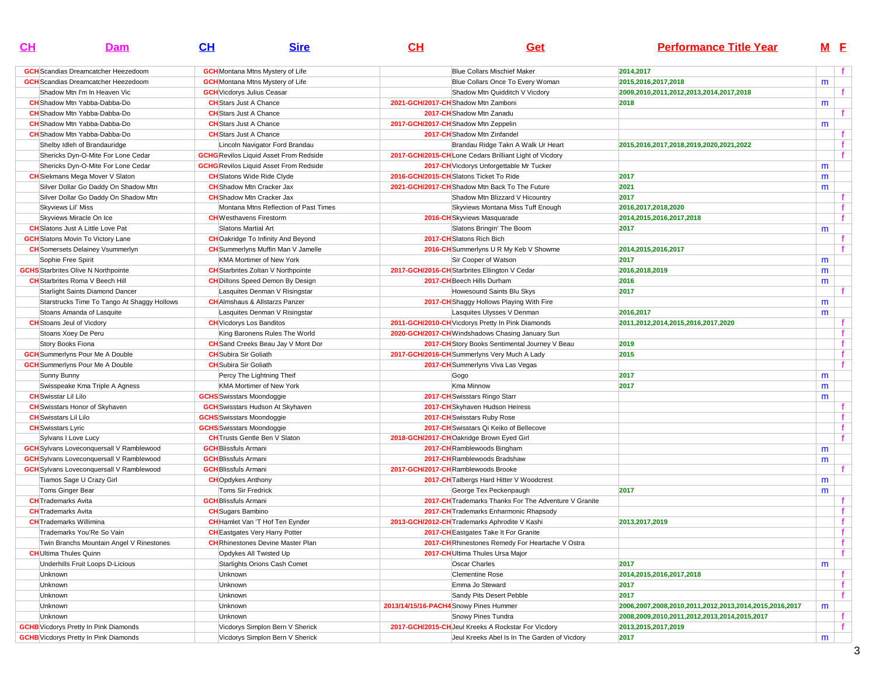| $CH$                           | Dam                                             | CH                                | <b>Sire</b>                                   | CH | Get                                                    | <b>Performance Title Year</b>                          |   | M <sub>E</sub> |
|--------------------------------|-------------------------------------------------|-----------------------------------|-----------------------------------------------|----|--------------------------------------------------------|--------------------------------------------------------|---|----------------|
|                                | <b>GCH</b> Scandias Dreamcatcher Heezedoom      |                                   | <b>GCH</b> Montana Mtns Mystery of Life       |    | <b>Blue Collars Mischief Maker</b>                     | 2014,2017                                              |   | $\mathbf{f}$   |
|                                | <b>GCH</b> Scandias Dreamcatcher Heezedoom      |                                   | <b>GCH</b> Montana Mtns Mystery of Life       |    | Blue Collars Once To Every Woman                       | 2015,2016,2017,2018                                    | m |                |
|                                | Shadow Mtn I'm In Heaven Vic                    | <b>GCH</b> Vicdorys Julius Ceasar |                                               |    | Shadow Mtn Quidditch V Vicdory                         | 2009,2010,2011,2012,2013,2014,2017,2018                |   | f.             |
|                                | <b>CH</b> Shadow Mtn Yabba-Dabba-Do             | <b>CH</b> Stars Just A Chance     |                                               |    | 2021-GCH/2017-CHShadow Mtn Zamboni                     | 2018                                                   | m |                |
|                                | <b>CH</b> Shadow Mtn Yabba-Dabba-Do             | <b>CH</b> Stars Just A Chance     |                                               |    | 2017-CH Shadow Mtn Zanadu                              |                                                        |   |                |
|                                | <b>CH</b> Shadow Mtn Yabba-Dabba-Do             | <b>CH</b> Stars Just A Chance     |                                               |    | 2017-GCH/2017-CH Shadow Mtn Zeppelin                   |                                                        | m |                |
|                                | <b>CH</b> Shadow Mtn Yabba-Dabba-Do             | <b>CH</b> Stars Just A Chance     |                                               |    | 2017-CH Shadow Mtn Zinfandel                           |                                                        |   |                |
|                                | Shelby Idleh of Brandauridge                    |                                   | Lincoln Navigator Ford Brandau                |    | Brandau Ridge Takn A Walk Ur Heart                     | 2015,2016,2017,2018,2019,2020,2021,2022                |   | f.             |
|                                | Shericks Dyn-O-Mite For Lone Cedar              |                                   | <b>GCHG</b> Revilos Liquid Asset From Redside |    | 2017-GCH/2015-CHLone Cedars Brilliant Light of Vicdory |                                                        |   |                |
|                                | Shericks Dyn-O-Mite For Lone Cedar              |                                   | <b>GCHG</b> Revilos Liquid Asset From Redside |    | 2017-CH Vicdorys Unforgettable Mr Tucker               |                                                        | m |                |
|                                | <b>CH</b> Siekmans Mega Mover V Slaton          | <b>CH</b> Slatons Wide Ride Clyde |                                               |    | 2016-GCH/2015-CH Slatons Ticket To Ride                | 2017                                                   | m |                |
|                                | Silver Dollar Go Daddy On Shadow Mtn            | <b>CH</b> Shadow Mtn Cracker Jax  |                                               |    | 2021-GCH/2017-CH Shadow Mtn Back To The Future         | 2021                                                   | m |                |
|                                |                                                 |                                   |                                               |    |                                                        | 2017                                                   |   | $\mathbf{f}$   |
|                                | Silver Dollar Go Daddy On Shadow Mtn            | <b>CH</b> Shadow Mtn Cracker Jax  |                                               |    | Shadow Mtn Blizzard V Hicountry                        |                                                        |   | f.             |
| Skyviews Lil' Miss             |                                                 |                                   | Montana Mtns Reflection of Past Times         |    | Skyviews Montana Miss Tuff Enough                      | 2016,2017,2018,2020                                    |   |                |
|                                | Skyviews Miracle On Ice                         | <b>CH</b> Westhavens Firestorm    |                                               |    | 2016-CH Skyviews Masquarade                            | 2014,2015,2016,2017,2018                               |   | $\mathbf{f}$   |
|                                | <b>CH</b> Slatons Just A Little Love Pat        | Slatons Martial Art               |                                               |    | Slatons Bringin' The Boom                              | 2017                                                   | m |                |
|                                | <b>GCH</b> Slatons Movin To Victory Lane        |                                   | <b>CH</b> Oakridge To Infinity And Beyond     |    | 2017-CH Slatons Rich Bich                              |                                                        |   | $\mathbf{f}$   |
|                                | <b>CH</b> Somersets Delainey Vsummerlyn         |                                   | <b>CH</b> Summerlyns Muffin Man V Jamelle     |    | 2016-CH Summerlyns U R My Keb V Showme                 | 2014,2015,2016,2017                                    |   |                |
| Sophie Free Spirit             |                                                 |                                   | <b>KMA Mortimer of New York</b>               |    | Sir Cooper of Watson                                   | 2017                                                   | m |                |
|                                | <b>GCHS</b> Starbrites Olive N Northpointe      |                                   | <b>CH</b> Starbrites Zoltan V Northpointe     |    | 2017-GCH/2016-CH Starbrites Ellington V Cedar          | 2016,2018,2019                                         | m |                |
|                                | <b>CH</b> Starbrites Roma V Beech Hill          |                                   | <b>CH</b> Dillons Speed Demon By Design       |    | 2017-CH Beech Hills Durham                             | 2016                                                   | m |                |
|                                | Starlight Saints Diamond Dancer                 |                                   | Lasquites Denman V Risingstar                 |    | Howesound Saints Blu Skys                              | 2017                                                   |   |                |
|                                | Starstrucks Time To Tango At Shaggy Hollows     |                                   | <b>CH</b> AImshaus & Allstarzs Panzer         |    | 2017-CH Shaggy Hollows Playing With Fire               |                                                        | m |                |
|                                | Stoans Amanda of Lasquite                       |                                   | Lasquites Denman V Risingstar                 |    | Lasquites Ulysses V Denman                             | 2016,2017                                              | m |                |
|                                | <b>CH</b> Stoans Jeul of Vicdory                | <b>CH</b> Vicdorys Los Banditos   |                                               |    | 2011-GCH/2010-CH Vicdorys Pretty In Pink Diamonds      | 2011,2012,2014,2015,2016,2017,2020                     |   | f.             |
|                                | Stoans Xoey De Peru                             |                                   | King Baronens Rules The World                 |    | 2020-GCH/2017-CH Windshadows Chasing January Sun       |                                                        |   | $\mathbf{f}$   |
| Story Books Fiona              |                                                 |                                   | <b>CH</b> Sand Creeks Beau Jay V Mont Dor     |    | 2017-CH Story Books Sentimental Journey V Beau         | 2019                                                   |   | $\mathbf{f}$   |
|                                | <b>GCH</b> Summerlyns Pour Me A Double          | <b>CH</b> Subira Sir Goliath      |                                               |    | 2017-GCH/2016-CH Summerlyns Very Much A Lady           | 2015                                                   |   |                |
|                                | <b>GCH</b> Summerlyns Pour Me A Double          | <b>CH</b> Subira Sir Goliath      |                                               |    | 2017-CH Summerlyns Viva Las Vegas                      |                                                        |   | $\mathbf{f}$   |
| Sunny Bunny                    |                                                 |                                   | Percy The Lightning Theif                     |    | Gogo                                                   | 2017                                                   | m |                |
|                                | Swisspeake Kma Triple A Agness                  |                                   | KMA Mortimer of New York                      |    | Kma Minnow                                             | 2017                                                   | m |                |
| <b>CH</b> Swisstar Lil Lilo    |                                                 | <b>GCHS</b> Swisstars Moondoggie  |                                               |    | 2017-CH Swisstars Ringo Starr                          |                                                        | m |                |
|                                | <b>CH</b> Swisstars Honor of Skyhaven           |                                   | <b>GCH</b> Swisstars Hudson At Skyhaven       |    | 2017-CH Skyhaven Hudson Heiress                        |                                                        |   | f.             |
| <b>CH</b> Swisstars Lil Lilo   |                                                 | <b>GCHS</b> Swisstars Moondoggie  |                                               |    | 2017-CH Swisstars Ruby Rose                            |                                                        |   | $\mathbf{f}$   |
| <b>CH</b> Swisstars Lyric      |                                                 | <b>GCHS</b> Swisstars Moondoggie  |                                               |    | 2017-CH Swisstars Qi Keiko of Bellecove                |                                                        |   |                |
|                                | Sylvans I Love Lucy                             |                                   | <b>CH</b> Trusts Gentle Ben V Slaton          |    | 2018-GCH/2017-CHOakridge Brown Eyed Girl               |                                                        |   | $\mathbf{f}$   |
|                                | <b>GCH</b> Sylvans Loveconquersall V Ramblewood | <b>GCH</b> Blissfuls Armani       |                                               |    | 2017-CH Ramblewoods Bingham                            |                                                        | m |                |
|                                | <b>GCH</b> Sylvans Loveconquersall V Ramblewood | <b>GCH</b> Blissfuls Armani       |                                               |    | 2017-CH Ramblewoods Bradshaw                           |                                                        | m |                |
|                                | <b>GCH</b> Sylvans Loveconquersall V Ramblewood | <b>GCH</b> Blissfuls Armani       |                                               |    | 2017-GCH/2017-CHRamblewoods Brooke                     |                                                        |   |                |
|                                | Tiamos Sage U Crazy Girl                        | <b>CH</b> Opdykes Anthony         |                                               |    | 2017-CH Talbergs Hard Hitter V Woodcrest               |                                                        | m |                |
| Toms Ginger Bear               |                                                 | Toms Sir Fredrick                 |                                               |    | George Tex Peckenpaugh                                 | 2017                                                   | m |                |
| <b>CH</b> Trademarks Avita     |                                                 | <b>GCH</b> Blissfuls Armani       |                                               |    | 2017-CH Trademarks Thanks For The Adventure V Granite  |                                                        |   | $\mathbf{f}$   |
| <b>CH</b> Trademarks Avita     |                                                 | <b>CH</b> Sugars Bambino          |                                               |    | 2017-CH Trademarks Enharmonic Rhapsody                 |                                                        |   | f.             |
| <b>CH</b> Trademarks Willimina |                                                 |                                   | <b>CH</b> Hamlet Van 'T Hof Ten Eynder        |    | 2013-GCH/2012-CH Trademarks Aphrodite V Kashi          | 2013.2017.2019                                         |   | $\mathbf{f}$   |
|                                | Trademarks You'Re So Vain                       |                                   | <b>CH</b> Eastgates Very Harry Potter         |    | 2017-CH Eastgates Take It For Granite                  |                                                        |   |                |
|                                |                                                 |                                   |                                               |    |                                                        |                                                        |   |                |
|                                | Twin Branchs Mountain Angel V Rinestones        |                                   | <b>CH</b> Rhinestones Devine Master Plan      |    | 2017-CH Rhinestones Remedy For Heartache V Ostra       |                                                        |   | f.             |
| <b>CH</b> Ultima Thules Quinn  |                                                 |                                   | Opdykes All Twisted Up                        |    | 2017-CH Ultima Thules Ursa Major                       |                                                        |   | $\mathbf{f}$   |
|                                | Underhills Fruit Loops D-Licious                |                                   | Starlights Orions Cash Comet                  |    | Oscar Charles                                          | 2017                                                   | m |                |
| Unknown                        |                                                 | Unknown                           |                                               |    | <b>Clementine Rose</b>                                 | 2014,2015,2016,2017,2018                               |   | $\mathbf{f}$   |
| Unknown                        |                                                 | Unknown                           |                                               |    | Emma Jo Steward                                        | 2017                                                   |   | $\mathbf{f}$   |
| Unknown                        |                                                 | Unknown                           |                                               |    | Sandy Pits Desert Pebble                               | 2017                                                   |   | $\mathbf{f}$   |
| Unknown                        |                                                 | Unknown                           |                                               |    | 2013/14/15/16-PACH4 Snowy Pines Hummer                 | 2006,2007,2008,2010,2011,2012,2013,2014,2015,2016,2017 | m |                |
| Unknown                        |                                                 | Unknown                           |                                               |    | Snowy Pines Tundra                                     | 2008,2009,2010,2011,2012,2013,2014,2015,2017           |   | $\mathbf{f}$   |
|                                | <b>GCHB</b> Vicdorys Pretty In Pink Diamonds    |                                   | Vicdorys Simplon Bern V Sherick               |    | 2017-GCH/2015-CH Jeul Kreeks A Rockstar For Vicdory    | 2013, 2015, 2017, 2019                                 |   | $\mathbf{f}$   |
|                                | <b>GCHB</b> Vicdorys Pretty In Pink Diamonds    |                                   | Vicdorys Simplon Bern V Sherick               |    | Jeul Kreeks Abel Is In The Garden of Vicdory           | 2017                                                   | m |                |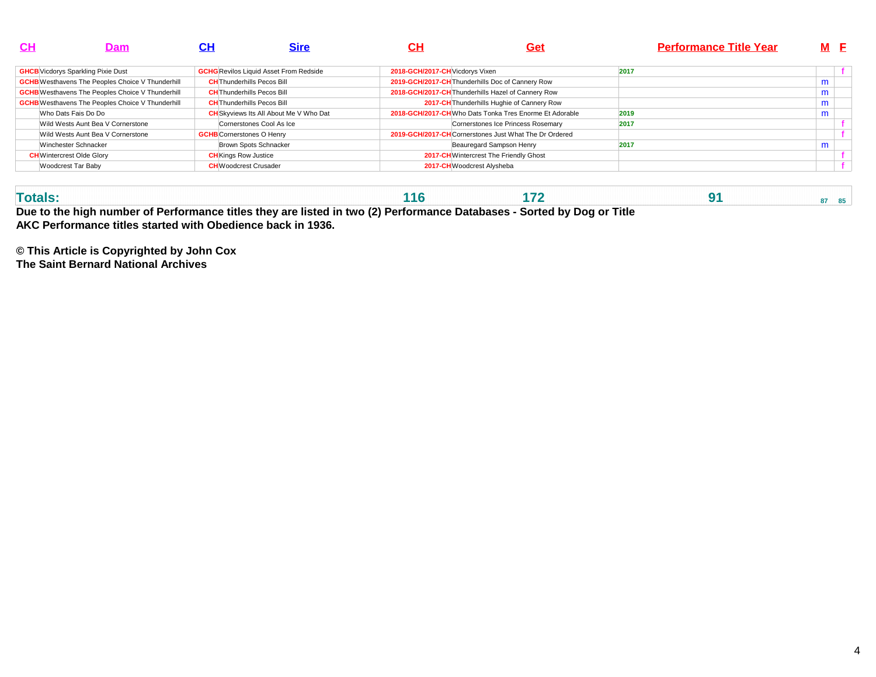| <b>CH</b> | Dam                                                     |                                   | Sire                                          | CН                              | <u>Get</u>                                             | <b>Performance Title Year</b> | M F |  |
|-----------|---------------------------------------------------------|-----------------------------------|-----------------------------------------------|---------------------------------|--------------------------------------------------------|-------------------------------|-----|--|
|           | <b>GHCB</b> Vicdorys Sparkling Pixie Dust               |                                   | <b>GCHG</b> Revilos Liquid Asset From Redside | 2018-GCH/2017-CH Vicdorys Vixen |                                                        | 2017                          |     |  |
|           | <b>GCHB</b> Westhavens The Peoples Choice V Thunderhill | <b>CH</b> Thunderhills Pecos Bill |                                               |                                 | 2019-GCH/2017-CH Thunderhills Doc of Cannery Row       |                               | m   |  |
|           | <b>GCHB</b> Westhavens The Peoples Choice V Thunderhill | <b>CH</b> Thunderhills Pecos Bill |                                               |                                 | 2018-GCH/2017-CH Thunderhills Hazel of Cannery Row     |                               | m   |  |
|           | <b>GCHB</b> Westhavens The Peoples Choice V Thunderhill | <b>CH</b> Thunderhills Pecos Bill |                                               |                                 | 2017-CH Thunderhills Hughie of Cannery Row             |                               | m   |  |
|           | Who Dats Fais Do Do                                     |                                   | <b>CH</b> Skyviews Its All About Me V Who Dat |                                 | 2018-GCH/2017-CHWho Dats Tonka Tres Enorme Et Adorable | 2019                          | m   |  |
|           | Wild Wests Aunt Bea V Cornerstone                       |                                   | Cornerstones Cool As Ice                      |                                 | Cornerstones Ice Princess Rosemary                     | 2017                          |     |  |
|           | Wild Wests Aunt Bea V Cornerstone                       | <b>GCHB</b> Cornerstones O Henry  |                                               |                                 | 2019-GCH/2017-CHCornerstones Just What The Dr Ordered  |                               |     |  |
|           | Winchester Schnacker                                    |                                   | Brown Spots Schnacker                         |                                 | Beauregard Sampson Henry                               | 2017                          | m   |  |
|           | <b>CH</b> Wintercrest Olde Glory                        | <b>CH</b> Kings Row Justice       |                                               |                                 | 2017-CH Wintercrest The Friendly Ghost                 |                               |     |  |
|           | Woodcrest Tar Baby                                      | <b>CH</b> Woodcrest Crusader      |                                               |                                 | 2017-CH Woodcrest Alysheba                             |                               |     |  |

| Due to the high number of Performance titles they are listed in two (2) Performance Databases - Sorted by Dog or Title |  |  |  |  |  |  |  |  |  |  |
|------------------------------------------------------------------------------------------------------------------------|--|--|--|--|--|--|--|--|--|--|

**AKC Performance titles started with Obedience back in 1936.**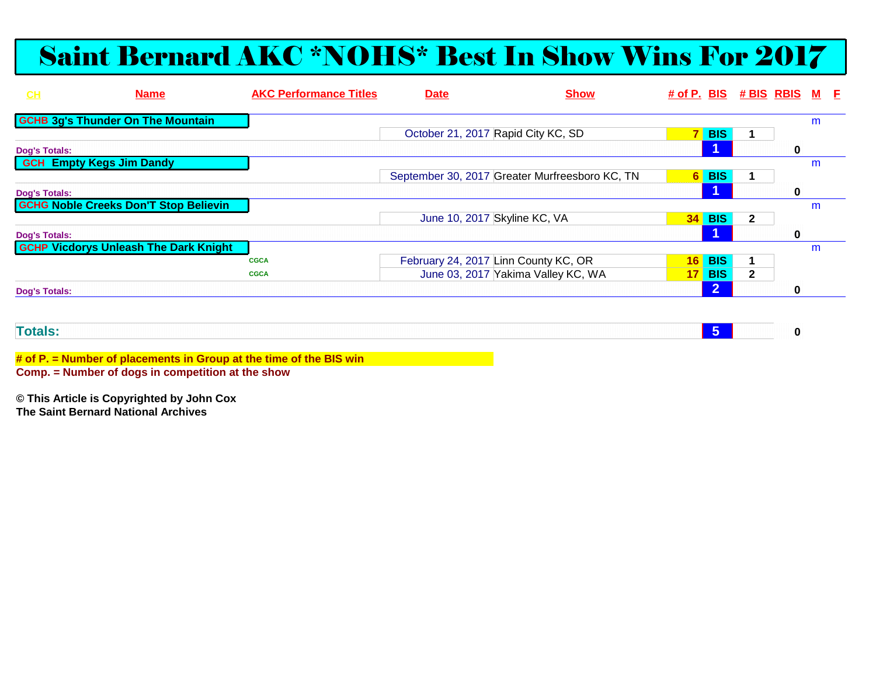# Saint Bernard AKC \*NOHS\* Best In Show Wins For 2017

| CH                   | <b>Name</b>                                  | <b>AKC Performance Titles</b> | <b>Date</b>                        | <b>Show</b>                                    |                 |                | # of P. BIS # BIS RBIS M E |             |   |  |
|----------------------|----------------------------------------------|-------------------------------|------------------------------------|------------------------------------------------|-----------------|----------------|----------------------------|-------------|---|--|
|                      | <b>GCHB 3g's Thunder On The Mountain</b>     |                               |                                    |                                                |                 |                |                            |             | m |  |
|                      |                                              |                               | October 21, 2017 Rapid City KC, SD |                                                | 7 <sup>1</sup>  | <b>BIS</b>     |                            |             |   |  |
| <b>Dog's Totals:</b> |                                              |                               |                                    |                                                |                 |                |                            | $\bf{0}$    |   |  |
|                      | <b>GCH Empty Kegs Jim Dandy</b>              |                               |                                    |                                                |                 |                |                            |             | m |  |
|                      |                                              |                               |                                    | September 30, 2017 Greater Murfreesboro KC, TN | 6 <sup>1</sup>  | <b>BIS</b>     |                            |             |   |  |
| <b>Dog's Totals:</b> |                                              |                               |                                    |                                                |                 |                |                            | $\bf{0}$    |   |  |
|                      | <b>GCHG Noble Creeks Don'T Stop Believin</b> |                               |                                    |                                                |                 |                |                            |             | m |  |
|                      |                                              |                               | June 10, 2017 Skyline KC, VA       |                                                | 34              | <b>BIS</b>     | $\mathbf{2}$               |             |   |  |
| <b>Dog's Totals:</b> |                                              |                               |                                    |                                                |                 |                |                            | $\mathbf 0$ |   |  |
|                      | <b>GCHP Vicdorys Unleash The Dark Knight</b> |                               |                                    |                                                |                 |                |                            |             | m |  |
|                      |                                              | <b>CGCA</b>                   |                                    | February 24, 2017 Linn County KC, OR           |                 | <b>16 BIS</b>  |                            |             |   |  |
|                      |                                              | <b>CGCA</b>                   |                                    | June 03, 2017 Yakima Valley KC, WA             | 17 <sup>1</sup> | <b>BIS</b>     | $\mathbf{2}$               |             |   |  |
| <b>Dog's Totals:</b> |                                              |                               |                                    |                                                |                 | $\overline{2}$ |                            | $\mathbf 0$ |   |  |
|                      |                                              |                               |                                    |                                                |                 |                |                            |             |   |  |
|                      |                                              |                               |                                    |                                                |                 |                |                            |             |   |  |
| <b>Totals:</b>       |                                              |                               |                                    |                                                |                 | $-5$           |                            | 0           |   |  |

**# of P. = Number of placements in Group at the time of the BIS winComp. = Number of dogs in competition at the show**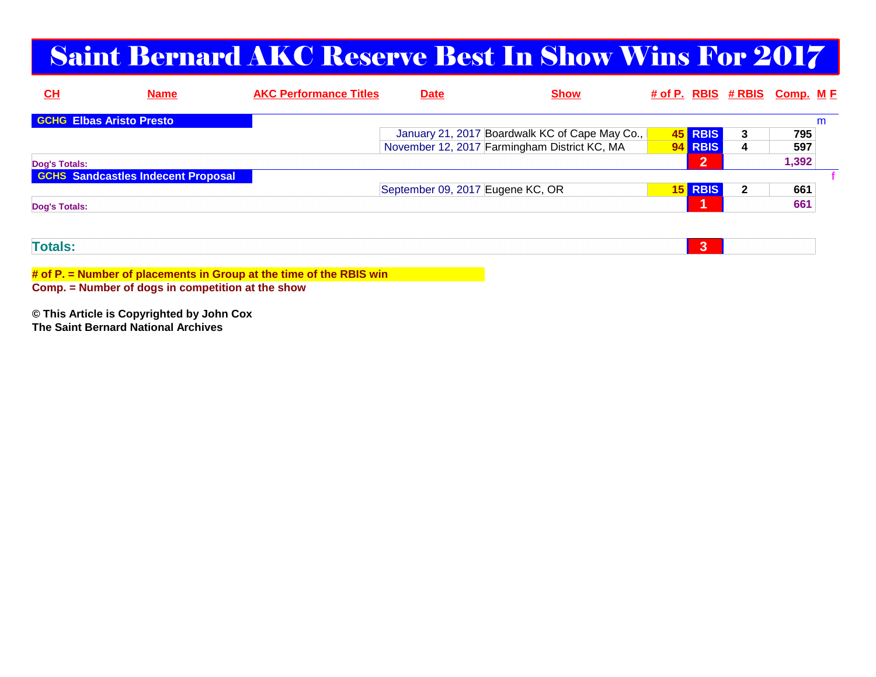# Saint Bernard AKC Reserve Best In Show Wins For 2017

| $CH$                 | <b>Name</b>                               | <b>AKC Performance Titles</b> | <u>Date</u>                      | <b>Show</b>                                    |                 |                | # of P. RBIS # RBIS Comp. M F |       |  |
|----------------------|-------------------------------------------|-------------------------------|----------------------------------|------------------------------------------------|-----------------|----------------|-------------------------------|-------|--|
|                      | <b>GCHG</b> Elbas Aristo Presto           |                               |                                  |                                                |                 |                |                               |       |  |
|                      |                                           |                               |                                  | January 21, 2017 Boardwalk KC of Cape May Co., |                 | 45 RBIS        | 3                             | 795   |  |
|                      |                                           |                               |                                  | November 12, 2017 Farmingham District KC, MA   |                 | <b>RBIS</b>    | 4                             | 597   |  |
| Dog's Totals:        |                                           |                               |                                  |                                                |                 | $\overline{2}$ |                               | 1,392 |  |
|                      | <b>GCHS Sandcastles Indecent Proposal</b> |                               |                                  |                                                |                 |                |                               |       |  |
|                      |                                           |                               | September 09, 2017 Eugene KC, OR |                                                | 15 <sub>h</sub> | <b>RBIS</b>    | 2                             | 661   |  |
| <b>Dog's Totals:</b> |                                           |                               |                                  |                                                |                 | и              |                               | 661   |  |
|                      |                                           |                               |                                  |                                                |                 |                |                               |       |  |
|                      |                                           |                               |                                  |                                                |                 |                |                               |       |  |
| <b>Totals:</b>       |                                           |                               |                                  |                                                |                 | 3              |                               |       |  |

**# of P. = Number of placements in Group at the time of the RBIS win**

**Comp. = Number of dogs in competition at the show**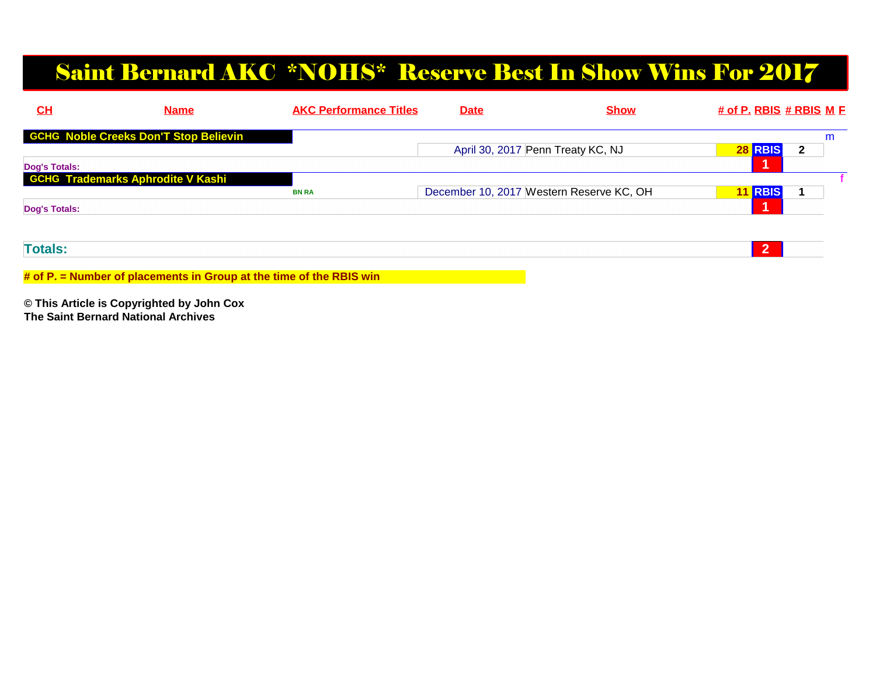## Saint Bernard AKC \*NOHS\* Reserve Best In Show Wins For 2017

| CL                   | <b>Name</b>                                  | <b>AKC Performance Titles</b> | <b>Date</b> | <b>Show</b>                              | $#$ of P. RBIS $#$ RBIS M E |   |
|----------------------|----------------------------------------------|-------------------------------|-------------|------------------------------------------|-----------------------------|---|
|                      | <b>GCHG Noble Creeks Don'T Stop Believin</b> |                               |             |                                          |                             | m |
|                      |                                              |                               |             | April 30, 2017 Penn Treaty KC, NJ        | <b>28 RBIS</b>              | 2 |
| Dog's Totals:        |                                              |                               |             |                                          |                             |   |
|                      | <b>GCHG Trademarks Aphrodite V Kashi</b>     |                               |             |                                          |                             |   |
|                      |                                              | <b>BN RA</b>                  |             | December 10, 2017 Western Reserve KC, OH | <b>11 RBIS</b>              |   |
| <b>Dog's Totals:</b> |                                              |                               |             |                                          | и                           |   |
|                      |                                              |                               |             |                                          |                             |   |
| <b>Totals:</b>       |                                              |                               |             |                                          | $\overline{2}$              |   |
|                      |                                              |                               |             |                                          |                             |   |

**# of P. = Number of placements in Group at the time of the RBIS win**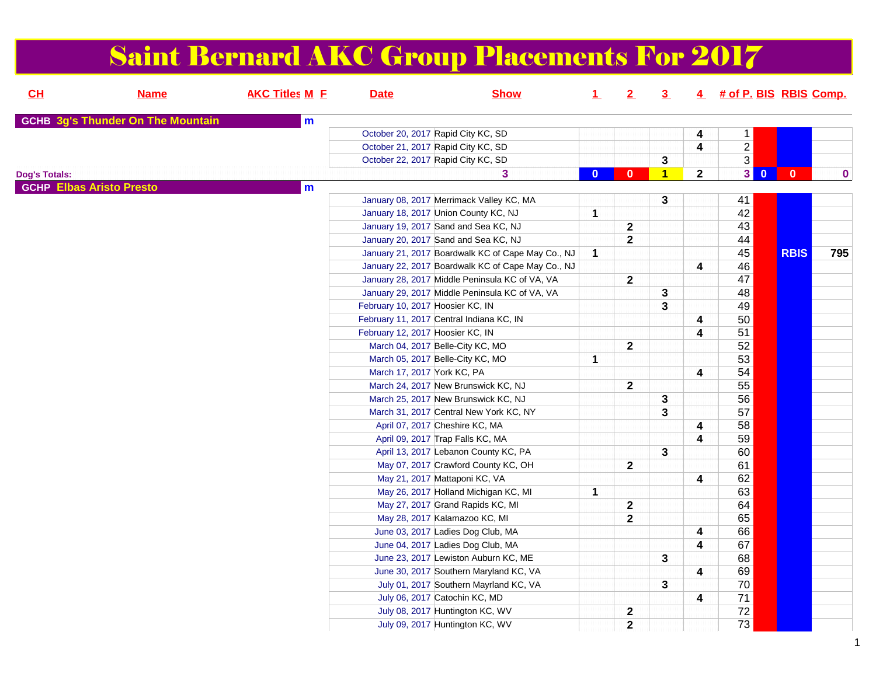|                      |                                          |                       |                                    | <b>Saint Bernard AKC Group Placements For 2017</b> |              |              |                |                         |                          |              |             |
|----------------------|------------------------------------------|-----------------------|------------------------------------|----------------------------------------------------|--------------|--------------|----------------|-------------------------|--------------------------|--------------|-------------|
| CL                   | <b>Name</b>                              | <b>AKC Titles M E</b> | <b>Date</b>                        | <b>Show</b>                                        | 1            | 2            | $\overline{3}$ |                         | 4 # of P. BIS RBIS Comp. |              |             |
|                      | <b>GCHB 3g's Thunder On The Mountain</b> | m                     |                                    |                                                    |              |              |                |                         |                          |              |             |
|                      |                                          |                       | October 20, 2017 Rapid City KC, SD |                                                    |              |              |                | 4                       | 1                        |              |             |
|                      |                                          |                       | October 21, 2017 Rapid City KC, SD |                                                    |              |              |                | $\overline{\mathbf{4}}$ | $\overline{2}$           |              |             |
|                      |                                          |                       | October 22, 2017 Rapid City KC, SD |                                                    |              |              | 3              |                         | $\overline{3}$           |              |             |
| <b>Dog's Totals:</b> |                                          |                       |                                    | 3                                                  | $\mathbf{0}$ | 0            | $\blacksquare$ | $\mathbf{2}$            | 3<br>$\mathbf{0}$        | $\mathbf{0}$ | $\mathbf 0$ |
|                      | <b>GCHP Elbas Aristo Presto</b>          | $\mathbf{m}$          |                                    |                                                    |              |              |                |                         |                          |              |             |
|                      |                                          |                       |                                    | January 08, 2017 Merrimack Valley KC, MA           |              |              | 3              |                         | 41                       |              |             |
|                      |                                          |                       |                                    | January 18, 2017 Union County KC, NJ               | 1            |              |                |                         | 42                       |              |             |
|                      |                                          |                       |                                    | January 19, 2017 Sand and Sea KC, NJ               |              | $\mathbf{2}$ |                |                         | 43                       |              |             |
|                      |                                          |                       |                                    | January 20, 2017 Sand and Sea KC, NJ               |              | $\mathbf{2}$ |                |                         | 44                       |              |             |
|                      |                                          |                       |                                    | January 21, 2017 Boardwalk KC of Cape May Co., NJ  | $\mathbf 1$  |              |                |                         | 45                       | <b>RBIS</b>  | 795         |
|                      |                                          |                       |                                    | January 22, 2017 Boardwalk KC of Cape May Co., NJ  |              |              |                | 4                       | 46                       |              |             |
|                      |                                          |                       |                                    | January 28, 2017 Middle Peninsula KC of VA, VA     |              | $\mathbf{2}$ |                |                         | 47                       |              |             |
|                      |                                          |                       |                                    | January 29, 2017 Middle Peninsula KC of VA, VA     |              |              | 3              |                         | 48                       |              |             |
|                      |                                          |                       | February 10, 2017 Hoosier KC, IN   |                                                    |              |              | 3              |                         | 49                       |              |             |
|                      |                                          |                       |                                    | February 11, 2017 Central Indiana KC, IN           |              |              |                | 4                       | 50                       |              |             |
|                      |                                          |                       | February 12, 2017 Hoosier KC, IN   |                                                    |              |              |                | $\overline{\mathbf{4}}$ | 51                       |              |             |
|                      |                                          |                       |                                    | March 04, 2017 Belle-City KC, MO                   |              | $\mathbf 2$  |                |                         | 52                       |              |             |
|                      |                                          |                       |                                    | March 05, 2017 Belle-City KC, MO                   | 1            |              |                |                         | 53                       |              |             |
|                      |                                          |                       | March 17, 2017 York KC, PA         |                                                    |              |              |                | 4                       | 54                       |              |             |
|                      |                                          |                       |                                    | March 24, 2017 New Brunswick KC, NJ                |              | $\mathbf{2}$ |                |                         | 55                       |              |             |
|                      |                                          |                       |                                    | March 25, 2017 New Brunswick KC, NJ                |              |              | 3              |                         | 56                       |              |             |
|                      |                                          |                       |                                    | March 31, 2017 Central New York KC, NY             |              |              | 3              |                         | 57                       |              |             |
|                      |                                          |                       |                                    | April 07, 2017 Cheshire KC, MA                     |              |              |                | 4                       | 58                       |              |             |
|                      |                                          |                       |                                    | April 09, 2017 Trap Falls KC, MA                   |              |              |                | $\overline{\mathbf{4}}$ | 59                       |              |             |
|                      |                                          |                       |                                    | April 13, 2017 Lebanon County KC, PA               |              |              | 3              |                         | 60                       |              |             |
|                      |                                          |                       |                                    | May 07, 2017 Crawford County KC, OH                |              | $\mathbf{2}$ |                |                         | 61                       |              |             |
|                      |                                          |                       |                                    | May 21, 2017 Mattaponi KC, VA                      |              |              |                | 4                       | 62                       |              |             |
|                      |                                          |                       |                                    | May 26, 2017 Holland Michigan KC, MI               | 1            |              |                |                         | 63                       |              |             |
|                      |                                          |                       |                                    | May 27, 2017 Grand Rapids KC, MI                   |              | $\mathbf 2$  |                |                         | 64                       |              |             |
|                      |                                          |                       |                                    | May 28, 2017 Kalamazoo KC, MI                      |              | $\mathbf{2}$ |                |                         | 65                       |              |             |
|                      |                                          |                       |                                    | June 03, 2017 Ladies Dog Club, MA                  |              |              |                | 4                       | 66                       |              |             |
|                      |                                          |                       |                                    | June 04, 2017 Ladies Dog Club, MA                  |              |              |                | 4                       | 67                       |              |             |
|                      |                                          |                       |                                    | June 23, 2017 Lewiston Auburn KC, ME               |              |              | 3              |                         | 68                       |              |             |
|                      |                                          |                       |                                    | June 30, 2017 Southern Maryland KC, VA             |              |              |                | 4                       | 69                       |              |             |
|                      |                                          |                       |                                    | July 01, 2017 Southern Mayrland KC, VA             |              |              | 3              |                         | $70\,$                   |              |             |
|                      |                                          |                       |                                    | July 06, 2017 Catochin KC, MD                      |              |              |                | 4                       | 71                       |              |             |
|                      |                                          |                       |                                    | July 08, 2017 Huntington KC, WV                    |              | $\mathbf{2}$ |                |                         | $72\,$                   |              |             |
|                      |                                          |                       |                                    | July 09, 2017 Huntington KC, WV                    |              | $\mathbf{2}$ |                |                         | 73                       |              |             |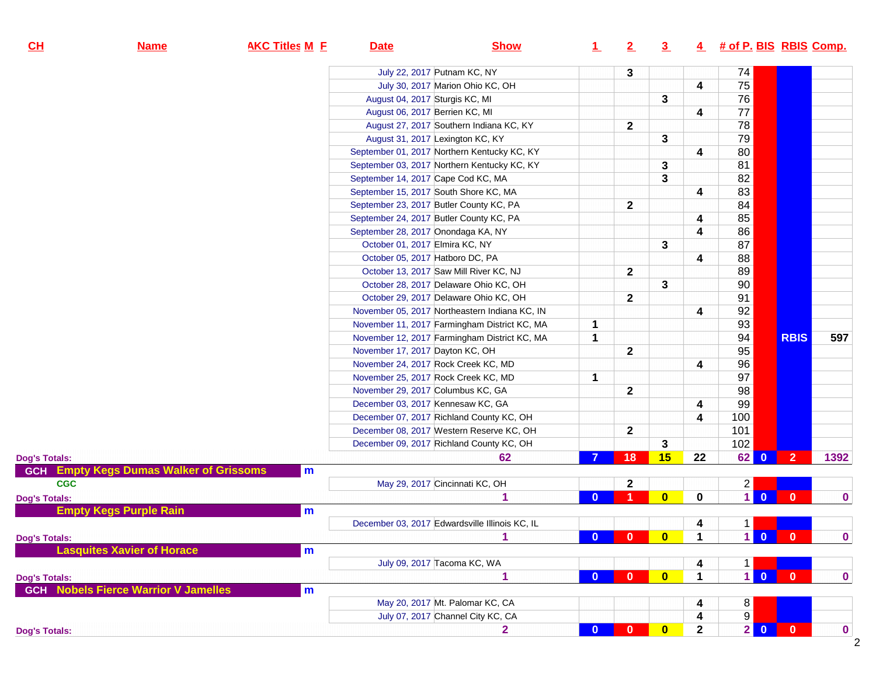| CL                   | <b>Name</b>                                    | <b>AKC Titles M E</b> | <b>Date</b>                             | <b>Show</b>                                    | $\perp$      | 2            | 3                       |                         | 4 # of P. BIS RBIS Comp. |                         |                |             |
|----------------------|------------------------------------------------|-----------------------|-----------------------------------------|------------------------------------------------|--------------|--------------|-------------------------|-------------------------|--------------------------|-------------------------|----------------|-------------|
|                      |                                                |                       |                                         | July 22, 2017 Putnam KC, NY                    |              | 3            |                         |                         | 74                       |                         |                |             |
|                      |                                                |                       |                                         | July 30, 2017 Marion Ohio KC, OH               |              |              |                         | $\overline{\mathbf{4}}$ | 75                       |                         |                |             |
|                      |                                                |                       | August 04, 2017 Sturgis KC, MI          |                                                |              |              | 3                       |                         | 76                       |                         |                |             |
|                      |                                                |                       | August 06, 2017 Berrien KC, MI          |                                                |              |              |                         | 4                       | 77                       |                         |                |             |
|                      |                                                |                       |                                         | August 27, 2017 Southern Indiana KC, KY        |              | $\mathbf{2}$ |                         |                         | 78                       |                         |                |             |
|                      |                                                |                       | August 31, 2017 Lexington KC, KY        |                                                |              |              | 3                       |                         | 79                       |                         |                |             |
|                      |                                                |                       |                                         | September 01, 2017 Northern Kentucky KC, KY    |              |              |                         | 4                       | 80                       |                         |                |             |
|                      |                                                |                       |                                         | September 03, 2017 Northern Kentucky KC, KY    |              |              | 3                       |                         | 81                       |                         |                |             |
|                      |                                                |                       | September 14, 2017 Cape Cod KC, MA      |                                                |              |              | 3                       |                         | 82                       |                         |                |             |
|                      |                                                |                       | September 15, 2017 South Shore KC, MA   |                                                |              |              |                         | 4                       | 83                       |                         |                |             |
|                      |                                                |                       | September 23, 2017 Butler County KC, PA |                                                |              | $\mathbf{2}$ |                         |                         | 84                       |                         |                |             |
|                      |                                                |                       | September 24, 2017 Butler County KC, PA |                                                |              |              |                         | 4                       | 85                       |                         |                |             |
|                      |                                                |                       | September 28, 2017 Onondaga KA, NY      |                                                |              |              |                         | 4                       | 86                       |                         |                |             |
|                      |                                                |                       | October 01, 2017 Elmira KC, NY          |                                                |              |              | 3                       |                         | 87                       |                         |                |             |
|                      |                                                |                       | October 05, 2017 Hatboro DC, PA         |                                                |              |              |                         |                         | 88                       |                         |                |             |
|                      |                                                |                       |                                         | October 13, 2017 Saw Mill River KC, NJ         |              |              |                         | 4                       | 89                       |                         |                |             |
|                      |                                                |                       |                                         | October 28, 2017 Delaware Ohio KC, OH          |              | $\mathbf{2}$ |                         |                         | 90                       |                         |                |             |
|                      |                                                |                       |                                         | October 29, 2017 Delaware Ohio KC, OH          |              |              | 3                       |                         | 91                       |                         |                |             |
|                      |                                                |                       |                                         | November 05, 2017 Northeastern Indiana KC, IN  |              | $\mathbf{2}$ |                         |                         |                          |                         |                |             |
|                      |                                                |                       |                                         |                                                |              |              |                         | 4                       | 92                       |                         |                |             |
|                      |                                                |                       |                                         | November 11, 2017 Farmingham District KC, MA   | 1            |              |                         |                         | 93                       |                         |                |             |
|                      |                                                |                       |                                         | November 12, 2017 Farmingham District KC, MA   | 1            |              |                         |                         | 94                       |                         | <b>RBIS</b>    | 597         |
|                      |                                                |                       | November 17, 2017 Dayton KC, OH         |                                                |              | $\mathbf{2}$ |                         |                         | 95                       |                         |                |             |
|                      |                                                |                       | November 24, 2017 Rock Creek KC, MD     |                                                |              |              |                         | 4                       | 96                       |                         |                |             |
|                      |                                                |                       | November 25, 2017 Rock Creek KC, MD     |                                                | 1            |              |                         |                         | 97                       |                         |                |             |
|                      |                                                |                       | November 29, 2017 Columbus KC, GA       |                                                |              | $\mathbf{2}$ |                         |                         | 98                       |                         |                |             |
|                      |                                                |                       | December 03, 2017 Kennesaw KC, GA       |                                                |              |              |                         | 4                       | 99                       |                         |                |             |
|                      |                                                |                       |                                         | December 07, 2017 Richland County KC, OH       |              |              |                         | 4                       | 100                      |                         |                |             |
|                      |                                                |                       |                                         | December 08, 2017 Western Reserve KC, OH       |              | $\mathbf{2}$ |                         |                         | 101                      |                         |                |             |
|                      |                                                |                       |                                         | December 09, 2017 Richland County KC, OH       |              |              | 3                       |                         | 102                      |                         |                |             |
| <b>Dog's Totals:</b> |                                                |                       |                                         | 62                                             |              | 18           | 15                      | 22                      | 62                       | $\overline{0}$          | 2 <sup>1</sup> | 1392        |
|                      | <b>GCH</b> Empty Kegs Dumas Walker of Grissoms | m                     |                                         |                                                |              |              |                         |                         |                          |                         |                |             |
| <b>CGC</b>           |                                                |                       |                                         | May 29, 2017 Cincinnati KC, OH                 |              | $\mathbf 2$  |                         |                         | $\overline{c}$           |                         |                |             |
| <b>Dog's Totals:</b> |                                                |                       |                                         | 4                                              | $\Omega$     |              | $\mathbf{0}$            | $\bf{0}$                | $\mathbf{1}$             | $\mathbf{0}$            | $\mathbf{0}$   | $\bf{0}$    |
|                      | <b>Empty Kegs Purple Rain</b>                  | m                     |                                         |                                                |              |              |                         |                         |                          |                         |                |             |
|                      |                                                |                       |                                         | December 03, 2017 Edwardsville Illinois KC, IL |              |              |                         | 4                       |                          |                         |                |             |
| <b>Dog's Totals:</b> |                                                |                       |                                         |                                                | $\mathbf{a}$ | $\mathbf{a}$ | $\overline{\mathbf{0}}$ | $\blacktriangleleft$    |                          | 10                      | $\bullet$ 0    | $\pmb{0}$   |
|                      | <b>Lasquites Xavier of Horace</b>              | m                     |                                         |                                                |              |              |                         |                         |                          |                         |                |             |
|                      |                                                |                       |                                         | July 09, 2017 Tacoma KC, WA                    |              |              |                         | 4                       | $\mathbf 1$              |                         |                |             |
| <b>Dog's Totals:</b> |                                                |                       |                                         | 1                                              | $\bf{0}$     | $\mathbf{0}$ | $\overline{\mathbf{0}}$ | $\mathbf{1}$            | 1 <sup>1</sup>           | $\overline{\mathbf{0}}$ | $\mathbf{0}$   | 0           |
|                      | <b>GCH</b> Nobels Fierce Warrior V Jamelles    | m                     |                                         |                                                |              |              |                         |                         |                          |                         |                |             |
|                      |                                                |                       |                                         | May 20, 2017 Mt. Palomar KC, CA                |              |              |                         | 4                       | 8                        |                         |                |             |
|                      |                                                |                       |                                         | July 07, 2017 Channel City KC, CA              |              |              |                         | 4                       | 9                        |                         |                |             |
| <b>Dog's Totals:</b> |                                                |                       |                                         | $\overline{2}$                                 | $\mathbf{0}$ | $\mathbf{0}$ | $\bullet$               | $\mathbf{2}$            | $2$ 0                    |                         | $\mathbf{0}$   | $\mathbf 0$ |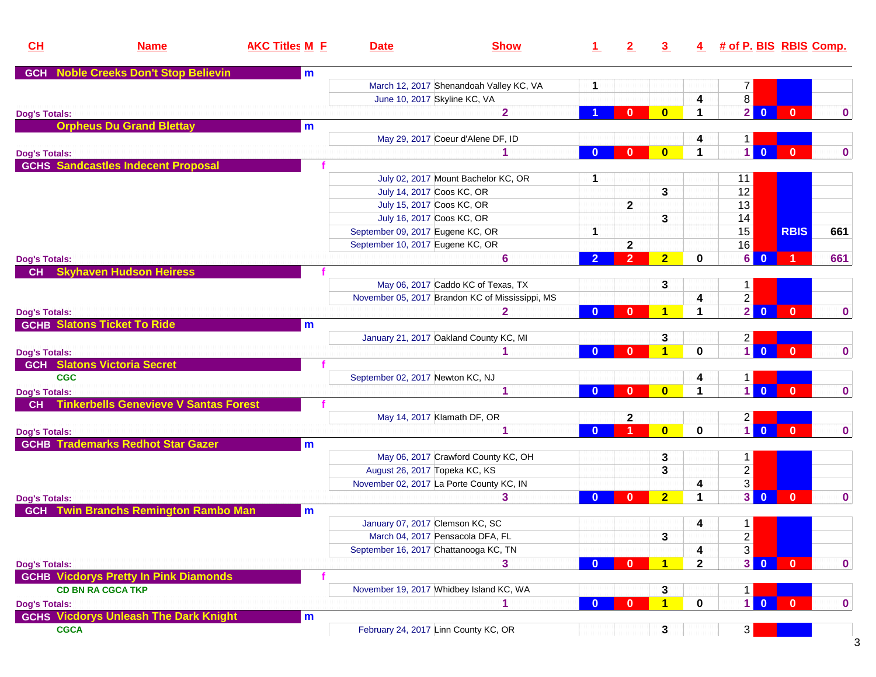| CH                   | <b>Name</b>                                  | <b>AKC Titles M E</b> | <b>Date</b>                           | <b>Show</b>                                     | $\perp$        | 2              | $\overline{3}$       |                      | 4 # of P. BIS RBIS Comp.                  |              |              |
|----------------------|----------------------------------------------|-----------------------|---------------------------------------|-------------------------------------------------|----------------|----------------|----------------------|----------------------|-------------------------------------------|--------------|--------------|
| <b>GCH</b>           | <b>Noble Creeks Don't Stop Believin</b>      | m                     |                                       |                                                 |                |                |                      |                      |                                           |              |              |
|                      |                                              |                       |                                       | March 12, 2017 Shenandoah Valley KC, VA         | 1              |                |                      |                      | 7                                         |              |              |
|                      |                                              |                       | June 10, 2017 Skyline KC, VA          |                                                 |                |                |                      | 4                    | 8                                         |              |              |
| <b>Dog's Totals:</b> |                                              |                       |                                       | $\overline{2}$                                  |                | $\bf{0}$       | $\mathbf{0}$         | $\blacktriangleleft$ | 2 <sup>1</sup><br>$\overline{\mathbf{0}}$ | $\mathbf{0}$ | $\mathbf{0}$ |
|                      | <b>Orpheus Du Grand Blettay</b>              | m                     |                                       |                                                 |                |                |                      |                      |                                           |              |              |
|                      |                                              |                       |                                       | May 29, 2017 Coeur d'Alene DF, ID               |                |                |                      | 4                    | $\mathbf{1}$                              |              |              |
| <b>Dog's Totals:</b> |                                              |                       |                                       |                                                 | $\mathbf{0}$   | $\bf{0}$       | $\bf{0}$             | $\blacktriangleleft$ | $\vert$<br>$\overline{0}$                 | $\mathbf{0}$ | $\mathbf{0}$ |
|                      | <b>GCHS Sandcastles Indecent Proposal</b>    |                       |                                       |                                                 |                |                |                      |                      |                                           |              |              |
|                      |                                              |                       |                                       | July 02, 2017 Mount Bachelor KC, OR             | 1              |                |                      |                      | 11                                        |              |              |
|                      |                                              |                       | July 14, 2017 Coos KC, OR             |                                                 |                |                | 3                    |                      | 12                                        |              |              |
|                      |                                              |                       | July 15, 2017 Coos KC, OR             |                                                 |                | $\mathbf{2}$   |                      |                      | 13                                        |              |              |
|                      |                                              |                       | July 16, 2017 Coos KC, OR             |                                                 |                |                | 3                    |                      | 14                                        |              |              |
|                      |                                              |                       | September 09, 2017 Eugene KC, OR      |                                                 | 1              |                |                      |                      | 15                                        | <b>RBIS</b>  | 661          |
|                      |                                              |                       | September 10, 2017 Eugene KC, OR      |                                                 |                | $\mathbf{2}$   |                      |                      | 16                                        |              |              |
| <b>Dog's Totals:</b> |                                              |                       |                                       | 6                                               | $\overline{2}$ | $\overline{2}$ | 2 <sub>2</sub>       | $\mathbf{0}$         | 6<br>$\overline{\mathbf{0}}$              |              | 661          |
| CH                   | <b>Skyhaven Hudson Heiress</b>               |                       |                                       |                                                 |                |                |                      |                      |                                           |              |              |
|                      |                                              |                       |                                       | May 06, 2017 Caddo KC of Texas, TX              |                |                | 3                    |                      | $\mathbf{1}$                              |              |              |
|                      |                                              |                       |                                       | November 05, 2017 Brandon KC of Mississippi, MS |                |                |                      | 4                    | $\overline{2}$                            |              |              |
| <b>Dog's Totals:</b> |                                              |                       |                                       | $\overline{\mathbf{2}}$                         | $\mathbf{0}$   | $\bf{0}$       | $\blacksquare$       | $\blacktriangleleft$ | 2 <sup>1</sup><br>$\overline{\mathbf{0}}$ | $\mathbf{0}$ | $\mathbf 0$  |
|                      | <b>GCHB Slatons Ticket To Ride</b>           | m                     |                                       |                                                 |                |                |                      |                      |                                           |              |              |
|                      |                                              |                       |                                       | January 21, 2017 Oakland County KC, MI          |                |                | 3                    |                      | $\overline{2}$                            |              |              |
| <b>Dog's Totals:</b> |                                              |                       |                                       |                                                 | $\mathbf{0}$   | $\bf{0}$       | $\blacktriangleleft$ | $\mathbf 0$          | $\vert$<br>$\overline{0}$                 | $\mathbf{0}$ | $\mathbf{0}$ |
|                      | <b>GCH Slatons Victoria Secret</b>           |                       |                                       |                                                 |                |                |                      |                      |                                           |              |              |
| <b>CGC</b>           |                                              |                       | September 02, 2017 Newton KC, NJ      |                                                 |                |                |                      | 4                    | $\mathbf 1$                               |              |              |
| <b>Dog's Totals:</b> |                                              |                       |                                       | 1                                               | $\mathbf{0}$   | $\bf{0}$       | $\bf{0}$             | $\blacktriangleleft$ | $1\vert$<br>$\overline{0}$                | $\mathbf{0}$ | $\mathbf{0}$ |
| <b>CH</b>            | <b>Tinkerbells Genevieve V Santas Forest</b> |                       |                                       |                                                 |                |                |                      |                      |                                           |              |              |
|                      |                                              |                       |                                       | May 14, 2017 Klamath DF, OR                     |                | 2              |                      |                      | $\overline{c}$                            |              |              |
| <b>Dog's Totals:</b> |                                              |                       |                                       | 1                                               | $\mathbf{0}$   |                | $\mathbf{0}$         | 0                    | $\vert$<br>$\overline{0}$                 | $\mathbf{0}$ | $\mathbf{0}$ |
|                      | <b>GCHB Trademarks Redhot Star Gazer</b>     | m                     |                                       |                                                 |                |                |                      |                      |                                           |              |              |
|                      |                                              |                       |                                       | May 06, 2017 Crawford County KC, OH             |                |                | 3                    |                      | $\mathbf{1}$                              |              |              |
|                      |                                              |                       | August 26, 2017 Topeka KC, KS         |                                                 |                |                | 3                    |                      | $\overline{c}$                            |              |              |
|                      |                                              |                       |                                       | November 02, 2017 La Porte County KC, IN        |                |                |                      | 4                    | 3                                         |              |              |
| <b>Dog's Totals:</b> |                                              |                       |                                       | 3                                               | $\bullet$      | $\bf{0}$       | 2 <sub>1</sub>       | $\blacktriangleleft$ | 3 <sup>1</sup><br>$\overline{\mathbf{0}}$ | $\mathbf{0}$ | $\mathbf 0$  |
| <b>GCH</b>           | <b>Twin Branchs Remington Rambo Man</b>      | m                     |                                       |                                                 |                |                |                      |                      |                                           |              |              |
|                      |                                              |                       | January 07, 2017 Clemson KC, SC       |                                                 |                |                |                      | 4                    | $\mathbf{1}$                              |              |              |
|                      |                                              |                       |                                       | March 04, 2017 Pensacola DFA, FL                |                |                | 3                    |                      | $\overline{a}$                            |              |              |
|                      |                                              |                       | September 16, 2017 Chattanooga KC, TN |                                                 |                |                |                      | 4                    | 3                                         |              |              |
|                      |                                              |                       |                                       | 3                                               | $\mathbf{0}$   | $\mathbf{0}$   | $\blacksquare$       | $\mathbf{2}$         | 30                                        | $\mathbf{0}$ | $\mathbf{0}$ |
| <b>Dog's Totals:</b> | <b>GCHB Vicdorys Pretty In Pink Diamonds</b> |                       |                                       |                                                 |                |                |                      |                      |                                           |              |              |
|                      | <b>CD BN RA CGCA TKP</b>                     |                       |                                       | November 19, 2017 Whidbey Island KC, WA         |                |                | 3                    |                      | $\mathbf 1$                               |              |              |
|                      |                                              |                       |                                       |                                                 | $\mathbf{0}$   | $\bf{0}$       | $\blacksquare$       | $\mathbf 0$          | $1\vert$<br>$\overline{\mathbf{0}}$       | $\mathbf{0}$ | $\mathbf{0}$ |
| <b>Dog's Totals:</b> | <b>GCHS Vicdorys Unleash The Dark Knight</b> | m                     |                                       |                                                 |                |                |                      |                      |                                           |              |              |
| <b>CGCA</b>          |                                              |                       | February 24, 2017 Linn County KC, OR  |                                                 |                |                | 3                    |                      | 3                                         |              |              |
|                      |                                              |                       |                                       |                                                 |                |                |                      |                      |                                           |              |              |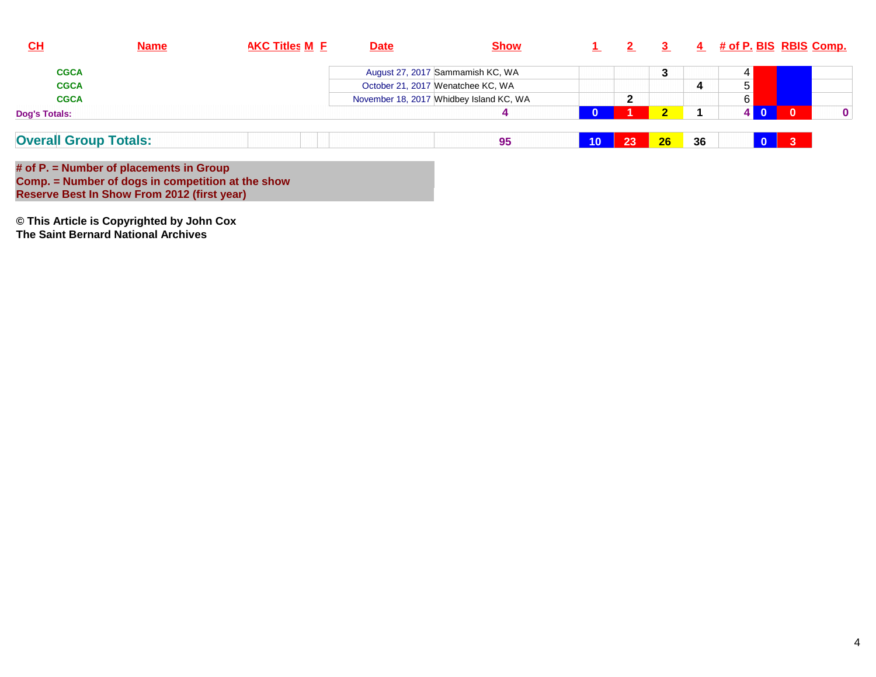| $CH$                         | <b>Name</b> | <b>AKC Titles M E</b> | <b>Date</b> | <b>Show</b>                             |          |    |                   |    |   |              | 4 # of P. BIS RBIS Comp. |
|------------------------------|-------------|-----------------------|-------------|-----------------------------------------|----------|----|-------------------|----|---|--------------|--------------------------|
| <b>CGCA</b>                  |             |                       |             | August 27, 2017 Sammamish KC, WA        |          |    | っ<br>J            |    |   |              |                          |
| <b>CGCA</b>                  |             |                       |             | October 21, 2017 Wenatchee KC, WA       |          |    |                   | 4  | 5 |              |                          |
| <b>CGCA</b>                  |             |                       |             | November 18, 2017 Whidbey Island KC, WA |          | ≏  |                   |    | 6 |              |                          |
| <b>Dog's Totals:</b>         |             |                       |             |                                         | $\Omega$ |    | $\mathbf{\Omega}$ |    |   | $\Omega$     | $\mathbf{0}$             |
| <b>Overall Group Totals:</b> |             |                       |             | 95                                      | 10       | 23 | 26                | 36 |   | $\mathbf{3}$ |                          |

**# of P. = Number of placements in Group Comp. = Number of dogs in competition at the show Reserve Best In Show From 2012 (first year)**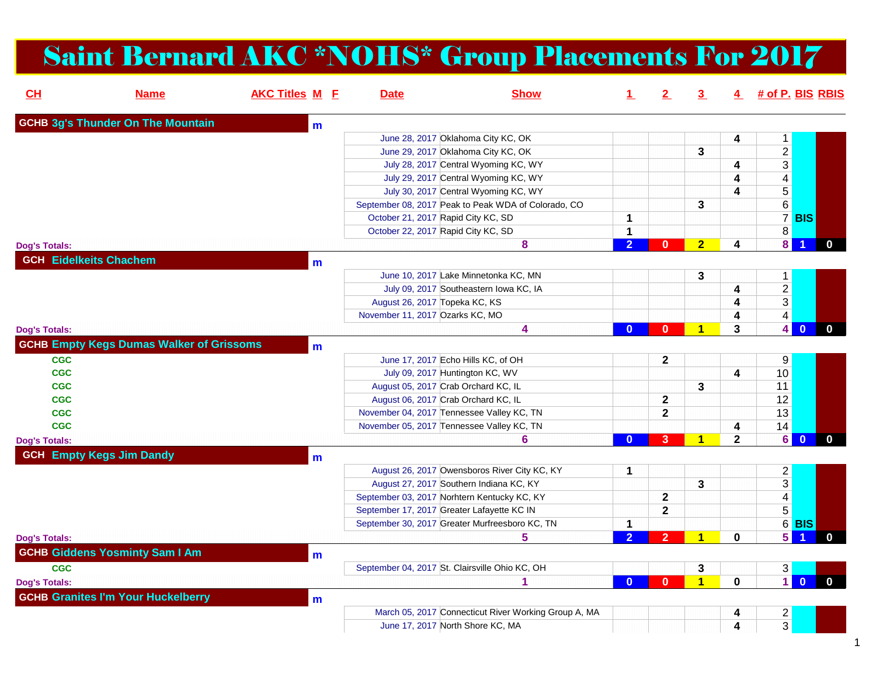## Saint Bernard AKC \*NOHS\* Group Placements For 2017

| CL                       | <b>Name</b>                                     | <b>AKC Titles M E</b> | <b>Date</b>                                    | <b>Show</b>                                          |                | <u>2 </u>      | 3.                   | 4                       | # of P. BIS RBIS                 |                |              |
|--------------------------|-------------------------------------------------|-----------------------|------------------------------------------------|------------------------------------------------------|----------------|----------------|----------------------|-------------------------|----------------------------------|----------------|--------------|
|                          | <b>GCHB 3g's Thunder On The Mountain</b>        | m                     |                                                |                                                      |                |                |                      |                         |                                  |                |              |
|                          |                                                 |                       |                                                | June 28, 2017 Oklahoma City KC, OK                   |                |                |                      | 4                       | 1                                |                |              |
|                          |                                                 |                       |                                                | June 29, 2017 Oklahoma City KC, OK                   |                |                | 3                    |                         | $\overline{2}$                   |                |              |
|                          |                                                 |                       |                                                | July 28, 2017 Central Wyoming KC, WY                 |                |                |                      | 4                       | $\overline{3}$                   |                |              |
|                          |                                                 |                       |                                                | July 29, 2017 Central Wyoming KC, WY                 |                |                |                      | $\overline{\mathbf{4}}$ | $\overline{4}$                   |                |              |
|                          |                                                 |                       |                                                | July 30, 2017 Central Wyoming KC, WY                 |                |                |                      | 4                       | 5                                |                |              |
|                          |                                                 |                       |                                                | September 08, 2017 Peak to Peak WDA of Colorado, CO  |                |                | 3                    |                         | 6                                |                |              |
|                          |                                                 |                       | October 21, 2017 Rapid City KC, SD             |                                                      | 1              |                |                      |                         |                                  | 7 BIS          |              |
|                          |                                                 |                       | October 22, 2017 Rapid City KC, SD             |                                                      | $\mathbf{1}$   |                |                      |                         | $\overline{\textbf{8}}$          |                |              |
| <b>Dog's Totals:</b>     |                                                 |                       |                                                | 8                                                    | 2 <sup>1</sup> | $\mathbf{0}$   | $\overline{2}$       | 4                       | $\overline{\mathbf{8}}$          |                |              |
|                          | <b>GCH Eidelkeits Chachem</b>                   | m                     |                                                |                                                      |                |                |                      |                         |                                  |                |              |
|                          |                                                 |                       |                                                | June 10, 2017 Lake Minnetonka KC, MN                 |                |                | $\mathbf{3}$         |                         | $\mathbf{1}$                     |                |              |
|                          |                                                 |                       |                                                | July 09, 2017 Southeastern Iowa KC, IA               |                |                |                      | $\overline{\mathbf{4}}$ | $\overline{2}$                   |                |              |
|                          |                                                 |                       | August 26, 2017 Topeka KC, KS                  |                                                      |                |                |                      | 4                       | $\overline{3}$                   |                |              |
|                          |                                                 |                       | November 11, 2017 Ozarks KC, MO                |                                                      |                |                |                      | 4                       | $\overline{4}$                   |                |              |
| <b>Dog's Totals:</b>     |                                                 |                       |                                                | 4                                                    | $\mathbf{0}$   | $\Omega$       | и                    | 3                       | 4 <sup>1</sup>                   | $\mathbf{0}$   | $\mathbf{0}$ |
|                          | <b>GCHB Empty Kegs Dumas Walker of Grissoms</b> |                       |                                                |                                                      |                |                |                      |                         |                                  |                |              |
| <b>CGC</b>               |                                                 | m                     | June 17, 2017 Echo Hills KC, of OH             |                                                      |                | $\mathbf{2}$   |                      |                         |                                  |                |              |
| <b>CGC</b>               |                                                 |                       | July 09, 2017 Huntington KC, WV                |                                                      |                |                |                      | 4                       | 9<br>10                          |                |              |
| <b>CGC</b>               |                                                 |                       | August 05, 2017 Crab Orchard KC, IL            |                                                      |                |                | 3                    |                         | 11                               |                |              |
| <b>CGC</b>               |                                                 |                       | August 06, 2017 Crab Orchard KC, IL            |                                                      |                | $\mathbf{2}$   |                      |                         | 12                               |                |              |
|                          |                                                 |                       |                                                |                                                      |                |                |                      |                         | 13                               |                |              |
| <b>CGC</b><br><b>CGC</b> |                                                 |                       | November 04, 2017 Tennessee Valley KC, TN      |                                                      |                | $\mathbf 2$    |                      |                         |                                  |                |              |
|                          |                                                 |                       | November 05, 2017 Tennessee Valley KC, TN      | 6                                                    | $\mathbf{0}$   | $\overline{3}$ | $\blacktriangleleft$ | 4<br>$\mathbf{2}$       | 14<br>6                          | $\overline{0}$ | $\mathbf 0$  |
| <b>Dog's Totals:</b>     |                                                 |                       |                                                |                                                      |                |                |                      |                         |                                  |                |              |
|                          | <b>GCH Empty Kegs Jim Dandy</b>                 | m                     |                                                |                                                      |                |                |                      |                         |                                  |                |              |
|                          |                                                 |                       |                                                | August 26, 2017 Owensboros River City KC, KY         | 1              |                |                      |                         | $\overline{a}$                   |                |              |
|                          |                                                 |                       | August 27, 2017 Southern Indiana KC, KY        |                                                      |                |                | 3                    |                         | $\overline{3}$                   |                |              |
|                          |                                                 |                       | September 03, 2017 Norhtern Kentucky KC, KY    |                                                      |                | $\mathbf{2}$   |                      |                         | $\overline{4}$                   |                |              |
|                          |                                                 |                       | September 17, 2017 Greater Lafayette KC IN     |                                                      |                | $\overline{2}$ |                      |                         | $\overline{5}$                   |                |              |
|                          |                                                 |                       |                                                | September 30, 2017 Greater Murfreesboro KC, TN       | $\mathbf 1$    |                |                      |                         |                                  | $6$ BIS        |              |
| <b>Dog's Totals:</b>     |                                                 |                       |                                                | 5                                                    | $\overline{2}$ | $\overline{2}$ | $\blacktriangleleft$ | $\mathbf{0}$            | $\overline{5}$                   |                | 0            |
|                          | <b>GCHB Giddens Yosminty Sam I Am</b>           | $\mathbf{m}$          |                                                |                                                      |                |                |                      |                         |                                  |                |              |
| <b>CGC</b>               |                                                 |                       | September 04, 2017 St. Clairsville Ohio KC, OH |                                                      |                |                | 3                    |                         | $3\vert$                         |                |              |
| <b>Dog's Totals:</b>     |                                                 |                       |                                                | 1                                                    | $\mathbf{0}$   | $\mathbf{0}$   | 1                    | $\mathbf 0$             | $\overline{1}$                   | $\overline{0}$ | $\mathbf{0}$ |
|                          | <b>GCHB Granites I'm Your Huckelberry</b>       |                       |                                                |                                                      |                |                |                      |                         |                                  |                |              |
|                          |                                                 | m                     |                                                | March 05, 2017 Connecticut River Working Group A, MA |                |                |                      | 4                       |                                  |                |              |
|                          |                                                 |                       | June 17, 2017 North Shore KC, MA               |                                                      |                |                |                      | 4                       | $\overline{a}$<br>$\overline{3}$ |                |              |
|                          |                                                 |                       |                                                |                                                      |                |                |                      |                         |                                  |                |              |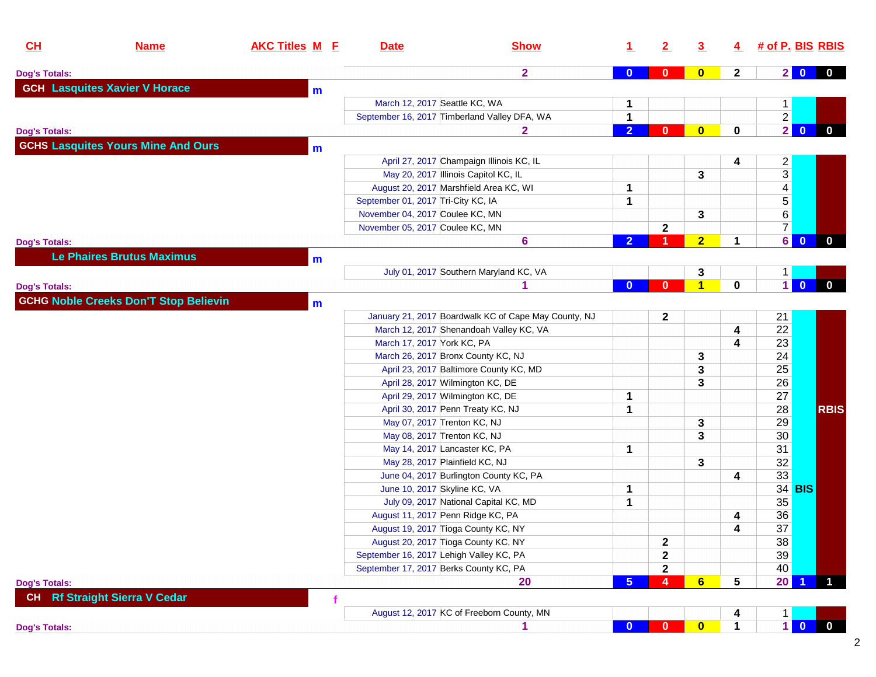| $\overline{\mathbf{2}}$<br>$\overline{\mathbf{0}}$<br>$\mathbf{2}$<br>20<br>$\mathbf{0}$<br>$\bf{0}$<br>$\mathbf{0}$<br><b>GCH Lasquites Xavier V Horace</b><br>$\mathbf{m}$<br>March 12, 2017 Seattle KC, WA<br>1<br>$1 \mid$<br>$\overline{2}$<br>1<br>September 16, 2017 Timberland Valley DFA, WA<br>$\overline{2}$<br>$\overline{2}$<br>$\bf{0}$<br>$\mathbf{0}$<br>0<br>$\mathbf{0}$<br>$\mathbf{2}$<br>$\mathbf{0}$<br><b>Dog's Totals:</b><br><b>GCHS Lasquites Yours Mine And Ours</b><br>$\mathbf{m}$<br>April 27, 2017 Champaign Illinois KC, IL<br>$\frac{2}{3}$<br>4<br>May 20, 2017 Illinois Capitol KC, IL<br>3<br>$\overline{4}$<br>August 20, 2017 Marshfield Area KC, WI<br>1<br>$\overline{5}$<br>1<br>September 01, 2017 Tri-City KC, IA<br>$6\,$<br>November 04, 2017 Coulee KC, MN<br>3<br>$\overline{7}$<br>$\mathbf{2}$<br>November 05, 2017 Coulee KC, MN<br>6<br>$\overline{2}$<br>$\mathbf{0}$<br>$\mathbf 0$<br>6<br>$\overline{2}$<br>1<br>1<br><b>Dog's Totals:</b><br><b>Le Phaires Brutus Maximus</b><br>m<br>July 01, 2017 Southern Maryland KC, VA<br>3<br>$1 \mid$<br>$\blacksquare$<br>$\overline{1}$<br>$\overline{0}$<br>0<br>$\mathbf{0}$<br>$\mathbf{0}$<br>$\mathbf{0}$<br>И<br><b>Dog's Totals:</b><br><b>GCHG Noble Creeks Don'T Stop Believin</b><br>$\mathbf{m}$<br>$\mathbf{2}$<br>January 21, 2017 Boardwalk KC of Cape May County, NJ<br>21<br>22<br>4<br>March 12, 2017 Shenandoah Valley KC, VA<br>23<br>March 17, 2017 York KC, PA<br>4<br>24<br>3<br>March 26, 2017 Bronx County KC, NJ<br>25<br>April 23, 2017 Baltimore County KC, MD<br>3<br>26<br>April 28, 2017 Wilmington KC, DE<br>3<br>27<br>April 29, 2017 Wilmington KC, DE<br>1<br>1<br>28<br><b>RBIS</b><br>April 30, 2017 Penn Treaty KC, NJ<br>29<br>May 07, 2017 Trenton KC, NJ<br>3<br>3<br>30<br>May 08, 2017 Trenton KC, NJ<br>31<br>1<br>May 14, 2017 Lancaster KC, PA<br>32<br>3<br>May 28, 2017 Plainfield KC, NJ<br>33<br>4<br>June 04, 2017 Burlington County KC, PA<br>34 <b>BIS</b><br>1<br>June 10, 2017 Skyline KC, VA<br>1<br>35<br>July 09, 2017 National Capital KC, MD<br>36<br>August 11, 2017 Penn Ridge KC, PA<br>4<br>37<br>August 19, 2017 Tioga County KC, NY<br>4<br>$\mathbf 2$<br>38<br>August 20, 2017 Tioga County KC, NY<br>$\mathbf 2$<br>39<br>September 16, 2017 Lehigh Valley KC, PA<br>$\mathbf 2$<br>40<br>September 17, 2017 Berks County KC, PA<br>20<br>4<br>6<br>5<br>20<br>5 <sup>5</sup><br><b>Rf Straight Sierra V Cedar</b><br>CH<br>August 12, 2017 KC of Freeborn County, MN<br>4<br>$1 \mid$<br>10 <sub>o</sub><br>$\bf{0}$<br>$\mathbf{0}$<br>$\bullet$<br>$\mathbf{0}$<br>1<br>1<br><b>Dog's Totals:</b> | CL                   | <b>Name</b> | <b>AKC Titles M E</b> | <b>Date</b> | <b>Show</b> | <u>1</u> | $\overline{2}$ | 3 | $\overline{4}$ | # of P. BIS RBIS |  |
|----------------------------------------------------------------------------------------------------------------------------------------------------------------------------------------------------------------------------------------------------------------------------------------------------------------------------------------------------------------------------------------------------------------------------------------------------------------------------------------------------------------------------------------------------------------------------------------------------------------------------------------------------------------------------------------------------------------------------------------------------------------------------------------------------------------------------------------------------------------------------------------------------------------------------------------------------------------------------------------------------------------------------------------------------------------------------------------------------------------------------------------------------------------------------------------------------------------------------------------------------------------------------------------------------------------------------------------------------------------------------------------------------------------------------------------------------------------------------------------------------------------------------------------------------------------------------------------------------------------------------------------------------------------------------------------------------------------------------------------------------------------------------------------------------------------------------------------------------------------------------------------------------------------------------------------------------------------------------------------------------------------------------------------------------------------------------------------------------------------------------------------------------------------------------------------------------------------------------------------------------------------------------------------------------------------------------------------------------------------------------------------------------------------------------------------------------------------------------------------------------------------------------------------------------------------------------------------------------------------------------------------------------------------------------|----------------------|-------------|-----------------------|-------------|-------------|----------|----------------|---|----------------|------------------|--|
|                                                                                                                                                                                                                                                                                                                                                                                                                                                                                                                                                                                                                                                                                                                                                                                                                                                                                                                                                                                                                                                                                                                                                                                                                                                                                                                                                                                                                                                                                                                                                                                                                                                                                                                                                                                                                                                                                                                                                                                                                                                                                                                                                                                                                                                                                                                                                                                                                                                                                                                                                                                                                                                                            | <b>Dog's Totals:</b> |             |                       |             |             |          |                |   |                |                  |  |
|                                                                                                                                                                                                                                                                                                                                                                                                                                                                                                                                                                                                                                                                                                                                                                                                                                                                                                                                                                                                                                                                                                                                                                                                                                                                                                                                                                                                                                                                                                                                                                                                                                                                                                                                                                                                                                                                                                                                                                                                                                                                                                                                                                                                                                                                                                                                                                                                                                                                                                                                                                                                                                                                            |                      |             |                       |             |             |          |                |   |                |                  |  |
|                                                                                                                                                                                                                                                                                                                                                                                                                                                                                                                                                                                                                                                                                                                                                                                                                                                                                                                                                                                                                                                                                                                                                                                                                                                                                                                                                                                                                                                                                                                                                                                                                                                                                                                                                                                                                                                                                                                                                                                                                                                                                                                                                                                                                                                                                                                                                                                                                                                                                                                                                                                                                                                                            |                      |             |                       |             |             |          |                |   |                |                  |  |
|                                                                                                                                                                                                                                                                                                                                                                                                                                                                                                                                                                                                                                                                                                                                                                                                                                                                                                                                                                                                                                                                                                                                                                                                                                                                                                                                                                                                                                                                                                                                                                                                                                                                                                                                                                                                                                                                                                                                                                                                                                                                                                                                                                                                                                                                                                                                                                                                                                                                                                                                                                                                                                                                            |                      |             |                       |             |             |          |                |   |                |                  |  |
|                                                                                                                                                                                                                                                                                                                                                                                                                                                                                                                                                                                                                                                                                                                                                                                                                                                                                                                                                                                                                                                                                                                                                                                                                                                                                                                                                                                                                                                                                                                                                                                                                                                                                                                                                                                                                                                                                                                                                                                                                                                                                                                                                                                                                                                                                                                                                                                                                                                                                                                                                                                                                                                                            |                      |             |                       |             |             |          |                |   |                |                  |  |
|                                                                                                                                                                                                                                                                                                                                                                                                                                                                                                                                                                                                                                                                                                                                                                                                                                                                                                                                                                                                                                                                                                                                                                                                                                                                                                                                                                                                                                                                                                                                                                                                                                                                                                                                                                                                                                                                                                                                                                                                                                                                                                                                                                                                                                                                                                                                                                                                                                                                                                                                                                                                                                                                            |                      |             |                       |             |             |          |                |   |                |                  |  |
|                                                                                                                                                                                                                                                                                                                                                                                                                                                                                                                                                                                                                                                                                                                                                                                                                                                                                                                                                                                                                                                                                                                                                                                                                                                                                                                                                                                                                                                                                                                                                                                                                                                                                                                                                                                                                                                                                                                                                                                                                                                                                                                                                                                                                                                                                                                                                                                                                                                                                                                                                                                                                                                                            |                      |             |                       |             |             |          |                |   |                |                  |  |
|                                                                                                                                                                                                                                                                                                                                                                                                                                                                                                                                                                                                                                                                                                                                                                                                                                                                                                                                                                                                                                                                                                                                                                                                                                                                                                                                                                                                                                                                                                                                                                                                                                                                                                                                                                                                                                                                                                                                                                                                                                                                                                                                                                                                                                                                                                                                                                                                                                                                                                                                                                                                                                                                            |                      |             |                       |             |             |          |                |   |                |                  |  |
|                                                                                                                                                                                                                                                                                                                                                                                                                                                                                                                                                                                                                                                                                                                                                                                                                                                                                                                                                                                                                                                                                                                                                                                                                                                                                                                                                                                                                                                                                                                                                                                                                                                                                                                                                                                                                                                                                                                                                                                                                                                                                                                                                                                                                                                                                                                                                                                                                                                                                                                                                                                                                                                                            |                      |             |                       |             |             |          |                |   |                |                  |  |
|                                                                                                                                                                                                                                                                                                                                                                                                                                                                                                                                                                                                                                                                                                                                                                                                                                                                                                                                                                                                                                                                                                                                                                                                                                                                                                                                                                                                                                                                                                                                                                                                                                                                                                                                                                                                                                                                                                                                                                                                                                                                                                                                                                                                                                                                                                                                                                                                                                                                                                                                                                                                                                                                            |                      |             |                       |             |             |          |                |   |                |                  |  |
|                                                                                                                                                                                                                                                                                                                                                                                                                                                                                                                                                                                                                                                                                                                                                                                                                                                                                                                                                                                                                                                                                                                                                                                                                                                                                                                                                                                                                                                                                                                                                                                                                                                                                                                                                                                                                                                                                                                                                                                                                                                                                                                                                                                                                                                                                                                                                                                                                                                                                                                                                                                                                                                                            |                      |             |                       |             |             |          |                |   |                |                  |  |
|                                                                                                                                                                                                                                                                                                                                                                                                                                                                                                                                                                                                                                                                                                                                                                                                                                                                                                                                                                                                                                                                                                                                                                                                                                                                                                                                                                                                                                                                                                                                                                                                                                                                                                                                                                                                                                                                                                                                                                                                                                                                                                                                                                                                                                                                                                                                                                                                                                                                                                                                                                                                                                                                            |                      |             |                       |             |             |          |                |   |                |                  |  |
|                                                                                                                                                                                                                                                                                                                                                                                                                                                                                                                                                                                                                                                                                                                                                                                                                                                                                                                                                                                                                                                                                                                                                                                                                                                                                                                                                                                                                                                                                                                                                                                                                                                                                                                                                                                                                                                                                                                                                                                                                                                                                                                                                                                                                                                                                                                                                                                                                                                                                                                                                                                                                                                                            |                      |             |                       |             |             |          |                |   |                |                  |  |
|                                                                                                                                                                                                                                                                                                                                                                                                                                                                                                                                                                                                                                                                                                                                                                                                                                                                                                                                                                                                                                                                                                                                                                                                                                                                                                                                                                                                                                                                                                                                                                                                                                                                                                                                                                                                                                                                                                                                                                                                                                                                                                                                                                                                                                                                                                                                                                                                                                                                                                                                                                                                                                                                            |                      |             |                       |             |             |          |                |   |                |                  |  |
|                                                                                                                                                                                                                                                                                                                                                                                                                                                                                                                                                                                                                                                                                                                                                                                                                                                                                                                                                                                                                                                                                                                                                                                                                                                                                                                                                                                                                                                                                                                                                                                                                                                                                                                                                                                                                                                                                                                                                                                                                                                                                                                                                                                                                                                                                                                                                                                                                                                                                                                                                                                                                                                                            |                      |             |                       |             |             |          |                |   |                |                  |  |
|                                                                                                                                                                                                                                                                                                                                                                                                                                                                                                                                                                                                                                                                                                                                                                                                                                                                                                                                                                                                                                                                                                                                                                                                                                                                                                                                                                                                                                                                                                                                                                                                                                                                                                                                                                                                                                                                                                                                                                                                                                                                                                                                                                                                                                                                                                                                                                                                                                                                                                                                                                                                                                                                            |                      |             |                       |             |             |          |                |   |                |                  |  |
|                                                                                                                                                                                                                                                                                                                                                                                                                                                                                                                                                                                                                                                                                                                                                                                                                                                                                                                                                                                                                                                                                                                                                                                                                                                                                                                                                                                                                                                                                                                                                                                                                                                                                                                                                                                                                                                                                                                                                                                                                                                                                                                                                                                                                                                                                                                                                                                                                                                                                                                                                                                                                                                                            |                      |             |                       |             |             |          |                |   |                |                  |  |
|                                                                                                                                                                                                                                                                                                                                                                                                                                                                                                                                                                                                                                                                                                                                                                                                                                                                                                                                                                                                                                                                                                                                                                                                                                                                                                                                                                                                                                                                                                                                                                                                                                                                                                                                                                                                                                                                                                                                                                                                                                                                                                                                                                                                                                                                                                                                                                                                                                                                                                                                                                                                                                                                            |                      |             |                       |             |             |          |                |   |                |                  |  |
|                                                                                                                                                                                                                                                                                                                                                                                                                                                                                                                                                                                                                                                                                                                                                                                                                                                                                                                                                                                                                                                                                                                                                                                                                                                                                                                                                                                                                                                                                                                                                                                                                                                                                                                                                                                                                                                                                                                                                                                                                                                                                                                                                                                                                                                                                                                                                                                                                                                                                                                                                                                                                                                                            |                      |             |                       |             |             |          |                |   |                |                  |  |
|                                                                                                                                                                                                                                                                                                                                                                                                                                                                                                                                                                                                                                                                                                                                                                                                                                                                                                                                                                                                                                                                                                                                                                                                                                                                                                                                                                                                                                                                                                                                                                                                                                                                                                                                                                                                                                                                                                                                                                                                                                                                                                                                                                                                                                                                                                                                                                                                                                                                                                                                                                                                                                                                            |                      |             |                       |             |             |          |                |   |                |                  |  |
|                                                                                                                                                                                                                                                                                                                                                                                                                                                                                                                                                                                                                                                                                                                                                                                                                                                                                                                                                                                                                                                                                                                                                                                                                                                                                                                                                                                                                                                                                                                                                                                                                                                                                                                                                                                                                                                                                                                                                                                                                                                                                                                                                                                                                                                                                                                                                                                                                                                                                                                                                                                                                                                                            |                      |             |                       |             |             |          |                |   |                |                  |  |
|                                                                                                                                                                                                                                                                                                                                                                                                                                                                                                                                                                                                                                                                                                                                                                                                                                                                                                                                                                                                                                                                                                                                                                                                                                                                                                                                                                                                                                                                                                                                                                                                                                                                                                                                                                                                                                                                                                                                                                                                                                                                                                                                                                                                                                                                                                                                                                                                                                                                                                                                                                                                                                                                            |                      |             |                       |             |             |          |                |   |                |                  |  |
|                                                                                                                                                                                                                                                                                                                                                                                                                                                                                                                                                                                                                                                                                                                                                                                                                                                                                                                                                                                                                                                                                                                                                                                                                                                                                                                                                                                                                                                                                                                                                                                                                                                                                                                                                                                                                                                                                                                                                                                                                                                                                                                                                                                                                                                                                                                                                                                                                                                                                                                                                                                                                                                                            |                      |             |                       |             |             |          |                |   |                |                  |  |
|                                                                                                                                                                                                                                                                                                                                                                                                                                                                                                                                                                                                                                                                                                                                                                                                                                                                                                                                                                                                                                                                                                                                                                                                                                                                                                                                                                                                                                                                                                                                                                                                                                                                                                                                                                                                                                                                                                                                                                                                                                                                                                                                                                                                                                                                                                                                                                                                                                                                                                                                                                                                                                                                            |                      |             |                       |             |             |          |                |   |                |                  |  |
|                                                                                                                                                                                                                                                                                                                                                                                                                                                                                                                                                                                                                                                                                                                                                                                                                                                                                                                                                                                                                                                                                                                                                                                                                                                                                                                                                                                                                                                                                                                                                                                                                                                                                                                                                                                                                                                                                                                                                                                                                                                                                                                                                                                                                                                                                                                                                                                                                                                                                                                                                                                                                                                                            |                      |             |                       |             |             |          |                |   |                |                  |  |
|                                                                                                                                                                                                                                                                                                                                                                                                                                                                                                                                                                                                                                                                                                                                                                                                                                                                                                                                                                                                                                                                                                                                                                                                                                                                                                                                                                                                                                                                                                                                                                                                                                                                                                                                                                                                                                                                                                                                                                                                                                                                                                                                                                                                                                                                                                                                                                                                                                                                                                                                                                                                                                                                            |                      |             |                       |             |             |          |                |   |                |                  |  |
|                                                                                                                                                                                                                                                                                                                                                                                                                                                                                                                                                                                                                                                                                                                                                                                                                                                                                                                                                                                                                                                                                                                                                                                                                                                                                                                                                                                                                                                                                                                                                                                                                                                                                                                                                                                                                                                                                                                                                                                                                                                                                                                                                                                                                                                                                                                                                                                                                                                                                                                                                                                                                                                                            |                      |             |                       |             |             |          |                |   |                |                  |  |
|                                                                                                                                                                                                                                                                                                                                                                                                                                                                                                                                                                                                                                                                                                                                                                                                                                                                                                                                                                                                                                                                                                                                                                                                                                                                                                                                                                                                                                                                                                                                                                                                                                                                                                                                                                                                                                                                                                                                                                                                                                                                                                                                                                                                                                                                                                                                                                                                                                                                                                                                                                                                                                                                            |                      |             |                       |             |             |          |                |   |                |                  |  |
|                                                                                                                                                                                                                                                                                                                                                                                                                                                                                                                                                                                                                                                                                                                                                                                                                                                                                                                                                                                                                                                                                                                                                                                                                                                                                                                                                                                                                                                                                                                                                                                                                                                                                                                                                                                                                                                                                                                                                                                                                                                                                                                                                                                                                                                                                                                                                                                                                                                                                                                                                                                                                                                                            |                      |             |                       |             |             |          |                |   |                |                  |  |
|                                                                                                                                                                                                                                                                                                                                                                                                                                                                                                                                                                                                                                                                                                                                                                                                                                                                                                                                                                                                                                                                                                                                                                                                                                                                                                                                                                                                                                                                                                                                                                                                                                                                                                                                                                                                                                                                                                                                                                                                                                                                                                                                                                                                                                                                                                                                                                                                                                                                                                                                                                                                                                                                            |                      |             |                       |             |             |          |                |   |                |                  |  |
|                                                                                                                                                                                                                                                                                                                                                                                                                                                                                                                                                                                                                                                                                                                                                                                                                                                                                                                                                                                                                                                                                                                                                                                                                                                                                                                                                                                                                                                                                                                                                                                                                                                                                                                                                                                                                                                                                                                                                                                                                                                                                                                                                                                                                                                                                                                                                                                                                                                                                                                                                                                                                                                                            |                      |             |                       |             |             |          |                |   |                |                  |  |
|                                                                                                                                                                                                                                                                                                                                                                                                                                                                                                                                                                                                                                                                                                                                                                                                                                                                                                                                                                                                                                                                                                                                                                                                                                                                                                                                                                                                                                                                                                                                                                                                                                                                                                                                                                                                                                                                                                                                                                                                                                                                                                                                                                                                                                                                                                                                                                                                                                                                                                                                                                                                                                                                            |                      |             |                       |             |             |          |                |   |                |                  |  |
|                                                                                                                                                                                                                                                                                                                                                                                                                                                                                                                                                                                                                                                                                                                                                                                                                                                                                                                                                                                                                                                                                                                                                                                                                                                                                                                                                                                                                                                                                                                                                                                                                                                                                                                                                                                                                                                                                                                                                                                                                                                                                                                                                                                                                                                                                                                                                                                                                                                                                                                                                                                                                                                                            |                      |             |                       |             |             |          |                |   |                |                  |  |
|                                                                                                                                                                                                                                                                                                                                                                                                                                                                                                                                                                                                                                                                                                                                                                                                                                                                                                                                                                                                                                                                                                                                                                                                                                                                                                                                                                                                                                                                                                                                                                                                                                                                                                                                                                                                                                                                                                                                                                                                                                                                                                                                                                                                                                                                                                                                                                                                                                                                                                                                                                                                                                                                            |                      |             |                       |             |             |          |                |   |                |                  |  |
|                                                                                                                                                                                                                                                                                                                                                                                                                                                                                                                                                                                                                                                                                                                                                                                                                                                                                                                                                                                                                                                                                                                                                                                                                                                                                                                                                                                                                                                                                                                                                                                                                                                                                                                                                                                                                                                                                                                                                                                                                                                                                                                                                                                                                                                                                                                                                                                                                                                                                                                                                                                                                                                                            |                      |             |                       |             |             |          |                |   |                |                  |  |
|                                                                                                                                                                                                                                                                                                                                                                                                                                                                                                                                                                                                                                                                                                                                                                                                                                                                                                                                                                                                                                                                                                                                                                                                                                                                                                                                                                                                                                                                                                                                                                                                                                                                                                                                                                                                                                                                                                                                                                                                                                                                                                                                                                                                                                                                                                                                                                                                                                                                                                                                                                                                                                                                            |                      |             |                       |             |             |          |                |   |                |                  |  |
|                                                                                                                                                                                                                                                                                                                                                                                                                                                                                                                                                                                                                                                                                                                                                                                                                                                                                                                                                                                                                                                                                                                                                                                                                                                                                                                                                                                                                                                                                                                                                                                                                                                                                                                                                                                                                                                                                                                                                                                                                                                                                                                                                                                                                                                                                                                                                                                                                                                                                                                                                                                                                                                                            |                      |             |                       |             |             |          |                |   |                |                  |  |
|                                                                                                                                                                                                                                                                                                                                                                                                                                                                                                                                                                                                                                                                                                                                                                                                                                                                                                                                                                                                                                                                                                                                                                                                                                                                                                                                                                                                                                                                                                                                                                                                                                                                                                                                                                                                                                                                                                                                                                                                                                                                                                                                                                                                                                                                                                                                                                                                                                                                                                                                                                                                                                                                            |                      |             |                       |             |             |          |                |   |                |                  |  |
|                                                                                                                                                                                                                                                                                                                                                                                                                                                                                                                                                                                                                                                                                                                                                                                                                                                                                                                                                                                                                                                                                                                                                                                                                                                                                                                                                                                                                                                                                                                                                                                                                                                                                                                                                                                                                                                                                                                                                                                                                                                                                                                                                                                                                                                                                                                                                                                                                                                                                                                                                                                                                                                                            | <b>Dog's Totals:</b> |             |                       |             |             |          |                |   |                |                  |  |
|                                                                                                                                                                                                                                                                                                                                                                                                                                                                                                                                                                                                                                                                                                                                                                                                                                                                                                                                                                                                                                                                                                                                                                                                                                                                                                                                                                                                                                                                                                                                                                                                                                                                                                                                                                                                                                                                                                                                                                                                                                                                                                                                                                                                                                                                                                                                                                                                                                                                                                                                                                                                                                                                            |                      |             |                       |             |             |          |                |   |                |                  |  |
|                                                                                                                                                                                                                                                                                                                                                                                                                                                                                                                                                                                                                                                                                                                                                                                                                                                                                                                                                                                                                                                                                                                                                                                                                                                                                                                                                                                                                                                                                                                                                                                                                                                                                                                                                                                                                                                                                                                                                                                                                                                                                                                                                                                                                                                                                                                                                                                                                                                                                                                                                                                                                                                                            |                      |             |                       |             |             |          |                |   |                |                  |  |
|                                                                                                                                                                                                                                                                                                                                                                                                                                                                                                                                                                                                                                                                                                                                                                                                                                                                                                                                                                                                                                                                                                                                                                                                                                                                                                                                                                                                                                                                                                                                                                                                                                                                                                                                                                                                                                                                                                                                                                                                                                                                                                                                                                                                                                                                                                                                                                                                                                                                                                                                                                                                                                                                            |                      |             |                       |             |             |          |                |   |                |                  |  |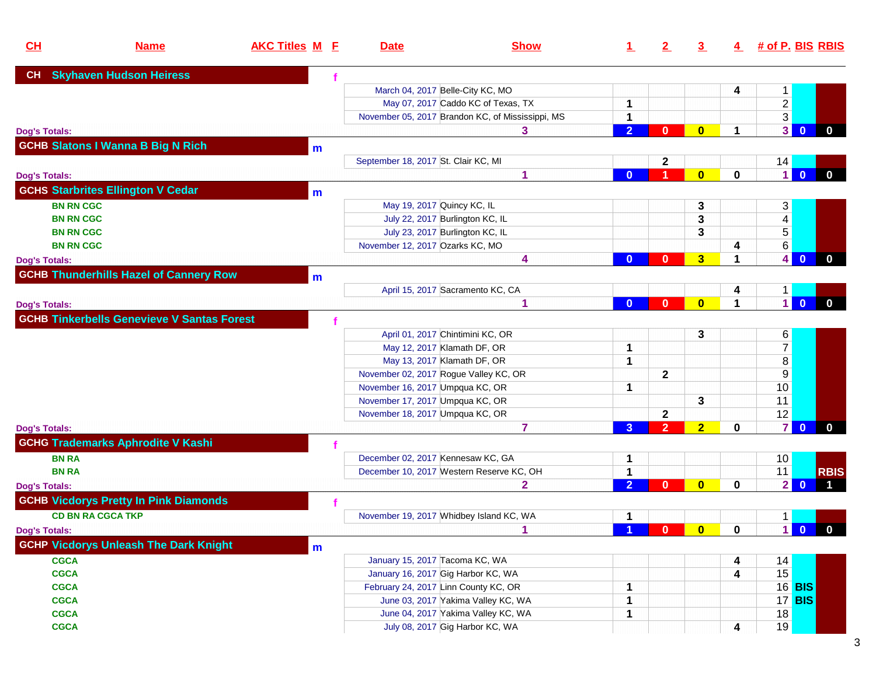| CL                   | <b>Name</b>                                       | <b>AKC Titles M E</b> | <b>Date</b>                                                                   | <b>Show</b>                                      | <u>1</u>                    | 2              | 3              |   |                         | $4$ # of P. BIS RBIS                   |
|----------------------|---------------------------------------------------|-----------------------|-------------------------------------------------------------------------------|--------------------------------------------------|-----------------------------|----------------|----------------|---|-------------------------|----------------------------------------|
| CH                   | <b>Skyhaven Hudson Heiress</b>                    |                       |                                                                               |                                                  |                             |                |                |   |                         |                                        |
|                      |                                                   |                       | March 04, 2017 Belle-City KC, MO                                              |                                                  |                             |                |                | 4 | $\mathbf 1$             |                                        |
|                      |                                                   |                       |                                                                               | May 07, 2017 Caddo KC of Texas, TX               | 1                           |                |                |   | $\overline{c}$          |                                        |
|                      |                                                   |                       |                                                                               | November 05, 2017 Brandon KC, of Mississippi, MS | 1                           |                |                |   | 3                       |                                        |
| <b>Dog's Totals:</b> |                                                   |                       |                                                                               | 3                                                | 2 <sup>1</sup>              | $\mathbf{0}$   | $\mathbf{0}$   |   | 3 <sup>1</sup>          | $\overline{\mathbf{0}}$<br>$\bf{0}$    |
|                      | <b>GCHB Slatons I Wanna B Big N Rich</b>          | m                     |                                                                               |                                                  |                             |                |                |   |                         |                                        |
|                      |                                                   |                       | September 18, 2017 St. Clair KC, MI                                           |                                                  |                             | $\mathbf{2}$   |                |   | 14                      |                                        |
| <b>Dog's Totals:</b> |                                                   |                       |                                                                               | 1                                                | $\bf{0}$                    |                | $\mathbf{0}$   | 0 | $\vert$ 1               | $\mathbf{0}$<br>$\mathbf 0$            |
|                      | <b>GCHS Starbrites Ellington V Cedar</b>          | m                     |                                                                               |                                                  |                             |                |                |   |                         |                                        |
| <b>BN RN CGC</b>     |                                                   |                       | May 19, 2017 Quincy KC, IL                                                    |                                                  |                             |                | 3              |   | 3                       |                                        |
| <b>BN RN CGC</b>     |                                                   |                       | July 22, 2017 Burlington KC, IL                                               |                                                  |                             |                | 3              |   | $\overline{\mathbf{4}}$ |                                        |
| <b>BN RN CGC</b>     |                                                   |                       | July 23, 2017 Burlington KC, IL                                               |                                                  |                             |                | 3              |   | $\overline{5}$          |                                        |
| <b>BN RN CGC</b>     |                                                   |                       | November 12, 2017 Ozarks KC, MO                                               |                                                  |                             |                |                | 4 | 6                       |                                        |
| <b>Dog's Totals:</b> |                                                   |                       |                                                                               | 4                                                | $\bf{0}$                    | $\mathbf{0}$   | 3              |   | $\vert$                 | $\overline{\mathbf{0}}$<br>$\mathbf 0$ |
|                      | <b>GCHB Thunderhills Hazel of Cannery Row</b>     | $\mathbf{m}$          |                                                                               |                                                  |                             |                |                |   |                         |                                        |
|                      |                                                   |                       | April 15, 2017 Sacramento KC, CA                                              |                                                  |                             |                |                |   | 1                       |                                        |
| <b>Dog's Totals:</b> |                                                   |                       |                                                                               |                                                  | $\mathbf{0}$                | $\bf{0}$       | $\mathbf{0}$   |   | $\vert$                 | $\mathbf{0}$<br>$\mathbf{0}$           |
|                      | <b>GCHB Tinkerbells Genevieve V Santas Forest</b> |                       |                                                                               |                                                  |                             |                |                |   |                         |                                        |
|                      |                                                   |                       |                                                                               |                                                  |                             |                |                |   |                         |                                        |
|                      |                                                   |                       | April 01, 2017 Chintimini KC, OR                                              |                                                  |                             |                | 3              |   | 6<br>$\overline{7}$     |                                        |
|                      |                                                   |                       | May 12, 2017 Klamath DF, OR<br>May 13, 2017 Klamath DF, OR                    |                                                  | $\mathbf 1$<br>$\mathbf{1}$ |                |                |   | $\overline{\bf 8}$      |                                        |
|                      |                                                   |                       | November 02, 2017 Rogue Valley KC, OR                                         |                                                  |                             | $\mathbf{2}$   |                |   | 9                       |                                        |
|                      |                                                   |                       | November 16, 2017 Umpqua KC, OR                                               |                                                  | 1                           |                |                |   | 10                      |                                        |
|                      |                                                   |                       | November 17, 2017 Umpqua KC, OR                                               |                                                  |                             |                | 3              |   | 11                      |                                        |
|                      |                                                   |                       | November 18, 2017 Umpqua KC, OR                                               |                                                  |                             | $\overline{2}$ |                |   | 12                      |                                        |
| <b>Dog's Totals:</b> |                                                   |                       |                                                                               | 7                                                | $\mathbf{3}$                | $\overline{2}$ | $\overline{2}$ | 0 | $\overline{7}$          | $\mathbf{0}$<br>$\bf{0}$               |
|                      | <b>GCHG Trademarks Aphrodite V Kashi</b>          |                       |                                                                               |                                                  |                             |                |                |   |                         |                                        |
| <b>BN RA</b>         |                                                   |                       |                                                                               |                                                  |                             |                |                |   |                         |                                        |
| <b>BN RA</b>         |                                                   |                       | December 02, 2017 Kennesaw KC, GA<br>December 10, 2017 Western Reserve KC, OH |                                                  | 1<br>1                      |                |                |   | 10<br>11                | <b>RBIS</b>                            |
|                      |                                                   |                       |                                                                               | 2                                                | $\overline{2}$              | $\mathbf{0}$   | $\mathbf{0}$   | 0 | $\mathbf{2}$            | $\Omega$                               |
| <b>Dog's Totals:</b> |                                                   |                       |                                                                               |                                                  |                             |                |                |   |                         |                                        |
|                      | <b>GCHB Vicdorys Pretty In Pink Diamonds</b>      |                       |                                                                               |                                                  |                             |                |                |   |                         |                                        |
|                      | <b>CD BN RA CGCA TKP</b>                          |                       | November 19, 2017 Whidbey Island KC, WA                                       |                                                  | 1<br>$\overline{A}$         |                |                |   | $\mathbf{1}$            |                                        |
| <b>Dog's Totals:</b> |                                                   |                       |                                                                               |                                                  |                             | $\mathbf{0}$   | $\bullet$      | 0 |                         | 100                                    |
|                      | <b>GCHP Vicdorys Unleash The Dark Knight</b>      | m                     |                                                                               |                                                  |                             |                |                |   |                         |                                        |
| <b>CGCA</b>          |                                                   |                       | January 15, 2017 Tacoma KC, WA                                                |                                                  |                             |                |                | 4 | 14                      |                                        |
| <b>CGCA</b>          |                                                   |                       | January 16, 2017 Gig Harbor KC, WA                                            |                                                  |                             |                |                | 4 | 15                      |                                        |
| <b>CGCA</b>          |                                                   |                       | February 24, 2017 Linn County KC, OR                                          |                                                  | 1                           |                |                |   |                         | 16 <b>BIS</b>                          |
| <b>CGCA</b>          |                                                   |                       | June 03, 2017 Yakima Valley KC, WA                                            |                                                  | 1                           |                |                |   |                         | 17 <b>BIS</b>                          |
| <b>CGCA</b>          |                                                   |                       | June 04, 2017 Yakima Valley KC, WA                                            |                                                  | 1                           |                |                |   | 18                      |                                        |
| <b>CGCA</b>          |                                                   |                       | July 08, 2017 Gig Harbor KC, WA                                               |                                                  |                             |                |                | 4 | 19                      |                                        |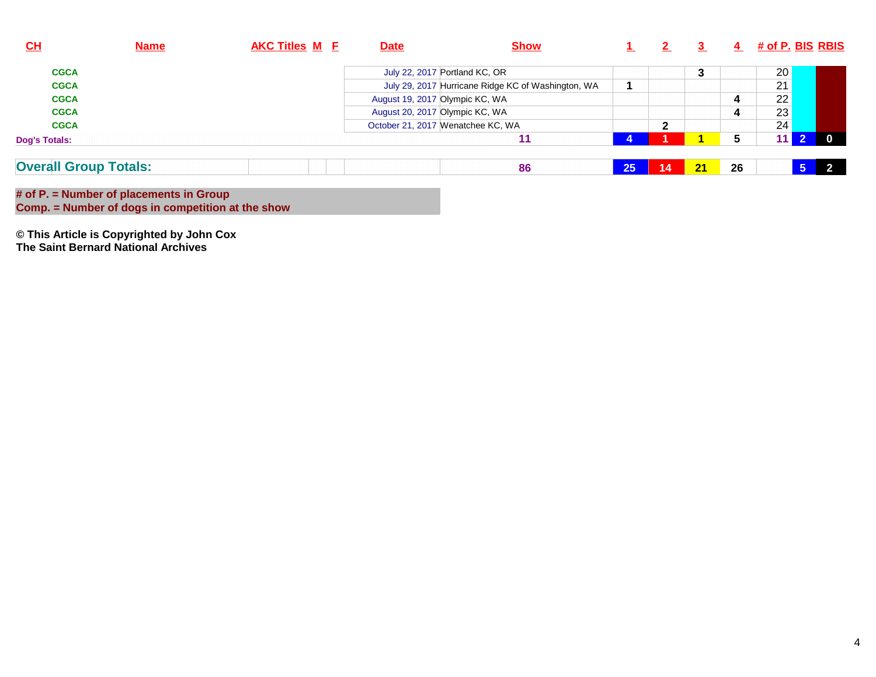| CL                           | <b>Name</b> | <b>AKC Titles M E</b> | <b>Date</b> | <b>Show</b>                                        |    |                 |    | 4  | <u># of P. BIS_RBIS</u> |          |
|------------------------------|-------------|-----------------------|-------------|----------------------------------------------------|----|-----------------|----|----|-------------------------|----------|
| <b>CGCA</b>                  |             |                       |             | July 22, 2017 Portland KC, OR                      |    |                 | 3  |    | 20                      |          |
| <b>CGCA</b>                  |             |                       |             | July 29, 2017 Hurricane Ridge KC of Washington, WA |    |                 |    |    | 21                      |          |
| <b>CGCA</b>                  |             |                       |             | August 19, 2017 Olympic KC, WA                     |    |                 |    |    | 22                      |          |
| <b>CGCA</b>                  |             |                       |             | August 20, 2017 Olympic KC, WA                     |    |                 |    | 4  | 23                      |          |
| <b>CGCA</b>                  |             |                       |             | October 21, 2017 Wenatchee KC, WA                  |    | 2               |    |    | 24                      |          |
| <b>Dog's Totals:</b>         |             |                       |             |                                                    |    |                 |    |    |                         | $\Omega$ |
| <b>Overall Group Totals:</b> |             |                       |             | 86                                                 | 25 | $\overline{14}$ | 21 | 26 |                         |          |

**# of P. = Number of placements in Group Comp. = Number of dogs in competition at the show**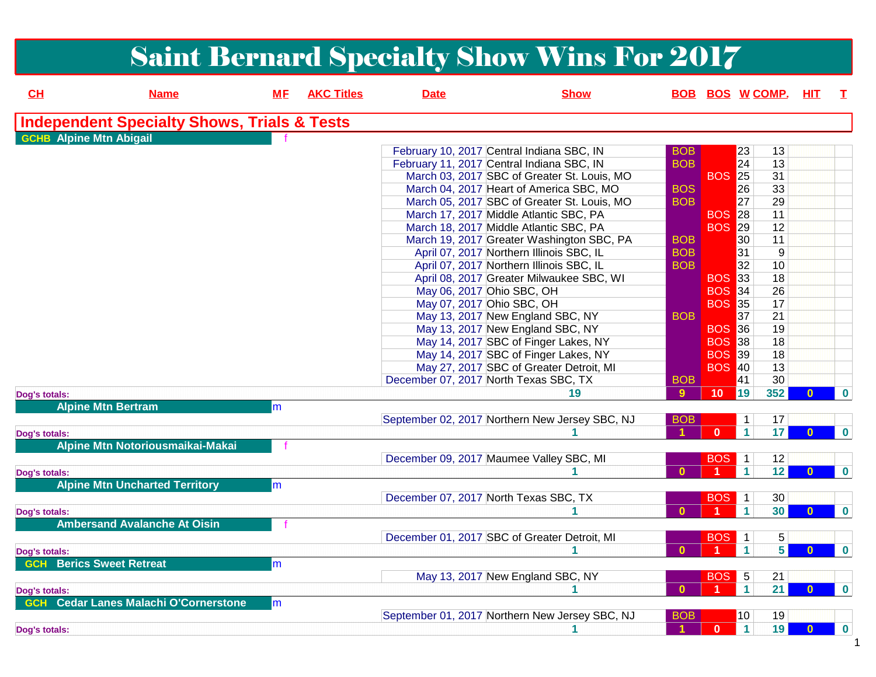|                                |                                                        |           |                   |                           | <b>Saint Bernard Specialty Show Wins For 2017</b>                                      |                          |               |                                      |              |          |
|--------------------------------|--------------------------------------------------------|-----------|-------------------|---------------------------|----------------------------------------------------------------------------------------|--------------------------|---------------|--------------------------------------|--------------|----------|
| CL                             | <b>Name</b>                                            | <b>ME</b> | <b>AKC Titles</b> | <b>Date</b>               | <b>Show</b>                                                                            | <b>BOB</b>               |               | <b>BOS W COMP.</b>                   | HІТ          | т        |
|                                | <b>Independent Specialty Shows, Trials &amp; Tests</b> |           |                   |                           |                                                                                        |                          |               |                                      |              |          |
| <b>GCHB</b> Alpine Mtn Abigail |                                                        |           |                   |                           |                                                                                        |                          |               |                                      |              |          |
|                                |                                                        |           |                   |                           | February 10, 2017 Central Indiana SBC, IN<br>February 11, 2017 Central Indiana SBC, IN | <b>BOB</b><br><b>BOB</b> |               | 23<br>13<br>13<br>24                 |              |          |
|                                |                                                        |           |                   |                           | March 03, 2017 SBC of Greater St. Louis, MO                                            |                          | <b>BOS</b> 25 | 31                                   |              |          |
|                                |                                                        |           |                   |                           | March 04, 2017 Heart of America SBC, MO                                                | <b>BOS</b>               |               | 26<br>33                             |              |          |
|                                |                                                        |           |                   |                           | March 05, 2017 SBC of Greater St. Louis, MO                                            | <b>BOB</b>               |               | 27<br>29                             |              |          |
|                                |                                                        |           |                   |                           | March 17, 2017 Middle Atlantic SBC, PA                                                 |                          | <b>BOS 28</b> | 11                                   |              |          |
|                                |                                                        |           |                   |                           | March 18, 2017 Middle Atlantic SBC, PA                                                 |                          | <b>BOS 29</b> | 12                                   |              |          |
|                                |                                                        |           |                   |                           | March 19, 2017 Greater Washington SBC, PA                                              | <b>BOB</b>               |               | 11<br>30                             |              |          |
|                                |                                                        |           |                   |                           | April 07, 2017 Northern Illinois SBC, IL                                               | <b>BOB</b>               |               | 31<br>9                              |              |          |
|                                |                                                        |           |                   |                           | April 07, 2017 Northern Illinois SBC, IL                                               | <b>BOB</b>               |               | 32<br>10                             |              |          |
|                                |                                                        |           |                   |                           | April 08, 2017 Greater Milwaukee SBC, WI                                               |                          | <b>BOS</b> 33 | 18                                   |              |          |
|                                |                                                        |           |                   | May 06, 2017 Ohio SBC, OH |                                                                                        |                          | <b>BOS 34</b> | 26                                   |              |          |
|                                |                                                        |           |                   | May 07, 2017 Ohio SBC, OH |                                                                                        |                          | <b>BOS 35</b> | 17                                   |              |          |
|                                |                                                        |           |                   |                           | May 13, 2017 New England SBC, NY                                                       | <b>BOB</b>               |               | 37<br>21                             |              |          |
|                                |                                                        |           |                   |                           | May 13, 2017 New England SBC, NY                                                       |                          | <b>BOS 36</b> | 19                                   |              |          |
|                                |                                                        |           |                   |                           | May 14, 2017 SBC of Finger Lakes, NY                                                   |                          | <b>BOS</b> 38 | 18                                   |              |          |
|                                |                                                        |           |                   |                           | May 14, 2017 SBC of Finger Lakes, NY                                                   |                          | <b>BOS</b> 39 | 18                                   |              |          |
|                                |                                                        |           |                   |                           | May 27, 2017 SBC of Greater Detroit, MI                                                |                          | <b>BOS 40</b> | 13                                   |              |          |
|                                |                                                        |           |                   |                           | December 07, 2017 North Texas SBC, TX                                                  | <b>BOB</b>               |               | 30<br>41                             |              |          |
| Dog's totals:                  |                                                        |           |                   |                           | 19                                                                                     | 9                        | 10            | 352<br>19                            |              | $\bf{0}$ |
|                                | <b>Alpine Mtn Bertram</b>                              | m         |                   |                           | September 02, 2017 Northern New Jersey SBC, NJ                                         | <b>BOB</b>               |               | $\mathbf{1}$<br>17                   |              |          |
| Dog's totals:                  |                                                        |           |                   |                           |                                                                                        | 1                        | $\bf{0}$      | $\mathbf 1$<br>17                    | $\mathbf{0}$ | $\bf{0}$ |
|                                | Alpine Mtn Notoriousmaikai-Makai                       |           |                   |                           |                                                                                        |                          |               |                                      |              |          |
|                                |                                                        |           |                   |                           | December 09, 2017 Maumee Valley SBC, MI                                                |                          | <b>BOS</b>    | $\overline{1}$<br>12                 |              |          |
| Dog's totals:                  |                                                        |           |                   |                           |                                                                                        | $\mathbf{0}$             |               | $\mathbf{1}$<br>12                   |              | $\bf{0}$ |
|                                | <b>Alpine Mtn Uncharted Territory</b>                  | m         |                   |                           | December 07, 2017 North Texas SBC, TX                                                  |                          |               | 30                                   |              |          |
|                                |                                                        |           |                   |                           |                                                                                        | $\mathbf{0}$             | BOS           | $\overline{1}$<br>$\mathbf{1}$<br>30 | $\bf{0}$     | $\bf{0}$ |
| Dog's totals:                  | <b>Ambersand Avalanche At Oisin</b>                    |           |                   |                           |                                                                                        |                          |               |                                      |              |          |
|                                |                                                        |           |                   |                           | December 01, 2017 SBC of Greater Detroit, MI                                           |                          | BOS           | 5 <sup>1</sup><br>$\overline{1}$     |              |          |
|                                |                                                        |           |                   |                           |                                                                                        | $\mathbf{0}$             |               | 5 <br>1                              | $\bf{0}$     | $\bf{0}$ |
| Dog's totals:<br><b>GCH</b>    | <b>Berics Sweet Retreat</b>                            | m         |                   |                           |                                                                                        |                          |               |                                      |              |          |
|                                |                                                        |           |                   |                           | May 13, 2017 New England SBC, NY                                                       |                          | <b>BOS</b>    | $\overline{5}$<br>21                 |              |          |
| Dog's totals:                  |                                                        |           |                   |                           |                                                                                        | $\bf{0}$                 |               | 21<br>$\mathbf{1}$                   | $\bf{0}$     | $\bf{0}$ |
| <b>GCH</b>                     | <b>Cedar Lanes Malachi O'Cornerstone</b>               | m         |                   |                           |                                                                                        |                          |               |                                      |              |          |
|                                |                                                        |           |                   |                           | September 01, 2017 Northern New Jersey SBC, NJ                                         | <b>BOB</b>               |               | $ 10\rangle$<br>19                   |              |          |
| Dog's totals:                  |                                                        |           |                   |                           |                                                                                        |                          | 0             | 19<br>$\mathbf{1}$                   | $\bf{0}$     | 0        |
|                                |                                                        |           |                   |                           |                                                                                        |                          |               |                                      |              |          |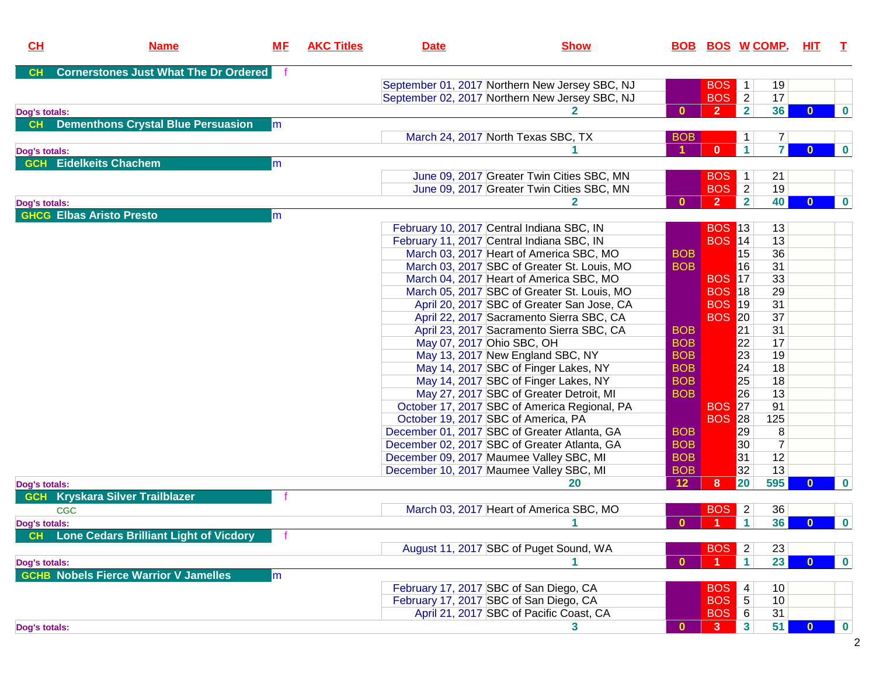| CH            | <b>Name</b>                                   | <u>MF</u>     | <b>AKC Titles</b> | <b>Date</b>                         | <b>Show</b>                                    |                 | <b>BOB BOS W COMP. HIT</b> |                 |                     |              | $\mathbf{T}$     |
|---------------|-----------------------------------------------|---------------|-------------------|-------------------------------------|------------------------------------------------|-----------------|----------------------------|-----------------|---------------------|--------------|------------------|
| <b>CH</b>     | <b>Cornerstones Just What The Dr Ordered</b>  |               |                   |                                     |                                                |                 |                            |                 |                     |              |                  |
|               |                                               |               |                   |                                     | September 01, 2017 Northern New Jersey SBC, NJ |                 | <b>BOS</b>                 | $\mathbf{1}$    | 19                  |              |                  |
|               |                                               |               |                   |                                     | September 02, 2017 Northern New Jersey SBC, NJ |                 | <b>BOS</b>                 | $\overline{2}$  | 17                  |              |                  |
| Dog's totals: |                                               |               |                   |                                     | $\mathbf{2}$                                   | $\mathbf{0}$    | $\overline{2}$             | $\overline{2}$  | 36                  | $\bf{0}$     | $\boldsymbol{0}$ |
| <b>CH</b>     | <b>Dementhons Crystal Blue Persuasion</b>     | lm            |                   |                                     |                                                |                 |                            |                 |                     |              |                  |
|               |                                               |               |                   |                                     | March 24, 2017 North Texas SBC, TX             | <b>BOB</b>      |                            | 1               | $\overline{7}$      |              |                  |
| Dog's totals: |                                               |               |                   |                                     |                                                |                 | $\mathbf{0}$               | $\mathbf{1}$    | $\mathbf{7}$        | $\mathbf{0}$ | $\mathbf 0$      |
|               | <b>GCH</b> Eidelkeits Chachem                 | m             |                   |                                     |                                                |                 |                            |                 |                     |              |                  |
|               |                                               |               |                   |                                     | June 09, 2017 Greater Twin Cities SBC, MN      |                 | <b>BOS</b>                 | $\mathbf{1}$    | 21                  |              |                  |
|               |                                               |               |                   |                                     | June 09, 2017 Greater Twin Cities SBC, MN      |                 | <b>BOS</b>                 | $\overline{2}$  | 19                  |              |                  |
| Dog's totals: |                                               |               |                   |                                     | 2.                                             | $\mathbf{0}$    | $\overline{2}$             | $\overline{2}$  | 40                  | $\mathbf{0}$ | $\bf{0}$         |
|               | <b>GHCG Elbas Aristo Presto</b>               | $\mathsf{Im}$ |                   |                                     |                                                |                 |                            |                 |                     |              |                  |
|               |                                               |               |                   |                                     | February 10, 2017 Central Indiana SBC, IN      |                 | <b>BOS 13</b>              |                 | 13                  |              |                  |
|               |                                               |               |                   |                                     | February 11, 2017 Central Indiana SBC, IN      |                 | <b>BOS</b> 14              |                 | 13                  |              |                  |
|               |                                               |               |                   |                                     | March 03, 2017 Heart of America SBC, MO        | <b>BOB</b>      |                            | 15              | 36                  |              |                  |
|               |                                               |               |                   |                                     | March 03, 2017 SBC of Greater St. Louis, MO    | <b>BOB</b>      |                            | 16              | 31                  |              |                  |
|               |                                               |               |                   |                                     | March 04, 2017 Heart of America SBC, MO        |                 | <b>BOS</b> 17              |                 | 33                  |              |                  |
|               |                                               |               |                   |                                     | March 05, 2017 SBC of Greater St. Louis, MO    |                 | <b>BOS 18</b>              |                 | 29                  |              |                  |
|               |                                               |               |                   |                                     | April 20, 2017 SBC of Greater San Jose, CA     |                 | <b>BOS 19</b>              |                 | 31                  |              |                  |
|               |                                               |               |                   |                                     | April 22, 2017 Sacramento Sierra SBC, CA       |                 | <b>BOS 20</b>              |                 | 37                  |              |                  |
|               |                                               |               |                   |                                     | April 23, 2017 Sacramento Sierra SBC, CA       | <b>BOB</b>      |                            | 21              | 31                  |              |                  |
|               |                                               |               |                   | May 07, 2017 Ohio SBC, OH           |                                                | <b>BOB</b>      |                            | 22              | 17                  |              |                  |
|               |                                               |               |                   |                                     | May 13, 2017 New England SBC, NY               | <b>BOB</b>      |                            | 23              | 19                  |              |                  |
|               |                                               |               |                   |                                     |                                                | <b>BOB</b>      |                            | $\overline{24}$ | 18                  |              |                  |
|               |                                               |               |                   |                                     | May 14, 2017 SBC of Finger Lakes, NY           | <b>BOB</b>      |                            | 25              | 18                  |              |                  |
|               |                                               |               |                   |                                     | May 14, 2017 SBC of Finger Lakes, NY           | <b>BOB</b>      |                            | 26              | 13                  |              |                  |
|               |                                               |               |                   |                                     | May 27, 2017 SBC of Greater Detroit, MI        |                 | <b>BOS 27</b>              |                 | 91                  |              |                  |
|               |                                               |               |                   |                                     | October 17, 2017 SBC of America Regional, PA   |                 |                            |                 |                     |              |                  |
|               |                                               |               |                   | October 19, 2017 SBC of America, PA |                                                |                 | <b>BOS</b>                 | 28              | 125                 |              |                  |
|               |                                               |               |                   |                                     | December 01, 2017 SBC of Greater Atlanta, GA   | <b>BOB</b>      |                            | 29              | 8<br>$\overline{7}$ |              |                  |
|               |                                               |               |                   |                                     | December 02, 2017 SBC of Greater Atlanta, GA   | <b>BOB</b>      |                            | $ 30\rangle$    |                     |              |                  |
|               |                                               |               |                   |                                     | December 09, 2017 Maumee Valley SBC, MI        | <b>BOB</b>      |                            | 31              | 12                  |              |                  |
|               |                                               |               |                   |                                     | December 10, 2017 Maumee Valley SBC, MI        | <b>BOB</b>      |                            | 32              | 13                  |              |                  |
| Dog's totals: |                                               |               |                   |                                     | 20                                             | 12 <sub>2</sub> | 8                          | 20              | 595                 |              | $\bf{0}$         |
| <b>GCH</b>    | <b>Kryskara Silver Trailblazer</b>            |               |                   |                                     |                                                |                 |                            |                 |                     |              |                  |
|               | <b>CGC</b>                                    |               |                   |                                     | March 03, 2017 Heart of America SBC, MO        |                 | <b>BOS</b>                 | $\overline{2}$  | 36                  |              |                  |
| Dog's totals: |                                               |               |                   |                                     |                                                | $\mathbf{0}$    | $\overline{1}$             | $\mathbf{1}$    | 36                  | $\bf{0}$     | $\bf{0}$         |
| CH            | <b>Lone Cedars Brilliant Light of Vicdory</b> |               |                   |                                     |                                                |                 |                            |                 |                     |              |                  |
|               |                                               |               |                   |                                     | August 11, 2017 SBC of Puget Sound, WA         |                 | <b>BOS</b>                 | $\overline{2}$  | 23                  |              |                  |
| Dog's totals: |                                               |               |                   |                                     |                                                | $\mathbf{0}$    | $\blacktriangleleft$       | $\mathbf{1}$    | 23                  | $\bf{0}$     | $\bf{0}$         |
|               | <b>GCHB Nobels Fierce Warrior V Jamelles</b>  | m             |                   |                                     |                                                |                 |                            |                 |                     |              |                  |
|               |                                               |               |                   |                                     | February 17, 2017 SBC of San Diego, CA         |                 | <b>BOS</b>                 | 4               | 10                  |              |                  |
|               |                                               |               |                   |                                     | February 17, 2017 SBC of San Diego, CA         |                 | <b>BOS</b>                 | 5               | 10                  |              |                  |
|               |                                               |               |                   |                                     | April 21, 2017 SBC of Pacific Coast, CA        |                 | <b>BOS</b>                 | $\,6$           | 31                  |              |                  |
| Dog's totals: |                                               |               |                   |                                     | 3.                                             | $\mathbf{0}$    | 3 <sup>°</sup>             | 3 <sup>1</sup>  | 51                  | $\bf{0}$     | 0                |

2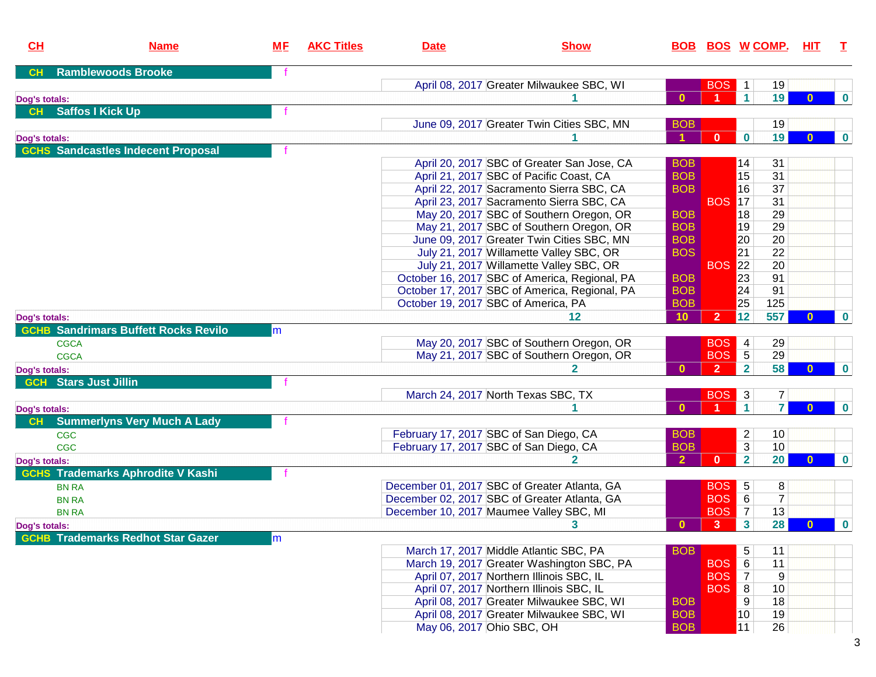| CL            | <b>Name</b>                                 | <u>MF</u> | <b>AKC Titles</b> | <b>Date</b>                             | <b>Show</b>                                   |                      | <u>BOB BOS W COMP.</u> |                         |                 | <u>HIT</u>   | T        |
|---------------|---------------------------------------------|-----------|-------------------|-----------------------------------------|-----------------------------------------------|----------------------|------------------------|-------------------------|-----------------|--------------|----------|
| CH            | <b>Ramblewoods Brooke</b>                   |           |                   |                                         |                                               |                      |                        |                         |                 |              |          |
|               |                                             |           |                   |                                         | April 08, 2017 Greater Milwaukee SBC, WI      |                      | BOS <sup>1</sup>       |                         | 19              |              |          |
| Dog's totals: |                                             |           |                   |                                         |                                               | $\mathbf{0}$         |                        | $\blacktriangleleft$    | 19              | $\mathbf{0}$ | $\bf{0}$ |
| CH            | <b>Saffos I Kick Up</b>                     |           |                   |                                         |                                               |                      |                        |                         |                 |              |          |
|               |                                             |           |                   |                                         | June 09, 2017 Greater Twin Cities SBC, MN     | <b>BOB</b>           |                        |                         | 19              |              |          |
| Dog's totals: |                                             |           |                   |                                         |                                               | $\blacktriangleleft$ | $\mathbf{0}$           | $\bf{0}$                | 19              | $\mathbf{0}$ | $\bf{0}$ |
|               | <b>GCHS Sandcastles Indecent Proposal</b>   |           |                   |                                         |                                               |                      |                        |                         |                 |              |          |
|               |                                             |           |                   |                                         | April 20, 2017 SBC of Greater San Jose, CA    | <b>BOB</b>           |                        | 14                      | 31              |              |          |
|               |                                             |           |                   |                                         | April 21, 2017 SBC of Pacific Coast, CA       | <b>BOB</b>           |                        | 15                      | 31              |              |          |
|               |                                             |           |                   |                                         | April 22, 2017 Sacramento Sierra SBC, CA      | <b>BOB</b>           |                        | 16                      | 37              |              |          |
|               |                                             |           |                   |                                         | April 23, 2017 Sacramento Sierra SBC, CA      |                      | <b>BOS 17</b>          |                         | 31              |              |          |
|               |                                             |           |                   |                                         | May 20, 2017 SBC of Southern Oregon, OR       | <b>BOB</b>           |                        | 18                      | 29              |              |          |
|               |                                             |           |                   |                                         | May 21, 2017 SBC of Southern Oregon, OR       | <b>BOB</b>           |                        | 19                      | 29              |              |          |
|               |                                             |           |                   |                                         | June 09, 2017 Greater Twin Cities SBC, MN     | <b>BOB</b>           |                        | 20                      | 20              |              |          |
|               |                                             |           |                   |                                         | July 21, 2017 Willamette Valley SBC, OR       | <b>BOS</b>           |                        | 21                      | $\overline{22}$ |              |          |
|               |                                             |           |                   |                                         | July 21, 2017 Willamette Valley SBC, OR       |                      | <b>BOS 22</b>          |                         | 20              |              |          |
|               |                                             |           |                   |                                         | October 16, 2017 SBC of America, Regional, PA | <b>BOB</b>           |                        | 23                      | 91              |              |          |
|               |                                             |           |                   |                                         | October 17, 2017 SBC of America, Regional, PA | <b>BOB</b>           |                        | 24                      | 91              |              |          |
|               |                                             |           |                   | October 19, 2017 SBC of America, PA     |                                               | <b>BOB</b>           |                        | 25                      | 125             |              |          |
| Dog's totals: |                                             |           |                   |                                         | $12 \overline{ }$                             | 10 <sup>°</sup>      | 2 <sup>7</sup>         | <b>12</b>               | 557             | $\bf{0}$     | $\bf{0}$ |
|               | <b>GCHB</b> Sandrimars Buffett Rocks Revilo | m         |                   |                                         |                                               |                      |                        |                         |                 |              |          |
|               | <b>CGCA</b>                                 |           |                   |                                         | May 20, 2017 SBC of Southern Oregon, OR       |                      | BOS 4                  |                         | 29              |              |          |
|               | <b>CGCA</b>                                 |           |                   |                                         | May 21, 2017 SBC of Southern Oregon, OR       |                      | <b>BOS</b>             | $\vert 5 \vert$         | 29              |              |          |
| Dog's totals: |                                             |           |                   |                                         | $\mathbf{2}$                                  | $\mathbf{0}$         | $\overline{2}$         | $\overline{\mathbf{2}}$ | 58              | $\bf{0}$     | $\bf{0}$ |
|               | <b>GCH</b> Stars Just Jillin                |           |                   |                                         |                                               |                      |                        |                         |                 |              |          |
|               |                                             |           |                   |                                         | March 24, 2017 North Texas SBC, TX            |                      | BOS 3                  |                         | 7               |              |          |
| Dog's totals: |                                             |           |                   |                                         |                                               | $\Omega$             |                        | $\blacktriangleleft$    | $\overline{7}$  | $\mathbf{0}$ | $\bf{0}$ |
|               | <b>Summerlyns Very Much A Lady</b>          |           |                   |                                         |                                               |                      |                        |                         |                 |              |          |
| <b>CGC</b>    |                                             |           |                   | February 17, 2017 SBC of San Diego, CA  |                                               | <b>BOB</b>           |                        | $\overline{2}$          | 10              |              |          |
| <b>CGC</b>    |                                             |           |                   | February 17, 2017 SBC of San Diego, CA  |                                               | <b>BOB</b>           |                        | $\overline{3}$          | 10              |              |          |
|               |                                             |           |                   |                                         | 2                                             | $\overline{2}$       | $\mathbf{0}$           | $\overline{\mathbf{2}}$ | 20 <sup>°</sup> | $\bf{0}$     | $\bf{0}$ |
| Dog's totals: | <b>GCHS Trademarks Aphrodite V Kashi</b>    |           |                   |                                         |                                               |                      |                        |                         |                 |              |          |
|               |                                             |           |                   |                                         | December 01, 2017 SBC of Greater Atlanta, GA  |                      | <b>BOS</b> 5           |                         | 8               |              |          |
|               | <b>BN RA</b>                                |           |                   |                                         | December 02, 2017 SBC of Greater Atlanta, GA  |                      | BOS <sub>6</sub>       |                         | $\overline{7}$  |              |          |
|               | <b>BN RA</b>                                |           |                   |                                         |                                               |                      |                        |                         |                 |              |          |
|               | <b>BN RA</b>                                |           |                   | December 10, 2017 Maumee Valley SBC, MI |                                               |                      | BOS 7                  |                         | 13              |              |          |
| Dog's totals: |                                             |           |                   |                                         | 3                                             | $\mathbf{0}$         | 3 <sup>2</sup>         | $\mathbf{3}$            | 28              | $\mathbf{0}$ | $\bf{0}$ |
|               | <b>GCHB Trademarks Redhot Star Gazer</b>    | m         |                   |                                         |                                               |                      |                        |                         |                 |              |          |
|               |                                             |           |                   |                                         | March 17, 2017 Middle Atlantic SBC, PA        | <b>BOB</b>           |                        | $\overline{5}$          | 11              |              |          |
|               |                                             |           |                   |                                         | March 19, 2017 Greater Washington SBC, PA     |                      | <b>BOS</b>             | $6\overline{6}$         | 11              |              |          |
|               |                                             |           |                   |                                         | April 07, 2017 Northern Illinois SBC, IL      |                      | <b>BOS</b>             | $\overline{7}$          | 9               |              |          |
|               |                                             |           |                   |                                         | April 07, 2017 Northern Illinois SBC, IL      |                      | <b>BOS</b>             | 8                       | 10              |              |          |
|               |                                             |           |                   |                                         | April 08, 2017 Greater Milwaukee SBC, WI      | <b>BOB</b>           |                        | 9                       | 18              |              |          |
|               |                                             |           |                   |                                         | April 08, 2017 Greater Milwaukee SBC, WI      | <b>BOB</b>           |                        | $ 10\rangle$            | 19              |              |          |
|               |                                             |           |                   | May 06, 2017 Ohio SBC, OH               |                                               | <b>BOB</b>           |                        | 11                      | 26              |              |          |
|               |                                             |           |                   |                                         |                                               |                      |                        |                         |                 |              | 3        |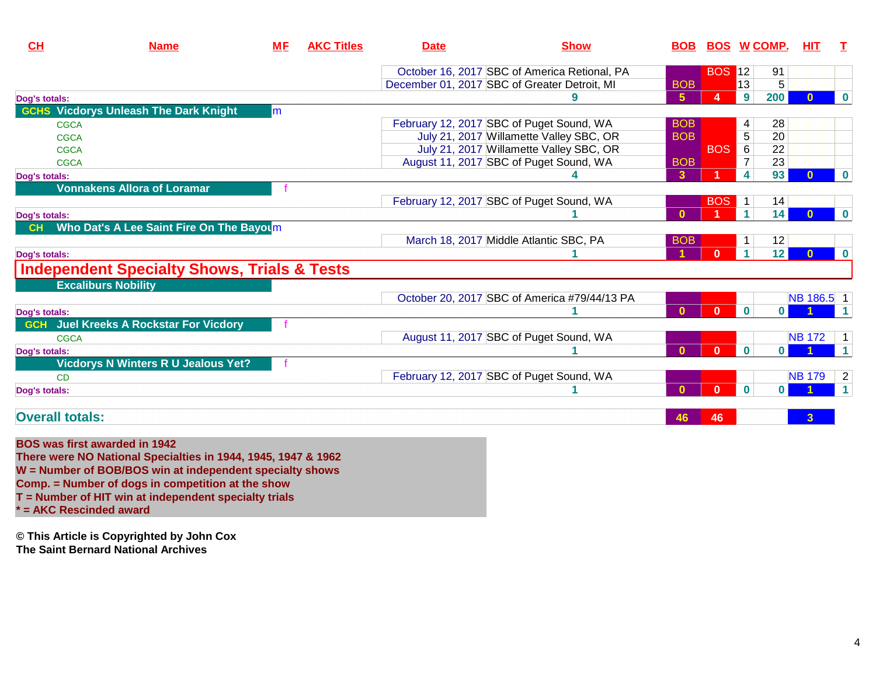| CH                     | <b>Name</b>                                            | <b>ME</b> | <b>AKC Titles</b> | <b>Date</b> | <b>Show</b>                                  | <b>BOB</b>     | <b>BOS WCOMP.</b> |                      |              | <b>HIT</b>    | $\mathbf{T}$   |
|------------------------|--------------------------------------------------------|-----------|-------------------|-------------|----------------------------------------------|----------------|-------------------|----------------------|--------------|---------------|----------------|
|                        |                                                        |           |                   |             | October 16, 2017 SBC of America Retional, PA |                | <b>BOS 12</b>     |                      | 91           |               |                |
|                        |                                                        |           |                   |             | December 01, 2017 SBC of Greater Detroit, MI | <b>BOB</b>     |                   | 13                   | 5            |               |                |
| Dog's totals:          |                                                        |           |                   |             |                                              | 5 <sup>5</sup> | 4                 | 9                    | 200          | 0             | $\bf{0}$       |
| <b>GCHS</b>            | <b>Vicdorys Unleash The Dark Knight</b>                | lm.       |                   |             |                                              |                |                   |                      |              |               |                |
| <b>CGCA</b>            |                                                        |           |                   |             | February 12, 2017 SBC of Puget Sound, WA     | <b>BOB</b>     |                   | 4                    | 28           |               |                |
| <b>CGCA</b>            |                                                        |           |                   |             | July 21, 2017 Willamette Valley SBC, OR      | <b>BOB</b>     |                   | 5                    | 20           |               |                |
| CGCA                   |                                                        |           |                   |             | July 21, 2017 Willamette Valley SBC, OR      |                | <b>BOS</b>        | 6                    | 22           |               |                |
| CGCA                   |                                                        |           |                   |             | August 11, 2017 SBC of Puget Sound, WA       | <b>BOB</b>     |                   | $\overline{7}$       | 23           |               |                |
| Dog's totals:          |                                                        |           |                   |             |                                              | 3              |                   | 4                    | 93           | 0             | $\bf{0}$       |
|                        | <b>Vonnakens Allora of Loramar</b>                     |           |                   |             |                                              |                |                   |                      |              |               |                |
|                        |                                                        |           |                   |             | February 12, 2017 SBC of Puget Sound, WA     |                | <b>BOS</b>        | $\mathbf{1}$         | 14           |               |                |
| Dog's totals:          |                                                        |           |                   |             |                                              | $\mathbf{0}$   |                   | $\blacktriangleleft$ | 14           |               | $\bf{0}$       |
|                        | Who Dat's A Lee Saint Fire On The Bayoum               |           |                   |             |                                              |                |                   |                      |              |               |                |
|                        |                                                        |           |                   |             | March 18, 2017 Middle Atlantic SBC, PA       | <b>BOB</b>     |                   |                      | 12           |               |                |
| Dog's totals:          |                                                        |           |                   |             |                                              |                | $\bf{0}$          |                      | 12           | $\mathbf{0}$  | $\bf{0}$       |
|                        | <b>Independent Specialty Shows, Trials &amp; Tests</b> |           |                   |             |                                              |                |                   |                      |              |               |                |
|                        | <b>Excaliburs Nobility</b>                             |           |                   |             |                                              |                |                   |                      |              |               |                |
|                        |                                                        |           |                   |             | October 20, 2017 SBC of America #79/44/13 PA |                |                   |                      |              | NB 186.5 1    |                |
| Dog's totals:          |                                                        |           |                   |             |                                              | $\mathbf{0}$   | $\mathbf{0}$      | $\bf{0}$             | $\mathbf{0}$ |               |                |
|                        | <b>GCH</b> Juel Kreeks A Rockstar For Vicdory          |           |                   |             |                                              |                |                   |                      |              |               |                |
| CGCA                   |                                                        |           |                   |             | August 11, 2017 SBC of Puget Sound, WA       |                |                   |                      |              | <b>NB172</b>  | $\overline{1}$ |
| Dog's totals:          |                                                        |           |                   |             |                                              | $\mathbf{0}$   | $\mathbf{0}$      | $\bf{0}$             | $\mathbf{0}$ |               |                |
|                        | <b>Vicdorys N Winters R U Jealous Yet?</b>             |           |                   |             |                                              |                |                   |                      |              |               |                |
| CD                     |                                                        |           |                   |             | February 12, 2017 SBC of Puget Sound, WA     |                |                   |                      |              | <b>NB 179</b> | $\overline{2}$ |
| Dog's totals:          |                                                        |           |                   |             |                                              | $\Omega$       | $\Omega$          | $\bf{0}$             | $\mathbf{0}$ |               | $\overline{1}$ |
| <b>Overall totals:</b> |                                                        |           |                   |             |                                              | 46             | 46                |                      |              | 3             |                |

#### **BOS was first awarded in 1942**

 **There were NO National Specialties in 1944, 1945, 1947 & 1962 W = Number of BOB/BOS win at independent specialty showsComp. = Number of dogs in competition at the show**

**T = Number of HIT win at independent specialty trials**

**\* = AKC Rescinded award**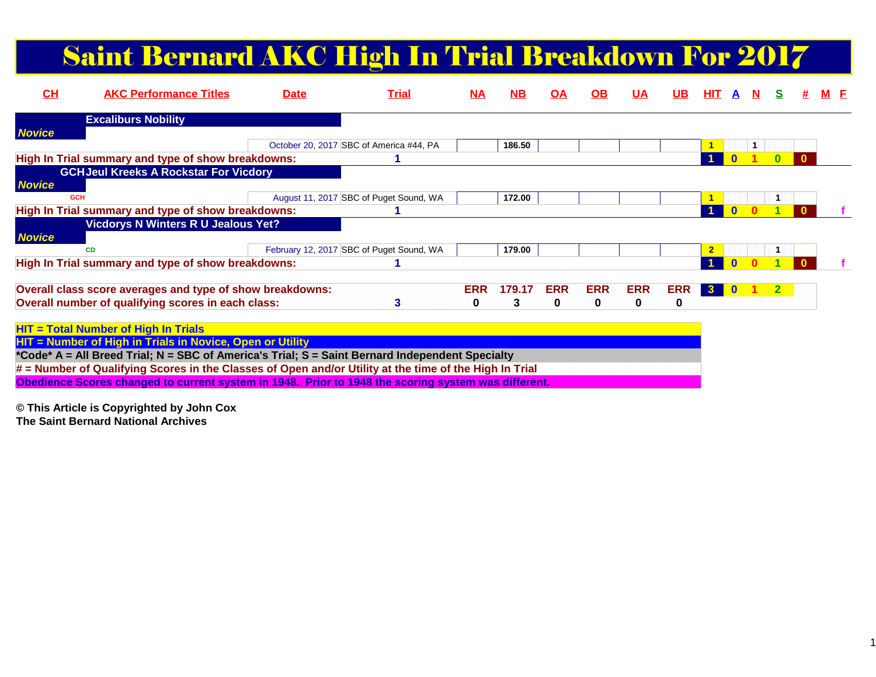# Saint Bernard AKC High In Trial Breakdown For 2017

| CL            | <b>AKC Performance Titles</b>                                                                          | <b>Date</b> | <b>Trial</b>                             | M <sub>A</sub> | <b>NB</b> | OA         | $\Omega$   | <u>UA</u>  | UB.        | HIT.                    |  |                |              |  |
|---------------|--------------------------------------------------------------------------------------------------------|-------------|------------------------------------------|----------------|-----------|------------|------------|------------|------------|-------------------------|--|----------------|--------------|--|
|               | <b>Excaliburs Nobility</b>                                                                             |             |                                          |                |           |            |            |            |            |                         |  |                |              |  |
| <b>Novice</b> |                                                                                                        |             |                                          |                |           |            |            |            |            |                         |  |                |              |  |
|               |                                                                                                        |             | October 20, 2017 SBC of America #44, PA  |                | 186.50    |            |            |            |            |                         |  |                |              |  |
|               | High In Trial summary and type of show breakdowns:                                                     |             |                                          |                |           |            |            |            |            |                         |  | $\mathbf{0}$   | $\mathbf{0}$ |  |
|               | <b>GCHJeul Kreeks A Rockstar For Vicdory</b>                                                           |             |                                          |                |           |            |            |            |            |                         |  |                |              |  |
| <b>Novice</b> |                                                                                                        |             |                                          |                |           |            |            |            |            |                         |  |                |              |  |
|               | <b>GCH</b>                                                                                             |             | August 11, 2017 SBC of Puget Sound, WA   |                | 172.00    |            |            |            |            |                         |  |                |              |  |
|               | High In Trial summary and type of show breakdowns:                                                     |             |                                          |                |           |            |            |            |            |                         |  |                |              |  |
|               | <b>Vicdorys N Winters R U Jealous Yet?</b>                                                             |             |                                          |                |           |            |            |            |            |                         |  |                |              |  |
| <b>Novice</b> |                                                                                                        |             |                                          |                |           |            |            |            |            |                         |  |                |              |  |
|               | <b>CD</b>                                                                                              |             | February 12, 2017 SBC of Puget Sound, WA |                | 179.00    |            |            |            |            | $\overline{\mathbf{2}}$ |  |                |              |  |
|               | High In Trial summary and type of show breakdowns:                                                     |             |                                          |                |           |            |            |            |            |                         |  |                |              |  |
|               | Overall class score averages and type of show breakdowns:                                              |             |                                          | <b>ERR</b>     | 179.17    | <b>ERR</b> | <b>ERR</b> | <b>ERR</b> | <b>ERR</b> | $\mathbf{3}$            |  | 2 <sup>1</sup> |              |  |
|               | Overall number of qualifying scores in each class:                                                     |             | 3                                        | $\bf{0}$       | 3         | 0          | 0          | 0          | 0          |                         |  |                |              |  |
|               | $HIT = Total Number of High In Trials$                                                                 |             |                                          |                |           |            |            |            |            |                         |  |                |              |  |
|               | HIT = Number of High in Trials in Novice, Open or Utility                                              |             |                                          |                |           |            |            |            |            |                         |  |                |              |  |
|               | *Code* A = All Breed Trial; N = SBC of America's Trial; S = Saint Bernard Independent Specialty        |             |                                          |                |           |            |            |            |            |                         |  |                |              |  |
|               | # = Number of Qualifying Scores in the Classes of Open and/or Utility at the time of the High In Trial |             |                                          |                |           |            |            |            |            |                         |  |                |              |  |
|               | Obedience Scores changed to current system in 1948. Prior to 1948 the scoring system was different.    |             |                                          |                |           |            |            |            |            |                         |  |                |              |  |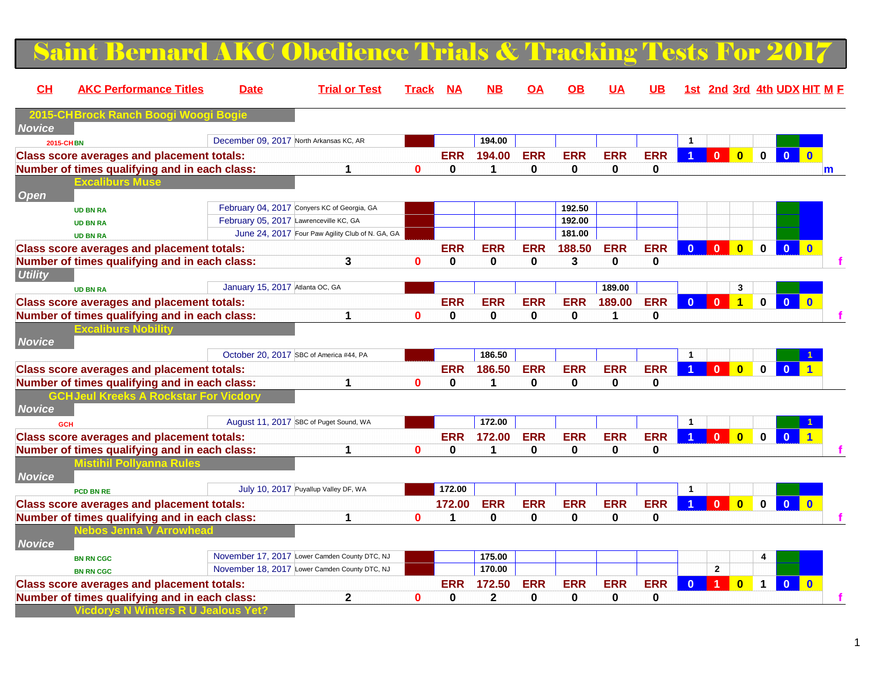### Saint Bernard AKC Obedience Trials & Tracking Tests For 2017

| CL               | <b>AKC Performance Titles</b>                     | <b>Date</b>                     | <b>Trial or Test</b>                             | Track        | <b>NA</b>   | NΒ           | OΑ          | ΟВ         | <u>UA</u>  | <b>UB</b>   |                | 1st 2nd 3rd 4th UDX HIT M F               |              |                         |                |
|------------------|---------------------------------------------------|---------------------------------|--------------------------------------------------|--------------|-------------|--------------|-------------|------------|------------|-------------|----------------|-------------------------------------------|--------------|-------------------------|----------------|
|                  | 2015-CHBrock Ranch Boo                            |                                 |                                                  |              |             |              |             |            |            |             |                |                                           |              |                         |                |
| <b>Novice</b>    |                                                   |                                 | December 09, 2017 North Arkansas KC, AR          |              |             | 194.00       |             |            |            |             | $\mathbf{1}$   |                                           |              |                         |                |
| <b>2015-CHBN</b> |                                                   |                                 |                                                  |              |             |              |             |            |            |             |                |                                           |              |                         |                |
|                  | <b>Class score averages and placement totals:</b> |                                 |                                                  |              | <b>ERR</b>  | 194.00       | <b>ERR</b>  | <b>ERR</b> | <b>ERR</b> | <b>ERR</b>  |                | $\overline{0}$<br>$\overline{\mathbf{0}}$ | $\mathbf 0$  | $\mathbf{0}$            | $\Omega$       |
|                  | Number of times qualifying and in each class:     |                                 | 1                                                | $\bf{0}$     | 0           | 1            | $\mathbf 0$ | 0          | 0          | $\bf{0}$    |                |                                           |              |                         | $\mathbf{m}$   |
| <b>Open</b>      | <b>Excaliburs Muse</b>                            |                                 |                                                  |              |             |              |             |            |            |             |                |                                           |              |                         |                |
|                  | <b>UD BN RA</b>                                   |                                 | February 04, 2017 Conyers KC of Georgia, GA      |              |             |              |             | 192.50     |            |             |                |                                           |              |                         |                |
|                  | <b>UD BN RA</b>                                   |                                 | February 05, 2017 Lawrenceville KC, GA           |              |             |              |             | 192.00     |            |             |                |                                           |              |                         |                |
|                  | <b>UD BN RA</b>                                   |                                 | June 24, 2017 Four Paw Agility Club of N. GA, GA |              |             |              |             | 181.00     |            |             |                |                                           |              |                         |                |
|                  | <b>Class score averages and placement totals:</b> |                                 |                                                  |              | <b>ERR</b>  | <b>ERR</b>   | <b>ERR</b>  | 188.50     | <b>ERR</b> | <b>ERR</b>  | $\overline{0}$ | $\Omega$<br>$\mathbf{0}$                  | $\mathbf{0}$ | $\mathbf{0}$            | $\mathbf{0}$   |
|                  | Number of times qualifying and in each class:     |                                 | 3                                                | $\mathbf{0}$ | $\mathbf 0$ | 0            | $\mathbf 0$ | 3          | 0          | $\bf{0}$    |                |                                           |              |                         |                |
| <b>Utility</b>   |                                                   |                                 |                                                  |              |             |              |             |            |            |             |                |                                           |              |                         |                |
|                  | <b>UD BN RA</b>                                   | January 15, 2017 Atlanta OC, GA |                                                  |              |             |              |             |            | 189.00     |             |                | 3                                         |              |                         |                |
|                  | <b>Class score averages and placement totals:</b> |                                 |                                                  |              | <b>ERR</b>  | <b>ERR</b>   | <b>ERR</b>  | <b>ERR</b> | 189.00     | <b>ERR</b>  | $\mathbf{0}$   | $\Omega$<br>$\overline{\mathbf{1}}$       | $\mathbf{0}$ | $\mathbf{0}$            | $\overline{0}$ |
|                  | Number of times qualifying and in each class:     |                                 | 1                                                | 0            | 0           | $\bf{0}$     | $\mathbf 0$ | 0          | 1          | $\bf{0}$    |                |                                           |              |                         |                |
|                  | Excaliburs Nob                                    |                                 |                                                  |              |             |              |             |            |            |             |                |                                           |              |                         |                |
| <b>Novice</b>    |                                                   |                                 |                                                  |              |             |              |             |            |            |             |                |                                           |              |                         |                |
|                  |                                                   |                                 | October 20, 2017 SBC of America #44, PA          |              |             | 186.50       |             |            |            |             | $\mathbf{1}$   |                                           |              |                         |                |
|                  | <b>Class score averages and placement totals:</b> |                                 |                                                  |              | <b>ERR</b>  | 186.50       | <b>ERR</b>  | <b>ERR</b> | <b>ERR</b> | <b>ERR</b>  |                | $\mathbf{0}$<br>$\overline{\mathbf{0}}$   | $0-1$        | $\overline{\mathbf{0}}$ |                |
|                  | Number of times qualifying and in each class:     |                                 | 1                                                | $\bf{0}$     | 0           | $\mathbf 1$  | $\bf{0}$    | $\bf{0}$   | 0          | $\bf{0}$    |                |                                           |              |                         |                |
|                  | <b>GCHJeul Kreeks A Rockstar Fo</b>               |                                 |                                                  |              |             |              |             |            |            |             |                |                                           |              |                         |                |
| <b>Novice</b>    |                                                   |                                 |                                                  |              |             |              |             |            |            |             |                |                                           |              |                         |                |
|                  | <b>GCH</b>                                        |                                 | August 11, 2017 SBC of Puget Sound, WA           |              |             | 172.00       |             |            |            |             | $\mathbf{1}$   |                                           |              |                         |                |
|                  | <b>Class score averages and placement totals:</b> |                                 |                                                  |              | <b>ERR</b>  | 172.00       | <b>ERR</b>  | <b>ERR</b> | <b>ERR</b> | <b>ERR</b>  |                | $\mathbf{0}$<br>$\overline{\mathbf{0}}$   | $\mathbf{0}$ |                         |                |
|                  | Number of times qualifying and in each class:     |                                 | 1                                                | $\mathbf{0}$ | 0           | $\mathbf{1}$ | $\mathbf 0$ | 0          | 0          | $\bf{0}$    |                |                                           |              |                         |                |
| <b>Novice</b>    | <b>Mistihil Pollyanna Rules</b>                   |                                 |                                                  |              |             |              |             |            |            |             |                |                                           |              |                         |                |
|                  | PCD BN RE                                         |                                 | July 10, 2017 Puyallup Valley DF, WA             |              | 172.00      |              |             |            |            |             | $\mathbf{1}$   |                                           |              |                         |                |
|                  | <b>Class score averages and placement totals:</b> |                                 |                                                  |              | 172.00      | <b>ERR</b>   | <b>ERR</b>  | <b>ERR</b> | <b>ERR</b> | <b>ERR</b>  |                | $\mathbf{0}$<br>$\overline{\mathbf{0}}$   | $\mathbf{0}$ | $\overline{0}$          | $\overline{0}$ |
|                  | Number of times qualifying and in each class:     |                                 | 1                                                | 0            | 1           | 0            | 0           | 0          | 0          | 0           |                |                                           |              |                         |                |
|                  |                                                   |                                 |                                                  |              |             |              |             |            |            |             |                |                                           |              |                         |                |
| <b>Novice</b>    |                                                   |                                 |                                                  |              |             |              |             |            |            |             |                |                                           |              |                         |                |
|                  | <b>BN RN CGC</b>                                  |                                 | November 17, 2017 Lower Camden County DTC, NJ    |              |             | 175.00       |             |            |            |             |                |                                           |              |                         |                |
|                  | <b>BN RN CGC</b>                                  |                                 | November 18, 2017 Lower Camden County DTC, NJ    |              |             | 170.00       |             |            |            |             |                | $\mathbf{2}$                              |              |                         |                |
|                  | <b>Class score averages and placement totals:</b> |                                 |                                                  |              | <b>ERR</b>  | 172.50       | <b>ERR</b>  | <b>ERR</b> | <b>ERR</b> | <b>ERR</b>  | $\mathbf{0}$   | $\bf{0}$                                  | $\mathbf 1$  | $\mathbf{0}$            | $\mathbf{0}$   |
|                  | Number of times qualifying and in each class:     |                                 | $\mathbf 2$                                      | 0            | 0           | $\mathbf 2$  | $\bf{0}$    | 0          | 0          | $\mathbf 0$ |                |                                           |              |                         |                |
|                  | <b>Vicdorys N Winters R U Jealous Yet?</b>        |                                 |                                                  |              |             |              |             |            |            |             |                |                                           |              |                         |                |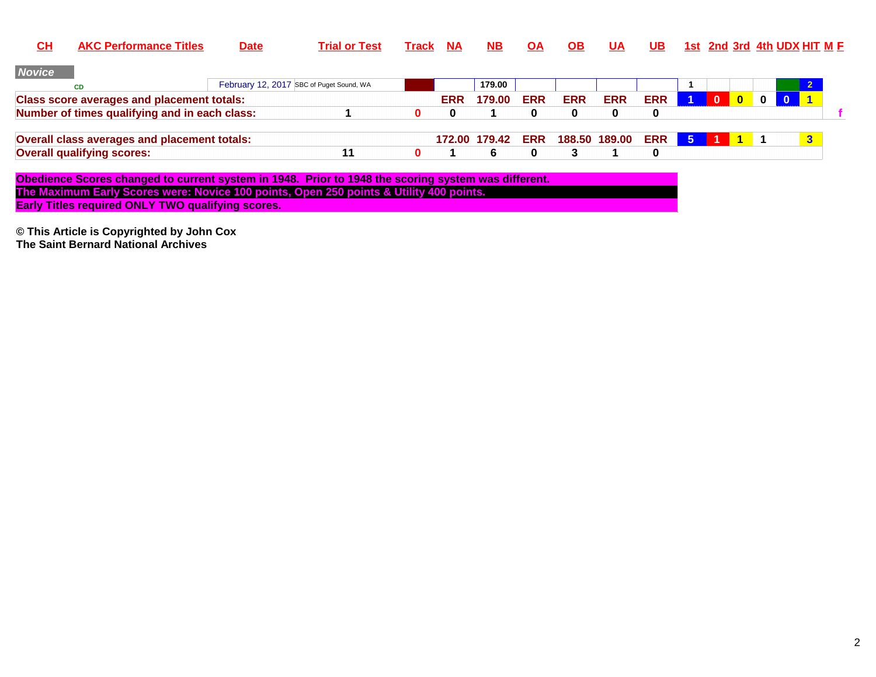| <u>СН</u>     | <b>AKC Performance Titles</b>                                                                       | <b>Date</b> | <b>Trial or Test</b>                     | Track | <b>NA</b> | NB.           | <b>OA</b>  | OB.        | UA            | UB.        |      |              |              |              | <u>1st 2nd 3rd 4th UDX HIT M F</u> |              |  |
|---------------|-----------------------------------------------------------------------------------------------------|-------------|------------------------------------------|-------|-----------|---------------|------------|------------|---------------|------------|------|--------------|--------------|--------------|------------------------------------|--------------|--|
| <b>Novice</b> |                                                                                                     |             |                                          |       |           |               |            |            |               |            |      |              |              |              |                                    |              |  |
|               | <b>CD</b>                                                                                           |             | February 12, 2017 SBC of Puget Sound, WA |       |           | 179.00        |            |            |               |            |      |              |              |              |                                    |              |  |
|               | <b>Class score averages and placement totals:</b>                                                   |             |                                          |       | ERR       | 179.00        | <b>ERR</b> | <b>ERR</b> | <b>ERR</b>    | <b>ERR</b> |      | $\mathbf{0}$ | $\mathbf{0}$ | $\mathbf{0}$ |                                    |              |  |
|               | Number of times qualifying and in each class:                                                       |             |                                          |       | 0         |               | 0          | 0          | 0             | 0          |      |              |              |              |                                    |              |  |
|               | Overall class averages and placement totals:                                                        |             |                                          |       |           | 172.00 179.42 | <b>ERR</b> |            | 188.50 189.00 | ERR        | $-5$ |              |              |              |                                    | $\mathbf{3}$ |  |
|               | <b>Overall qualifying scores:</b>                                                                   |             | 11                                       |       |           | 6.            | 0          | 3          |               | 0          |      |              |              |              |                                    |              |  |
|               | Obedience Scores changed to current system in 1948. Prior to 1948 the scoring system was different. |             |                                          |       |           |               |            |            |               |            |      |              |              |              |                                    |              |  |
|               | The Maximum Early Scores were: Novice 100 points, Open 250 points & Utility 400 points.             |             |                                          |       |           |               |            |            |               |            |      |              |              |              |                                    |              |  |
|               | <b>Early Titles required ONLY TWO qualifying scores.</b>                                            |             |                                          |       |           |               |            |            |               |            |      |              |              |              |                                    |              |  |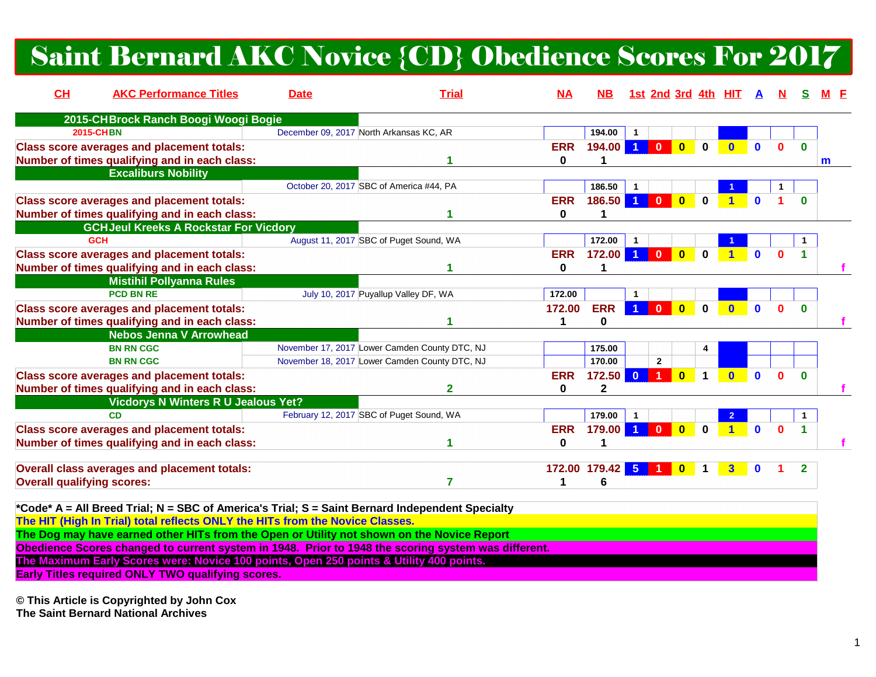### Saint Bernard AKC Novice {CD} Obedience Scores For 2017

| CH                                | <b>AKC Performance Titles</b>                                                                                                                                                                                                                                                                                                                                                                                                                                                                                                                | <b>Date</b>                             | <b>Trial</b>                                  | <b>NA</b>       | <b>NB</b>               |                      |                                                 |                      | <u>1st 2nd 3rd 4th HIT</u> | A            |              |              |   |
|-----------------------------------|----------------------------------------------------------------------------------------------------------------------------------------------------------------------------------------------------------------------------------------------------------------------------------------------------------------------------------------------------------------------------------------------------------------------------------------------------------------------------------------------------------------------------------------------|-----------------------------------------|-----------------------------------------------|-----------------|-------------------------|----------------------|-------------------------------------------------|----------------------|----------------------------|--------------|--------------|--------------|---|
|                                   | 2015-CHBrock Ranch Boogi Woogi Bogie                                                                                                                                                                                                                                                                                                                                                                                                                                                                                                         |                                         |                                               |                 |                         |                      |                                                 |                      |                            |              |              |              |   |
|                                   | <b>2015-CHBN</b>                                                                                                                                                                                                                                                                                                                                                                                                                                                                                                                             | December 09, 2017 North Arkansas KC, AR |                                               |                 | 194.00                  | -1                   |                                                 |                      |                            |              |              |              |   |
|                                   | <b>Class score averages and placement totals:</b><br>Number of times qualifying and in each class:                                                                                                                                                                                                                                                                                                                                                                                                                                           |                                         |                                               | <b>ERR</b><br>0 | 194.00                  | $\blacktriangleleft$ | $\overline{0}$<br>$\Omega$                      | $\Omega$             |                            |              |              | 0            | m |
|                                   | <b>Excaliburs Nobility</b>                                                                                                                                                                                                                                                                                                                                                                                                                                                                                                                   |                                         | October 20, 2017 SBC of America #44, PA       |                 | 186.50                  |                      |                                                 |                      |                            |              |              |              |   |
|                                   | <b>Class score averages and placement totals:</b>                                                                                                                                                                                                                                                                                                                                                                                                                                                                                            |                                         |                                               | <b>ERR</b>      | 186.50                  | $\blacktriangleleft$ | $\overline{\mathbf{0}}$<br>$\bf{0}$             | $\bf{0}$             |                            |              |              | n            |   |
|                                   | Number of times qualifying and in each class:                                                                                                                                                                                                                                                                                                                                                                                                                                                                                                |                                         |                                               | 0               |                         |                      |                                                 |                      |                            |              |              |              |   |
|                                   | <b>GCHJeul Kreeks A Rockstar For Vicdory</b>                                                                                                                                                                                                                                                                                                                                                                                                                                                                                                 |                                         |                                               |                 |                         |                      |                                                 |                      |                            |              |              |              |   |
|                                   | <b>GCH</b>                                                                                                                                                                                                                                                                                                                                                                                                                                                                                                                                   |                                         | August 11, 2017 SBC of Puget Sound, WA        |                 | 172.00                  |                      |                                                 |                      |                            |              |              |              |   |
|                                   | <b>Class score averages and placement totals:</b>                                                                                                                                                                                                                                                                                                                                                                                                                                                                                            |                                         |                                               | <b>ERR</b>      | 172.00                  | $\blacktriangleleft$ | $\bf{0}$<br>$\bf{0}$                            | $\bf{0}$             |                            |              | 0            |              |   |
|                                   | Number of times qualifying and in each class:                                                                                                                                                                                                                                                                                                                                                                                                                                                                                                |                                         |                                               | 0               |                         |                      |                                                 |                      |                            |              |              |              |   |
|                                   | <b>Mistihil Pollyanna Rules</b>                                                                                                                                                                                                                                                                                                                                                                                                                                                                                                              |                                         |                                               |                 |                         |                      |                                                 |                      |                            |              |              |              |   |
|                                   | <b>PCD BN RE</b>                                                                                                                                                                                                                                                                                                                                                                                                                                                                                                                             |                                         | July 10, 2017 Puyallup Valley DF, WA          | 172.00          |                         | $\mathbf{1}$         |                                                 |                      |                            |              |              |              |   |
|                                   | <b>Class score averages and placement totals:</b><br>Number of times qualifying and in each class:                                                                                                                                                                                                                                                                                                                                                                                                                                           |                                         |                                               | 172.00<br>1     | <b>ERR</b><br>0         | $\blacktriangleleft$ | $\overline{\mathbf{0}}$<br>$\mathbf 0$          | $\bf{0}$             | $\mathbf{0}$               | $\mathbf{0}$ | $\mathbf{0}$ | $\bf{0}$     |   |
|                                   | <b>Nebos Jenna V Arrowhead</b>                                                                                                                                                                                                                                                                                                                                                                                                                                                                                                               |                                         |                                               |                 |                         |                      |                                                 |                      |                            |              |              |              |   |
|                                   | <b>BN RN CGC</b>                                                                                                                                                                                                                                                                                                                                                                                                                                                                                                                             |                                         | November 17, 2017 Lower Camden County DTC, NJ |                 | 175.00                  |                      |                                                 | 4                    |                            |              |              |              |   |
|                                   | <b>BN RN CGC</b>                                                                                                                                                                                                                                                                                                                                                                                                                                                                                                                             |                                         | November 18, 2017 Lower Camden County DTC, NJ |                 | 170.00                  |                      | $\overline{2}$                                  |                      |                            |              |              |              |   |
|                                   | <b>Class score averages and placement totals:</b>                                                                                                                                                                                                                                                                                                                                                                                                                                                                                            |                                         |                                               | <b>ERR</b>      | 172.50                  | $\overline{0}$       | $\overline{\mathbf{0}}$<br>$\blacktriangleleft$ | $\blacktriangleleft$ | $\mathbf{0}$               | $\mathbf{0}$ | $\mathbf{0}$ | $\mathbf{0}$ |   |
|                                   | Number of times qualifying and in each class:                                                                                                                                                                                                                                                                                                                                                                                                                                                                                                |                                         | 2                                             | 0               | $\overline{\mathbf{2}}$ |                      |                                                 |                      |                            |              |              |              |   |
|                                   | <b>Vicdorys N Winters R U Jealous Yet?</b>                                                                                                                                                                                                                                                                                                                                                                                                                                                                                                   |                                         |                                               |                 |                         |                      |                                                 |                      |                            |              |              |              |   |
|                                   | <b>CD</b>                                                                                                                                                                                                                                                                                                                                                                                                                                                                                                                                    |                                         | February 12, 2017 SBC of Puget Sound, WA      |                 | 179.00                  | $\mathbf{1}$         |                                                 |                      |                            |              |              |              |   |
|                                   | <b>Class score averages and placement totals:</b>                                                                                                                                                                                                                                                                                                                                                                                                                                                                                            |                                         |                                               | <b>ERR</b>      | 179.00                  | $\blacktriangleleft$ | $\bf{0}$<br>$\mathbf{0}$                        | 0                    | $\blacktriangleleft$       | $\mathbf{0}$ | $\mathbf{0}$ | 1            |   |
|                                   | Number of times qualifying and in each class:                                                                                                                                                                                                                                                                                                                                                                                                                                                                                                |                                         |                                               | 0               | $\mathbf 1$             |                      |                                                 |                      |                            |              |              |              |   |
| <b>Overall qualifying scores:</b> | Overall class averages and placement totals:                                                                                                                                                                                                                                                                                                                                                                                                                                                                                                 |                                         | 7                                             | 1               | 172.00 179.42 5<br>6    |                      | $\bf{0}$                                        |                      | 3                          | $\mathbf{0}$ |              | $\mathbf{2}$ |   |
|                                   | *Code* A = All Breed Trial; N = SBC of America's Trial; S = Saint Bernard Independent Specialty<br>The HIT (High In Trial) total reflects ONLY the HITs from the Novice Classes.<br>The Dog may have earned other HITs from the Open or Utility not shown on the Novice Report<br>Obedience Scores changed to current system in 1948. Prior to 1948 the scoring system was different.<br>The Maximum Early Scores were: Novice 100 points, Open 250 points & Utility 400 points.<br><b>Early Titles required ONLY TWO qualifying scores.</b> |                                         |                                               |                 |                         |                      |                                                 |                      |                            |              |              |              |   |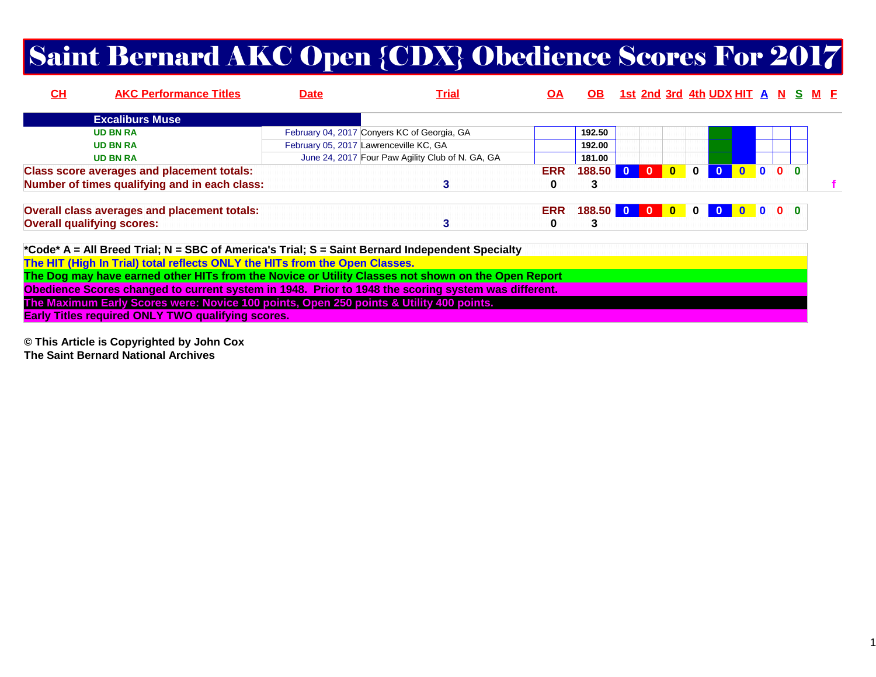# Saint Bernard AKC Open {CDX} Obedience Scores For 2017

| CH | <b>AKC Performance Titles</b>                     | <b>Date</b> | <b>Trial</b>                                     | ΟA         | OB .       |              |  | <u>1st 2nd 3rd 4th UDX HIT A N S M E</u> |  |                               |  |  |
|----|---------------------------------------------------|-------------|--------------------------------------------------|------------|------------|--------------|--|------------------------------------------|--|-------------------------------|--|--|
|    | <b>Excaliburs Muse</b>                            |             |                                                  |            |            |              |  |                                          |  |                               |  |  |
|    | <b>UD BN RA</b>                                   |             | February 04, 2017 Conyers KC of Georgia, GA      |            | 192.50     |              |  |                                          |  |                               |  |  |
|    | <b>UD BN RA</b>                                   |             | February 05, 2017 Lawrenceville KC, GA           |            | 192.00     |              |  |                                          |  |                               |  |  |
|    | <b>UD BN RA</b>                                   |             | June 24, 2017 Four Paw Agility Club of N. GA, GA |            | 181.00     |              |  |                                          |  |                               |  |  |
|    | <b>Class score averages and placement totals:</b> |             |                                                  | <b>ERR</b> | 188.50 0   | $\mathbf{0}$ |  | 0 0 0 0 0 0 0                            |  |                               |  |  |
|    | Number of times qualifying and in each class:     |             |                                                  | 0          | 3          |              |  |                                          |  |                               |  |  |
|    | Overall class averages and placement totals:      |             |                                                  | <b>ERR</b> | 188.50 0 0 |              |  | 0000                                     |  | $\bullet$ $\bullet$ $\bullet$ |  |  |
|    | <b>Overall qualifying scores:</b>                 |             |                                                  | 0          | 3          |              |  |                                          |  |                               |  |  |

**\*Code\* A = All Breed Trial; N = SBC of America's Trial; S = Saint Bernard Independent SpecialtyThe HIT (High In Trial) total reflects ONLY the HITs from the Open Classes. The Dog may have earned other HITs from the Novice or Utility Classes not shown on the Open Report Obedience Scores changed to current system in 1948. Prior to 1948 the scoring system was different.The Maximum Early Scores were: Novice 100 points, Open 250 points & Utility 400 points.Early Titles required ONLY TWO qualifying scores.**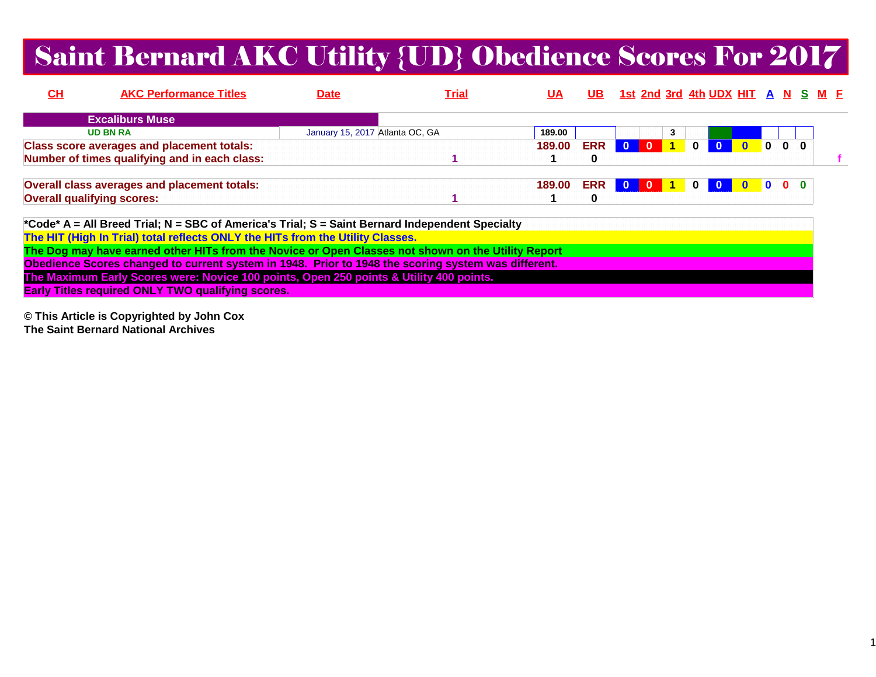### Saint Bernard AKC Utility {UD} Obedience Scores For 2017

| <u>СН</u> | <b>AKC Performance Titles</b>                                                                   | <b>Date</b>                     | <u>Trial</u> | <b>UA</b> | UB.        |     |                |                         | <u>1st 2nd 3rd 4th UDX HIT A N S M E</u> |  |  |  |
|-----------|-------------------------------------------------------------------------------------------------|---------------------------------|--------------|-----------|------------|-----|----------------|-------------------------|------------------------------------------|--|--|--|
|           | <b>Excaliburs Muse</b>                                                                          |                                 |              |           |            |     |                |                         |                                          |  |  |  |
|           | <b>UD BN RA</b>                                                                                 | January 15, 2017 Atlanta OC, GA |              | 189.00    |            |     | 3.             |                         |                                          |  |  |  |
|           | <b>Class score averages and placement totals:</b>                                               |                                 |              | 189.00    | <b>ERR</b> |     | $\overline{1}$ | $\overline{\mathbf{0}}$ |                                          |  |  |  |
|           | Number of times qualifying and in each class:                                                   |                                 |              |           | 0          |     |                |                         |                                          |  |  |  |
|           | Overall class averages and placement totals:                                                    |                                 |              | 189.00    | <b>ERR</b> | 0 0 |                |                         | 000                                      |  |  |  |
|           | <b>Overall qualifying scores:</b>                                                               |                                 |              |           | 0          |     |                |                         |                                          |  |  |  |
|           | *Code* A = All Breed Trial; N = SBC of America's Trial; S = Saint Bernard Independent Specialty |                                 |              |           |            |     |                |                         |                                          |  |  |  |

**The HIT (High In Trial) total reflects ONLY the HITs from the Utility Classes. The Dog may have earned other HITs from the Novice or Open Classes not shown on the Utility ReportObedience Scores changed to current system in 1948. Prior to 1948 the scoring system was different.The Maximum Early Scores were: Novice 100 points, Open 250 points & Utility 400 points.Early Titles required ONLY TWO qualifying scores.**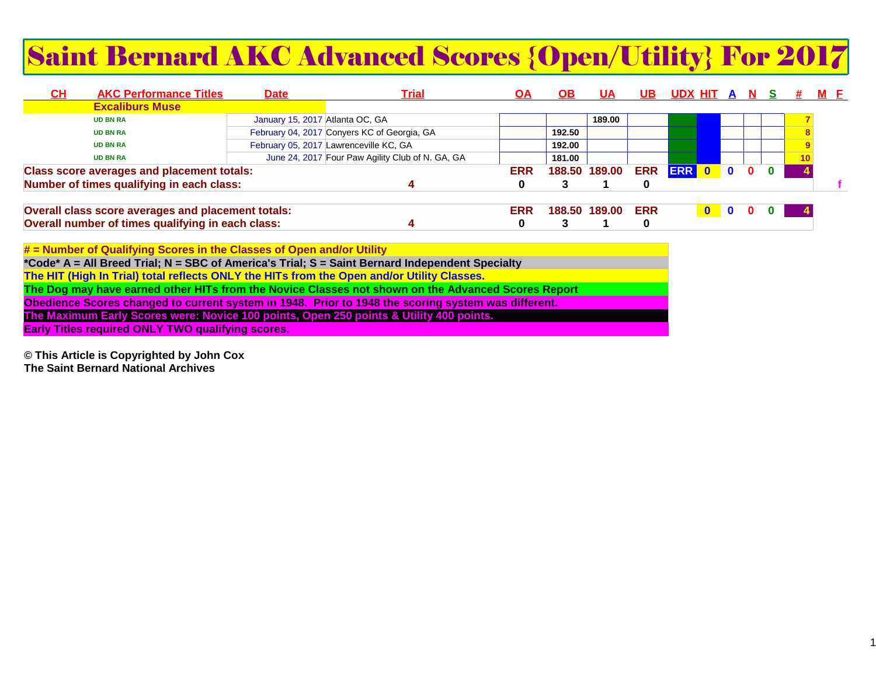# Saint Bernard AKC Advanced Scores {Open/Utility} For 2017

| $CH$ | <b>AKC Performance Titles</b>                      | <b>Date</b>                     | <u> Trial</u>                                    | ОA         | ОВ     | UA            | UB         | <u>UDX HITA</u> |           |              |  |  | M F |
|------|----------------------------------------------------|---------------------------------|--------------------------------------------------|------------|--------|---------------|------------|-----------------|-----------|--------------|--|--|-----|
|      | <b>Excaliburs Muse</b>                             |                                 |                                                  |            |        |               |            |                 |           |              |  |  |     |
|      | <b>UD BN RA</b>                                    | January 15, 2017 Atlanta OC, GA |                                                  |            |        | 189.00        |            |                 |           |              |  |  |     |
|      | <b>UD BN RA</b>                                    |                                 | February 04, 2017 Conyers KC of Georgia, GA      |            | 192.50 |               |            |                 |           |              |  |  |     |
|      | <b>UD BN RA</b>                                    |                                 | February 05, 2017 Lawrenceville KC, GA           |            | 192.00 |               |            |                 |           |              |  |  |     |
|      | <b>UD BN RA</b>                                    |                                 | June 24, 2017 Four Paw Agility Club of N. GA, GA |            | 181.00 |               |            |                 |           |              |  |  |     |
|      | <b>Class score averages and placement totals:</b>  |                                 |                                                  | <b>ERR</b> |        | 188.50 189.00 | <b>ERR</b> | ERR 0           |           | $\bullet$    |  |  |     |
|      | Number of times qualifying in each class:          |                                 |                                                  |            |        |               | 0          |                 |           |              |  |  |     |
|      | Overall class score averages and placement totals: |                                 |                                                  | <b>ERR</b> |        | 188.50 189.00 | <b>ERR</b> |                 | $\bullet$ | $\mathbf{0}$ |  |  |     |
|      | Overall number of times qualifying in each class:  |                                 |                                                  |            |        |               |            |                 |           |              |  |  |     |

**# = Number of Qualifying Scores in the Classes of Open and/or Utility**

**\*Code\* A = All Breed Trial; N = SBC of America's Trial; S = Saint Bernard Independent Specialty**

**The HIT (High In Trial) total reflects ONLY the HITs from the Open and/or Utility Classes.**

**The Dog may have earned other HITs from the Novice Classes not shown on the Advanced Scores Report**

**Obedience Scores changed to current system in 1948. Prior to 1948 the scoring system was different.**

**The Maximum Early Scores were: Novice 100 points, Open 250 points & Utility 400 points.**

**Early Titles required ONLY TWO qualifying scores.**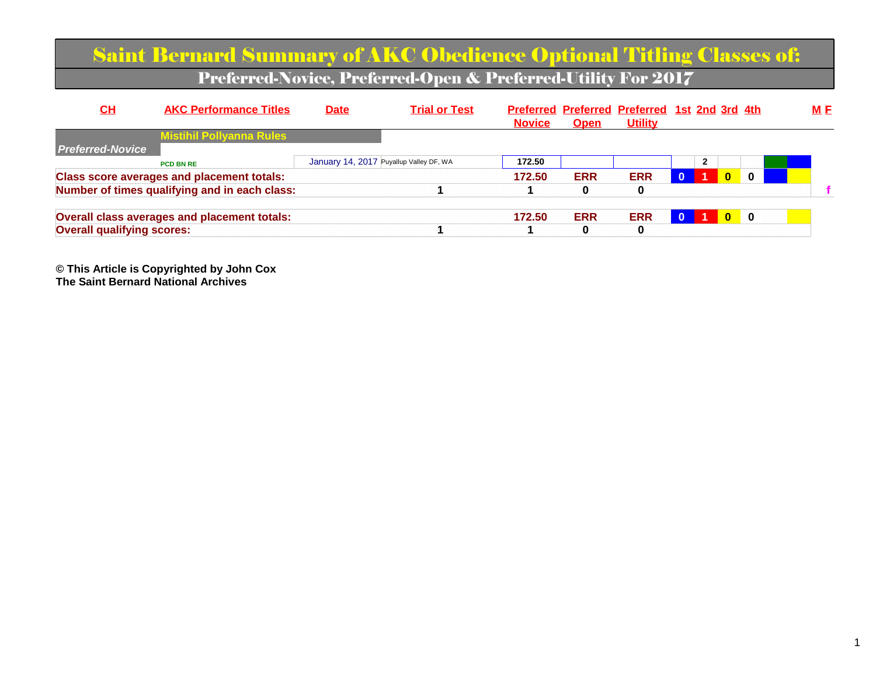|                                   | <b>Saint Bernard Summary of AKC Obedience Optional Titling Classes of:</b> |                                         |                                                               |               |             |                                                                 |          |                |                |            |
|-----------------------------------|----------------------------------------------------------------------------|-----------------------------------------|---------------------------------------------------------------|---------------|-------------|-----------------------------------------------------------------|----------|----------------|----------------|------------|
|                                   |                                                                            |                                         | Preferred-Novice, Preferred-Open & Preferred-Utility For 2017 |               |             |                                                                 |          |                |                |            |
| CL                                | <b>AKC Performance Titles</b>                                              | <b>Date</b>                             | <b>Trial or Test</b>                                          | <b>Novice</b> | <b>Open</b> | Preferred Preferred Preferred 1st 2nd 3rd 4th<br><b>Utility</b> |          |                |                | <u>M F</u> |
| <b>Preferred-Novice</b>           | <b>Mistihil Pollyanna Rules</b>                                            |                                         |                                                               |               |             |                                                                 |          |                |                |            |
|                                   | <b>PCD BN RE</b>                                                           | January 14, 2017 Puyallup Valley DF, WA |                                                               | 172.50        |             |                                                                 |          | $\overline{2}$ |                |            |
|                                   | <b>Class score averages and placement totals:</b>                          |                                         |                                                               | 172.50        | <b>ERR</b>  | <b>ERR</b>                                                      | $\Omega$ | $\mathbf{0}$   | $\bf{0}$       |            |
|                                   | Number of times qualifying and in each class:                              |                                         |                                                               |               | 0           | $\bf{0}$                                                        |          |                |                |            |
|                                   | Overall class averages and placement totals:                               |                                         |                                                               | 172.50        | <b>ERR</b>  | <b>ERR</b>                                                      |          | $\mathbf{0}$   | $\blacksquare$ |            |
| <b>Overall qualifying scores:</b> |                                                                            |                                         |                                                               |               | 0           | 0                                                               |          |                |                |            |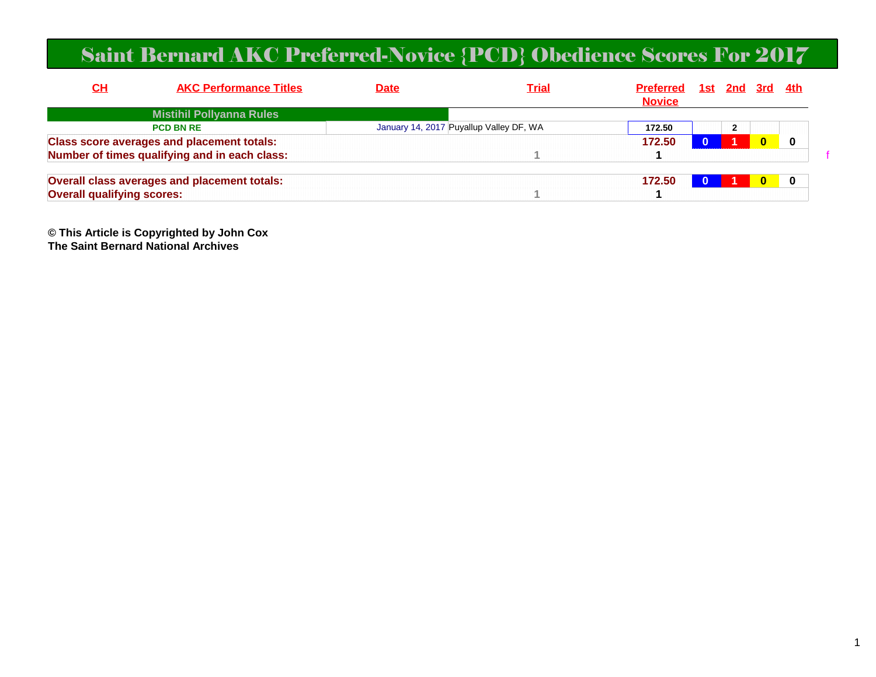### Saint Bernard AKC Preferred-Novice {PCD} Obedience Scores For 2017

| <u>СН</u>                         | <b>AKC Performance Titles</b>                     | <b>Date</b> | <b>Trial</b>                            | <b>Preferred</b><br><b>Novice</b> | <u>1st 2nd 3rd 4th</u> |          |  |
|-----------------------------------|---------------------------------------------------|-------------|-----------------------------------------|-----------------------------------|------------------------|----------|--|
|                                   | <b>Mistihil Pollyanna Rules</b>                   |             |                                         |                                   |                        |          |  |
|                                   | <b>PCD BN RE</b>                                  |             | January 14, 2017 Puyallup Valley DF, WA | 172.50                            |                        |          |  |
|                                   | <b>Class score averages and placement totals:</b> |             |                                         | 172.50                            |                        | $\Omega$ |  |
|                                   | Number of times qualifying and in each class:     |             |                                         |                                   |                        |          |  |
|                                   | Overall class averages and placement totals:      |             |                                         | 172.50                            |                        |          |  |
| <b>Overall qualifying scores:</b> |                                                   |             |                                         |                                   |                        |          |  |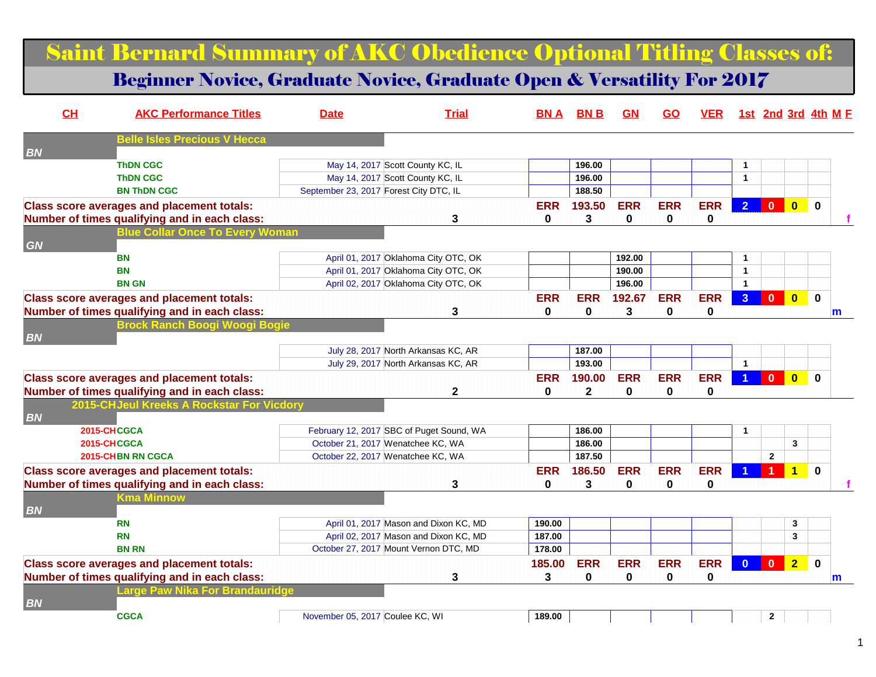### Saint Bernard Summary of AKC Obedience Optional Titling Classes of:

#### Beginner Novice, Graduate Novice, Graduate Open & Versatility For 2017

| CH<br><b>AKC Performance Titles</b>               | <b>Date</b>                            | <b>Trial</b>                             | BN A        | <b>BNB</b> | <b>GN</b>  | <u>GO</u>   | <b>VER</b> |                      |                |                         | 1st 2nd 3rd 4th M F |
|---------------------------------------------------|----------------------------------------|------------------------------------------|-------------|------------|------------|-------------|------------|----------------------|----------------|-------------------------|---------------------|
| Belle Isles Precious V Hecca<br><b>BN</b>         |                                        |                                          |             |            |            |             |            |                      |                |                         |                     |
| <b>ThDN CGC</b>                                   |                                        | May 14, 2017 Scott County KC, IL         |             | 196.00     |            |             |            | $\overline{1}$       |                |                         |                     |
| <b>ThDN CGC</b>                                   |                                        | May 14, 2017 Scott County KC, IL         |             | 196.00     |            |             |            | $\overline{1}$       |                |                         |                     |
| <b>BN ThDN CGC</b>                                | September 23, 2017 Forest City DTC, IL |                                          |             | 188.50     |            |             |            |                      |                |                         |                     |
| <b>Class score averages and placement totals:</b> |                                        |                                          | <b>ERR</b>  | 193.50     | <b>ERR</b> | <b>ERR</b>  | <b>ERR</b> | $\overline{2}$       | $\mathbf{0}$   | $\overline{0}$          | $\bf{0}$            |
| Number of times qualifying and in each class:     |                                        | 3                                        | $\mathbf 0$ | 3          | 0          | $\mathbf 0$ | 0          |                      |                |                         |                     |
| <b>Ilue Collar Once To Every Woman</b>            |                                        |                                          |             |            |            |             |            |                      |                |                         |                     |
| <b>GN</b>                                         |                                        |                                          |             |            |            |             |            |                      |                |                         |                     |
| BN                                                |                                        | April 01, 2017 Oklahoma City OTC, OK     |             |            | 192.00     |             |            | $\mathbf{1}$         |                |                         |                     |
| <b>BN</b>                                         |                                        | April 01, 2017 Oklahoma City OTC, OK     |             |            | 190.00     |             |            | $\blacktriangleleft$ |                |                         |                     |
| <b>BN GN</b>                                      |                                        | April 02, 2017 Oklahoma City OTC, OK     |             |            | 196.00     |             |            |                      |                |                         |                     |
| <b>Class score averages and placement totals:</b> |                                        |                                          | <b>ERR</b>  | <b>ERR</b> | 192.67     | <b>ERR</b>  | <b>ERR</b> | 3 <sup>2</sup>       | $\mathbf{0}$   | $\overline{\mathbf{0}}$ | $\bf{0}$            |
| Number of times qualifying and in each class:     |                                        | 3                                        | $\mathbf 0$ | 0          | 3          | $\mathbf 0$ | 0          |                      |                |                         | m                   |
| rock Ranch Boogi Woo                              |                                        |                                          |             |            |            |             |            |                      |                |                         |                     |
| <b>BN</b>                                         |                                        |                                          |             |            |            |             |            |                      |                |                         |                     |
|                                                   |                                        | July 28, 2017 North Arkansas KC, AR      |             | 187.00     |            |             |            |                      |                |                         |                     |
|                                                   |                                        | July 29, 2017 North Arkansas KC, AR      |             | 193.00     |            |             |            | $\overline{1}$       |                |                         |                     |
| <b>Class score averages and placement totals:</b> |                                        |                                          | <b>ERR</b>  | 190.00     | <b>ERR</b> | <b>ERR</b>  | <b>ERR</b> |                      | $\mathbf{0}$   | $\overline{0}$          | $\mathbf{0}$        |
| Number of times qualifying and in each class:     |                                        | $\mathbf{2}$                             | 0           | 2          | 0          | 0           | 0          |                      |                |                         |                     |
| 2015-CHJeul Kreeks A Rockstar For Vicdory         |                                        |                                          |             |            |            |             |            |                      |                |                         |                     |
| <b>BN</b>                                         |                                        |                                          |             |            |            |             |            |                      |                |                         |                     |
| 2015-CHCGCA                                       |                                        | February 12, 2017 SBC of Puget Sound, WA |             | 186.00     |            |             |            | $\overline{1}$       |                |                         |                     |
| 2015-CHCGCA                                       |                                        | October 21, 2017 Wenatchee KC, WA        |             | 186.00     |            |             |            |                      |                | $\mathbf{3}$            |                     |
| 2015-CHBN RN CGCA                                 |                                        | October 22, 2017 Wenatchee KC, WA        |             | 187.50     |            |             |            |                      | $\mathbf{2}$   |                         |                     |
| <b>Class score averages and placement totals:</b> |                                        |                                          | <b>ERR</b>  | 186.50     | <b>ERR</b> | <b>ERR</b>  | <b>ERR</b> |                      |                | $\overline{\mathbf{1}}$ | $\mathbf{0}$        |
| Number of times qualifying and in each class:     |                                        | 3                                        | $\mathbf 0$ | 3          | 0          | $\mathbf 0$ | 0          |                      |                |                         |                     |
| Kma Minnow                                        |                                        |                                          |             |            |            |             |            |                      |                |                         |                     |
| <b>BN</b>                                         |                                        |                                          |             |            |            |             |            |                      |                |                         |                     |
| <b>RN</b>                                         |                                        | April 01, 2017 Mason and Dixon KC, MD    | 190.00      |            |            |             |            |                      |                | 3                       |                     |
| <b>RN</b>                                         |                                        | April 02, 2017 Mason and Dixon KC, MD    | 187.00      |            |            |             |            |                      |                | 3                       |                     |
| <b>BN RN</b>                                      |                                        | October 27, 2017 Mount Vernon DTC, MD    | 178.00      |            |            |             |            |                      |                |                         |                     |
| <b>Class score averages and placement totals:</b> |                                        |                                          | 185.00      | <b>ERR</b> | <b>ERR</b> | <b>ERR</b>  | <b>ERR</b> | $\mathbf{0}$         | $\overline{0}$ | $\overline{2}$          | $\mathbf 0$         |
| Number of times qualifying and in each class:     |                                        | 3                                        | 3           | 0          | $\bf{0}$   | $\mathbf 0$ | 0          |                      |                |                         | m                   |
| r Brandauridge<br>.arge Paw                       |                                        |                                          |             |            |            |             |            |                      |                |                         |                     |
| <b>BN</b>                                         |                                        |                                          |             |            |            |             |            |                      |                |                         |                     |
| <b>CGCA</b>                                       | November 05, 2017 Coulee KC, WI        |                                          | 189.00      |            |            |             |            |                      | $\mathbf{2}$   |                         |                     |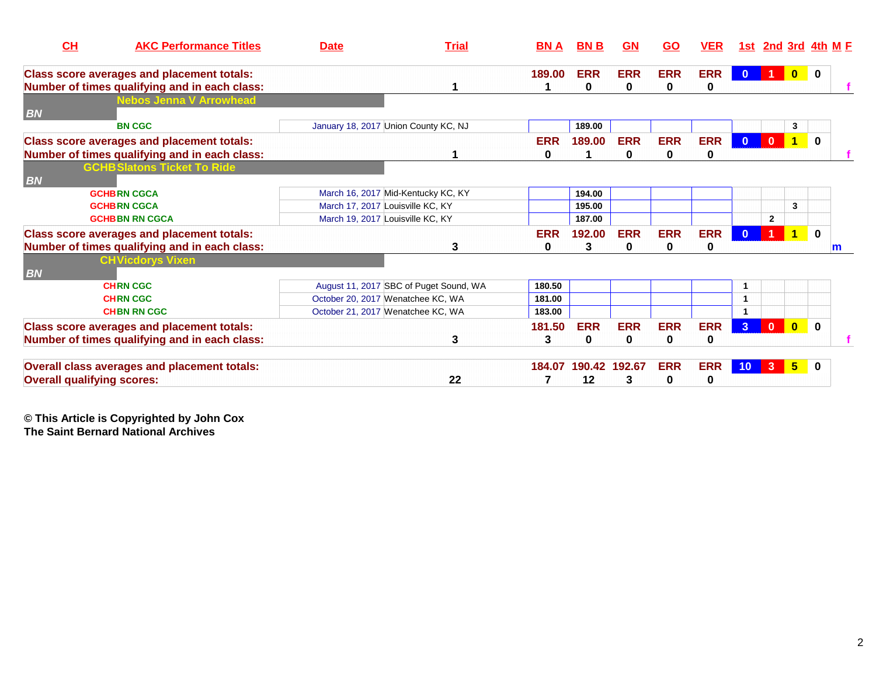| CH<br><b>AKC Performance Titles</b>                                                                | <b>Date</b>                          | <b>Trial</b>                           | <b>BNA</b>      | <b>BNB</b>             | <b>GN</b>                 | <u>GO</u>       | <u>VER</u>      | 1st                     | <b>2nd 3rd 4th M F</b> |                         |              |   |
|----------------------------------------------------------------------------------------------------|--------------------------------------|----------------------------------------|-----------------|------------------------|---------------------------|-----------------|-----------------|-------------------------|------------------------|-------------------------|--------------|---|
| <b>Class score averages and placement totals:</b><br>Number of times qualifying and in each class: |                                      |                                        | 189.00          | <b>ERR</b><br>$\bf{0}$ | <b>ERR</b><br>$\mathbf 0$ | <b>ERR</b><br>0 | <b>ERR</b><br>0 | $\mathbf{0}$            | -1.                    |                         |              |   |
| <b>Nebos Jenna V Arrowhead</b><br><b>BN</b>                                                        |                                      |                                        |                 |                        |                           |                 |                 |                         |                        |                         |              |   |
| <b>BN CGC</b>                                                                                      | January 18, 2017 Union County KC, NJ |                                        |                 | 189.00                 |                           |                 |                 |                         |                        | 3                       |              |   |
| <b>Class score averages and placement totals:</b><br>Number of times qualifying and in each class: |                                      |                                        | <b>ERR</b><br>0 | 189.00                 | <b>ERR</b><br>0           | <b>ERR</b><br>0 | <b>ERR</b><br>0 | $\mathbf{0}$            | $\mathbf{0}$           | $\overline{1}$          | $\mathbf{0}$ |   |
| <b>GCHB Slatons Ticket To Ride</b><br><b>BN</b>                                                    |                                      |                                        |                 |                        |                           |                 |                 |                         |                        |                         |              |   |
| <b>GCHBRN CGCA</b>                                                                                 | March 16, 2017 Mid-Kentucky KC, KY   |                                        |                 | 194.00                 |                           |                 |                 |                         |                        |                         |              |   |
| <b>GCHBRN CGCA</b>                                                                                 | March 17, 2017 Louisville KC, KY     |                                        |                 | 195.00                 |                           |                 |                 |                         |                        | 3                       |              |   |
| <b>GCHBBN RN CGCA</b>                                                                              | March 19, 2017 Louisville KC, KY     |                                        |                 | 187.00                 |                           |                 |                 |                         | $\mathbf{2}$           |                         |              |   |
| <b>Class score averages and placement totals:</b>                                                  |                                      |                                        | <b>ERR</b>      | 192.00                 | <b>ERR</b>                | <b>ERR</b>      | <b>ERR</b>      |                         |                        | $\overline{\mathbf{1}}$ | $\mathbf 0$  |   |
| Number of times qualifying and in each class:                                                      |                                      | 3                                      | 0               | 3                      | $\bf{0}$                  | $\mathbf{0}$    | 0               |                         |                        |                         |              | m |
| <b>CHVicdorys Vixen</b><br><b>BN</b>                                                               |                                      |                                        |                 |                        |                           |                 |                 |                         |                        |                         |              |   |
| <b>CHRN CGC</b>                                                                                    |                                      | August 11, 2017 SBC of Puget Sound, WA | 180.50          |                        |                           |                 |                 | $\overline{\mathbf{1}}$ |                        |                         |              |   |
| <b>CHRN CGC</b>                                                                                    | October 20, 2017 Wenatchee KC, WA    |                                        | 181.00          |                        |                           |                 |                 |                         |                        |                         |              |   |
| <b>CHBN RN CGC</b>                                                                                 | October 21, 2017 Wenatchee KC, WA    |                                        | 183.00          |                        |                           |                 |                 |                         |                        |                         |              |   |
| <b>Class score averages and placement totals:</b>                                                  |                                      |                                        | 181.50          | <b>ERR</b>             | <b>ERR</b>                | <b>ERR</b>      | <b>ERR</b>      | 3 <sup>1</sup>          | $\mathbf{0}$           | $\overline{\mathbf{0}}$ | $\mathbf 0$  |   |
| Number of times qualifying and in each class:                                                      |                                      | 3                                      | 3               | $\bf{0}$               | 0                         | 0               | 0               |                         |                        |                         |              |   |
| Overall class averages and placement totals:                                                       |                                      |                                        | 184.07          | 190.42 192.67          |                           | <b>ERR</b>      | <b>ERR</b>      | 10 <sup>°</sup>         | $\mathbf{3}$           | $5\overline{)}$         | 0            |   |
| <b>Overall qualifying scores:</b>                                                                  |                                      | 22                                     |                 | 12                     | 3                         | 0               | $\bf{0}$        |                         |                        |                         |              |   |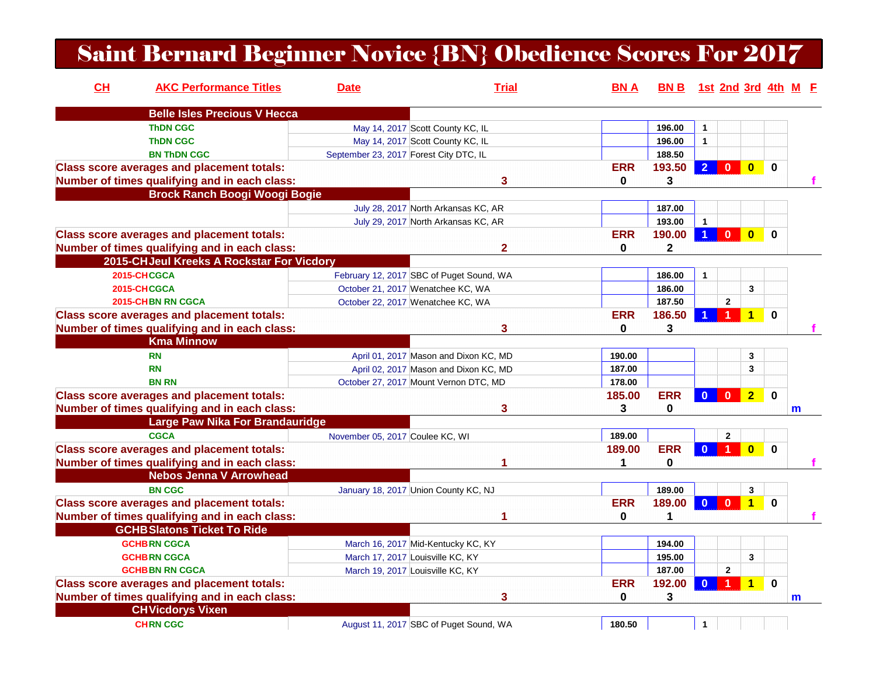### Saint Bernard Beginner Novice {BN} Obedience Scores For 2017

| CH | <b>AKC Performance Titles</b>                     | <b>Date</b>                            | <b>Trial</b>                             | BN A         | BN B 1st 2nd 3rd 4th M F |                |                |                         |             |              |  |
|----|---------------------------------------------------|----------------------------------------|------------------------------------------|--------------|--------------------------|----------------|----------------|-------------------------|-------------|--------------|--|
|    | <b>Belle Isles Precious V Hecca</b>               |                                        |                                          |              |                          |                |                |                         |             |              |  |
|    | <b>ThDN CGC</b>                                   |                                        | May 14, 2017 Scott County KC, IL         |              | 196.00                   | $\mathbf{1}$   |                |                         |             |              |  |
|    | <b>ThDN CGC</b>                                   |                                        | May 14, 2017 Scott County KC, IL         |              | 196.00                   | $\mathbf{1}$   |                |                         |             |              |  |
|    | <b>BN ThDN CGC</b>                                | September 23, 2017 Forest City DTC, IL |                                          |              | 188.50                   |                |                |                         |             |              |  |
|    | <b>Class score averages and placement totals:</b> |                                        |                                          | <b>ERR</b>   | 193.50                   | $\overline{2}$ | O              | $\bf{0}$                | $\bf{0}$    |              |  |
|    | Number of times qualifying and in each class:     |                                        | 3                                        | $\mathbf{0}$ | 3                        |                |                |                         |             |              |  |
|    | <b>Brock Ranch Boogi Woogi Bogie</b>              |                                        |                                          |              |                          |                |                |                         |             |              |  |
|    |                                                   |                                        | July 28, 2017 North Arkansas KC, AR      |              | 187.00                   |                |                |                         |             |              |  |
|    |                                                   |                                        | July 29, 2017 North Arkansas KC, AR      |              | 193.00                   | $\mathbf{1}$   |                |                         |             |              |  |
|    | <b>Class score averages and placement totals:</b> |                                        |                                          | <b>ERR</b>   | 190.00                   | $\overline{1}$ | $\bf{0}$       | $\overline{\mathbf{0}}$ | $\bf{0}$    |              |  |
|    | Number of times qualifying and in each class:     |                                        | $\mathbf{2}$                             | $\bf{0}$     | $\mathbf{2}$             |                |                |                         |             |              |  |
|    | 2015-CH Jeul Kreeks A Rockstar For Vicdory        |                                        |                                          |              |                          |                |                |                         |             |              |  |
|    | 2015-CHCGCA                                       |                                        | February 12, 2017 SBC of Puget Sound, WA |              | 186.00                   | $\mathbf{1}$   |                |                         |             |              |  |
|    | 2015-CHCGCA                                       | October 21, 2017 Wenatchee KC, WA      |                                          |              | 186.00                   |                |                | 3                       |             |              |  |
|    | 2015-CHBN RN CGCA                                 | October 22, 2017 Wenatchee KC, WA      |                                          |              | 187.50                   |                | $\overline{2}$ |                         |             |              |  |
|    | <b>Class score averages and placement totals:</b> |                                        |                                          | <b>ERR</b>   | 186.50                   |                |                | 1                       | $\bf{0}$    |              |  |
|    | Number of times qualifying and in each class:     |                                        | 3                                        | 0            | 3                        |                |                |                         |             |              |  |
|    | <b>Kma Minnow</b>                                 |                                        |                                          |              |                          |                |                |                         |             |              |  |
|    | <b>RN</b>                                         |                                        | April 01, 2017 Mason and Dixon KC, MD    | 190.00       |                          |                |                | 3                       |             |              |  |
|    | <b>RN</b>                                         |                                        | April 02, 2017 Mason and Dixon KC, MD    | 187.00       |                          |                |                | 3                       |             |              |  |
|    | <b>BN RN</b>                                      |                                        | October 27, 2017 Mount Vernon DTC, MD    | 178.00       |                          |                |                |                         |             |              |  |
|    | <b>Class score averages and placement totals:</b> |                                        |                                          | 185.00       | <b>ERR</b>               | $\Omega$       | $\bf{0}$       | 2 <sup>1</sup>          | $\bf{0}$    |              |  |
|    | Number of times qualifying and in each class:     |                                        | 3                                        | 3            | 0                        |                |                |                         |             | $\mathbf{m}$ |  |
|    | <b>Large Paw Nika For Brandauridge</b>            |                                        |                                          |              |                          |                |                |                         |             |              |  |
|    | <b>CGCA</b>                                       | November 05, 2017 Coulee KC, WI        |                                          | 189.00       |                          |                | $\mathbf{2}$   |                         |             |              |  |
|    | <b>Class score averages and placement totals:</b> |                                        |                                          | 189.00       | <b>ERR</b>               | $\mathbf{0}$   |                | $\mathbf{0}$            | $\mathbf 0$ |              |  |
|    | Number of times qualifying and in each class:     |                                        |                                          | 1            | 0                        |                |                |                         |             |              |  |
|    | <b>Nebos Jenna V Arrowhead</b>                    |                                        |                                          |              |                          |                |                |                         |             |              |  |
|    | <b>BN CGC</b>                                     | January 18, 2017 Union County KC, NJ   |                                          |              | 189.00                   |                |                | 3                       |             |              |  |
|    | <b>Class score averages and placement totals:</b> |                                        |                                          | <b>ERR</b>   | 189.00                   | $\overline{0}$ | $\mathbf{0}$   | $1 \ 0$                 |             |              |  |
|    | Number of times qualifying and in each class:     |                                        |                                          | 0            | 1                        |                |                |                         |             |              |  |
|    | <b>GCHB Slatons Ticket To Ride</b>                |                                        |                                          |              |                          |                |                |                         |             |              |  |
|    | <b>GCHBRN CGCA</b>                                |                                        | March 16, 2017 Mid-Kentucky KC, KY       |              | 194.00                   |                |                |                         |             |              |  |
|    | <b>GCHBRN CGCA</b>                                | March 17, 2017 Louisville KC, KY       |                                          |              | 195.00                   |                |                | 3                       |             |              |  |
|    | <b>GCHBBN RN CGCA</b>                             | March 19, 2017 Louisville KC, KY       |                                          |              | 187.00                   |                | $\mathbf 2$    |                         |             |              |  |
|    | <b>Class score averages and placement totals:</b> |                                        |                                          | <b>ERR</b>   | 192.00                   | $\Omega$       |                | 1                       | $\mathbf 0$ |              |  |
|    | Number of times qualifying and in each class:     |                                        | 3                                        | $\bf{0}$     | 3                        |                |                |                         |             | m            |  |
|    | <b>CHVicdorys Vixen</b>                           |                                        |                                          |              |                          |                |                |                         |             |              |  |
|    | <b>CHRN CGC</b>                                   |                                        | August 11, 2017 SBC of Puget Sound, WA   | 180.50       |                          | $\mathbf{1}$   |                |                         |             |              |  |
|    |                                                   |                                        |                                          |              |                          |                |                |                         |             |              |  |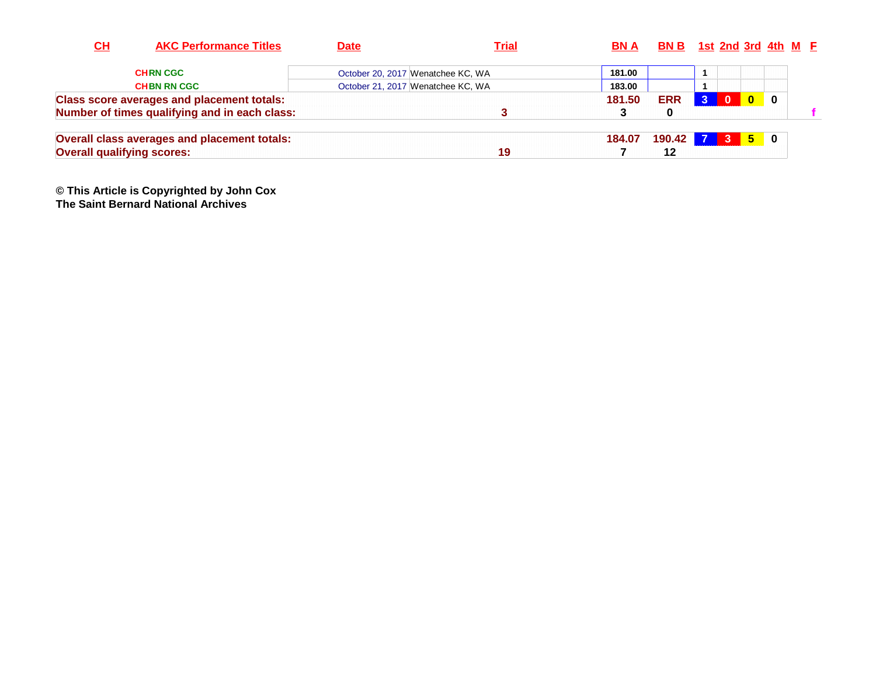| CH                                | <b>AKC Performance Titles</b>                     | <b>Date</b> | <b>Trial</b>                      | BN A   | <b>BN B</b> 1st 2nd 3rd 4th $M$ <b>F</b> |                |              |            |                |  |
|-----------------------------------|---------------------------------------------------|-------------|-----------------------------------|--------|------------------------------------------|----------------|--------------|------------|----------------|--|
|                                   | <b>CHRN CGC</b>                                   |             | October 20, 2017 Wenatchee KC, WA | 181.00 |                                          |                |              |            |                |  |
|                                   | <b>CHBN RN CGC</b>                                |             | October 21, 2017 Wenatchee KC, WA | 183.00 |                                          |                |              |            |                |  |
|                                   | <b>Class score averages and placement totals:</b> |             |                                   | 181.50 | <b>ERR</b>                               | $\overline{3}$ | $\Omega$     | $\Omega$   | - 0            |  |
|                                   | Number of times qualifying and in each class:     |             |                                   |        | $\bf{0}$                                 |                |              |            |                |  |
|                                   | Overall class averages and placement totals:      |             |                                   | 184.07 | 190.42 7                                 |                | $\mathbf{3}$ | <u> 51</u> | $\blacksquare$ |  |
| <b>Overall qualifying scores:</b> |                                                   |             | 19                                |        | 12                                       |                |              |            |                |  |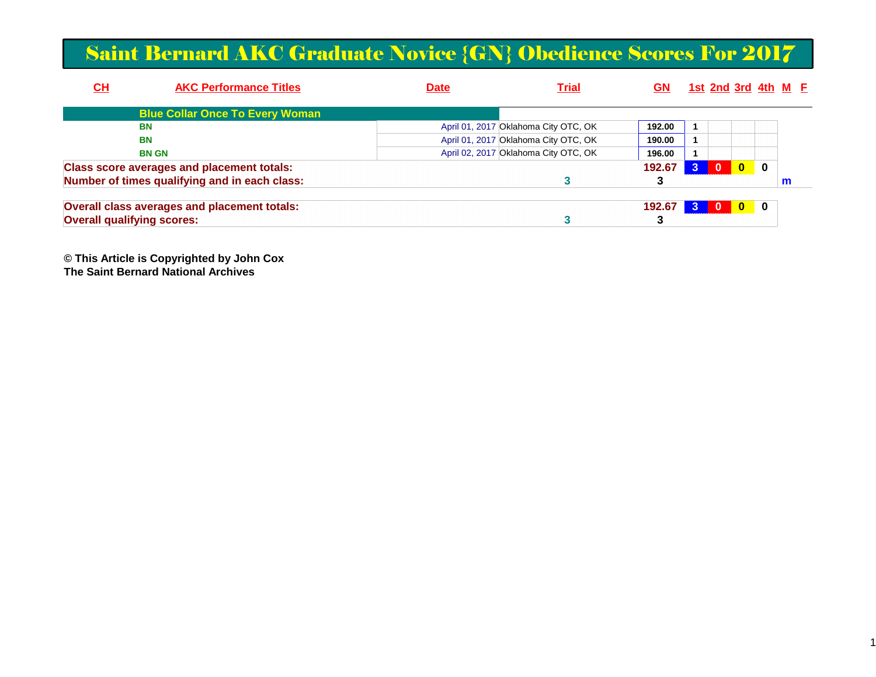#### Saint Bernard AKC Graduate Novice {GN} Obedience Scores For 2017

| <u>СН</u>                         | <b>AKC Performance Titles</b>                     | <b>Date</b> | <b>Trial</b>                         | GN     | <u>1st 2nd 3rd 4th M F</u> |              |          |   |  |
|-----------------------------------|---------------------------------------------------|-------------|--------------------------------------|--------|----------------------------|--------------|----------|---|--|
|                                   | <b>Blue Collar Once To Every Woman</b>            |             |                                      |        |                            |              |          |   |  |
|                                   | BN                                                |             | April 01, 2017 Oklahoma City OTC, OK | 192.00 |                            |              |          |   |  |
|                                   | <b>BN</b>                                         |             | April 01, 2017 Oklahoma City OTC, OK | 190.00 |                            |              |          |   |  |
|                                   | <b>BN GN</b>                                      |             | April 02, 2017 Oklahoma City OTC, OK | 196.00 |                            |              |          |   |  |
|                                   | <b>Class score averages and placement totals:</b> |             |                                      | 192.67 | $\mathbf{0}$               | $\mathbf{0}$ | $\bf{0}$ |   |  |
|                                   | Number of times qualifying and in each class:     |             |                                      |        |                            |              |          | m |  |
|                                   | Overall class averages and placement totals:      |             |                                      | 192.67 | - 0                        | $\mathbf{0}$ | 0        |   |  |
| <b>Overall qualifying scores:</b> |                                                   |             |                                      |        |                            |              |          |   |  |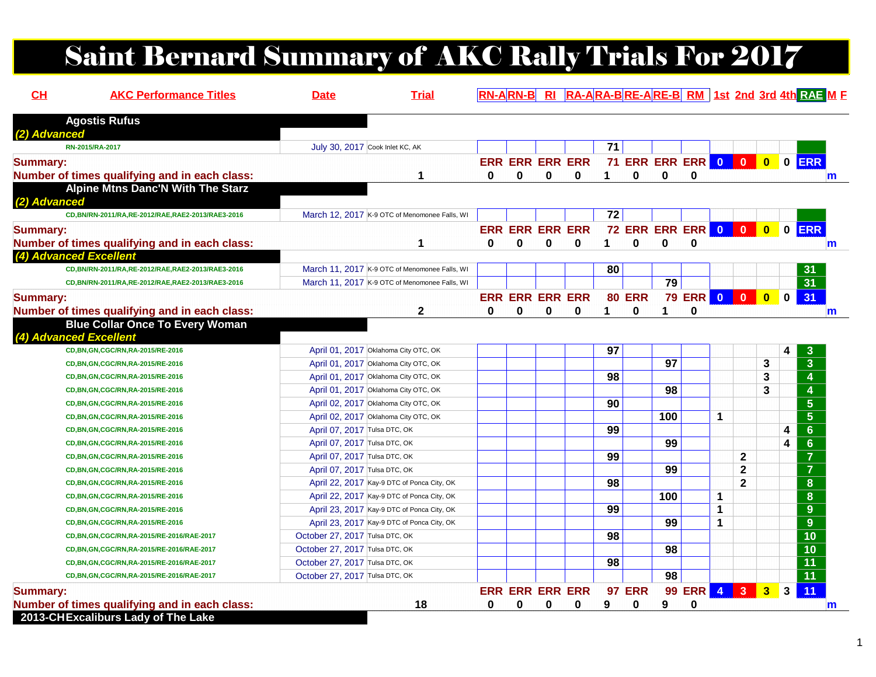# Saint Bernard Summary of AKC Rally Trials For 2017

| CL              | <b>AKC Performance Titles</b>                                                           | <b>Date</b>                    | <b>Trial</b>                                  |              |                        |             |                        |    |                            |              |                |   |                |                |              | RN-ARN-B RI RA-ARA-BRE-ARE-B RM 1st 2nd 3rd 4th RAE M F |
|-----------------|-----------------------------------------------------------------------------------------|--------------------------------|-----------------------------------------------|--------------|------------------------|-------------|------------------------|----|----------------------------|--------------|----------------|---|----------------|----------------|--------------|---------------------------------------------------------|
|                 | <b>Agostis Rufus</b>                                                                    |                                |                                               |              |                        |             |                        |    |                            |              |                |   |                |                |              |                                                         |
| (2) Advanced    | RN-2015/RA-2017                                                                         |                                | July 30, 2017 Cook Inlet KC, AK               |              |                        |             |                        | 71 |                            |              |                |   |                |                |              |                                                         |
|                 |                                                                                         |                                |                                               |              |                        |             | <b>ERR ERR ERR ERR</b> |    | 71 ERR ERR ERR 0 0 0 0 ERR |              |                |   |                |                |              |                                                         |
| <b>Summary:</b> | Number of times qualifying and in each class:                                           |                                | 1                                             | $\mathbf{0}$ | $\bf{0}$               | $\mathbf 0$ | 0                      | 1  | $\bf{0}$                   | $\mathbf{0}$ | 0              |   |                |                |              |                                                         |
|                 | <b>Alpine Mtns Danc'N With The Starz</b>                                                |                                |                                               |              |                        |             |                        |    |                            |              |                |   |                |                |              | $\mathsf{m}$                                            |
| (2) Advanced    |                                                                                         |                                |                                               |              |                        |             |                        |    |                            |              |                |   |                |                |              |                                                         |
|                 | CD, BN/RN-2011/RA, RE-2012/RAE, RAE2-2013/RAE3-2016                                     |                                | March 12, 2017 K-9 OTC of Menomonee Falls, WI |              |                        |             |                        | 72 |                            |              |                |   |                |                |              |                                                         |
| <b>Summary:</b> |                                                                                         |                                |                                               |              | <b>ERR ERR ERR ERR</b> |             |                        |    | 72 ERR ERR ERR 0 0 0 0 ERR |              |                |   |                |                |              |                                                         |
|                 | Number of times qualifying and in each class:                                           |                                | 1                                             | 0            | $\bf{0}$               | $\bf{0}$    | 0                      | 1  | $\mathbf{0}$               | $\bf{0}$     | $\bf{0}$       |   |                |                |              | m                                                       |
|                 | (4) Advanced Excellent                                                                  |                                |                                               |              |                        |             |                        |    |                            |              |                |   |                |                |              |                                                         |
|                 | CD, BN/RN-2011/RA, RE-2012/RAE, RAE2-2013/RAE3-2016                                     |                                | March 11, 2017 K-9 OTC of Menomonee Falls, WI |              |                        |             |                        | 80 |                            |              |                |   |                |                |              | 31                                                      |
|                 | CD, BN/RN-2011/RA, RE-2012/RAE, RAE2-2013/RAE3-2016                                     |                                | March 11, 2017 K-9 OTC of Menomonee Falls, WI |              |                        |             |                        |    |                            | 79           |                |   |                |                |              | 31                                                      |
|                 |                                                                                         |                                |                                               |              | <b>ERR ERR ERR ERR</b> |             |                        |    | <b>80 ERR</b>              |              | 79 ERR 0 0 0 0 |   |                |                |              | 31                                                      |
| <b>Summary:</b> |                                                                                         |                                |                                               | $\bf{0}$     |                        |             |                        | 1  | $\bf{0}$                   | 1.           |                |   |                |                |              |                                                         |
|                 | Number of times qualifying and in each class:<br><b>Blue Collar Once To Every Woman</b> |                                | $\mathbf 2$                                   |              | 0                      | $\bf{0}$    | 0                      |    |                            |              | 0              |   |                |                |              | m                                                       |
|                 | (4) Advanced Excellent                                                                  |                                |                                               |              |                        |             |                        |    |                            |              |                |   |                |                |              |                                                         |
|                 | CD, BN, GN, CGC/RN, RA-2015/RE-2016                                                     |                                | April 01, 2017 Oklahoma City OTC, OK          |              |                        |             |                        | 97 |                            |              |                |   |                |                | 4            | 3                                                       |
|                 | CD, BN, GN, CGC/RN, RA-2015/RE-2016                                                     |                                | April 01, 2017 Oklahoma City OTC, OK          |              |                        |             |                        |    |                            | 97           |                |   |                | 3              |              | $\overline{3}$                                          |
|                 | CD, BN, GN, CGC/RN, RA-2015/RE-2016                                                     |                                | April 01, 2017 Oklahoma City OTC, OK          |              |                        |             |                        | 98 |                            |              |                |   |                | 3              |              | $\overline{4}$                                          |
|                 | CD, BN, GN, CGC/RN, RA-2015/RE-2016                                                     |                                | April 01, 2017 Oklahoma City OTC, OK          |              |                        |             |                        |    |                            | 98           |                |   |                | 3              |              | $\overline{4}$                                          |
|                 | CD, BN, GN, CGC/RN, RA-2015/RE-2016                                                     |                                | April 02, 2017 Oklahoma City OTC, OK          |              |                        |             |                        | 90 |                            |              |                |   |                |                |              | $5\phantom{1}$                                          |
|                 | CD, BN, GN, CGC/RN, RA-2015/RE-2016                                                     |                                | April 02, 2017 Oklahoma City OTC, OK          |              |                        |             |                        |    |                            | 100          |                | 1 |                |                |              | $\overline{5}$                                          |
|                 | CD, BN, GN, CGC/RN, RA-2015/RE-2016                                                     | April 07, 2017 Tulsa DTC, OK   |                                               |              |                        |             |                        | 99 |                            |              |                |   |                |                | 4            | $6\phantom{1}$                                          |
|                 | CD, BN, GN, CGC/RN, RA-2015/RE-2016                                                     | April 07, 2017 Tulsa DTC, OK   |                                               |              |                        |             |                        |    |                            | 99           |                |   |                |                | 4            | $6\phantom{a}$                                          |
|                 | CD, BN, GN, CGC/RN, RA-2015/RE-2016                                                     | April 07, 2017 Tulsa DTC, OK   |                                               |              |                        |             |                        | 99 |                            |              |                |   | $\mathbf{2}$   |                |              | $\overline{7}$                                          |
|                 | CD, BN, GN, CGC/RN, RA-2015/RE-2016                                                     | April 07, 2017 Tulsa DTC, OK   |                                               |              |                        |             |                        |    |                            | 99           |                |   | $\mathbf{2}$   |                |              | $\overline{7}$                                          |
|                 | CD, BN, GN, CGC/RN, RA-2015/RE-2016                                                     |                                | April 22, 2017 Kay-9 DTC of Ponca City, OK    |              |                        |             |                        | 98 |                            |              |                |   | $\overline{2}$ |                |              | $\bf{8}$                                                |
|                 | CD, BN, GN, CGC/RN, RA-2015/RE-2016                                                     |                                | April 22, 2017 Kay-9 DTC of Ponca City, OK    |              |                        |             |                        |    |                            | 100          |                | 1 |                |                |              | 8                                                       |
|                 | CD, BN, GN, CGC/RN, RA-2015/RE-2016                                                     |                                | April 23, 2017 Kay-9 DTC of Ponca City, OK    |              |                        |             |                        | 99 |                            |              |                | 1 |                |                |              | 9                                                       |
|                 | CD, BN, GN, CGC/RN, RA-2015/RE-2016                                                     |                                | April 23, 2017 Kay-9 DTC of Ponca City, OK    |              |                        |             |                        |    |                            | 99           |                | 1 |                |                |              | 9                                                       |
|                 | CD,BN,GN,CGC/RN,RA-2015/RE-2016/RAE-2017                                                | October 27, 2017 Tulsa DTC, OK |                                               |              |                        |             |                        | 98 |                            |              |                |   |                |                |              | 10                                                      |
|                 | CD, BN, GN, CGC/RN, RA-2015/RE-2016/RAE-2017                                            | October 27, 2017 Tulsa DTC, OK |                                               |              |                        |             |                        |    |                            | 98           |                |   |                |                |              | 10                                                      |
|                 | CD,BN,GN,CGC/RN,RA-2015/RE-2016/RAE-2017                                                | October 27, 2017 Tulsa DTC, OK |                                               |              |                        |             |                        | 98 |                            |              |                |   |                |                |              | 11                                                      |
|                 | CD, BN, GN, CGC/RN, RA-2015/RE-2016/RAE-2017                                            | October 27, 2017 Tulsa DTC, OK |                                               |              |                        |             |                        |    |                            | 98           |                |   |                |                |              | $\overline{11}$                                         |
| <b>Summary:</b> |                                                                                         |                                |                                               |              | <b>ERR ERR ERR ERR</b> |             |                        |    | <b>97 ERR</b>              |              | 99 ERR 4 3     |   |                | 3 <sup>1</sup> | $\mathbf{3}$ | 11                                                      |
|                 | Number of times qualifying and in each class:                                           |                                | 18                                            | 0            | 0                      | 0           | 0                      | 9  | 0                          | 9            | 0              |   |                |                |              |                                                         |
|                 | 2013-CHExcaliburs Lady of The Lake                                                      |                                |                                               |              |                        |             |                        |    |                            |              |                |   |                |                |              | m                                                       |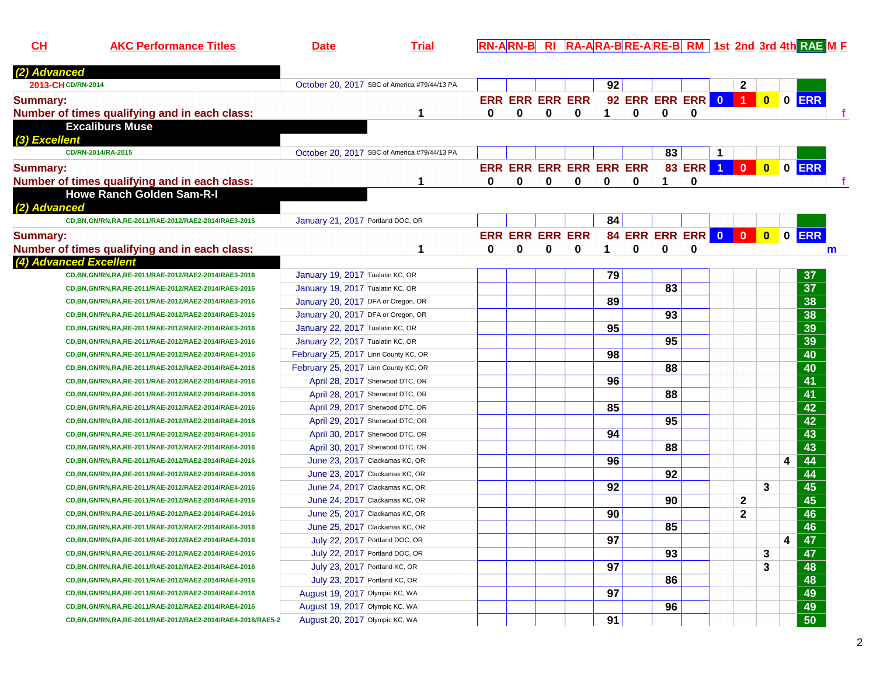**CHAKC Performance Titles Date Trial RN-ARN-B RI RA-ARA-B RE-A RE-B RM 1st 2nd 3rd 4th RAE <sup>M</sup> <sup>F</sup>**

|   |                                                                                                                                                                                                                                                                                                                                                                                                                                                                                                                                                                                                                                                                                                                                                                                                                                                                                                                                                                                                                                                                                                                              |              |   |          |                        |                        |                                     |                 |         | $\mathbf{2}$ |                         |                                  |                 |                                                                                                                                 |
|---|------------------------------------------------------------------------------------------------------------------------------------------------------------------------------------------------------------------------------------------------------------------------------------------------------------------------------------------------------------------------------------------------------------------------------------------------------------------------------------------------------------------------------------------------------------------------------------------------------------------------------------------------------------------------------------------------------------------------------------------------------------------------------------------------------------------------------------------------------------------------------------------------------------------------------------------------------------------------------------------------------------------------------------------------------------------------------------------------------------------------------|--------------|---|----------|------------------------|------------------------|-------------------------------------|-----------------|---------|--------------|-------------------------|----------------------------------|-----------------|---------------------------------------------------------------------------------------------------------------------------------|
|   |                                                                                                                                                                                                                                                                                                                                                                                                                                                                                                                                                                                                                                                                                                                                                                                                                                                                                                                                                                                                                                                                                                                              |              |   |          |                        |                        |                                     |                 |         |              |                         |                                  |                 |                                                                                                                                 |
| 1 | $\bf{0}$                                                                                                                                                                                                                                                                                                                                                                                                                                                                                                                                                                                                                                                                                                                                                                                                                                                                                                                                                                                                                                                                                                                     | $\mathbf{0}$ | 0 | $\bf{0}$ | 1                      | $\mathbf{0}$           | 0                                   | 0               |         |              |                         |                                  |                 |                                                                                                                                 |
|   |                                                                                                                                                                                                                                                                                                                                                                                                                                                                                                                                                                                                                                                                                                                                                                                                                                                                                                                                                                                                                                                                                                                              |              |   |          |                        |                        |                                     |                 |         |              |                         |                                  |                 |                                                                                                                                 |
|   |                                                                                                                                                                                                                                                                                                                                                                                                                                                                                                                                                                                                                                                                                                                                                                                                                                                                                                                                                                                                                                                                                                                              |              |   |          |                        |                        |                                     |                 |         |              |                         |                                  |                 |                                                                                                                                 |
|   |                                                                                                                                                                                                                                                                                                                                                                                                                                                                                                                                                                                                                                                                                                                                                                                                                                                                                                                                                                                                                                                                                                                              |              |   |          |                        |                        |                                     |                 | -1      |              |                         |                                  |                 |                                                                                                                                 |
|   |                                                                                                                                                                                                                                                                                                                                                                                                                                                                                                                                                                                                                                                                                                                                                                                                                                                                                                                                                                                                                                                                                                                              |              |   |          |                        |                        |                                     |                 |         |              | $\overline{\mathbf{0}}$ |                                  |                 |                                                                                                                                 |
| 1 | $\bf{0}$                                                                                                                                                                                                                                                                                                                                                                                                                                                                                                                                                                                                                                                                                                                                                                                                                                                                                                                                                                                                                                                                                                                     | 0            | 0 | 0        | 0                      | 0                      | 1                                   | 0               |         |              |                         |                                  |                 |                                                                                                                                 |
|   |                                                                                                                                                                                                                                                                                                                                                                                                                                                                                                                                                                                                                                                                                                                                                                                                                                                                                                                                                                                                                                                                                                                              |              |   |          |                        |                        |                                     |                 |         |              |                         |                                  |                 |                                                                                                                                 |
|   |                                                                                                                                                                                                                                                                                                                                                                                                                                                                                                                                                                                                                                                                                                                                                                                                                                                                                                                                                                                                                                                                                                                              |              |   |          |                        |                        |                                     |                 |         |              |                         |                                  |                 |                                                                                                                                 |
|   |                                                                                                                                                                                                                                                                                                                                                                                                                                                                                                                                                                                                                                                                                                                                                                                                                                                                                                                                                                                                                                                                                                                              |              |   |          |                        |                        |                                     |                 |         |              |                         |                                  |                 |                                                                                                                                 |
|   |                                                                                                                                                                                                                                                                                                                                                                                                                                                                                                                                                                                                                                                                                                                                                                                                                                                                                                                                                                                                                                                                                                                              |              |   |          |                        |                        |                                     |                 |         |              |                         |                                  |                 |                                                                                                                                 |
|   | 0                                                                                                                                                                                                                                                                                                                                                                                                                                                                                                                                                                                                                                                                                                                                                                                                                                                                                                                                                                                                                                                                                                                            | 0            | 0 | 0        | 1                      | $\mathbf 0$            | $\bf{0}$                            |                 |         |              |                         |                                  |                 | m                                                                                                                               |
|   |                                                                                                                                                                                                                                                                                                                                                                                                                                                                                                                                                                                                                                                                                                                                                                                                                                                                                                                                                                                                                                                                                                                              |              |   |          |                        |                        |                                     |                 |         |              |                         |                                  |                 |                                                                                                                                 |
|   |                                                                                                                                                                                                                                                                                                                                                                                                                                                                                                                                                                                                                                                                                                                                                                                                                                                                                                                                                                                                                                                                                                                              |              |   |          | 79                     |                        |                                     |                 |         |              |                         |                                  | 37              |                                                                                                                                 |
|   |                                                                                                                                                                                                                                                                                                                                                                                                                                                                                                                                                                                                                                                                                                                                                                                                                                                                                                                                                                                                                                                                                                                              |              |   |          |                        |                        | 83                                  |                 |         |              |                         |                                  | $\overline{37}$ |                                                                                                                                 |
|   |                                                                                                                                                                                                                                                                                                                                                                                                                                                                                                                                                                                                                                                                                                                                                                                                                                                                                                                                                                                                                                                                                                                              |              |   |          | 89                     |                        |                                     |                 |         |              |                         |                                  | 38              |                                                                                                                                 |
|   |                                                                                                                                                                                                                                                                                                                                                                                                                                                                                                                                                                                                                                                                                                                                                                                                                                                                                                                                                                                                                                                                                                                              |              |   |          |                        |                        | $\overline{93}$                     |                 |         |              |                         |                                  |                 |                                                                                                                                 |
|   |                                                                                                                                                                                                                                                                                                                                                                                                                                                                                                                                                                                                                                                                                                                                                                                                                                                                                                                                                                                                                                                                                                                              |              |   |          | 95                     |                        |                                     |                 |         |              |                         |                                  |                 |                                                                                                                                 |
|   |                                                                                                                                                                                                                                                                                                                                                                                                                                                                                                                                                                                                                                                                                                                                                                                                                                                                                                                                                                                                                                                                                                                              |              |   |          |                        |                        | $\overline{95}$                     |                 |         |              |                         |                                  |                 |                                                                                                                                 |
|   |                                                                                                                                                                                                                                                                                                                                                                                                                                                                                                                                                                                                                                                                                                                                                                                                                                                                                                                                                                                                                                                                                                                              |              |   |          | 98                     |                        |                                     |                 |         |              |                         |                                  | 40              |                                                                                                                                 |
|   |                                                                                                                                                                                                                                                                                                                                                                                                                                                                                                                                                                                                                                                                                                                                                                                                                                                                                                                                                                                                                                                                                                                              |              |   |          |                        |                        | 88                                  |                 |         |              |                         |                                  | 40              |                                                                                                                                 |
|   |                                                                                                                                                                                                                                                                                                                                                                                                                                                                                                                                                                                                                                                                                                                                                                                                                                                                                                                                                                                                                                                                                                                              |              |   |          | 96                     |                        |                                     |                 |         |              |                         |                                  | 41              |                                                                                                                                 |
|   |                                                                                                                                                                                                                                                                                                                                                                                                                                                                                                                                                                                                                                                                                                                                                                                                                                                                                                                                                                                                                                                                                                                              |              |   |          |                        |                        | 88                                  |                 |         |              |                         |                                  | 41              |                                                                                                                                 |
|   |                                                                                                                                                                                                                                                                                                                                                                                                                                                                                                                                                                                                                                                                                                                                                                                                                                                                                                                                                                                                                                                                                                                              |              |   |          | 85                     |                        |                                     |                 |         |              |                         |                                  | $\overline{42}$ |                                                                                                                                 |
|   |                                                                                                                                                                                                                                                                                                                                                                                                                                                                                                                                                                                                                                                                                                                                                                                                                                                                                                                                                                                                                                                                                                                              |              |   |          |                        |                        | 95                                  |                 |         |              |                         |                                  | $\overline{42}$ |                                                                                                                                 |
|   |                                                                                                                                                                                                                                                                                                                                                                                                                                                                                                                                                                                                                                                                                                                                                                                                                                                                                                                                                                                                                                                                                                                              |              |   |          | 94                     |                        |                                     |                 |         |              |                         |                                  | $\overline{43}$ |                                                                                                                                 |
|   |                                                                                                                                                                                                                                                                                                                                                                                                                                                                                                                                                                                                                                                                                                                                                                                                                                                                                                                                                                                                                                                                                                                              |              |   |          |                        |                        | 88                                  |                 |         |              |                         |                                  | $\overline{43}$ |                                                                                                                                 |
|   |                                                                                                                                                                                                                                                                                                                                                                                                                                                                                                                                                                                                                                                                                                                                                                                                                                                                                                                                                                                                                                                                                                                              |              |   |          | 96                     |                        |                                     |                 |         |              |                         | $\overline{\mathbf{4}}$          | 44              |                                                                                                                                 |
|   |                                                                                                                                                                                                                                                                                                                                                                                                                                                                                                                                                                                                                                                                                                                                                                                                                                                                                                                                                                                                                                                                                                                              |              |   |          |                        |                        | 92                                  |                 |         |              |                         |                                  | 44              |                                                                                                                                 |
|   |                                                                                                                                                                                                                                                                                                                                                                                                                                                                                                                                                                                                                                                                                                                                                                                                                                                                                                                                                                                                                                                                                                                              |              |   |          | 92                     |                        |                                     |                 |         |              | 3                       |                                  |                 |                                                                                                                                 |
|   |                                                                                                                                                                                                                                                                                                                                                                                                                                                                                                                                                                                                                                                                                                                                                                                                                                                                                                                                                                                                                                                                                                                              |              |   |          |                        |                        | 90                                  |                 |         | $\mathbf{2}$ |                         |                                  |                 |                                                                                                                                 |
|   |                                                                                                                                                                                                                                                                                                                                                                                                                                                                                                                                                                                                                                                                                                                                                                                                                                                                                                                                                                                                                                                                                                                              |              |   |          | 90                     |                        |                                     |                 |         | $\mathbf{2}$ |                         |                                  | 46              |                                                                                                                                 |
|   |                                                                                                                                                                                                                                                                                                                                                                                                                                                                                                                                                                                                                                                                                                                                                                                                                                                                                                                                                                                                                                                                                                                              |              |   |          |                        |                        | 85                                  |                 |         |              |                         |                                  | 46              |                                                                                                                                 |
|   |                                                                                                                                                                                                                                                                                                                                                                                                                                                                                                                                                                                                                                                                                                                                                                                                                                                                                                                                                                                                                                                                                                                              |              |   |          | 97                     |                        |                                     |                 |         |              |                         | 4                                | 47              |                                                                                                                                 |
|   |                                                                                                                                                                                                                                                                                                                                                                                                                                                                                                                                                                                                                                                                                                                                                                                                                                                                                                                                                                                                                                                                                                                              |              |   |          |                        |                        |                                     |                 |         |              | 3                       |                                  |                 |                                                                                                                                 |
|   |                                                                                                                                                                                                                                                                                                                                                                                                                                                                                                                                                                                                                                                                                                                                                                                                                                                                                                                                                                                                                                                                                                                              |              |   |          | 97                     |                        |                                     |                 |         |              | 3                       |                                  | 48              |                                                                                                                                 |
|   |                                                                                                                                                                                                                                                                                                                                                                                                                                                                                                                                                                                                                                                                                                                                                                                                                                                                                                                                                                                                                                                                                                                              |              |   |          |                        |                        | 86                                  |                 |         |              |                         |                                  | 48              |                                                                                                                                 |
|   |                                                                                                                                                                                                                                                                                                                                                                                                                                                                                                                                                                                                                                                                                                                                                                                                                                                                                                                                                                                                                                                                                                                              |              |   |          | 97                     |                        |                                     |                 |         |              |                         |                                  | 49              |                                                                                                                                 |
|   |                                                                                                                                                                                                                                                                                                                                                                                                                                                                                                                                                                                                                                                                                                                                                                                                                                                                                                                                                                                                                                                                                                                              |              |   |          |                        |                        | 96                                  |                 |         |              |                         |                                  | 49              |                                                                                                                                 |
|   |                                                                                                                                                                                                                                                                                                                                                                                                                                                                                                                                                                                                                                                                                                                                                                                                                                                                                                                                                                                                                                                                                                                              |              |   |          | 91                     |                        |                                     |                 |         |              |                         |                                  |                 |                                                                                                                                 |
|   | October 20, 2017 SBC of America #79/44/13 PA<br>October 20, 2017 SBC of America #79/44/13 PA<br>January 21, 2017 Portland DOC, OR<br>1<br>January 19, 2017 Tualatin KC, OR<br>January 19, 2017 Tualatin KC, OR<br>January 20, 2017 DFA or Oregon, OR<br>January 20, 2017 DFA or Oregon, OR<br>January 22, 2017 Tualatin KC, OR<br>January 22, 2017 Tualatin KC, OR<br>February 25, 2017 Linn County KC, OR<br>February 25, 2017 Linn County KC, OR<br>April 28, 2017 Sherwood DTC, OR<br>April 28, 2017 Sherwood DTC, OR<br>April 29, 2017 Sherwood DTC, OR<br>April 29, 2017 Sherwood DTC, OR<br>April 30, 2017 Sherwood DTC, OR<br>April 30, 2017 Sherwood DTC, OR<br>June 23, 2017 Clackamas KC, OR<br>June 23, 2017 Clackamas KC, OR<br>June 24, 2017 Clackamas KC, OR<br>June 24, 2017 Clackamas KC, OR<br>June 25, 2017 Clackamas KC, OR<br>June 25, 2017 Clackamas KC, OR<br>July 22, 2017 Portland DOC, OR<br>July 22, 2017 Portland DOC, OR<br>July 23, 2017 Portland KC, OR<br>July 23, 2017 Portland KC, OR<br>August 19, 2017 Olympic KC, WA<br>August 19, 2017 Olympic KC, WA<br>August 20, 2017 Olympic KC, WA |              |   |          | <b>ERR ERR ERR ERR</b> | <b>ERR ERR ERR ERR</b> | 92<br>ERR ERR ERR ERR ERR ERR<br>84 | $\overline{93}$ | 83<br>0 |              |                         | 83 ERR 1 0<br>84 ERR ERR ERR 0 0 | $\bullet$       | 92 ERR ERR ERR 0 1 0 0 ERR<br>$0$ ERR<br>0 ERR<br>38<br>39<br>39<br>$\overline{45}$<br>45<br>$\overline{47}$<br>$\overline{50}$ |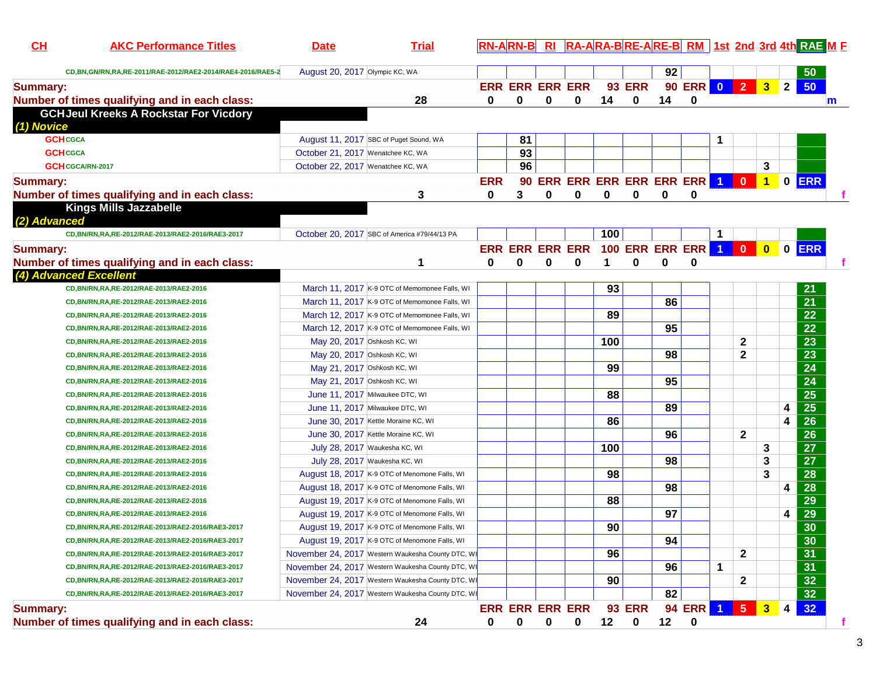| CH              | <b>AKC Performance Titles</b>                              | <b>Date</b>                       | <b>Trial</b>                                      |            | RN-ARN-B RI RA-ARA-BRE-ARE-B RM 1st 2nd 3rd 4th RAE M E |   |   |          |                    |                               |               |   |                |                |                         |                 |    |
|-----------------|------------------------------------------------------------|-----------------------------------|---------------------------------------------------|------------|---------------------------------------------------------|---|---|----------|--------------------|-------------------------------|---------------|---|----------------|----------------|-------------------------|-----------------|----|
|                 | CD,BN,GN/RN,RA,RE-2011/RAE-2012/RAE2-2014/RAE4-2016/RAE5-2 | August 20, 2017 Olympic KC, WA    |                                                   |            |                                                         |   |   |          |                    | 92                            |               |   |                |                |                         | 50              |    |
| <b>Summary:</b> |                                                            |                                   |                                                   |            | <b>ERR ERR ERR ERR</b>                                  |   |   |          | <b>93 ERR</b>      |                               | 90 ERR 0 2    |   |                |                | $3 \quad 2$             | 50              |    |
|                 | Number of times qualifying and in each class:              |                                   | 28                                                | 0          | 0                                                       | 0 | 0 | 14       | 0                  | 14                            | 0             |   |                |                |                         |                 | m  |
| (1) Novice      | <b>GCHJeul Kreeks A Rockstar For Vicdory</b>               |                                   |                                                   |            |                                                         |   |   |          |                    |                               |               |   |                |                |                         |                 |    |
| <b>GCHCGCA</b>  |                                                            |                                   | August 11, 2017 SBC of Puget Sound, WA            |            | 81                                                      |   |   |          |                    |                               |               | 1 |                |                |                         |                 |    |
| <b>GCHCGCA</b>  |                                                            | October 21, 2017 Wenatchee KC, WA |                                                   |            | 93                                                      |   |   |          |                    |                               |               |   |                |                |                         |                 |    |
|                 | GCHCGCA/RN-2017                                            | October 22, 2017 Wenatchee KC, WA |                                                   |            | 96                                                      |   |   |          |                    |                               |               |   |                | 3              |                         |                 |    |
| <b>Summary:</b> |                                                            |                                   |                                                   | <b>ERR</b> | 90                                                      |   |   |          |                    | ERR ERR ERR ERR ERR ERR 1 0 1 |               |   |                |                |                         | $0$ ERR         |    |
|                 | Number of times qualifying and in each class:              |                                   | 3                                                 | $\bf{0}$   | 3                                                       | 0 | 0 | $\bf{0}$ | $\mathbf{0}$       | 0                             | 0             |   |                |                |                         |                 |    |
|                 | <b>Kings Mills Jazzabelle</b>                              |                                   |                                                   |            |                                                         |   |   |          |                    |                               |               |   |                |                |                         |                 |    |
| (2) Advanced    |                                                            |                                   |                                                   |            |                                                         |   |   |          |                    |                               |               |   |                |                |                         |                 |    |
|                 | CD,BN/RN,RA,RE-2012/RAE-2013/RAE2-2016/RAE3-2017           |                                   | October 20, 2017 SBC of America #79/44/13 PA      |            |                                                         |   |   | 100      |                    |                               |               | 1 |                |                |                         |                 |    |
| <b>Summary:</b> |                                                            |                                   |                                                   |            | ERR ERR ERR ERR 100 ERR ERR ERR 1 0 0 0 ERR             |   |   |          |                    |                               |               |   |                |                |                         |                 |    |
|                 | Number of times qualifying and in each class:              |                                   | 1                                                 | $\bf{0}$   | 0                                                       | 0 | 0 | 1        | $\bf{0}$           | 0                             | 0             |   |                |                |                         |                 |    |
|                 | (4) Advanced Excellent                                     |                                   |                                                   |            |                                                         |   |   |          |                    |                               |               |   |                |                |                         |                 |    |
|                 | CD, BN/RN, RA, RE-2012/RAE-2013/RAE2-2016                  |                                   | March 11, 2017 K-9 OTC of Memomonee Falls, WI     |            |                                                         |   |   | 93       |                    |                               |               |   |                |                |                         | 21              |    |
|                 | CD, BN/RN, RA, RE-2012/RAE-2013/RAE2-2016                  |                                   | March 11, 2017 K-9 OTC of Memomonee Falls, WI     |            |                                                         |   |   |          |                    | 86                            |               |   |                |                |                         | $\overline{21}$ |    |
|                 | CD, BN/RN, RA, RE-2012/RAE-2013/RAE2-2016                  |                                   | March 12, 2017 K-9 OTC of Memomonee Falls, WI     |            |                                                         |   |   | 89       |                    |                               |               |   |                |                |                         | $\overline{22}$ |    |
|                 | CD, BN/RN, RA, RE-2012/RAE-2013/RAE2-2016                  |                                   | March 12, 2017 K-9 OTC of Memomonee Falls, WI     |            |                                                         |   |   |          |                    | 95                            |               |   |                |                |                         | $\overline{22}$ |    |
|                 | CD, BN/RN, RA, RE-2012/RAE-2013/RAE2-2016                  |                                   | May 20, 2017 Oshkosh KC, WI                       |            |                                                         |   |   | 100      |                    |                               |               |   | $\mathbf 2$    |                |                         | $\overline{23}$ |    |
|                 | CD, BN/RN, RA, RE-2012/RAE-2013/RAE2-2016                  | May 20, 2017 Oshkosh KC, WI       |                                                   |            |                                                         |   |   |          |                    | 98                            |               |   | $\mathbf{2}$   |                |                         | $\overline{23}$ |    |
|                 | CD, BN/RN, RA, RE-2012/RAE-2013/RAE2-2016                  | May 21, 2017 Oshkosh KC, WI       |                                                   |            |                                                         |   |   | 99       |                    |                               |               |   |                |                |                         | $\overline{24}$ |    |
|                 | CD, BN/RN, RA, RE-2012/RAE-2013/RAE2-2016                  | May 21, 2017 Oshkosh KC, WI       |                                                   |            |                                                         |   |   |          |                    | 95                            |               |   |                |                |                         | $\overline{24}$ |    |
|                 | CD, BN/RN, RA, RE-2012/RAE-2013/RAE2-2016                  |                                   | June 11, 2017 Milwaukee DTC, WI                   |            |                                                         |   |   | 88       |                    |                               |               |   |                |                |                         | $\overline{25}$ |    |
|                 | CD, BN/RN, RA, RE-2012/RAE-2013/RAE2-2016                  |                                   | June 11, 2017 Milwaukee DTC, WI                   |            |                                                         |   |   |          |                    | 89                            |               |   |                |                | 4                       | $\overline{25}$ |    |
|                 | CD, BN/RN, RA, RE-2012/RAE-2013/RAE2-2016                  |                                   | June 30, 2017 Kettle Moraine KC, WI               |            |                                                         |   |   | 86       |                    |                               |               |   |                |                | 4                       | $\overline{26}$ |    |
|                 | CD, BN/RN, RA, RE-2012/RAE-2013/RAE2-2016                  |                                   | June 30, 2017 Kettle Moraine KC, WI               |            |                                                         |   |   |          |                    | 96                            |               |   | $\mathbf{2}$   |                |                         | 26              |    |
|                 | CD, BN/RN, RA, RE-2012/RAE-2013/RAE2-2016                  |                                   | July 28, 2017 Waukesha KC, WI                     |            |                                                         |   |   | 100      |                    |                               |               |   |                | 3              |                         | 27              |    |
|                 | CD, BN/RN, RA, RE-2012/RAE-2013/RAE2-2016                  |                                   | July 28, 2017 Waukesha KC, WI                     |            |                                                         |   |   |          |                    | 98                            |               |   |                | 3              |                         | $\overline{27}$ |    |
|                 | CD, BN/RN, RA, RE-2012/RAE-2013/RAE2-2016                  |                                   | August 18, 2017 K-9 OTC of Menomone Falls, WI     |            |                                                         |   |   | 98       |                    |                               |               |   |                | 3              |                         | 28              |    |
|                 | CD, BN/RN, RA, RE-2012/RAE-2013/RAE2-2016                  |                                   | August 18, 2017 K-9 OTC of Menomone Falls, WI     |            |                                                         |   |   |          |                    | 98                            |               |   |                |                | 4                       | 28              |    |
|                 | CD, BN/RN, RA, RE-2012/RAE-2013/RAE2-2016                  |                                   | August 19, 2017 K-9 OTC of Menomone Falls, WI     |            |                                                         |   |   | 88       |                    |                               |               |   |                |                |                         | 29              |    |
|                 | CD, BN/RN, RA, RE-2012/RAE-2013/RAE2-2016                  |                                   | August 19, 2017 K-9 OTC of Menomone Falls, WI     |            |                                                         |   |   |          |                    | 97                            |               |   |                |                | 4                       | $\overline{29}$ |    |
|                 | CD,BN/RN,RA,RE-2012/RAE-2013/RAE2-2016/RAE3-2017           |                                   | August 19, 2017 K-9 OTC of Menomone Falls, WI     |            |                                                         |   |   | 90       |                    |                               |               |   |                |                |                         | 30              |    |
|                 | CD,BN/RN,RA,RE-2012/RAE-2013/RAE2-2016/RAE3-2017           |                                   | August 19, 2017 K-9 OTC of Menomone Falls, WI     |            |                                                         |   |   |          |                    | 94                            |               |   |                |                |                         | 30              |    |
|                 | CD,BN/RN,RA,RE-2012/RAE-2013/RAE2-2016/RAE3-2017           |                                   | November 24, 2017 Western Waukesha County DTC, W  |            |                                                         |   |   | 96       |                    |                               |               |   | $\mathbf{2}$   |                |                         | 31              |    |
|                 | CD,BN/RN,RA,RE-2012/RAE-2013/RAE2-2016/RAE3-2017           |                                   | November 24, 2017 Western Waukesha County DTC, WI |            |                                                         |   |   |          |                    | 96                            |               | 1 |                |                |                         | 31              |    |
|                 | CD,BN/RN,RA,RE-2012/RAE-2013/RAE2-2016/RAE3-2017           |                                   | November 24, 2017 Western Waukesha County DTC, WI |            |                                                         |   |   | 90       |                    |                               |               |   | 2              |                |                         | 32              |    |
|                 | CD,BN/RN,RA,RE-2012/RAE-2013/RAE2-2016/RAE3-2017           |                                   | November 24, 2017 Western Waukesha County DTC, WI |            |                                                         |   |   |          |                    | 82                            |               |   |                |                |                         | $\overline{32}$ |    |
| <b>Summary:</b> | Number of times qualifying and in each class:              |                                   | 24                                                | 0          | <b>ERR ERR ERR ERR</b><br>0                             | 0 | 0 | 12       | <b>93 ERR</b><br>0 | 12                            | 94 ERR 1<br>0 |   | 5 <sub>1</sub> | 3 <sup>2</sup> | $\overline{\mathbf{4}}$ | 32              | f. |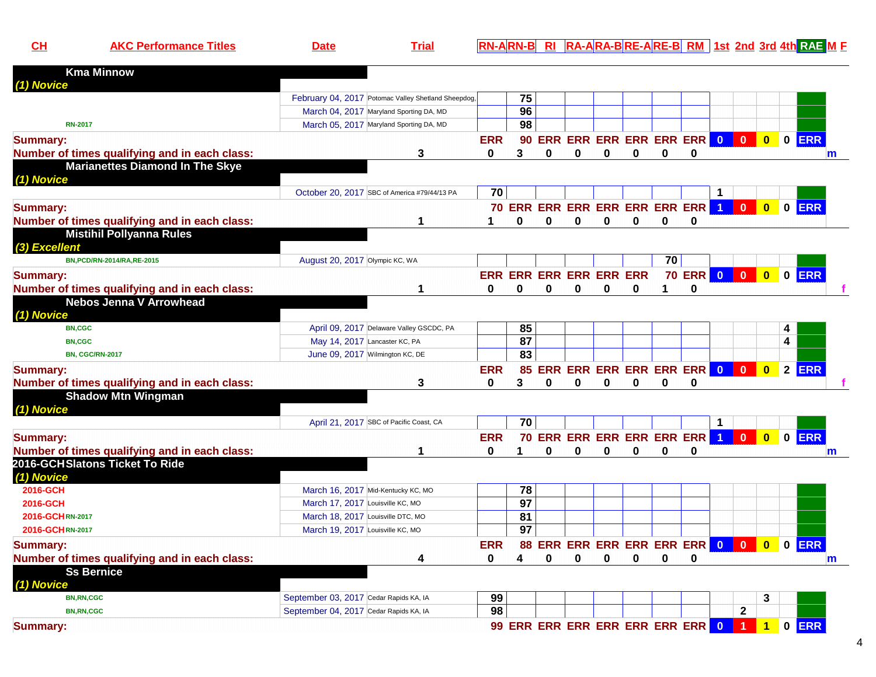**AKC Performance Titles Date Trial RN-ARN-B RI RA-ARA-B RE-A RE-B RM 1st 2nd 3rd 4th RAE <sup>M</sup> <sup>F</sup>**

| <b>Kma Minnow</b>                             |                                                     |                 |                 |              |                         |              |          |          |                                    |                         |                         |                         |   |         |   |
|-----------------------------------------------|-----------------------------------------------------|-----------------|-----------------|--------------|-------------------------|--------------|----------|----------|------------------------------------|-------------------------|-------------------------|-------------------------|---|---------|---|
| (1) Novice                                    |                                                     |                 |                 |              |                         |              |          |          |                                    |                         |                         |                         |   |         |   |
|                                               | February 04, 2017 Potomac Valley Shetland Sheepdog, |                 | 75              |              |                         |              |          |          |                                    |                         |                         |                         |   |         |   |
|                                               | March 04, 2017 Maryland Sporting DA, MD             |                 | 96              |              |                         |              |          |          |                                    |                         |                         |                         |   |         |   |
| <b>RN-2017</b>                                | March 05, 2017 Maryland Sporting DA, MD             |                 | 98              |              |                         |              |          |          |                                    |                         |                         |                         |   |         |   |
| <b>Summary:</b>                               |                                                     | <b>ERR</b>      |                 |              |                         |              |          |          | 90 ERR ERR ERR ERR ERR ERR 0       |                         | $\overline{0}$          |                         |   | 0 0 ERR |   |
| Number of times qualifying and in each class: | 3                                                   | 0               | 3               | 0            | 0                       | 0            | 0        | $\bf{0}$ | 0                                  |                         |                         |                         |   |         | m |
| <b>Marianettes Diamond In The Skye</b>        |                                                     |                 |                 |              |                         |              |          |          |                                    |                         |                         |                         |   |         |   |
| (1) Novice                                    |                                                     |                 |                 |              |                         |              |          |          |                                    |                         |                         |                         |   |         |   |
|                                               | October 20, 2017 SBC of America #79/44/13 PA        | 70              |                 |              |                         |              |          |          |                                    |                         |                         |                         |   |         |   |
| <b>Summary:</b>                               |                                                     |                 |                 |              |                         |              |          |          | 70 ERR ERR ERR ERR ERR ERR ERR 1   |                         | $\mathbf{0}$            |                         |   | 0 0 ERR |   |
| Number of times qualifying and in each class: |                                                     | 1               | 0               | $\mathbf{0}$ | 0                       | 0            | 0        | 0        | 0                                  |                         |                         |                         |   |         |   |
| <b>Mistihil Pollyanna Rules</b>               |                                                     |                 |                 |              |                         |              |          |          |                                    |                         |                         |                         |   |         |   |
| (3) Excellent                                 |                                                     |                 |                 |              |                         |              |          |          |                                    |                         |                         |                         |   |         |   |
| BN, PCD/RN-2014/RA, RE-2015                   | August 20, 2017 Olympic KC, WA                      |                 |                 |              |                         |              |          | 70       |                                    |                         |                         |                         |   |         |   |
| <b>Summary:</b>                               |                                                     |                 |                 |              | ERR ERR ERR ERR ERR ERR |              |          |          | <b>70 ERR</b>                      | $\bullet$               | $\overline{\mathbf{0}}$ | $\bullet$               |   | O ERR   |   |
| Number of times qualifying and in each class: | 1                                                   | 0               | 0               | 0            | 0                       | 0            | 0        | 1        | 0                                  |                         |                         |                         |   |         |   |
| <b>Nebos Jenna V Arrowhead</b>                |                                                     |                 |                 |              |                         |              |          |          |                                    |                         |                         |                         |   |         |   |
| (1) Novice                                    |                                                     |                 |                 |              |                         |              |          |          |                                    |                         |                         |                         |   |         |   |
| <b>BN,CGC</b>                                 | April 09, 2017 Delaware Valley GSCDC, PA            |                 | 85              |              |                         |              |          |          |                                    |                         |                         |                         | 4 |         |   |
| <b>BN,CGC</b>                                 | May 14, 2017 Lancaster KC, PA                       |                 | 87              |              |                         |              |          |          |                                    |                         |                         |                         | 4 |         |   |
| <b>BN, CGC/RN-2017</b>                        | June 09, 2017 Wilmington KC, DE                     |                 | 83              |              |                         |              |          |          |                                    |                         |                         |                         |   |         |   |
| <b>Summary:</b>                               |                                                     | <b>ERR</b>      |                 |              |                         |              |          |          | 85 ERR ERR ERR ERR ERR ERR 0 0     |                         |                         | $\overline{\mathbf{0}}$ |   | 2 ERR   |   |
| Number of times qualifying and in each class: | 3                                                   | 0               | 3               | 0            | $\bf{0}$                | $\bf{0}$     | 0        | 0        | 0                                  |                         |                         |                         |   |         |   |
| <b>Shadow Mtn Wingman</b>                     |                                                     |                 |                 |              |                         |              |          |          |                                    |                         |                         |                         |   |         |   |
| (1) Novice                                    |                                                     |                 |                 |              |                         |              |          |          |                                    |                         |                         |                         |   |         |   |
|                                               | April 21, 2017 SBC of Pacific Coast, CA             |                 | $\overline{70}$ |              |                         |              |          |          |                                    | 1                       |                         |                         |   |         |   |
| <b>Summary:</b>                               |                                                     | <b>ERR</b>      |                 |              |                         |              |          |          | 70 ERR ERR ERR ERR ERR ERR         | $\overline{1}$          | $\Omega$                |                         |   | 0 0 ERR |   |
| Number of times qualifying and in each class: | 1                                                   | $\Omega$        | 1               | $\Omega$     | $\bf{0}$                | $\mathbf{0}$ | $\Omega$ | $\bf{0}$ | $\Omega$                           |                         |                         |                         |   |         | m |
| 2016-GCHSlatons Ticket To Ride                |                                                     |                 |                 |              |                         |              |          |          |                                    |                         |                         |                         |   |         |   |
| (1) Novice                                    |                                                     |                 |                 |              |                         |              |          |          |                                    |                         |                         |                         |   |         |   |
| 2016-GCH                                      | March 16, 2017 Mid-Kentucky KC, MO                  |                 | 78              |              |                         |              |          |          |                                    |                         |                         |                         |   |         |   |
| 2016-GCH                                      | March 17, 2017 Louisville KC, MO                    |                 | $\overline{97}$ |              |                         |              |          |          |                                    |                         |                         |                         |   |         |   |
| 2016-GCHRN-2017                               | March 18, 2017 Louisville DTC, MO                   |                 | 81              |              |                         |              |          |          |                                    |                         |                         |                         |   |         |   |
| 2016-GCHRN-2017                               | March 19, 2017 Louisville KC, MO                    |                 | 97              |              |                         |              |          |          |                                    |                         |                         |                         |   |         |   |
| <b>Summary:</b>                               |                                                     | <b>ERR</b>      |                 |              |                         |              |          |          | 88 ERR ERR ERR ERR ERR ERR         | $\overline{\mathbf{0}}$ | $\mathbf{0}$            | $\overline{\mathbf{0}}$ |   | 0 ERR   |   |
| Number of times qualifying and in each class: | 4                                                   | 0               | 4               | $\Omega$     | $\bf{0}$                | O            | 0        | 0        | 0                                  |                         |                         |                         |   |         | m |
| <b>Ss Bernice</b>                             |                                                     |                 |                 |              |                         |              |          |          |                                    |                         |                         |                         |   |         |   |
| (1) Novice                                    |                                                     |                 |                 |              |                         |              |          |          |                                    |                         |                         |                         |   |         |   |
| <b>BN,RN,CGC</b>                              | September 03, 2017 Cedar Rapids KA, IA              | 99              |                 |              |                         |              |          |          |                                    |                         |                         | 3                       |   |         |   |
| <b>BN,RN,CGC</b>                              | September 04, 2017 Cedar Rapids KA, IA              | $\overline{98}$ |                 |              |                         |              |          |          |                                    |                         | $\overline{\mathbf{2}}$ |                         |   |         |   |
| <b>Summary:</b>                               |                                                     |                 |                 |              |                         |              |          |          | 99 ERR ERR ERR ERR ERR ERR ERR 0 1 |                         |                         |                         |   | 1 0 ERR |   |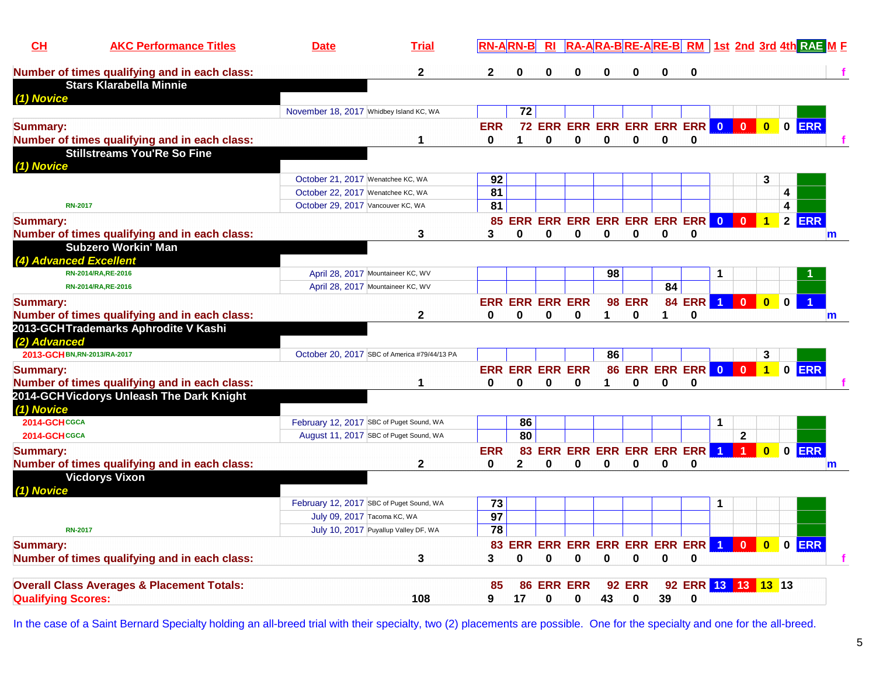| CH                           | <b>AKC Performance Titles</b>                                               | <b>Date</b>                                                            | <b>Trial</b> |                       | <b>RN-ARN-B</b> | <b>RI</b>              |                |              |               |             | RA-ARA-BRE-ARE-BRM 1st 2nd 3rd 4th RAE M F |                         |                      |                         |             |         |             |
|------------------------------|-----------------------------------------------------------------------------|------------------------------------------------------------------------|--------------|-----------------------|-----------------|------------------------|----------------|--------------|---------------|-------------|--------------------------------------------|-------------------------|----------------------|-------------------------|-------------|---------|-------------|
|                              | Number of times qualifying and in each class:                               |                                                                        | $\mathbf{2}$ | $\mathbf{2}$          | 0               | 0                      | 0              | $\mathbf{0}$ | 0             | 0           | 0                                          |                         |                      |                         |             |         |             |
|                              | <b>Stars Klarabella Minnie</b>                                              |                                                                        |              |                       |                 |                        |                |              |               |             |                                            |                         |                      |                         |             |         |             |
| (1) Novice                   |                                                                             |                                                                        |              |                       |                 |                        |                |              |               |             |                                            |                         |                      |                         |             |         |             |
|                              |                                                                             | November 18, 2017 Whidbey Island KC, WA                                |              |                       | 72              |                        |                |              |               |             |                                            |                         |                      |                         |             |         |             |
| <b>Summary:</b>              |                                                                             |                                                                        |              | <b>ERR</b>            |                 |                        |                |              |               |             | 72 ERR ERR ERR ERR ERR ERR O               |                         | $\mathbf{0}$         | $\mathbf{0}$            |             | 0 ERR   |             |
|                              | Number of times qualifying and in each class:                               |                                                                        | 1            | 0                     | 1               | 0                      | 0              | 0            | 0             | 0           | 0                                          |                         |                      |                         |             |         |             |
|                              | <b>Stillstreams You'Re So Fine</b>                                          |                                                                        |              |                       |                 |                        |                |              |               |             |                                            |                         |                      |                         |             |         |             |
| (1) Novice                   |                                                                             |                                                                        |              |                       |                 |                        |                |              |               |             |                                            |                         |                      |                         |             |         |             |
|                              |                                                                             | October 21, 2017 Wenatchee KC, WA                                      |              | 92<br>$\overline{81}$ |                 |                        |                |              |               |             |                                            |                         |                      | 3                       |             |         |             |
| <b>RN-2017</b>               |                                                                             | October 22, 2017 Wenatchee KC, WA<br>October 29, 2017 Vancouver KC, WA |              | 81                    |                 |                        |                |              |               |             |                                            |                         |                      |                         | 4<br>4      |         |             |
|                              |                                                                             |                                                                        |              |                       |                 |                        |                |              |               |             |                                            | $\overline{0}$          |                      |                         |             | $2$ ERR |             |
| <b>Summary:</b>              |                                                                             |                                                                        |              | 3                     | $\bf{0}$        | $\mathbf{0}$           | 0              | $\bf{0}$     | $\bf{0}$      | $\bf{0}$    | 85 ERR ERR ERR ERR ERR ERR ERR<br>0        |                         |                      | $\mathbf{1}$            |             |         |             |
|                              | Number of times qualifying and in each class:<br><b>Subzero Workin' Man</b> |                                                                        | 3            |                       |                 |                        |                |              |               |             |                                            |                         |                      |                         |             |         | $\mathbf m$ |
| (4) Advanced Excellent       |                                                                             |                                                                        |              |                       |                 |                        |                |              |               |             |                                            |                         |                      |                         |             |         |             |
|                              | RN-2014/RA, RE-2016                                                         | April 28, 2017 Mountaineer KC, WV                                      |              |                       |                 |                        |                | 98           |               |             |                                            |                         |                      |                         |             |         |             |
|                              | RN-2014/RA, RE-2016                                                         | April 28, 2017 Mountaineer KC, WV                                      |              |                       |                 |                        |                |              |               | 84          |                                            |                         |                      |                         |             |         |             |
| <b>Summary:</b>              |                                                                             |                                                                        |              |                       |                 | <b>ERR ERR ERR ERR</b> |                |              | <b>98 ERR</b> |             | <b>84 ERR</b>                              | $\blacktriangleleft$    | $\Omega$             | $\overline{\mathbf{0}}$ | $\mathbf 0$ |         |             |
|                              | Number of times qualifying and in each class:                               |                                                                        | $\mathbf{2}$ | $\mathbf{0}$          | $\bf{0}$        | 0                      | 0              | 1            | 0             | 1           | 0                                          |                         |                      |                         |             |         | m           |
|                              | 2013-GCHTrademarks Aphrodite V Kashi                                        |                                                                        |              |                       |                 |                        |                |              |               |             |                                            |                         |                      |                         |             |         |             |
| (2) Advanced                 |                                                                             |                                                                        |              |                       |                 |                        |                |              |               |             |                                            |                         |                      |                         |             |         |             |
| 2013-GCH BN, RN-2013/RA-2017 |                                                                             | October 20, 2017 SBC of America #79/44/13 PA                           |              |                       |                 |                        |                | 86           |               |             |                                            |                         |                      | 3                       |             |         |             |
| <b>Summary:</b>              |                                                                             |                                                                        |              |                       |                 | <b>ERR ERR ERR ERR</b> |                |              |               |             | <b>86 ERR ERR ERR</b>                      | $\overline{\mathbf{0}}$ | $\mathbf{0}$         | $\overline{1}$          |             | 0 ERR   |             |
|                              | Number of times qualifying and in each class:                               |                                                                        | 1            | 0                     | $\mathbf 0$     | $\mathbf 0$            | 0              | 1            | 0             | $\mathbf 0$ | $\mathbf 0$                                |                         |                      |                         |             |         |             |
|                              | 2014-GCH Vicdorys Unleash The Dark Knight                                   |                                                                        |              |                       |                 |                        |                |              |               |             |                                            |                         |                      |                         |             |         |             |
| (1) Novice                   |                                                                             |                                                                        |              |                       |                 |                        |                |              |               |             |                                            |                         |                      |                         |             |         |             |
| 2014-GCHCGCA                 |                                                                             | February 12, 2017 SBC of Puget Sound, WA                               |              |                       | 86              |                        |                |              |               |             |                                            | 1                       |                      |                         |             |         |             |
| 2014-GCHCGCA                 |                                                                             | August 11, 2017 SBC of Puget Sound, WA                                 |              |                       | 80              |                        |                |              |               |             |                                            |                         | $\mathbf{2}$         |                         |             |         |             |
| <b>Summary:</b>              |                                                                             |                                                                        |              | <b>ERR</b>            |                 |                        |                |              |               |             | 83 ERR ERR ERR ERR ERR ERR                 | $\blacksquare$          | $\blacktriangleleft$ | $\overline{\mathbf{0}}$ |             | 0 ERR   |             |
|                              | Number of times qualifying and in each class:                               |                                                                        | $\mathbf{2}$ | 0                     | $\mathbf{2}$    | 0                      | 0              | 0            | 0             | 0           | 0                                          |                         |                      |                         |             |         | m           |
|                              | <b>Vicdorys Vixon</b>                                                       |                                                                        |              |                       |                 |                        |                |              |               |             |                                            |                         |                      |                         |             |         |             |
| (1) Novice                   |                                                                             |                                                                        |              |                       |                 |                        |                |              |               |             |                                            |                         |                      |                         |             |         |             |
|                              |                                                                             | February 12, 2017 SBC of Puget Sound, WA                               |              | 73                    |                 |                        |                |              |               |             |                                            |                         |                      |                         |             |         |             |
|                              |                                                                             | July 09, 2017 Tacoma KC, WA                                            |              | $\overline{97}$<br>78 |                 |                        |                |              |               |             |                                            |                         |                      |                         |             |         |             |
| <b>RN-2017</b>               |                                                                             | July 10, 2017 Puyallup Valley DF, WA                                   |              |                       |                 |                        |                |              |               |             |                                            |                         |                      |                         |             |         |             |
| <b>Summary:</b>              |                                                                             |                                                                        |              | 83                    |                 |                        |                |              |               |             | ERR ERR ERR ERR ERR ERR ERR                | $\blacktriangleleft$    | $\bf{0}$             | $\mathbf{0}$            |             | 0 ERR   |             |
|                              | Number of times qualifying and in each class:                               |                                                                        | 3            | 3                     | $\bf{0}$        | 0                      | 0              | 0            | 0             | 0           | $\bf{0}$                                   |                         |                      |                         |             |         |             |
|                              | <b>Overall Class Averages &amp; Placement Totals:</b>                       |                                                                        |              | 85                    | 86              |                        | <b>ERR ERR</b> |              | <b>92 ERR</b> |             | 92 ERR 13 13 13 13                         |                         |                      |                         |             |         |             |
| <b>Qualifying Scores:</b>    |                                                                             |                                                                        | 108          | 9                     | 17              | 0                      | 0              | 43           | 0             | 39          | 0                                          |                         |                      |                         |             |         |             |
|                              |                                                                             |                                                                        |              |                       |                 |                        |                |              |               |             |                                            |                         |                      |                         |             |         |             |

In the case of a Saint Bernard Specialty holding an all-breed trial with their specialty, two (2) placements are possible. One for the specialty and one for the all-breed.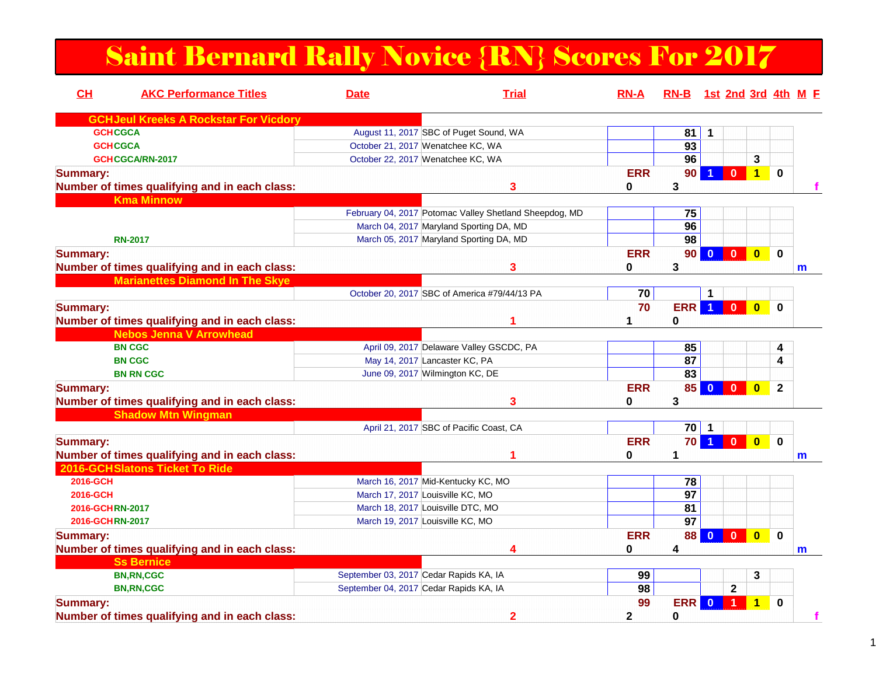### Saint Bernard Rally Novice {RN} Scores For 2017

| CH              | <b>AKC Performance Titles</b>                 | <b>Date</b>                            | <b>Trial</b>                                           | <b>RN-A</b> | RN-B 1st 2nd 3rd 4th M F |                 |                                         |                          |   |
|-----------------|-----------------------------------------------|----------------------------------------|--------------------------------------------------------|-------------|--------------------------|-----------------|-----------------------------------------|--------------------------|---|
|                 | <b>GCHJeul Kreeks A Rockstar For Vicdory</b>  |                                        |                                                        |             |                          |                 |                                         |                          |   |
| <b>GCHCGCA</b>  |                                               |                                        | August 11, 2017 SBC of Puget Sound, WA                 |             | 81                       | 1               |                                         |                          |   |
| <b>GCHCGCA</b>  |                                               |                                        | October 21, 2017 Wenatchee KC, WA                      |             | $\overline{93}$          |                 |                                         |                          |   |
|                 | GCHCGCA/RN-2017                               |                                        | October 22, 2017 Wenatchee KC, WA                      |             | 96                       |                 | 3                                       |                          |   |
| <b>Summary:</b> |                                               |                                        |                                                        | <b>ERR</b>  | 90                       |                 | $\overline{1}$<br>$\mathbf{0}$          | $\mathbf 0$              |   |
|                 | Number of times qualifying and in each class: |                                        | 3                                                      | 0           | 3                        |                 |                                         |                          |   |
|                 | <b>Kma Minnow</b>                             |                                        |                                                        |             |                          |                 |                                         |                          |   |
|                 |                                               |                                        | February 04, 2017 Potomac Valley Shetland Sheepdog, MD |             | 75                       |                 |                                         |                          |   |
|                 |                                               |                                        | March 04, 2017 Maryland Sporting DA, MD                |             | 96                       |                 |                                         |                          |   |
|                 | <b>RN-2017</b>                                |                                        | March 05, 2017 Maryland Sporting DA, MD                |             | 98                       |                 |                                         |                          |   |
| <b>Summary:</b> |                                               |                                        |                                                        | <b>ERR</b>  | 90                       | $\Omega$        | $\mathbf{0}$<br>$\mathbf{0}$            | $\mathbf 0$              |   |
|                 | Number of times qualifying and in each class: |                                        | 3                                                      | 0           | 3                        |                 |                                         |                          | m |
|                 | <b>Marianettes Diamond In The Skye</b>        |                                        |                                                        |             |                          |                 |                                         |                          |   |
|                 |                                               |                                        | October 20, 2017 SBC of America #79/44/13 PA           | 70          |                          | 1               |                                         |                          |   |
| <b>Summary:</b> |                                               |                                        |                                                        | 70          | <b>ERR</b> 1 0           |                 | $\overline{0}$                          | $\bf{0}$                 |   |
|                 | Number of times qualifying and in each class: |                                        |                                                        |             | 0                        |                 |                                         |                          |   |
|                 | <b>Nebos Jenna V Arrowhead</b>                |                                        |                                                        |             |                          |                 |                                         |                          |   |
|                 | <b>BN CGC</b>                                 |                                        | April 09, 2017 Delaware Valley GSCDC, PA               |             | 85                       |                 |                                         | 4                        |   |
|                 | <b>BN CGC</b>                                 |                                        | May 14, 2017 Lancaster KC, PA                          |             | 87                       |                 |                                         | 4                        |   |
|                 | <b>BN RN CGC</b>                              |                                        | June 09, 2017 Wilmington KC, DE                        |             | 83                       |                 |                                         |                          |   |
| <b>Summary:</b> |                                               |                                        |                                                        | <b>ERR</b>  |                          | 85 0 0          | $\overline{\mathbf{0}}$                 | $\mathbf{2}$             |   |
|                 | Number of times qualifying and in each class: |                                        | 3                                                      | 0           | 3                        |                 |                                         |                          |   |
|                 | <b>Shadow Mtn Wingman</b>                     |                                        |                                                        |             |                          |                 |                                         |                          |   |
|                 |                                               |                                        | April 21, 2017 SBC of Pacific Coast, CA                |             | $70$   1                 |                 |                                         |                          |   |
| <b>Summary:</b> |                                               |                                        |                                                        | <b>ERR</b>  | 70 <sub>l</sub>          | $\blacklozenge$ | $\overline{\mathbf{0}}$                 | $\bullet$<br>$\mathbf 0$ |   |
|                 | Number of times qualifying and in each class: |                                        |                                                        | 0           | 1                        |                 |                                         |                          | m |
|                 | 2016-GCHSlatons Ticket To Ride                |                                        |                                                        |             |                          |                 |                                         |                          |   |
| 2016-GCH        |                                               |                                        | March 16, 2017 Mid-Kentucky KC, MO                     |             | 78                       |                 |                                         |                          |   |
| 2016-GCH        |                                               |                                        | March 17, 2017 Louisville KC, MO                       |             | 97                       |                 |                                         |                          |   |
| 2016-GCHRN-2017 |                                               |                                        | March 18, 2017 Louisville DTC, MO                      |             | 81                       |                 |                                         |                          |   |
| 2016-GCHRN-2017 |                                               |                                        | March 19, 2017 Louisville KC, MO                       |             | $\overline{97}$          |                 |                                         |                          |   |
| <b>Summary:</b> |                                               |                                        |                                                        | <b>ERR</b>  | 88                       | $\mathbf{0}$    | $\overline{\mathbf{0}}$<br>$\mathbf{0}$ | $\bf{0}$                 |   |
|                 | Number of times qualifying and in each class: |                                        |                                                        | 0           | 4                        |                 |                                         |                          | m |
|                 | <b>Ss Bernice</b>                             |                                        |                                                        |             |                          |                 |                                         |                          |   |
|                 | <b>BN,RN,CGC</b>                              | September 03, 2017 Cedar Rapids KA, IA |                                                        | 99          |                          |                 | 3                                       |                          |   |
|                 | <b>BN, RN, CGC</b>                            | September 04, 2017 Cedar Rapids KA, IA |                                                        | 98          |                          |                 | $\mathbf{2}$                            |                          |   |
| <b>Summary:</b> |                                               |                                        |                                                        | 99          | <b>ERR</b>               | $\Omega$        | 1<br>1                                  | $\bf{0}$                 |   |
|                 | Number of times qualifying and in each class: |                                        | $\overline{2}$                                         | 2           | 0                        |                 |                                         |                          | f |
|                 |                                               |                                        |                                                        |             |                          |                 |                                         |                          |   |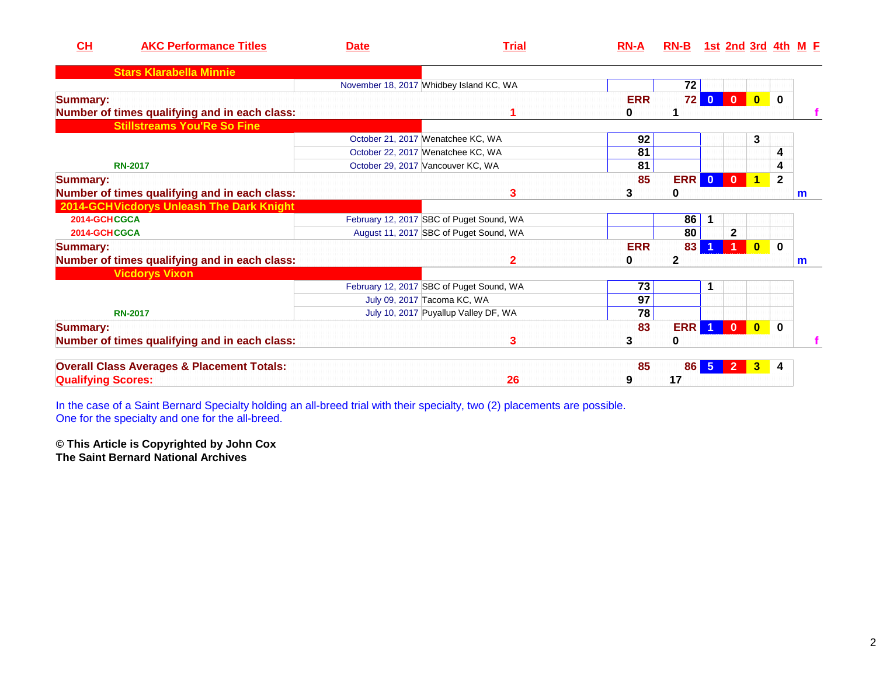| CH                        | <b>AKC Performance Titles</b>                         | <b>Date</b> | <b>Trial</b>                             | <b>RN-A</b> | RN-B 1st 2nd 3rd 4th M E |                              |                         |              |              |
|---------------------------|-------------------------------------------------------|-------------|------------------------------------------|-------------|--------------------------|------------------------------|-------------------------|--------------|--------------|
|                           | <b>Stars Klarabella Minnie</b>                        |             |                                          |             |                          |                              |                         |              |              |
|                           |                                                       |             | November 18, 2017 Whidbey Island KC, WA  |             | 72                       |                              |                         |              |              |
| <b>Summary:</b>           |                                                       |             |                                          | <b>ERR</b>  | 72 <sub>1</sub>          | $\mathbf 0$<br>$\Omega$      | $\overline{\mathbf{0}}$ | $\mathbf{0}$ |              |
|                           | Number of times qualifying and in each class:         |             |                                          | 0           |                          |                              |                         |              |              |
|                           | <b>Stillstreams You'Re So Fine</b>                    |             |                                          |             |                          |                              |                         |              |              |
|                           |                                                       |             | October 21, 2017 Wenatchee KC, WA        | 92          |                          |                              | 3                       |              |              |
|                           |                                                       |             | October 22, 2017 Wenatchee KC, WA        | 81          |                          |                              |                         | 4            |              |
|                           | <b>RN-2017</b>                                        |             | October 29, 2017 Vancouver KC, WA        | 81          |                          |                              |                         | 4            |              |
| <b>Summary:</b>           |                                                       |             |                                          | 85          | ERR                      | $\mathbf{0}$<br>$\mathbf{0}$ | $\mathbf 1$             | $\mathbf{2}$ |              |
|                           | Number of times qualifying and in each class:         |             | 3                                        | 3           | 0                        |                              |                         |              | $\mathsf{m}$ |
|                           | 2014-GCHVicdorys Unleash The Dark Knight              |             |                                          |             |                          |                              |                         |              |              |
| 2014-GCHCGCA              |                                                       |             | February 12, 2017 SBC of Puget Sound, WA |             | 86                       | $\mathbf{1}$                 |                         |              |              |
| 2014-GCHCGCA              |                                                       |             | August 11, 2017 SBC of Puget Sound, WA   |             | 80                       | $\mathbf 2$                  |                         |              |              |
| <b>Summary:</b>           |                                                       |             |                                          | <b>ERR</b>  | 83                       |                              | $\Omega$                | $\mathbf{0}$ |              |
|                           | Number of times qualifying and in each class:         |             | 2                                        | 0           | $\mathbf{2}$             |                              |                         |              | m            |
|                           | <b>Vicdorys Vixon</b>                                 |             |                                          |             |                          |                              |                         |              |              |
|                           |                                                       |             | February 12, 2017 SBC of Puget Sound, WA | 73          |                          | 1                            |                         |              |              |
|                           |                                                       |             | July 09, 2017 Tacoma KC, WA              | 97          |                          |                              |                         |              |              |
|                           | <b>RN-2017</b>                                        |             | July 10, 2017 Puyallup Valley DF, WA     | 78          |                          |                              |                         |              |              |
| <b>Summary:</b>           |                                                       |             |                                          | 83          | ERR                      | $\mathbf{0}$                 | $\overline{\mathbf{0}}$ | $\mathbf{0}$ |              |
|                           | Number of times qualifying and in each class:         |             | 3                                        | 3           | 0                        |                              |                         |              |              |
|                           | <b>Overall Class Averages &amp; Placement Totals:</b> |             |                                          | 85          | 86                       | -5<br>$\overline{2}$         | 3                       | 4            |              |
| <b>Qualifying Scores:</b> |                                                       |             | 26                                       | 9           | 17                       |                              |                         |              |              |

In the case of a Saint Bernard Specialty holding an all-breed trial with their specialty, two (2) placements are possible. One for the specialty and one for the all-breed.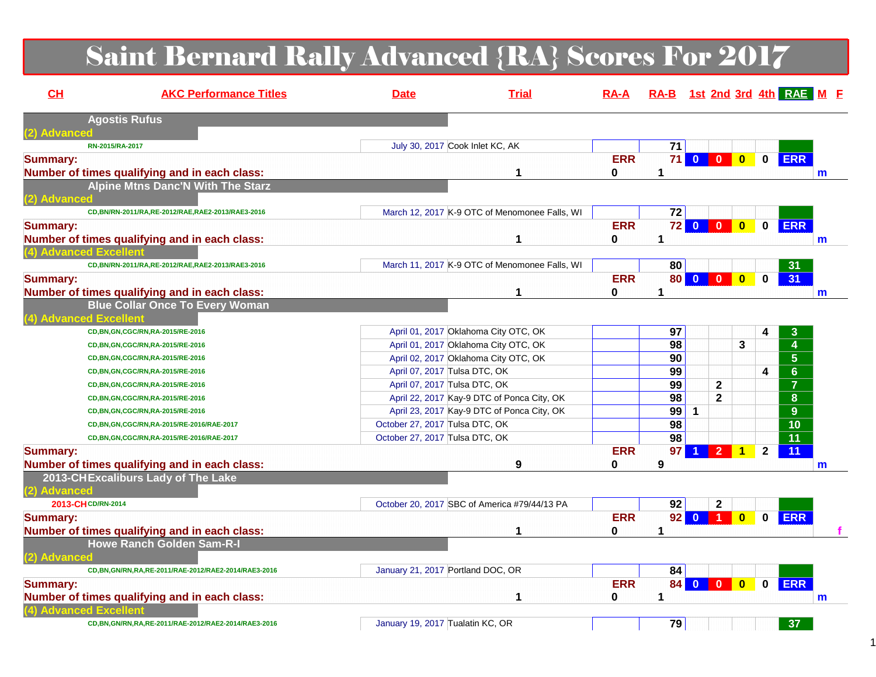# Saint Bernard Rally Advanced {RA} Scores For 2017

| CL              | <b>AKC Performance Titles</b>                           | <b>Date</b>                       | <b>Trial</b>                                  | $RA-A$          | RA-B 1st 2nd 3rd 4th RAE M E |                         |                  |                         |              |                 |              |
|-----------------|---------------------------------------------------------|-----------------------------------|-----------------------------------------------|-----------------|------------------------------|-------------------------|------------------|-------------------------|--------------|-----------------|--------------|
|                 | <b>Agostis Rufus</b>                                    |                                   |                                               |                 |                              |                         |                  |                         |              |                 |              |
| (2) Advanced    |                                                         |                                   |                                               |                 |                              |                         |                  |                         |              |                 |              |
|                 | RN-2015/RA-2017                                         |                                   | July 30, 2017 Cook Inlet KC, AK               |                 | 71                           |                         |                  |                         |              |                 |              |
| <b>Summary:</b> | Number of times qualifying and in each class:           |                                   |                                               | <b>ERR</b><br>0 | 1                            |                         | 71000            |                         |              | 0 ERR           | m            |
|                 | <b>Alpine Mtns Danc'N With The Starz</b>                |                                   |                                               |                 |                              |                         |                  |                         |              |                 |              |
| (2) Advanced    |                                                         |                                   |                                               |                 |                              |                         |                  |                         |              |                 |              |
|                 | CD, BN/RN-2011/RA, RE-2012/RAE, RAE2-2013/RAE3-2016     |                                   | March 12, 2017 K-9 OTC of Menomonee Falls, WI |                 | 72                           |                         |                  |                         |              |                 |              |
| <b>Summary:</b> |                                                         |                                   |                                               | <b>ERR</b>      |                              |                         | 72 0 0 0         |                         |              | 0 ERR           |              |
|                 | Number of times qualifying and in each class:           |                                   |                                               | 0               | 1                            |                         |                  |                         |              |                 | m            |
|                 | (4) Advanced Excellent                                  |                                   |                                               |                 |                              |                         |                  |                         |              |                 |              |
|                 | CD,BN/RN-2011/RA,RE-2012/RAE,RAE2-2013/RAE3-2016        |                                   | March 11, 2017 K-9 OTC of Menomonee Falls, WI |                 | 80                           |                         |                  |                         |              | 31              |              |
| <b>Summary:</b> |                                                         |                                   |                                               | <b>ERR</b>      | <b>80 0</b>                  |                         | $\mathbf{0}$     | $\mathbf{0}$            | $\bf{0}$     | 31              |              |
|                 | Number of times qualifying and in each class:           |                                   | 1                                             | 0               | 1                            |                         |                  |                         |              |                 | $\mathbf{m}$ |
|                 | <b>Blue Collar Once To Every Woman</b>                  |                                   |                                               |                 |                              |                         |                  |                         |              |                 |              |
|                 | (4) Advanced Excellent                                  |                                   |                                               |                 |                              |                         |                  |                         |              |                 |              |
|                 | CD, BN, GN, CGC/RN, RA-2015/RE-2016                     |                                   | April 01, 2017 Oklahoma City OTC, OK          |                 | 97                           |                         |                  |                         | 4            | 3               |              |
|                 | CD, BN, GN, CGC/RN, RA-2015/RE-2016                     |                                   | April 01, 2017 Oklahoma City OTC, OK          |                 | 98                           |                         |                  | 3                       |              | $\overline{4}$  |              |
|                 | CD, BN, GN, CGC/RN, RA-2015/RE-2016                     |                                   | April 02, 2017 Oklahoma City OTC, OK          |                 | 90                           |                         |                  |                         |              | $5\phantom{.0}$ |              |
|                 | CD, BN, GN, CGC/RN, RA-2015/RE-2016                     | April 07, 2017 Tulsa DTC, OK      |                                               |                 | 99                           |                         |                  |                         | 4            | 6 <sup>1</sup>  |              |
|                 | CD, BN, GN, CGC/RN, RA-2015/RE-2016                     | April 07, 2017 Tulsa DTC, OK      |                                               |                 | 99                           |                         | $\mathbf{2}$     |                         |              | $\overline{7}$  |              |
|                 | CD, BN, GN, CGC/RN, RA-2015/RE-2016                     |                                   | April 22, 2017 Kay-9 DTC of Ponca City, OK    |                 | 98                           |                         | $\mathbf{2}$     |                         |              | 8               |              |
|                 | CD, BN, GN, CGC/RN, RA-2015/RE-2016                     |                                   | April 23, 2017 Kay-9 DTC of Ponca City, OK    |                 | 99                           | $\mathbf{1}$            |                  |                         |              | 9               |              |
|                 | CD, BN, GN, CGC/RN, RA-2015/RE-2016/RAE-2017            | October 27, 2017 Tulsa DTC, OK    |                                               |                 | 98                           |                         |                  |                         |              | $\overline{10}$ |              |
|                 | CD, BN, GN, CGC/RN, RA-2015/RE-2016/RAE-2017            | October 27, 2017 Tulsa DTC, OK    |                                               |                 | 98                           |                         |                  |                         |              | 11              |              |
| <b>Summary:</b> |                                                         |                                   |                                               | <b>ERR</b>      | 97                           | 1                       | $\overline{2}$   | 1                       | $\mathbf{2}$ | 11              |              |
|                 | Number of times qualifying and in each class:           |                                   | 9                                             | $\mathbf 0$     | 9                            |                         |                  |                         |              |                 | m            |
|                 | 2013-CHExcaliburs Lady of The Lake                      |                                   |                                               |                 |                              |                         |                  |                         |              |                 |              |
| (2) Advanced    |                                                         |                                   |                                               |                 |                              |                         |                  |                         |              |                 |              |
|                 | 2013-CHCD/RN-2014                                       |                                   | October 20, 2017 SBC of America #79/44/13 PA  |                 | 92                           |                         | $\mathbf{2}$     |                         |              |                 |              |
| <b>Summary:</b> |                                                         |                                   |                                               | <b>ERR</b>      | 92                           | $\overline{\mathbf{0}}$ | $\blacksquare$ 1 | $\overline{\mathbf{0}}$ | $\mathbf 0$  | <b>ERR</b>      |              |
|                 | Number of times qualifying and in each class:           |                                   | 1                                             | 0               | 1                            |                         |                  |                         |              |                 |              |
|                 | <b>Howe Ranch Golden Sam-R-I</b>                        |                                   |                                               |                 |                              |                         |                  |                         |              |                 |              |
| (2) Advanced    |                                                         |                                   |                                               |                 |                              |                         |                  |                         |              |                 |              |
|                 | CD, BN, GN/RN, RA, RE-2011/RAE-2012/RAE2-2014/RAE3-2016 | January 21, 2017 Portland DOC, OR |                                               |                 | 84                           |                         |                  |                         |              |                 |              |
| <b>Summary:</b> |                                                         |                                   |                                               | <b>ERR</b>      |                              |                         | 84 0 0           | $\overline{\mathbf{0}}$ | $\mathbf 0$  | <b>ERR</b>      |              |
|                 | Number of times qualifying and in each class:           |                                   | 1                                             | 0               | 1                            |                         |                  |                         |              |                 | m            |
|                 | 4) Advanced Excellent                                   |                                   |                                               |                 |                              |                         |                  |                         |              |                 |              |
|                 | CD, BN, GN/RN, RA, RE-2011/RAE-2012/RAE2-2014/RAE3-2016 | January 19, 2017 Tualatin KC, OR  |                                               |                 | 79                           |                         |                  |                         |              | 37              |              |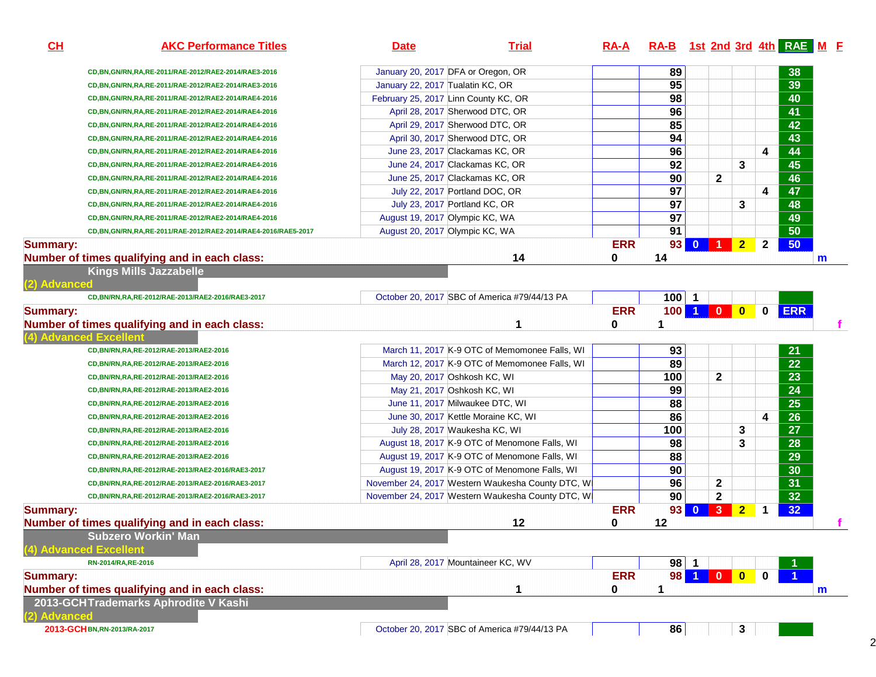| CL              | <b>AKC Performance Titles</b>                                 | <b>Date</b>                          | <b>Trial</b>                                     | <u>RA-A</u> |                 |        |              |                |                | RA-B 1st 2nd 3rd 4th RAE M E |   |
|-----------------|---------------------------------------------------------------|--------------------------------------|--------------------------------------------------|-------------|-----------------|--------|--------------|----------------|----------------|------------------------------|---|
|                 | CD, BN, GN/RN, RA, RE-2011/RAE-2012/RAE2-2014/RAE3-2016       | January 20, 2017 DFA or Oregon, OR   |                                                  |             | 89              |        |              |                |                | 38                           |   |
|                 | CD, BN, GN/RN, RA, RE-2011/RAE-2012/RAE2-2014/RAE3-2016       | January 22, 2017 Tualatin KC, OR     |                                                  |             | 95              |        |              |                |                | 39                           |   |
|                 | CD, BN, GN/RN, RA, RE-2011/RAE-2012/RAE2-2014/RAE4-2016       | February 25, 2017 Linn County KC, OR |                                                  |             | 98              |        |              |                |                | 40                           |   |
|                 | CD, BN, GN/RN, RA, RE-2011/RAE-2012/RAE2-2014/RAE4-2016       |                                      | April 28, 2017 Sherwood DTC, OR                  |             | 96              |        |              |                |                | 41                           |   |
|                 | CD,BN,GN/RN,RA,RE-2011/RAE-2012/RAE2-2014/RAE4-2016           |                                      | April 29, 2017 Sherwood DTC, OR                  |             | 85              |        |              |                |                | 42                           |   |
|                 | CD, BN, GN/RN, RA, RE-2011/RAE-2012/RAE2-2014/RAE4-2016       |                                      | April 30, 2017 Sherwood DTC, OR                  |             | 94              |        |              |                |                | 43                           |   |
|                 | CD, BN, GN/RN, RA, RE-2011/RAE-2012/RAE2-2014/RAE4-2016       |                                      | June 23, 2017 Clackamas KC, OR                   |             | 96              |        |              |                | 4              | 44                           |   |
|                 | CD,BN,GN/RN,RA,RE-2011/RAE-2012/RAE2-2014/RAE4-2016           |                                      | June 24, 2017 Clackamas KC, OR                   |             | 92              |        |              | 3              |                | 45                           |   |
|                 | CD, BN, GN/RN, RA, RE-2011/RAE-2012/RAE2-2014/RAE4-2016       |                                      | June 25, 2017 Clackamas KC, OR                   |             | 90              |        | $\mathbf 2$  |                |                | 46                           |   |
|                 | CD, BN, GN/RN, RA, RE-2011/RAE-2012/RAE2-2014/RAE4-2016       |                                      | July 22, 2017 Portland DOC, OR                   |             | 97              |        |              |                | 4              | 47                           |   |
|                 | CD,BN,GN/RN,RA,RE-2011/RAE-2012/RAE2-2014/RAE4-2016           | July 23, 2017 Portland KC, OR        |                                                  |             | $\overline{97}$ |        |              | 3              |                | 48                           |   |
|                 | CD, BN, GN/RN, RA, RE-2011/RAE-2012/RAE2-2014/RAE4-2016       | August 19, 2017 Olympic KC, WA       |                                                  |             | $\overline{97}$ |        |              |                |                | 49                           |   |
|                 | CD,BN,GN/RN,RA,RE-2011/RAE-2012/RAE2-2014/RAE4-2016/RAE5-2017 | August 20, 2017 Olympic KC, WA       |                                                  |             | 91              |        |              |                |                | 50                           |   |
| <b>Summary:</b> |                                                               |                                      |                                                  | <b>ERR</b>  |                 | 93 0 1 |              | $\overline{2}$ | $\overline{2}$ | 50                           |   |
|                 | Number of times qualifying and in each class:                 |                                      | 14                                               | 0           | 14              |        |              |                |                |                              | m |
|                 | <b>Kings Mills Jazzabelle</b>                                 |                                      |                                                  |             |                 |        |              |                |                |                              |   |
| (2) Advanced    | CD, BN/RN, RA, RE-2012/RAE-2013/RAE2-2016/RAE3-2017           |                                      | October 20, 2017 SBC of America #79/44/13 PA     |             | $100$ 1         |        |              |                |                |                              |   |
| <b>Summary:</b> |                                                               |                                      |                                                  | <b>ERR</b>  |                 |        |              | 100 1 0 0      | $\mathbf 0$    | <b>ERR</b>                   |   |
|                 | Number of times qualifying and in each class:                 |                                      | 1                                                | 0           | 1               |        |              |                |                |                              |   |
|                 | (4) Advanced Excellent                                        |                                      |                                                  |             |                 |        |              |                |                |                              |   |
|                 | CD, BN/RN, RA, RE-2012/RAE-2013/RAE2-2016                     |                                      | March 11, 2017 K-9 OTC of Memomonee Falls, WI    |             | 93              |        |              |                |                | 21                           |   |
|                 | CD, BN/RN, RA, RE-2012/RAE-2013/RAE2-2016                     |                                      | March 12, 2017 K-9 OTC of Memomonee Falls, WI    |             | 89              |        |              |                |                | 22                           |   |
|                 | CD, BN/RN, RA, RE-2012/RAE-2013/RAE2-2016                     | May 20, 2017 Oshkosh KC, WI          |                                                  |             | 100             |        | $\mathbf{2}$ |                |                | 23                           |   |
|                 | CD, BN/RN, RA, RE-2012/RAE-2013/RAE2-2016                     | May 21, 2017 Oshkosh KC, WI          |                                                  |             | 99              |        |              |                |                | 24                           |   |
|                 | CD, BN/RN, RA, RE-2012/RAE-2013/RAE2-2016                     |                                      | June 11, 2017 Milwaukee DTC, WI                  |             | 88              |        |              |                |                | $\overline{25}$              |   |
|                 | CD, BN/RN, RA, RE-2012/RAE-2013/RAE2-2016                     |                                      | June 30, 2017 Kettle Moraine KC, WI              |             | 86              |        |              |                | 4              | $\overline{26}$              |   |
|                 | CD, BN/RN, RA, RE-2012/RAE-2013/RAE2-2016                     |                                      | July 28, 2017 Waukesha KC, WI                    |             | 100             |        |              | 3              |                | 27                           |   |
|                 | CD, BN/RN, RA, RE-2012/RAE-2013/RAE2-2016                     |                                      | August 18, 2017 K-9 OTC of Menomone Falls, WI    |             | 98              |        |              | 3              |                | 28                           |   |
|                 | CD, BN/RN, RA, RE-2012/RAE-2013/RAE2-2016                     |                                      | August 19, 2017 K-9 OTC of Menomone Falls, WI    |             | 88              |        |              |                |                | 29                           |   |
|                 | CD,BN/RN,RA,RE-2012/RAE-2013/RAE2-2016/RAE3-2017              |                                      | August 19, 2017 K-9 OTC of Menomone Falls, WI    |             | 90              |        |              |                |                | 30                           |   |
|                 | CD,BN/RN,RA,RE-2012/RAE-2013/RAE2-2016/RAE3-2017              |                                      | November 24, 2017 Western Waukesha County DTC, W |             | 96              |        | 2            |                |                | 31                           |   |
|                 | CD,BN/RN,RA,RE-2012/RAE-2013/RAE2-2016/RAE3-2017              |                                      | November 24, 2017 Western Waukesha County DTC, W |             | 90              |        | $\mathbf{2}$ |                |                | 32                           |   |
| <b>Summary:</b> |                                                               |                                      |                                                  | <b>ERR</b>  |                 | 93 0 3 |              | $\overline{2}$ | $\mathbf 1$    | 32                           |   |
|                 | Number of times qualifying and in each class:                 |                                      | 12                                               | 0           | 12              |        |              |                |                |                              |   |
|                 | <b>Subzero Workin' Man</b>                                    |                                      |                                                  |             |                 |        |              |                |                |                              |   |
|                 | (4) Advanced Excellent                                        |                                      |                                                  |             |                 |        |              |                |                |                              |   |
|                 | RN-2014/RA, RE-2016                                           |                                      | April 28, 2017 Mountaineer KC, WV                |             | $98$   1        |        |              |                |                |                              |   |
| <b>Summary:</b> |                                                               |                                      |                                                  | <b>ERR</b>  |                 |        |              | 98 1 0 0 0     |                |                              |   |
|                 | Number of times qualifying and in each class:                 |                                      | 1                                                | 0           | 1               |        |              |                |                |                              | m |
|                 | 2013-GCHTrademarks Aphrodite V Kashi                          |                                      |                                                  |             |                 |        |              |                |                |                              |   |
| (2) Advanced    |                                                               |                                      |                                                  |             |                 |        |              |                |                |                              |   |
|                 | 2013-GCH BN, RN-2013/RA-2017                                  |                                      | October 20, 2017 SBC of America #79/44/13 PA     |             | 86              |        |              | $\mathbf{3}$   |                |                              |   |

2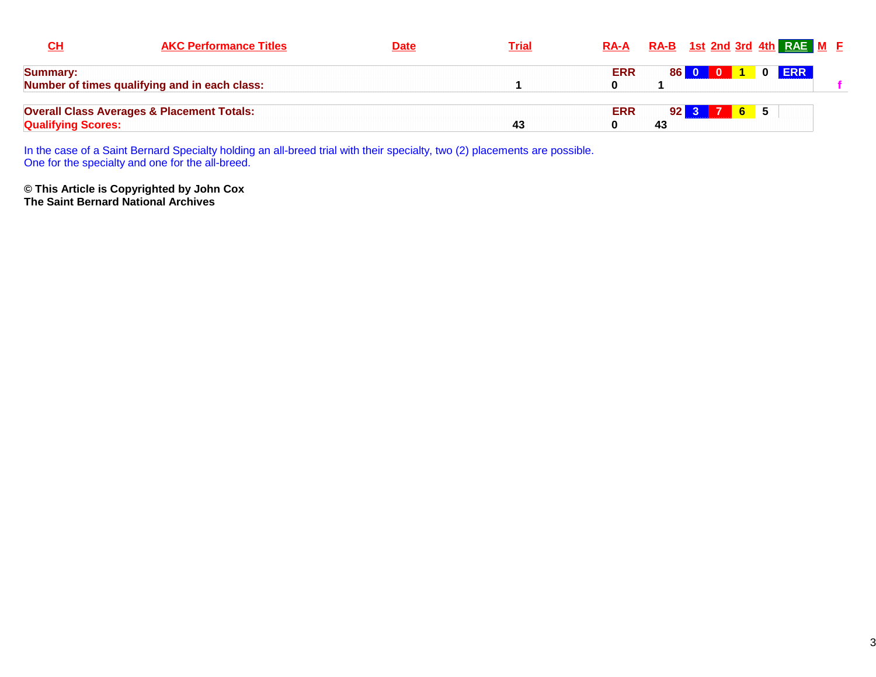| CH                        | <b>AKC Performance Titles</b>                         | <u>Date</u> | <b>Trial</b> | <b>RA-A</b> |                 | RA-B 1st 2nd 3rd 4th RAE M E            |             |       |  |
|---------------------------|-------------------------------------------------------|-------------|--------------|-------------|-----------------|-----------------------------------------|-------------|-------|--|
| <b>Summary:</b>           |                                                       |             |              | <b>ERR</b>  | 86 I            | $\mathbf{0}$<br>$\overline{\mathbf{0}}$ |             | 0 ERR |  |
|                           | Number of times qualifying and in each class:         |             |              |             |                 |                                         |             |       |  |
|                           | <b>Overall Class Averages &amp; Placement Totals:</b> |             |              | <b>ERR</b>  | 92 <sub>1</sub> | $3-1$                                   | $6 \quad 5$ |       |  |
| <b>Qualifying Scores:</b> |                                                       |             | -43          |             | 43              |                                         |             |       |  |

In the case of a Saint Bernard Specialty holding an all-breed trial with their specialty, two (2) placements are possible. One for the specialty and one for the all-breed.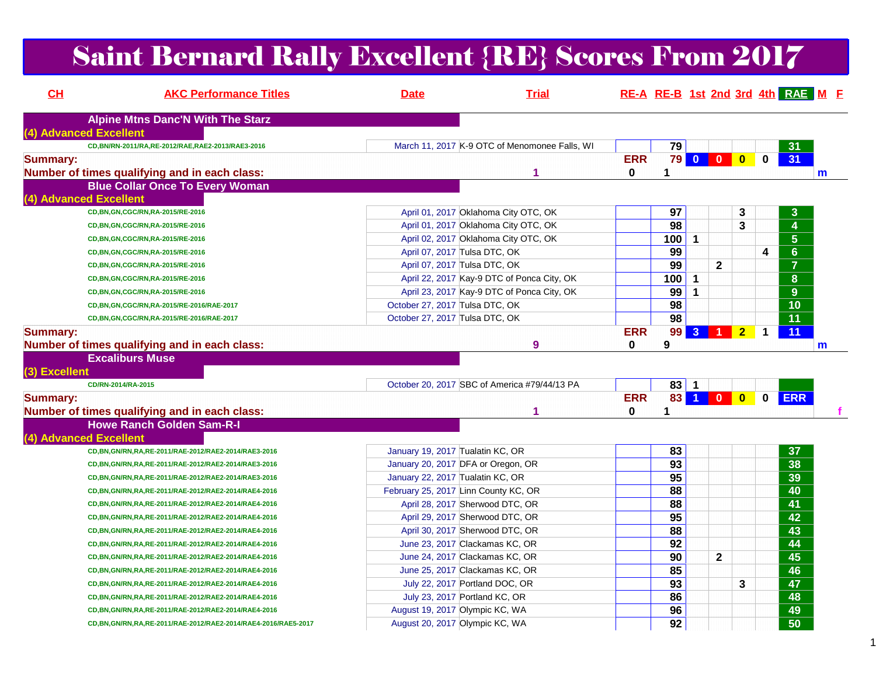### Saint Bernard Rally Excellent {RE} Scores From 2017

| CH                     | <b>AKC Performance Titles</b>                                     | <b>Date</b>                          | <b>Trial</b>                                  |                        |                 |                |                |                |              | RE-A RE-B 1st 2nd 3rd 4th RAE M F |              |
|------------------------|-------------------------------------------------------------------|--------------------------------------|-----------------------------------------------|------------------------|-----------------|----------------|----------------|----------------|--------------|-----------------------------------|--------------|
|                        | <b>Alpine Mtns Danc'N With The Starz</b>                          |                                      |                                               |                        |                 |                |                |                |              |                                   |              |
| (4) Advanced Excellent |                                                                   |                                      |                                               |                        |                 |                |                |                |              |                                   |              |
|                        | CD, BN/RN-2011/RA, RE-2012/RAE, RAE2-2013/RAE3-2016               |                                      | March 11, 2017 K-9 OTC of Menomonee Falls, WI |                        | 79              |                |                |                |              | 31                                |              |
| <b>Summary:</b>        | Number of times qualifying and in each class:                     |                                      |                                               | <b>ERR</b><br>$\bf{0}$ | 1               |                | 79 0 0 0       |                | $\mathbf{0}$ | 31                                |              |
|                        | <b>Blue Collar Once To Every Woman</b>                            |                                      |                                               |                        |                 |                |                |                |              |                                   | m            |
| (4) Advanced Excellent |                                                                   |                                      |                                               |                        |                 |                |                |                |              |                                   |              |
|                        | CD, BN, GN, CGC/RN, RA-2015/RE-2016                               |                                      | April 01, 2017 Oklahoma City OTC, OK          |                        | 97              |                |                | 3              |              | $\mathbf{3}$                      |              |
|                        | CD, BN, GN, CGC/RN, RA-2015/RE-2016                               |                                      | April 01, 2017 Oklahoma City OTC, OK          |                        | 98              |                |                | 3              |              | $\boldsymbol{4}$                  |              |
|                        | CD, BN, GN, CGC/RN, RA-2015/RE-2016                               |                                      | April 02, 2017 Oklahoma City OTC, OK          |                        | 100             | $\mathbf{1}$   |                |                |              | $5\phantom{1}$                    |              |
|                        | CD, BN, GN, CGC/RN, RA-2015/RE-2016                               | April 07, 2017 Tulsa DTC, OK         |                                               |                        | 99              |                |                |                | 4            | $6 \overline{6}$                  |              |
|                        | CD, BN, GN, CGC/RN, RA-2015/RE-2016                               | April 07, 2017 Tulsa DTC, OK         |                                               |                        | 99              |                | $\mathbf{2}$   |                |              | $\overline{7}$                    |              |
|                        | CD, BN, GN, CGC/RN, RA-2015/RE-2016                               |                                      | April 22, 2017 Kay-9 DTC of Ponca City, OK    |                        | 100             | $\mathbf{1}$   |                |                |              | 8                                 |              |
|                        | CD, BN, GN, CGC/RN, RA-2015/RE-2016                               |                                      | April 23, 2017 Kay-9 DTC of Ponca City, OK    |                        | 99              | 1              |                |                |              | 9                                 |              |
|                        | CD, BN, GN, CGC/RN, RA-2015/RE-2016/RAE-2017                      | October 27, 2017 Tulsa DTC, OK       |                                               |                        | 98              |                |                |                |              | 10                                |              |
|                        | CD, BN, GN, CGC/RN, RA-2015/RE-2016/RAE-2017                      | October 27, 2017 Tulsa DTC, OK       |                                               |                        | 98              |                |                |                |              | 11                                |              |
| <b>Summary:</b>        |                                                                   |                                      |                                               | <b>ERR</b>             | 99              | 3 <sup>°</sup> | $\overline{1}$ | $\overline{2}$ | 1            | $\overline{11}$                   |              |
|                        | Number of times qualifying and in each class:                     |                                      | 9                                             | $\bf{0}$               | 9               |                |                |                |              |                                   | $\mathbf{m}$ |
|                        | <b>Excaliburs Muse</b>                                            |                                      |                                               |                        |                 |                |                |                |              |                                   |              |
| (3) Excellent          |                                                                   |                                      |                                               |                        |                 |                |                |                |              |                                   |              |
|                        | CD/RN-2014/RA-2015                                                |                                      | October 20, 2017 SBC of America #79/44/13 PA  |                        | $83$ 1          |                |                |                |              |                                   |              |
| <b>Summary:</b>        |                                                                   |                                      |                                               | <b>ERR</b>             | 83              |                | 100            |                | $\mathbf 0$  | <b>ERR</b>                        |              |
|                        | Number of times qualifying and in each class:                     |                                      | 1                                             | $\mathbf{0}$           | 1               |                |                |                |              |                                   |              |
|                        | <b>Howe Ranch Golden Sam-R-I</b>                                  |                                      |                                               |                        |                 |                |                |                |              |                                   |              |
| (4) Advanced Excellent |                                                                   |                                      |                                               |                        |                 |                |                |                |              |                                   |              |
|                        | CD, BN, GN/RN, RA, RE-2011/RAE-2012/RAE2-2014/RAE3-2016           | January 19, 2017 Tualatin KC, OR     |                                               |                        | 83              |                |                |                |              | 37                                |              |
|                        | CD, BN, GN/RN, RA, RE-2011/RAE-2012/RAE2-2014/RAE3-2016           | January 20, 2017 DFA or Oregon, OR   |                                               |                        | $\overline{93}$ |                |                |                |              | $\overline{38}$                   |              |
|                        | CD, BN, GN/RN, RA, RE-2011/RAE-2012/RAE2-2014/RAE3-2016           | January 22, 2017 Tualatin KC, OR     |                                               |                        | 95              |                |                |                |              | 39                                |              |
|                        | CD, BN, GN/RN, RA, RE-2011/RAE-2012/RAE2-2014/RAE4-2016           | February 25, 2017 Linn County KC, OR |                                               |                        | $\overline{88}$ |                |                |                |              | 40                                |              |
|                        | CD, BN, GN/RN, RA, RE-2011/RAE-2012/RAE2-2014/RAE4-2016           | April 28, 2017 Sherwood DTC, OR      |                                               |                        | 88              |                |                |                |              | 41                                |              |
|                        | CD, BN, GN/RN, RA, RE-2011/RAE-2012/RAE2-2014/RAE4-2016           | April 29, 2017 Sherwood DTC, OR      |                                               |                        | $\overline{95}$ |                |                |                |              | 42                                |              |
|                        | CD, BN, GN/RN, RA, RE-2011/RAE-2012/RAE2-2014/RAE4-2016           | April 30, 2017 Sherwood DTC, OR      |                                               |                        | 88              |                |                |                |              | $\overline{43}$                   |              |
|                        | CD, BN, GN/RN, RA, RE-2011/RAE-2012/RAE2-2014/RAE4-2016           | June 23, 2017 Clackamas KC, OR       |                                               |                        | 92              |                |                |                |              | 44                                |              |
|                        | CD, BN, GN/RN, RA, RE-2011/RAE-2012/RAE2-2014/RAE4-2016           | June 24, 2017 Clackamas KC, OR       |                                               |                        | 90              |                | $\mathbf{2}$   |                |              | 45                                |              |
|                        | CD, BN, GN/RN, RA, RE-2011/RAE-2012/RAE2-2014/RAE4-2016           | June 25, 2017 Clackamas KC, OR       |                                               |                        | 85              |                |                |                |              | 46                                |              |
|                        | CD, BN, GN/RN, RA, RE-2011/RAE-2012/RAE2-2014/RAE4-2016           | July 22, 2017 Portland DOC, OR       |                                               |                        | 93              |                |                | 3              |              | 47                                |              |
|                        | CD, BN, GN/RN, RA, RE-2011/RAE-2012/RAE2-2014/RAE4-2016           | July 23, 2017 Portland KC, OR        |                                               |                        | 86              |                |                |                |              | 48                                |              |
|                        | CD, BN, GN/RN, RA, RE-2011/RAE-2012/RAE2-2014/RAE4-2016           | August 19, 2017 Olympic KC, WA       |                                               |                        | 96              |                |                |                |              | 49                                |              |
|                        | CD, BN, GN/RN, RA, RE-2011/RAE-2012/RAE2-2014/RAE4-2016/RAE5-2017 | August 20, 2017 Olympic KC, WA       |                                               |                        | 92              |                |                |                |              | $\overline{50}$                   |              |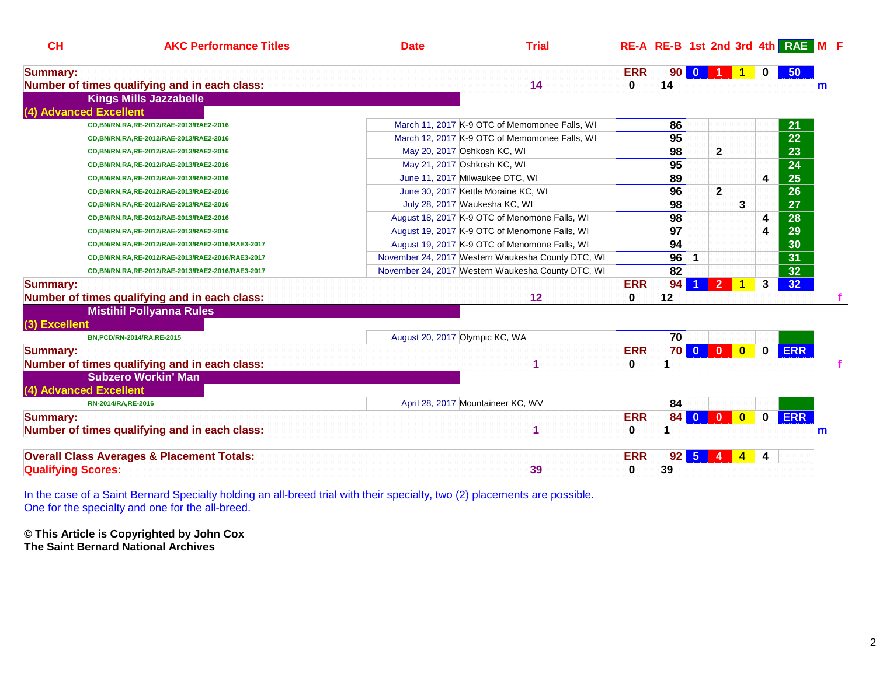| CL                        | <b>AKC Performance Titles</b>                         | <b>Date</b> | <b>Trial</b>                                      |              |                 |              |                |                         |   | RE-A RE-B 1st 2nd 3rd 4th RAE M F |   |
|---------------------------|-------------------------------------------------------|-------------|---------------------------------------------------|--------------|-----------------|--------------|----------------|-------------------------|---|-----------------------------------|---|
| <b>Summary:</b>           |                                                       |             |                                                   | <b>ERR</b>   | 90 <sub>1</sub> | $\bf{0}$     |                |                         |   | 50 <sub>2</sub>                   |   |
|                           | Number of times qualifying and in each class:         |             | 14                                                | $\mathbf{0}$ | 14              |              |                |                         |   |                                   | m |
|                           | <b>Kings Mills Jazzabelle</b>                         |             |                                                   |              |                 |              |                |                         |   |                                   |   |
|                           | (4) Advanced Excellent                                |             |                                                   |              |                 |              |                |                         |   |                                   |   |
|                           | CD, BN/RN, RA, RE-2012/RAE-2013/RAE2-2016             |             | March 11, 2017 K-9 OTC of Memomonee Falls, WI     |              | 86              |              |                |                         |   | 21                                |   |
|                           | CD, BN/RN, RA, RE-2012/RAE-2013/RAE2-2016             |             | March 12, 2017 K-9 OTC of Memomonee Falls, WI     |              | $\overline{95}$ |              |                |                         |   | 22                                |   |
|                           | CD, BN/RN, RA, RE-2012/RAE-2013/RAE2-2016             |             | May 20, 2017 Oshkosh KC, WI                       |              | 98              |              | $\mathbf 2$    |                         |   | 23                                |   |
|                           | CD, BN/RN, RA, RE-2012/RAE-2013/RAE2-2016             |             | May 21, 2017 Oshkosh KC, WI                       |              | 95              |              |                |                         |   | 24                                |   |
|                           | CD, BN/RN, RA, RE-2012/RAE-2013/RAE2-2016             |             | June 11, 2017 Milwaukee DTC, WI                   |              | 89              |              |                |                         | 4 | 25                                |   |
|                           | CD, BN/RN, RA, RE-2012/RAE-2013/RAE2-2016             |             | June 30, 2017 Kettle Moraine KC, WI               |              | 96              |              | $\mathbf{2}$   |                         |   | $\overline{26}$                   |   |
|                           | CD, BN/RN, RA, RE-2012/RAE-2013/RAE2-2016             |             | July 28, 2017 Waukesha KC, WI                     |              | 98              |              |                | 3                       |   | 27                                |   |
|                           | CD, BN/RN, RA, RE-2012/RAE-2013/RAE2-2016             |             | August 18, 2017 K-9 OTC of Menomone Falls, WI     |              | $\overline{98}$ |              |                |                         | 4 | 28                                |   |
|                           | CD, BN/RN, RA, RE-2012/RAE-2013/RAE2-2016             |             | August 19, 2017 K-9 OTC of Menomone Falls, WI     |              | $\overline{97}$ |              |                |                         | 4 | 29                                |   |
|                           | CD, BN/RN, RA, RE-2012/RAE-2013/RAE2-2016/RAE3-2017   |             | August 19, 2017 K-9 OTC of Menomone Falls, WI     |              | 94              |              |                |                         |   | 30                                |   |
|                           | CD, BN/RN, RA, RE-2012/RAE-2013/RAE2-2016/RAE3-2017   |             | November 24, 2017 Western Waukesha County DTC, WI |              | 96              |              |                |                         |   | 31                                |   |
|                           | CD, BN/RN, RA, RE-2012/RAE-2013/RAE2-2016/RAE3-2017   |             | November 24, 2017 Western Waukesha County DTC, WI |              | $\overline{82}$ |              |                |                         |   | $\overline{32}$                   |   |
| <b>Summary:</b>           |                                                       |             |                                                   | <b>ERR</b>   | 94              |              | $\overline{2}$ |                         | 3 | 32 <sub>2</sub>                   |   |
|                           | Number of times qualifying and in each class:         |             | 12                                                | 0            | 12              |              |                |                         |   |                                   |   |
|                           | <b>Mistihil Pollyanna Rules</b>                       |             |                                                   |              |                 |              |                |                         |   |                                   |   |
| (3) Excellent             |                                                       |             |                                                   |              |                 |              |                |                         |   |                                   |   |
|                           | BN, PCD/RN-2014/RA, RE-2015                           |             | August 20, 2017 Olympic KC, WA                    |              | 70              |              |                |                         |   |                                   |   |
| <b>Summary:</b>           |                                                       |             |                                                   | <b>ERR</b>   | <b>70</b>       |              |                | $\overline{\mathbf{0}}$ |   | 0 ERR                             |   |
|                           | Number of times qualifying and in each class:         |             |                                                   | 0            |                 |              |                |                         |   |                                   |   |
|                           | <b>Subzero Workin' Man</b>                            |             |                                                   |              |                 |              |                |                         |   |                                   |   |
|                           | (4) Advanced Excellent                                |             |                                                   |              |                 |              |                |                         |   |                                   |   |
|                           | RN-2014/RA, RE-2016                                   |             | April 28, 2017 Mountaineer KC, WV                 |              | 84              |              |                |                         |   |                                   |   |
| <b>Summary:</b>           |                                                       |             |                                                   | <b>ERR</b>   | 84              | $\mathbf{0}$ | $\blacksquare$ | $\bullet$               |   | 0 ERR                             |   |
|                           | Number of times qualifying and in each class:         |             |                                                   | 0            |                 |              |                |                         |   |                                   |   |
|                           |                                                       |             |                                                   |              |                 |              |                |                         |   |                                   | m |
|                           | <b>Overall Class Averages &amp; Placement Totals:</b> |             |                                                   | <b>ERR</b>   | 92              |              | -4             | $\overline{\mathbf{A}}$ | 4 |                                   |   |
|                           |                                                       |             | 39                                                |              | 39              | $\sqrt{5}$   |                |                         |   |                                   |   |
| <b>Qualifying Scores:</b> |                                                       |             |                                                   | 0            |                 |              |                |                         |   |                                   |   |

In the case of a Saint Bernard Specialty holding an all-breed trial with their specialty, two (2) placements are possible. One for the specialty and one for the all-breed.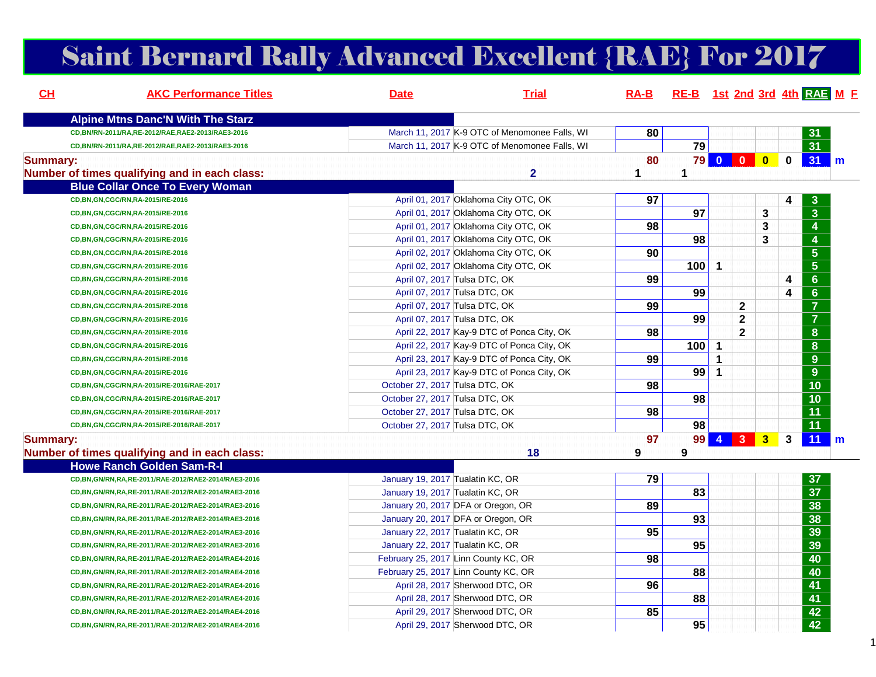# Saint Bernard Rally Advanced Excellent {RAE} For 2017

| CL              | <b>AKC Performance Titles</b>                           | <b>Date</b>                          | <b>Trial</b>                                  |         |                 |              |                     |   |              | RA-B RE-B 1st 2nd 3rd 4th RAE M F |  |
|-----------------|---------------------------------------------------------|--------------------------------------|-----------------------------------------------|---------|-----------------|--------------|---------------------|---|--------------|-----------------------------------|--|
|                 | <b>Alpine Mtns Danc'N With The Starz</b>                |                                      |                                               |         |                 |              |                     |   |              |                                   |  |
|                 | CD, BN/RN-2011/RA, RE-2012/RAE, RAE2-2013/RAE3-2016     |                                      | March 11, 2017 K-9 OTC of Menomonee Falls, WI | 80      |                 |              |                     |   |              | 31                                |  |
|                 | CD, BN/RN-2011/RA, RE-2012/RAE, RAE2-2013/RAE3-2016     |                                      | March 11, 2017 K-9 OTC of Menomonee Falls, WI |         | 79              |              |                     |   |              | $\overline{31}$                   |  |
| <b>Summary:</b> | Number of times qualifying and in each class:           |                                      | $\overline{2}$                                | 80<br>1 | $\mathbf{1}$    |              | <b>79 0 0 0</b>     |   | $\mathbf 0$  | $31$ m                            |  |
|                 | <b>Blue Collar Once To Every Woman</b>                  |                                      |                                               |         |                 |              |                     |   |              |                                   |  |
|                 | CD, BN, GN, CGC/RN, RA-2015/RE-2016                     | April 01, 2017 Oklahoma City OTC, OK |                                               | 97      |                 |              |                     |   | 4            | 3                                 |  |
|                 | CD, BN, GN, CGC/RN, RA-2015/RE-2016                     | April 01, 2017 Oklahoma City OTC, OK |                                               |         | $\overline{97}$ |              |                     | 3 |              | $\overline{\mathbf{3}}$           |  |
|                 | CD, BN, GN, CGC/RN, RA-2015/RE-2016                     | April 01, 2017 Oklahoma City OTC, OK |                                               | 98      |                 |              |                     | 3 |              | $\overline{4}$                    |  |
|                 | CD, BN, GN, CGC/RN, RA-2015/RE-2016                     | April 01, 2017 Oklahoma City OTC, OK |                                               |         | 98              |              |                     | 3 |              | $\overline{4}$                    |  |
|                 | CD, BN, GN, CGC/RN, RA-2015/RE-2016                     | April 02, 2017 Oklahoma City OTC, OK |                                               | 90      |                 |              |                     |   |              | $\overline{\mathbf{5}}$           |  |
|                 | CD, BN, GN, CGC/RN, RA-2015/RE-2016                     | April 02, 2017 Oklahoma City OTC, OK |                                               |         | 100             | 1            |                     |   |              | $\overline{5}$                    |  |
|                 | CD, BN, GN, CGC/RN, RA-2015/RE-2016                     | April 07, 2017 Tulsa DTC, OK         |                                               | 99      |                 |              |                     |   | 4            | $\overline{6}$                    |  |
|                 | CD, BN, GN, CGC/RN, RA-2015/RE-2016                     | April 07, 2017 Tulsa DTC, OK         |                                               |         | 99              |              |                     |   | 4            | $\overline{6}$                    |  |
|                 | CD, BN, GN, CGC/RN, RA-2015/RE-2016                     | April 07, 2017 Tulsa DTC, OK         |                                               | 99      |                 |              | $\mathbf{2}$        |   |              | $\overline{7}$                    |  |
|                 | CD, BN, GN, CGC/RN, RA-2015/RE-2016                     | April 07, 2017 Tulsa DTC, OK         |                                               |         | 99              |              | $\mathbf 2$         |   |              | $\overline{7}$                    |  |
|                 | CD, BN, GN, CGC/RN, RA-2015/RE-2016                     |                                      | April 22, 2017 Kay-9 DTC of Ponca City, OK    | 98      |                 |              | $\mathbf{2}$        |   |              | $\overline{\mathbf{8}}$           |  |
|                 | CD, BN, GN, CGC/RN, RA-2015/RE-2016                     |                                      | April 22, 2017 Kay-9 DTC of Ponca City, OK    |         | 100             | 1            |                     |   |              | $\overline{\mathbf{8}}$           |  |
|                 | CD, BN, GN, CGC/RN, RA-2015/RE-2016                     |                                      | April 23, 2017 Kay-9 DTC of Ponca City, OK    | 99      |                 | 1            |                     |   |              | $\overline{9}$                    |  |
|                 | CD, BN, GN, CGC/RN, RA-2015/RE-2016                     |                                      | April 23, 2017 Kay-9 DTC of Ponca City, OK    |         | 99              | $\mathbf{1}$ |                     |   |              | $\overline{9}$                    |  |
|                 | CD, BN, GN, CGC/RN, RA-2015/RE-2016/RAE-2017            | October 27, 2017 Tulsa DTC, OK       |                                               | 98      |                 |              |                     |   |              | $\overline{10}$                   |  |
|                 | CD, BN, GN, CGC/RN, RA-2015/RE-2016/RAE-2017            | October 27, 2017 Tulsa DTC, OK       |                                               |         | 98              |              |                     |   |              | $\overline{10}$                   |  |
|                 | CD, BN, GN, CGC/RN, RA-2015/RE-2016/RAE-2017            | October 27, 2017 Tulsa DTC, OK       |                                               | 98      |                 |              |                     |   |              | $\overline{11}$                   |  |
|                 | CD, BN, GN, CGC/RN, RA-2015/RE-2016/RAE-2017            | October 27, 2017 Tulsa DTC, OK       |                                               |         | 98              |              |                     |   |              | $\overline{11}$                   |  |
| <b>Summary:</b> |                                                         |                                      |                                               | 97      | 99              |              | $4 \quad 3 \quad 3$ |   | $\mathbf{3}$ | 11<br>$\mathsf{Im}$               |  |
|                 | Number of times qualifying and in each class:           |                                      | 18                                            | 9       | 9               |              |                     |   |              |                                   |  |
|                 | <b>Howe Ranch Golden Sam-R-I</b>                        |                                      |                                               |         |                 |              |                     |   |              |                                   |  |
|                 | CD, BN, GN/RN, RA, RE-2011/RAE-2012/RAE2-2014/RAE3-2016 | January 19, 2017 Tualatin KC, OR     |                                               | 79      |                 |              |                     |   |              | 37                                |  |
|                 | CD, BN, GN/RN, RA, RE-2011/RAE-2012/RAE2-2014/RAE3-2016 | January 19, 2017 Tualatin KC, OR     |                                               |         | 83              |              |                     |   |              | $\overline{37}$                   |  |
|                 | CD, BN, GN/RN, RA, RE-2011/RAE-2012/RAE2-2014/RAE3-2016 | January 20, 2017 DFA or Oregon, OR   |                                               | 89      |                 |              |                     |   |              | 38                                |  |
|                 | CD, BN, GN/RN, RA, RE-2011/RAE-2012/RAE2-2014/RAE3-2016 | January 20, 2017 DFA or Oregon, OR   |                                               |         | 93              |              |                     |   |              | 38                                |  |
|                 | CD, BN, GN/RN, RA, RE-2011/RAE-2012/RAE2-2014/RAE3-2016 | January 22, 2017 Tualatin KC, OR     |                                               | 95      |                 |              |                     |   |              | 39                                |  |
|                 | CD, BN, GN/RN, RA, RE-2011/RAE-2012/RAE2-2014/RAE3-2016 | January 22, 2017 Tualatin KC, OR     |                                               |         | 95              |              |                     |   |              | 39                                |  |
|                 | CD, BN, GN/RN, RA, RE-2011/RAE-2012/RAE2-2014/RAE4-2016 | February 25, 2017 Linn County KC, OR |                                               | 98      |                 |              |                     |   |              | 40                                |  |
|                 | CD, BN, GN/RN, RA, RE-2011/RAE-2012/RAE2-2014/RAE4-2016 | February 25, 2017 Linn County KC, OR |                                               |         | 88              |              |                     |   |              | 40                                |  |
|                 | CD, BN, GN/RN, RA, RE-2011/RAE-2012/RAE2-2014/RAE4-2016 | April 28, 2017 Sherwood DTC, OR      |                                               | 96      |                 |              |                     |   |              | 41                                |  |
|                 | CD, BN, GN/RN, RA, RE-2011/RAE-2012/RAE2-2014/RAE4-2016 | April 28, 2017 Sherwood DTC, OR      |                                               |         | 88              |              |                     |   |              | 41                                |  |
|                 | CD, BN, GN/RN, RA, RE-2011/RAE-2012/RAE2-2014/RAE4-2016 | April 29, 2017 Sherwood DTC, OR      |                                               | 85      |                 |              |                     |   |              | $\overline{42}$                   |  |
|                 | CD, BN, GN/RN, RA, RE-2011/RAE-2012/RAE2-2014/RAE4-2016 | April 29, 2017 Sherwood DTC, OR      |                                               |         | 95              |              |                     |   |              | $\overline{42}$                   |  |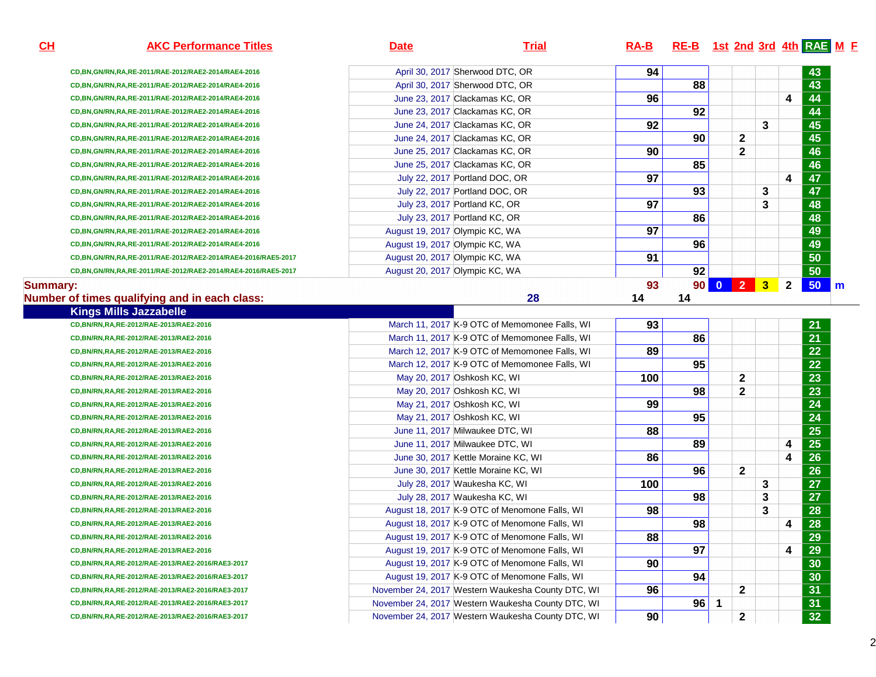**AKC Performance Titles Date Trial RA-B RE-B 1st 2nd 3rd 4th RAE <sup>M</sup> <sup>F</sup> CD,BN,GN/RN,RA,RE-2011/RAE-2012/RAE2-2014/RAE4-2016** April 30, 2017 Sherwood DTC, ORR **94 94 43 CD,BN,GN/RN,RA,RE-2011/RAE-2012/RAE2-2014/RAE4-2016** April 30, 2017 Sherwood DTC, OR **88 43 CD,BN,GN/RN,RA,RE-2011/RAE-2012/RAE2-2014/RAE4-2016** June 23, 2017 Clackamas KC, OR **96 4 44 CD,BN,GN/RN,RA,RE-2011/RAE-2012/RAE2-2014/RAE4-2016** June 23, 2017 Clackamas KC, OR **92 44 CD,BN,GN/RN,RA,RE-2011/RAE-2012/RAE2-2014/RAE4-2016** June 24, 2017 Clackamas KC, ORR 3 45 **CD,BN,GN/RN,RA,RE-2011/RAE-2012/RAE2-2014/RAE4-2016** June 24, 2017 Clackamas KC, OR **90 2 45 CD,BN,GN/RN,RA,RE-2011/RAE-2012/RAE2-2014/RAE4-2016** June 25, 2017 Clackamas KC, ORR **90 2 46 CD,BN,GN/RN,RA,RE-2011/RAE-2012/RAE2-2014/RAE4-2016** June 25, 2017 Clackamas KC, OR **85 46 CD,BN,GN/RN,RA,RE-2011/RAE-2012/RAE2-2014/RAE4-2016** July 22, 2017 Portland DOC, ORR **97 97 4 47 CD,BN,GN/RN,RA,RE-2011/RAE-2012/RAE2-2014/RAE4-2016** July 22, 2017 Portland DOC, ORR 3 47 **CD,BN,GN/RN,RA,RE-2011/RAE-2012/RAE2-2014/RAE4-2016** July 23, 2017 Portland KC, ORR **97** 97 3 48 **CD,BN,GN/RN,RA,RE-2011/RAE-2012/RAE2-2014/RAE4-2016** July 23, 2017 Portland KC, OR **86 48 CD,BN,GN/RN,RA,RE-2011/RAE-2012/RAE2-2014/RAE4-2016** August 19, 2017 Olympic KC, WA<u>**A** 49</u> **CD,BN,GN/RN,RA,RE-2011/RAE-2012/RAE2-2014/RAE4-2016** August 19, 2017 Olympic KC, WA<u>A a set of the set of the set of the set of the set of the set of the set of the set of the set of the set of the set of the set of the set of the set of the set of the set of the set of the set of the set of the set of t</u> **CD,BN,GN/RN,RA,RE-2011/RAE-2012/RAE2-2014/RAE4-2016/RAE5-2017** August 20, 2017 Olympic KC, WA<u>A 50</u> **CD,BN,GN/RN,RA,RE-2011/RAE-2012/RAE2-2014/RAE4-2016/RAE5-2017** August 20, 2017 Olympic KC, WA**92 50** 

#### **Summary:93 90 0 2 3 2 50 m**

**CH**

#### **Number of times qualifying and in each class:**<u>**28 14 14 14**</u>

**Kings Mills Jazzabelle**

 **CD,BN/RN,RA,RE-2012/RAE-2013/RAE2-2016CD,BN/RN,RA,RE-2012/RAE-2013/RAE2-2016CD,BN/RN,RA,RE-2012/RAE-2013/RAE2-2016CD,BN/RN,RA,RE-2012/RAE-2013/RAE2-2016CD,BN/RN,RA,RE-2012/RAE-2013/RAE2-2016CD,BN/RN,RA,RE-2012/RAE-2013/RAE2-2016CD,BN/RN,RA,RE-2012/RAE-2013/RAE2-2016CD,BN/RN,RA,RE-2012/RAE-2013/RAE2-2016CD,BN/RN,RA,RE-2012/RAE-2013/RAE2-2016CD,BN/RN,RA,RE-2012/RAE-2013/RAE2-2016CD,BN/RN,RA,RE-2012/RAE-2013/RAE2-2016CD,BN/RN,RA,RE-2012/RAE-2013/RAE2-2016CD,BN/RN,RA,RE-2012/RAE-2013/RAE2-2016CD,BN/RN,RA,RE-2012/RAE-2013/RAE2-2016CD,BN/RN,RA,RE-2012/RAE-2013/RAE2-2016CD,BN/RN,RA,RE-2012/RAE-2013/RAE2-2016CD,BN/RN,RA,RE-2012/RAE-2013/RAE2-2016CD,BN/RN,RA,RE-2012/RAE-2013/RAE2-2016CD,BN/RN,RA,RE-2012/RAE-2013/RAE2-2016/RAE3-2017CD,BN/RN,RA,RE-2012/RAE-2013/RAE2-2016/RAE3-2017CD,BN/RN,RA,RE-2012/RAE-2013/RAE2-2016/RAE3-2017CD,BN/RN,RA,RE-2012/RAE-2013/RAE2-2016/RAE3-2017CD,BN/RN,RA,RE-2012/RAE-2013/RAE2-2016/RAE3-2017**

|             | March 11, 2017 K-9 OTC of Memomonee Falls, WI     | 93  |    |              |   |   | 21              |  |
|-------------|---------------------------------------------------|-----|----|--------------|---|---|-----------------|--|
| 6           | March 11, 2017 K-9 OTC of Memomonee Falls, WI     |     | 86 |              |   |   | 21              |  |
| 6           | March 12, 2017 K-9 OTC of Memomonee Falls, WI     | 89  |    |              |   |   | 22 <sub>2</sub> |  |
| 6           | March 12, 2017 K-9 OTC of Memomonee Falls, WI     |     | 95 |              |   |   | 22              |  |
| 6           | May 20, 2017 Oshkosh KC, WI                       | 100 |    | $\mathbf{2}$ |   |   | 23              |  |
| 6           | May 20, 2017 Oshkosh KC, WI                       |     | 98 | $\mathbf{2}$ |   |   | 23              |  |
| 6           | May 21, 2017 Oshkosh KC, WI                       | 99  |    |              |   |   | 24              |  |
| 6           | May 21, 2017 Oshkosh KC, WI                       |     | 95 |              |   |   | 24              |  |
| 6           | June 11, 2017 Milwaukee DTC, WI                   | 88  |    |              |   |   | 25              |  |
| 6           | June 11, 2017 Milwaukee DTC, WI                   |     | 89 |              |   | 4 | 25              |  |
| 6           | June 30, 2017 Kettle Moraine KC, WI               | 86  |    |              |   | 4 | 26              |  |
| 6           | June 30, 2017 Kettle Moraine KC, WI               |     | 96 | $\mathbf{2}$ |   |   | 26              |  |
| 6           | July 28, 2017 Waukesha KC, WI                     | 100 |    |              | 3 |   | 27              |  |
| 6           | July 28, 2017 Waukesha KC, WI                     |     | 98 |              | 3 |   | 27              |  |
| 6           | August 18, 2017 K-9 OTC of Menomone Falls, WI     | 98  |    |              | 3 |   | 28              |  |
| 6           | August 18, 2017 K-9 OTC of Menomone Falls, WI     |     | 98 |              |   | 4 | 28              |  |
| 6           | August 19, 2017 K-9 OTC of Menomone Falls, WI     | 88  |    |              |   |   | 29              |  |
| 6           | August 19, 2017 K-9 OTC of Menomone Falls, WI     |     | 97 |              |   | 4 | 29              |  |
| 6/RAE3-2017 | August 19, 2017 K-9 OTC of Menomone Falls, WI     | 90  |    |              |   |   | 30              |  |
| 6/RAE3-2017 | August 19, 2017 K-9 OTC of Menomone Falls, WI     |     | 94 |              |   |   | 30              |  |
| 6/RAE3-2017 | November 24, 2017 Western Waukesha County DTC, WI | 96  |    | $\mathbf{2}$ |   |   | 31              |  |
| 6/RAE3-2017 | November 24, 2017 Western Waukesha County DTC, WI |     | 96 |              |   |   | 31              |  |
| 6/RAE3-2017 | November 24, 2017 Western Waukesha County DTC, WI | 90  |    | 2            |   |   | 32 <sub>2</sub> |  |
|             |                                                   |     |    |              |   |   |                 |  |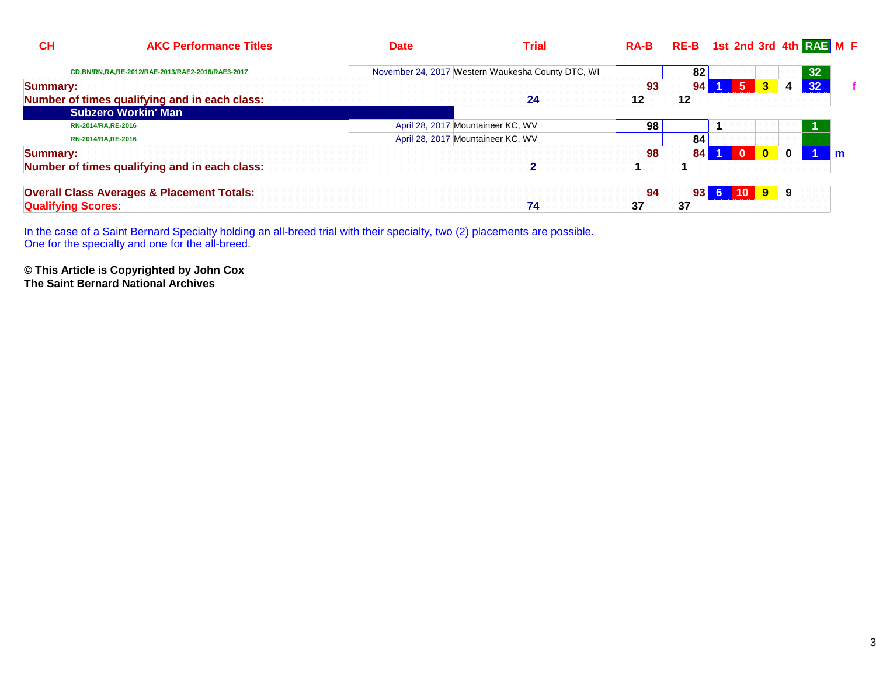| $CH$                      | <b>AKC Performance Titles</b>                         | <b>Date</b>                                       | <u>Trial</u> | $RA-B$ | RE-B 1st 2nd 3rd 4th RAE M E |    |              |              |              |    |  |
|---------------------------|-------------------------------------------------------|---------------------------------------------------|--------------|--------|------------------------------|----|--------------|--------------|--------------|----|--|
|                           | CD, BN/RN, RA, RE-2012/RAE-2013/RAE2-2016/RAE3-2017   | November 24, 2017 Western Waukesha County DTC, WI |              |        | 82                           |    |              |              |              | 32 |  |
| <b>Summary:</b>           |                                                       |                                                   |              | 93     | 94                           |    | -5           | 3            | 4            | 32 |  |
|                           | Number of times qualifying and in each class:         |                                                   | 24           | 12     | 12                           |    |              |              |              |    |  |
|                           | <b>Subzero Workin' Man</b>                            |                                                   |              |        |                              |    |              |              |              |    |  |
|                           | RN-2014/RA, RE-2016                                   | April 28, 2017 Mountaineer KC, WV                 |              | 98     |                              |    |              |              |              |    |  |
|                           | RN-2014/RA, RE-2016                                   | April 28, 2017 Mountaineer KC, WV                 |              |        | 84                           |    |              |              |              |    |  |
| Summary:                  |                                                       |                                                   |              | 98     | 84                           |    | $\mathbf{0}$ | $\mathbf{0}$ | $\mathbf{0}$ |    |  |
|                           | Number of times qualifying and in each class:         |                                                   |              |        |                              |    |              |              |              |    |  |
|                           | <b>Overall Class Averages &amp; Placement Totals:</b> |                                                   |              | 94     | 93                           | 6. | 10           | $9^{\circ}$  | 9            |    |  |
| <b>Qualifying Scores:</b> |                                                       |                                                   | 74           | 37     | 37                           |    |              |              |              |    |  |

In the case of a Saint Bernard Specialty holding an all-breed trial with their specialty, two (2) placements are possible. One for the specialty and one for the all-breed.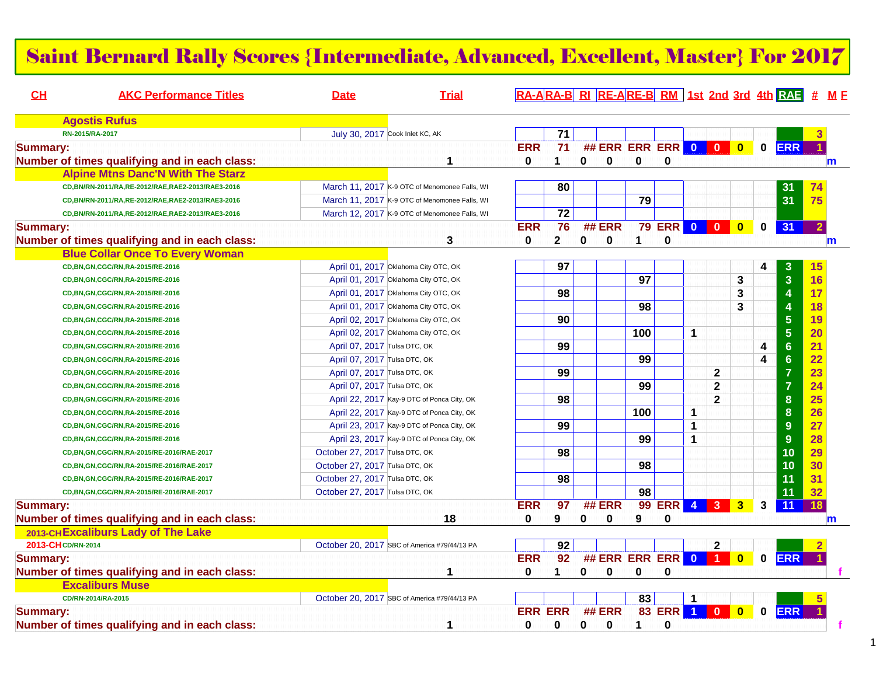#### Saint Bernard Rally Scores {Intermediate, Advanced, Excellent, Master} For 2017

| CH              | <b>AKC Performance Titles</b>                       | <b>Date</b>                    | <b>Trial</b>                                  |                 |                                |             |                       |                                     |                          |              |              |                         |              |                         | RA-ARA-B RI RE-ARE-B RM 1st 2nd 3rd 4th RAE # ME |
|-----------------|-----------------------------------------------------|--------------------------------|-----------------------------------------------|-----------------|--------------------------------|-------------|-----------------------|-------------------------------------|--------------------------|--------------|--------------|-------------------------|--------------|-------------------------|--------------------------------------------------|
|                 | <b>Agostis Rufus</b>                                |                                |                                               |                 |                                |             |                       |                                     |                          |              |              |                         |              |                         |                                                  |
|                 | RN-2015/RA-2017                                     |                                | July 30, 2017 Cook Inlet KC, AK               |                 | $\overline{71}$                |             |                       |                                     |                          |              |              |                         |              |                         |                                                  |
| <b>Summary:</b> | Number of times qualifying and in each class:       |                                | 1                                             | <b>ERR</b><br>0 | $\overline{71}$<br>$\mathbf 1$ | $\mathbf 0$ | $\mathbf 0$           | ## ERR ERR ERR 0 0 0<br>$\mathbf 0$ | 0                        |              |              |                         | $\mathbf 0$  | <b>ERR</b>              | m                                                |
|                 | <b>Alpine Mtns Danc'N With The Starz</b>            |                                |                                               |                 |                                |             |                       |                                     |                          |              |              |                         |              |                         |                                                  |
|                 | CD, BN/RN-2011/RA, RE-2012/RAE, RAE2-2013/RAE3-2016 |                                | March 11, 2017 K-9 OTC of Menomonee Falls, WI |                 | 80                             |             |                       |                                     |                          |              |              |                         |              | 31                      | 74                                               |
|                 | CD, BN/RN-2011/RA, RE-2012/RAE, RAE2-2013/RAE3-2016 |                                | March 11, 2017 K-9 OTC of Menomonee Falls, WI |                 |                                |             |                       | 79                                  |                          |              |              |                         |              | 31                      | 75                                               |
|                 | CD, BN/RN-2011/RA, RE-2012/RAE, RAE2-2013/RAE3-2016 |                                | March 12, 2017 K-9 OTC of Menomonee Falls, WI |                 | $\overline{72}$                |             |                       |                                     |                          |              |              |                         |              |                         |                                                  |
| <b>Summary:</b> | Number of times qualifying and in each class:       |                                | 3                                             | <b>ERR</b><br>0 | 76<br>$\mathbf{2}$             | $\mathbf 0$ | ## ERR<br>$\mathbf 0$ | $\mathbf 1$                         | <b>79 ERR 0 0 0</b><br>0 |              |              | $\overline{\mathbf{0}}$ | $\mathbf 0$  | 31                      | $\overline{2}$<br>m                              |
|                 | <b>Blue Collar Once To Every Woman</b>              |                                |                                               |                 |                                |             |                       |                                     |                          |              |              |                         |              |                         |                                                  |
|                 | CD, BN, GN, CGC/RN, RA-2015/RE-2016                 |                                | April 01, 2017 Oklahoma City OTC, OK          |                 | 97                             |             |                       |                                     |                          |              |              |                         | 4            | 3                       | 15                                               |
|                 | CD, BN, GN, CGC/RN, RA-2015/RE-2016                 |                                | April 01, 2017 Oklahoma City OTC, OK          |                 |                                |             |                       | $\overline{97}$                     |                          |              |              | 3                       |              | $\overline{3}$          | 16                                               |
|                 | CD, BN, GN, CGC/RN, RA-2015/RE-2016                 |                                | April 01, 2017 Oklahoma City OTC, OK          |                 | 98                             |             |                       |                                     |                          |              |              | 3                       |              | $\overline{\mathbf{4}}$ | 17                                               |
|                 | CD, BN, GN, CGC/RN, RA-2015/RE-2016                 |                                | April 01, 2017 Oklahoma City OTC, OK          |                 |                                |             |                       | 98                                  |                          |              |              | 3                       |              | $\overline{4}$          | 18                                               |
|                 | CD, BN, GN, CGC/RN, RA-2015/RE-2016                 |                                | April 02, 2017 Oklahoma City OTC, OK          |                 | 90                             |             |                       |                                     |                          |              |              |                         |              | 5                       | 19                                               |
|                 | CD, BN, GN, CGC/RN, RA-2015/RE-2016                 |                                | April 02, 2017 Oklahoma City OTC, OK          |                 |                                |             |                       | 100                                 |                          | 1            |              |                         |              | 5                       | 20                                               |
|                 | CD, BN, GN, CGC/RN, RA-2015/RE-2016                 | April 07, 2017 Tulsa DTC, OK   |                                               |                 | 99                             |             |                       |                                     |                          |              |              |                         | 4            | $6\phantom{a}$          | 21                                               |
|                 | CD, BN, GN, CGC/RN, RA-2015/RE-2016                 | April 07, 2017 Tulsa DTC, OK   |                                               |                 |                                |             |                       | 99                                  |                          |              |              |                         | 4            | $6\phantom{a}$          | 22                                               |
|                 | CD, BN, GN, CGC/RN, RA-2015/RE-2016                 | April 07, 2017 Tulsa DTC, OK   |                                               |                 | 99                             |             |                       |                                     |                          |              | $\mathbf 2$  |                         |              | $\overline{7}$          | 23                                               |
|                 | CD, BN, GN, CGC/RN, RA-2015/RE-2016                 | April 07, 2017 Tulsa DTC, OK   |                                               |                 |                                |             |                       | 99                                  |                          |              | $\mathbf 2$  |                         |              | $\overline{7}$          | 24                                               |
|                 | CD, BN, GN, CGC/RN, RA-2015/RE-2016                 |                                | April 22, 2017 Kay-9 DTC of Ponca City, OK    |                 | 98                             |             |                       |                                     |                          |              | $\mathbf{2}$ |                         |              | 8                       | 25                                               |
|                 | CD, BN, GN, CGC/RN, RA-2015/RE-2016                 |                                | April 22, 2017 Kay-9 DTC of Ponca City, OK    |                 |                                |             |                       | 100                                 |                          | 1            |              |                         |              | 8                       | 26                                               |
|                 | CD, BN, GN, CGC/RN, RA-2015/RE-2016                 |                                | April 23, 2017 Kay-9 DTC of Ponca City, OK    |                 | 99                             |             |                       |                                     |                          | $\mathbf{1}$ |              |                         |              | 9                       | 27                                               |
|                 | CD, BN, GN, CGC/RN, RA-2015/RE-2016                 |                                | April 23, 2017 Kay-9 DTC of Ponca City, OK    |                 |                                |             |                       | 99                                  |                          | $\mathbf{1}$ |              |                         |              | 9                       | 28                                               |
|                 | CD,BN,GN,CGC/RN,RA-2015/RE-2016/RAE-2017            | October 27, 2017 Tulsa DTC, OK |                                               |                 | 98                             |             |                       |                                     |                          |              |              |                         |              | 10                      | 29                                               |
|                 | CD,BN,GN,CGC/RN,RA-2015/RE-2016/RAE-2017            | October 27, 2017 Tulsa DTC, OK |                                               |                 |                                |             |                       | 98                                  |                          |              |              |                         |              | 10                      | 30                                               |
|                 | CD, BN, GN, CGC/RN, RA-2015/RE-2016/RAE-2017        | October 27, 2017 Tulsa DTC, OK |                                               |                 | 98                             |             |                       |                                     |                          |              |              |                         |              | 11                      | 31                                               |
|                 | CD, BN, GN, CGC/RN, RA-2015/RE-2016/RAE-2017        | October 27, 2017 Tulsa DTC, OK |                                               |                 |                                |             |                       | 98                                  |                          |              |              |                         |              | 11                      | 32                                               |
| <b>Summary:</b> |                                                     |                                |                                               | <b>ERR</b>      | $\overline{97}$                |             | ## ERR                |                                     | 99 ERR 4 3               |              |              | 3                       | $\mathbf{3}$ | 11                      | 18                                               |
|                 | Number of times qualifying and in each class:       |                                | 18                                            | 0               | 9                              | 0           | 0                     | 9                                   | 0                        |              |              |                         |              |                         | m                                                |
|                 | 2013-CHExcaliburs Lady of The Lake                  |                                |                                               |                 |                                |             |                       |                                     |                          |              |              |                         |              |                         |                                                  |
|                 | 2013-CH CD/RN-2014                                  |                                | October 20, 2017 SBC of America #79/44/13 PA  |                 | 92                             |             |                       |                                     |                          |              | $\mathbf{2}$ |                         |              |                         |                                                  |
| <b>Summary:</b> |                                                     |                                |                                               | <b>ERR</b>      | 92                             |             |                       | ## ERR ERR ERR 0 1                  |                          |              |              | $\overline{\mathbf{0}}$ | $\mathbf 0$  | <b>ERR</b>              |                                                  |
|                 | Number of times qualifying and in each class:       |                                | 1                                             | $\bf{0}$        | $\blacktriangleleft$           | $\bf{0}$    | $\mathbf 0$           | 0                                   | $\mathbf 0$              |              |              |                         |              |                         |                                                  |
|                 | <b>Excaliburs Muse</b>                              |                                |                                               |                 |                                |             |                       |                                     |                          |              |              |                         |              |                         |                                                  |
|                 | CD/RN-2014/RA-2015                                  |                                | October 20, 2017 SBC of America #79/44/13 PA  |                 |                                |             |                       | 83                                  |                          | -1           |              |                         |              |                         |                                                  |
| <b>Summary:</b> |                                                     |                                |                                               | <b>ERR ERR</b>  |                                |             | ## ERR                |                                     | 83 ERR 1 0               |              |              | $\overline{\mathbf{0}}$ | $\mathbf 0$  | <b>ERR</b>              |                                                  |
|                 | Number of times qualifying and in each class:       |                                | 1                                             | $\bf{0}$        | 0                              | 0           | 0                     | 1                                   | $\bf{0}$                 |              |              |                         |              |                         |                                                  |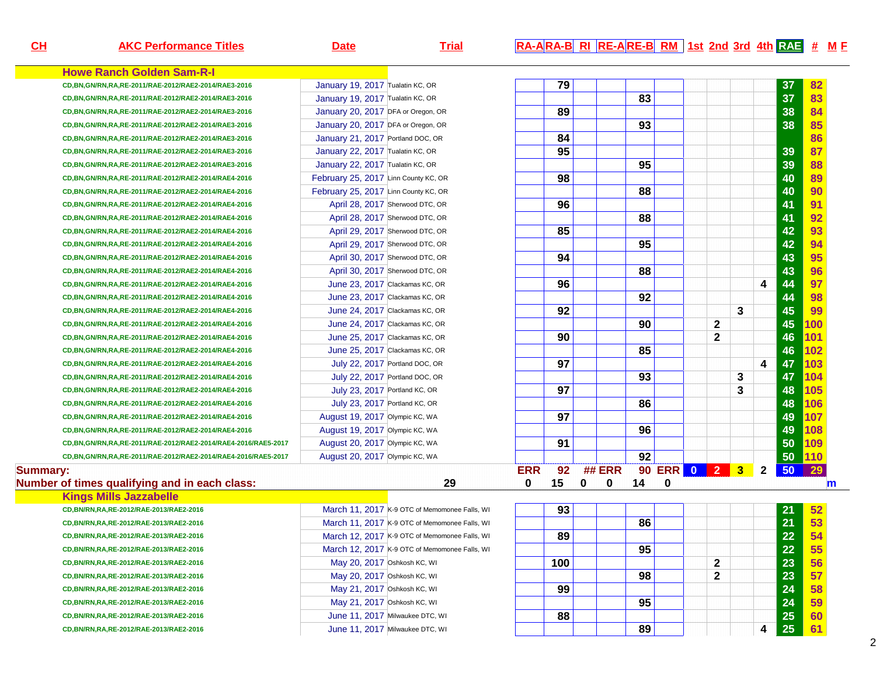| CH       | <b>AKC Performance Titles</b>                                 | <b>Date</b>                          | <b>Trial</b>                                  |            |     | RA-ARA-B RI RE-ARE-B RM 1st 2nd 3rd 4th RAE # ME |    |   |              |   |              |    |     |   |
|----------|---------------------------------------------------------------|--------------------------------------|-----------------------------------------------|------------|-----|--------------------------------------------------|----|---|--------------|---|--------------|----|-----|---|
|          | <b>Howe Ranch Golden Sam-R-I</b>                              |                                      |                                               |            |     |                                                  |    |   |              |   |              |    |     |   |
|          | CD, BN, GN/RN, RA, RE-2011/RAE-2012/RAE2-2014/RAE3-2016       | January 19, 2017 Tualatin KC, OR     |                                               |            | 79  |                                                  |    |   |              |   |              | 37 | 82  |   |
|          | CD, BN, GN/RN, RA, RE-2011/RAE-2012/RAE2-2014/RAE3-2016       | January 19, 2017 Tualatin KC, OR     |                                               |            |     |                                                  | 83 |   |              |   |              | 37 | 83  |   |
|          | CD, BN, GN/RN, RA, RE-2011/RAE-2012/RAE2-2014/RAE3-2016       | January 20, 2017 DFA or Oregon, OR   |                                               |            | 89  |                                                  |    |   |              |   |              | 38 | 84  |   |
|          | CD, BN, GN/RN, RA, RE-2011/RAE-2012/RAE2-2014/RAE3-2016       | January 20, 2017 DFA or Oregon, OR   |                                               |            |     |                                                  | 93 |   |              |   |              | 38 | 85  |   |
|          | CD, BN, GN/RN, RA, RE-2011/RAE-2012/RAE2-2014/RAE3-2016       | January 21, 2017 Portland DOC, OR    |                                               |            | 84  |                                                  |    |   |              |   |              |    | 86  |   |
|          | CD, BN, GN/RN, RA, RE-2011/RAE-2012/RAE2-2014/RAE3-2016       | January 22, 2017 Tualatin KC, OR     |                                               |            | 95  |                                                  |    |   |              |   |              | 39 | 87  |   |
|          | CD, BN, GN/RN, RA, RE-2011/RAE-2012/RAE2-2014/RAE3-2016       | January 22, 2017 Tualatin KC, OR     |                                               |            |     |                                                  | 95 |   |              |   |              | 39 | 88  |   |
|          | CD, BN, GN/RN, RA, RE-2011/RAE-2012/RAE2-2014/RAE4-2016       | February 25, 2017 Linn County KC, OR |                                               |            | 98  |                                                  |    |   |              |   |              | 40 | 89  |   |
|          | CD, BN, GN/RN, RA, RE-2011/RAE-2012/RAE2-2014/RAE4-2016       | February 25, 2017 Linn County KC, OR |                                               |            |     |                                                  | 88 |   |              |   |              | 40 | 90  |   |
|          | CD, BN, GN/RN, RA, RE-2011/RAE-2012/RAE2-2014/RAE4-2016       | April 28, 2017 Sherwood DTC, OR      |                                               |            | 96  |                                                  |    |   |              |   |              | 41 | 91  |   |
|          | CD, BN, GN/RN, RA, RE-2011/RAE-2012/RAE2-2014/RAE4-2016       | April 28, 2017 Sherwood DTC, OR      |                                               |            |     |                                                  | 88 |   |              |   |              | 41 | 92  |   |
|          | CD, BN, GN/RN, RA, RE-2011/RAE-2012/RAE2-2014/RAE4-2016       | April 29, 2017 Sherwood DTC, OR      |                                               |            | 85  |                                                  |    |   |              |   |              | 42 | 93  |   |
|          | CD, BN, GN/RN, RA, RE-2011/RAE-2012/RAE2-2014/RAE4-2016       | April 29, 2017 Sherwood DTC, OR      |                                               |            |     |                                                  | 95 |   |              |   |              | 42 | 94  |   |
|          | CD, BN, GN/RN, RA, RE-2011/RAE-2012/RAE2-2014/RAE4-2016       | April 30, 2017 Sherwood DTC, OR      |                                               |            | 94  |                                                  |    |   |              |   |              | 43 | 95  |   |
|          | CD, BN, GN/RN, RA, RE-2011/RAE-2012/RAE2-2014/RAE4-2016       | April 30, 2017 Sherwood DTC, OR      |                                               |            |     |                                                  | 88 |   |              |   |              | 43 | 96  |   |
|          | CD, BN, GN/RN, RA, RE-2011/RAE-2012/RAE2-2014/RAE4-2016       | June 23, 2017 Clackamas KC, OR       |                                               |            | 96  |                                                  |    |   |              |   | 4            | 44 | 97  |   |
|          | CD, BN, GN/RN, RA, RE-2011/RAE-2012/RAE2-2014/RAE4-2016       | June 23, 2017 Clackamas KC, OR       |                                               |            |     |                                                  | 92 |   |              |   |              | 44 | 98  |   |
|          | CD, BN, GN/RN, RA, RE-2011/RAE-2012/RAE2-2014/RAE4-2016       | June 24, 2017 Clackamas KC, OR       |                                               |            | 92  |                                                  |    |   |              | 3 |              | 45 | 99  |   |
|          | CD, BN, GN/RN, RA, RE-2011/RAE-2012/RAE2-2014/RAE4-2016       | June 24, 2017 Clackamas KC, OR       |                                               |            |     |                                                  | 90 |   | $\mathbf{2}$ |   |              | 45 | 100 |   |
|          | CD, BN, GN/RN, RA, RE-2011/RAE-2012/RAE2-2014/RAE4-2016       | June 25, 2017 Clackamas KC, OR       |                                               |            | 90  |                                                  |    |   | $\mathbf{2}$ |   |              | 46 | 101 |   |
|          | CD, BN, GN/RN, RA, RE-2011/RAE-2012/RAE2-2014/RAE4-2016       | June 25, 2017 Clackamas KC, OR       |                                               |            |     |                                                  | 85 |   |              |   |              | 46 | 102 |   |
|          | CD, BN, GN/RN, RA, RE-2011/RAE-2012/RAE2-2014/RAE4-2016       | July 22, 2017 Portland DOC, OR       |                                               |            | 97  |                                                  |    |   |              |   | 4            | 47 | 103 |   |
|          | CD, BN, GN/RN, RA, RE-2011/RAE-2012/RAE2-2014/RAE4-2016       | July 22, 2017 Portland DOC, OR       |                                               |            |     |                                                  | 93 |   |              | 3 |              | 47 | 104 |   |
|          | CD, BN, GN/RN, RA, RE-2011/RAE-2012/RAE2-2014/RAE4-2016       | July 23, 2017 Portland KC, OR        |                                               |            | 97  |                                                  |    |   |              | 3 |              | 48 | 105 |   |
|          | CD, BN, GN/RN, RA, RE-2011/RAE-2012/RAE2-2014/RAE4-2016       | July 23, 2017 Portland KC, OR        |                                               |            |     |                                                  | 86 |   |              |   |              | 48 | 106 |   |
|          | CD, BN, GN/RN, RA, RE-2011/RAE-2012/RAE2-2014/RAE4-2016       | August 19, 2017 Olympic KC, WA       |                                               |            | 97  |                                                  |    |   |              |   |              | 49 | 107 |   |
|          | CD, BN, GN/RN, RA, RE-2011/RAE-2012/RAE2-2014/RAE4-2016       | August 19, 2017 Olympic KC, WA       |                                               |            |     |                                                  | 96 |   |              |   |              | 49 | 108 |   |
|          | CD,BN,GN/RN,RA,RE-2011/RAE-2012/RAE2-2014/RAE4-2016/RAE5-2017 | August 20, 2017 Olympic KC, WA       |                                               |            | 91  |                                                  |    |   |              |   |              | 50 | 109 |   |
|          | CD,BN,GN/RN,RA,RE-2011/RAE-2012/RAE2-2014/RAE4-2016/RAE5-2017 | August 20, 2017 Olympic KC, WA       |                                               |            |     |                                                  | 92 |   |              |   |              | 50 | 110 |   |
| Summary: |                                                               |                                      |                                               | <b>ERR</b> | 92  | <b>## ERR</b>                                    |    |   | 90 ERR 0 2 3 |   | $\mathbf{2}$ | 50 | 29  |   |
|          | Number of times qualifying and in each class:                 |                                      | 29                                            | 0          | 15  | 0<br>$\mathbf 0$                                 | 14 | 0 |              |   |              |    |     | m |
|          | <b>Kings Mills Jazzabelle</b>                                 |                                      |                                               |            |     |                                                  |    |   |              |   |              |    |     |   |
|          | CD, BN/RN, RA, RE-2012/RAE-2013/RAE2-2016                     |                                      | March 11, 2017 K-9 OTC of Memomonee Falls, WI |            | 93  |                                                  |    |   |              |   |              | 21 | 52  |   |
|          | CD, BN/RN, RA, RE-2012/RAE-2013/RAE2-2016                     |                                      | March 11, 2017 K-9 OTC of Memomonee Falls, WI |            |     |                                                  | 86 |   |              |   |              | 21 | 53  |   |
|          | CD, BN/RN, RA, RE-2012/RAE-2013/RAE2-2016                     |                                      | March 12, 2017 K-9 OTC of Memomonee Falls, WI |            | 89  |                                                  |    |   |              |   |              | 22 | 54  |   |
|          | CD, BN/RN, RA, RE-2012/RAE-2013/RAE2-2016                     |                                      | March 12, 2017 K-9 OTC of Memomonee Falls, WI |            |     |                                                  | 95 |   |              |   |              | 22 | 55  |   |
|          | CD, BN/RN, RA, RE-2012/RAE-2013/RAE2-2016                     | May 20, 2017 Oshkosh KC, WI          |                                               |            | 100 |                                                  |    |   | 2            |   |              | 23 | 56  |   |
|          | CD, BN/RN, RA, RE-2012/RAE-2013/RAE2-2016                     | May 20, 2017 Oshkosh KC, WI          |                                               |            |     |                                                  | 98 |   | 2            |   |              | 23 | 57  |   |
|          | CD,BN/RN,RA,RE-2012/RAE-2013/RAE2-2016                        | May 21, 2017 Oshkosh KC, WI          |                                               |            | 99  |                                                  |    |   |              |   |              | 24 | 58  |   |
|          | CD,BN/RN,RA,RE-2012/RAE-2013/RAE2-2016                        | May 21, 2017 Oshkosh KC, WI          |                                               |            |     |                                                  | 95 |   |              |   |              | 24 | 59  |   |
|          | CD, BN/RN, RA, RE-2012/RAE-2013/RAE2-2016                     | June 11, 2017 Milwaukee DTC, WI      |                                               |            | 88  |                                                  |    |   |              |   |              | 25 | 60  |   |
|          | CD, BN/RN, RA, RE-2012/RAE-2013/RAE2-2016                     | June 11, 2017 Milwaukee DTC, WI      |                                               |            |     |                                                  | 89 |   |              |   | 4            | 25 | 61  |   |

2

#### $R_A$ **A**  $R_A$ **E**  $R$ **I**  $R$ **E**  $R$ **E**  $R$ **I**  $R$ **M**  $R$  **3rd**  $R$ **1**  $R$ **E**  $R$ **I**  $R$ **E**  $R$ **I**  $R$ **E**  $R$ **I**  $R$ **E**  $R$ **I**  $R$ **I**  $R$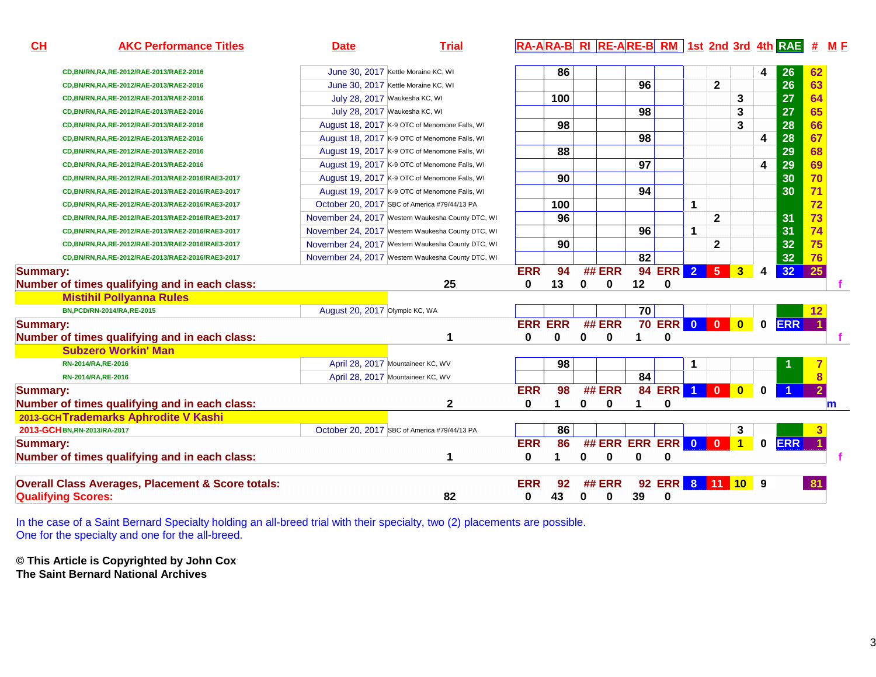| CL<br><b>AKC Performance Titles</b>                          | <b>Date</b>                    | <b>Trial</b>                                      |            | RA-ARA-B RI RE-ARE-B RM 1st 2nd 3rd 4th RAE |          |                      |                 |                     |                      |                |              |             |            | #              | <u>M F</u> |
|--------------------------------------------------------------|--------------------------------|---------------------------------------------------|------------|---------------------------------------------|----------|----------------------|-----------------|---------------------|----------------------|----------------|--------------|-------------|------------|----------------|------------|
| CD, BN/RN, RA, RE-2012/RAE-2013/RAE2-2016                    |                                | June 30, 2017 Kettle Moraine KC, WI               |            | 86                                          |          |                      |                 |                     |                      |                |              | 4           | 26         | 62             |            |
| CD, BN/RN, RA, RE-2012/RAE-2013/RAE2-2016                    |                                | June 30, 2017 Kettle Moraine KC, WI               |            |                                             |          |                      | 96              |                     |                      | $\overline{2}$ |              |             | 26         | 63             |            |
| CD, BN/RN, RA, RE-2012/RAE-2013/RAE2-2016                    |                                | July 28, 2017 Waukesha KC, WI                     |            | 100                                         |          |                      |                 |                     |                      |                | 3            |             | 27         | 64             |            |
| CD, BN/RN, RA, RE-2012/RAE-2013/RAE2-2016                    |                                | July 28, 2017 Waukesha KC, WI                     |            |                                             |          |                      | 98              |                     |                      |                | 3            |             | 27         | 65             |            |
| CD, BN/RN, RA, RE-2012/RAE-2013/RAE2-2016                    |                                | August 18, 2017 K-9 OTC of Menomone Falls, WI     |            | 98                                          |          |                      |                 |                     |                      |                | 3            |             | 28         | 66             |            |
| CD,BN/RN,RA,RE-2012/RAE-2013/RAE2-2016                       |                                | August 18, 2017 K-9 OTC of Menomone Falls, WI     |            |                                             |          |                      | 98              |                     |                      |                |              | 4           | 28         | 67             |            |
| CD,BN/RN,RA,RE-2012/RAE-2013/RAE2-2016                       |                                | August 19, 2017 K-9 OTC of Menomone Falls, WI     |            | 88                                          |          |                      |                 |                     |                      |                |              |             | 29         | 68             |            |
| CD,BN/RN,RA,RE-2012/RAE-2013/RAE2-2016                       |                                | August 19, 2017 K-9 OTC of Menomone Falls, WI     |            |                                             |          |                      | $\overline{97}$ |                     |                      |                |              | 4           | 29         | 69             |            |
| CD,BN/RN,RA,RE-2012/RAE-2013/RAE2-2016/RAE3-2017             |                                | August 19, 2017 K-9 OTC of Menomone Falls, WI     |            | 90                                          |          |                      |                 |                     |                      |                |              |             | 30         | 70             |            |
| CD,BN/RN,RA,RE-2012/RAE-2013/RAE2-2016/RAE3-2017             |                                | August 19, 2017 K-9 OTC of Menomone Falls, WI     |            |                                             |          |                      | 94              |                     |                      |                |              |             | 30         | 71             |            |
| CD,BN/RN,RA,RE-2012/RAE-2013/RAE2-2016/RAE3-2017             |                                | October 20, 2017 SBC of America #79/44/13 PA      |            | 100                                         |          |                      |                 |                     | $\mathbf 1$          |                |              |             |            | 72             |            |
| CD,BN/RN,RA,RE-2012/RAE-2013/RAE2-2016/RAE3-2017             |                                | November 24, 2017 Western Waukesha County DTC, WI |            | 96                                          |          |                      |                 |                     |                      | $\mathbf{2}$   |              |             | 31         | 73             |            |
| CD,BN/RN,RA,RE-2012/RAE-2013/RAE2-2016/RAE3-2017             |                                | November 24, 2017 Western Waukesha County DTC, WI |            |                                             |          |                      | 96              |                     | 1                    |                |              |             | 31         | 74             |            |
| CD,BN/RN,RA,RE-2012/RAE-2013/RAE2-2016/RAE3-2017             |                                | November 24, 2017 Western Waukesha County DTC, WI |            | 90                                          |          |                      |                 |                     |                      | $\mathbf{2}$   |              |             | 32         | 75             |            |
| CD,BN/RN,RA,RE-2012/RAE-2013/RAE2-2016/RAE3-2017             |                                | November 24, 2017 Western Waukesha County DTC, WI |            |                                             |          |                      | $\overline{82}$ |                     |                      |                |              |             | 32         | 76             |            |
| <b>Summary:</b>                                              |                                |                                                   | <b>ERR</b> | 94                                          |          | ## ERR               |                 | 94 ERR 2            |                      | 5 <sup>1</sup> | 3            | 4           | 32         | 25             |            |
| Number of times qualifying and in each class:                |                                | 25                                                | 0          | 13                                          | 0        | $\mathbf 0$          | 12              | 0                   |                      |                |              |             |            |                |            |
| <b>Mistihil Pollyanna Rules</b>                              |                                |                                                   |            |                                             |          |                      |                 |                     |                      |                |              |             |            |                |            |
| BN, PCD/RN-2014/RA, RE-2015                                  | August 20, 2017 Olympic KC, WA |                                                   |            |                                             |          |                      | 70              |                     |                      |                |              |             |            |                |            |
| <b>Summary:</b>                                              |                                |                                                   |            | <b>ERR ERR</b>                              |          | ## ERR               |                 | <b>70 ERR 0 0 0</b> |                      |                |              | $\mathbf 0$ | <b>ERR</b> |                |            |
| Number of times qualifying and in each class:                |                                | 1                                                 | 0          | 0                                           | 0        | 0                    |                 | 0                   |                      |                |              |             |            |                |            |
| <b>Subzero Workin' Man</b>                                   |                                |                                                   |            |                                             |          |                      |                 |                     |                      |                |              |             |            |                |            |
| RN-2014/RA, RE-2016                                          |                                | April 28, 2017 Mountaineer KC, WV                 |            | 98                                          |          |                      |                 |                     | 1                    |                |              |             |            |                |            |
| RN-2014/RA, RE-2016                                          |                                | April 28, 2017 Mountaineer KC, WV                 |            |                                             |          |                      | 84              |                     |                      |                |              |             |            |                |            |
| <b>Summary:</b>                                              |                                |                                                   | <b>ERR</b> | 98                                          |          | ## ERR               |                 | <b>84 ERR</b>       | $\blacktriangleleft$ | $\mathbf{0}$   | $\mathbf{0}$ | 0           |            | $\overline{2}$ |            |
| Number of times qualifying and in each class:                |                                | $\mathbf{2}$                                      | 0          | 1                                           | 0        | $\mathbf{0}$         |                 | $\bf{0}$            |                      |                |              |             |            |                | m          |
| 2013-GCHTrademarks Aphrodite V Kashi                         |                                |                                                   |            |                                             |          |                      |                 |                     |                      |                |              |             |            |                |            |
| 2013-GCH BN, RN-2013/RA-2017                                 |                                | October 20, 2017 SBC of America #79/44/13 PA      |            | 86                                          |          |                      |                 |                     |                      |                | 3            |             |            |                |            |
| <b>Summary:</b>                                              |                                |                                                   | <b>ERR</b> | 86                                          |          | ## ERR ERR ERR 0 0 1 |                 |                     |                      |                |              | $\mathbf 0$ | <b>ERR</b> |                |            |
| Number of times qualifying and in each class:                |                                | 1                                                 | 0          |                                             | 0        | 0                    | U               | $\bf{0}$            |                      |                |              |             |            |                |            |
| <b>Overall Class Averages, Placement &amp; Score totals:</b> |                                |                                                   | <b>ERR</b> | 92                                          |          | <b>## ERR</b>        |                 | 92 ERR 8 11 10 9    |                      |                |              |             |            | -81            |            |
| <b>Qualifying Scores:</b>                                    |                                | 82                                                | 0          | 43                                          | $\bf{0}$ | 0                    | 39              | $\bf{0}$            |                      |                |              |             |            |                |            |

In the case of a Saint Bernard Specialty holding an all-breed trial with their specialty, two (2) placements are possible. One for the specialty and one for the all-breed.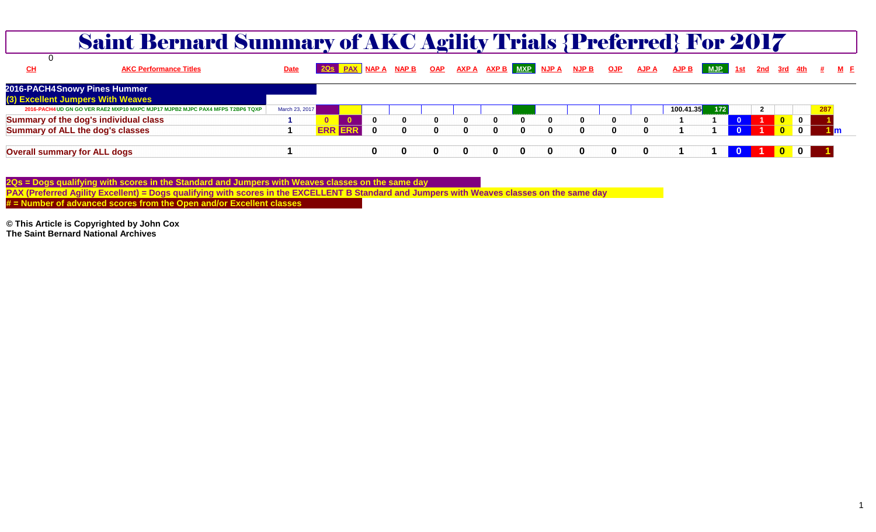| <b>Saint Bernard Summary of AKC Agility Trials {Preferred} For 2017</b>       |                |                                                                                       |             |              |              |              |              |              |              |   |          |              |           |     |                |   |  |
|-------------------------------------------------------------------------------|----------------|---------------------------------------------------------------------------------------|-------------|--------------|--------------|--------------|--------------|--------------|--------------|---|----------|--------------|-----------|-----|----------------|---|--|
| <b>CH</b><br><b>AKC Performance Titles</b>                                    | <b>Date</b>    | 2Qs PAX NAPA NAPB OAP AXPA AXPB MXP NJPA NJPB OJP AJPA AJPB MJP 1st 2nd 3rd 4th # M F |             |              |              |              |              |              |              |   |          |              |           |     |                |   |  |
| 2016-PACH4 Snowy Pines Hummer                                                 |                |                                                                                       |             |              |              |              |              |              |              |   |          |              |           |     |                |   |  |
| (3) Excellent Jumpers With Weaves                                             |                |                                                                                       |             |              |              |              |              |              |              |   |          |              |           |     |                |   |  |
| 2016-PACH4 UD GN GO VER RAE2 MXP10 MXPC MJP17 MJPB2 MJPC PAX4 MFPS T2BP6 TQXP | March 23, 2017 |                                                                                       |             |              |              |              |              |              |              |   |          |              | 100.41.35 | 172 | $\overline{2}$ |   |  |
| Summary of the dog's individual class                                         |                |                                                                                       | $\bf{0}$    | 0            | $\mathbf{0}$ | 0            | 0            | $\mathbf{0}$ | $\mathbf{0}$ | 0 | 0        | $\mathbf{0}$ |           |     |                |   |  |
| <b>Summary of ALL the dog's classes</b>                                       |                | <b>ERR</b><br><b>ERR</b>                                                              | $\mathbf 0$ | $\mathbf{0}$ | $\mathbf{0}$ | $\mathbf{0}$ | $\mathbf{0}$ | $\bf{0}$     | $\mathbf{0}$ | 0 | $\Omega$ |              |           |     |                |   |  |
| <b>Overall summary for ALL dogs</b>                                           |                |                                                                                       | 0           |              | $\bf{0}$     | 0            |              | $\mathbf{0}$ | 0            | 0 |          |              |           |     |                | 0 |  |

2Qs = Dogs qualifying with scores in the Standard and Jumpers with Weaves classes on the same day<br>PAX (Preferred Agility Excellent) = Dogs qualifying with scores in the EXCELLENT B Standard and Jumpers with Weaves classes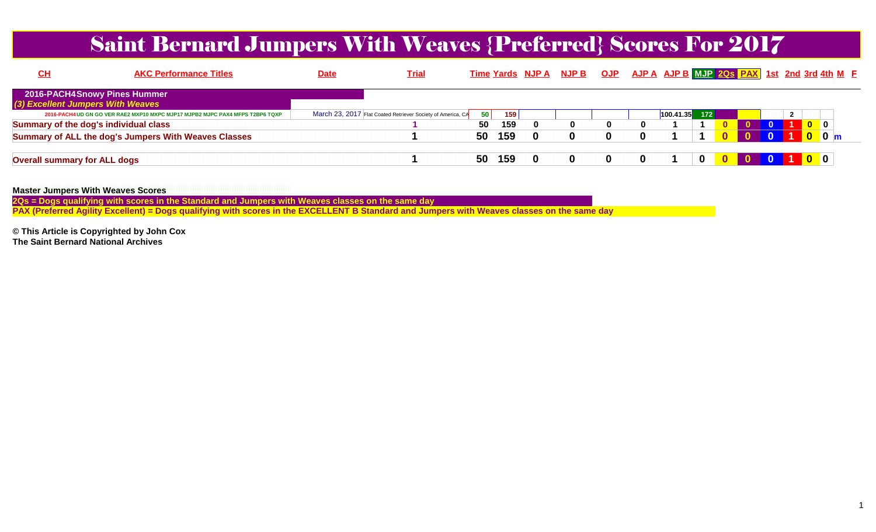## Saint Bernard Jumpers With Weaves {Preferred} Scores For 2017

| <u>СН</u>                             | <b>AKC Performance Titles</b>                                                 | <b>Date</b> | <b>Trial</b>                                                |    |     | Time Yards NJP A NJP B |  |           |     |  |  |                | OJP AJP A AJP B MJP 20s PAX 1st 2nd 3rd 4th M F |
|---------------------------------------|-------------------------------------------------------------------------------|-------------|-------------------------------------------------------------|----|-----|------------------------|--|-----------|-----|--|--|----------------|-------------------------------------------------|
|                                       | 2016-PACH4 Snowy Pines Hummer                                                 |             |                                                             |    |     |                        |  |           |     |  |  |                |                                                 |
| (3) Excellent Jumpers With Weaves     |                                                                               |             |                                                             |    |     |                        |  |           |     |  |  |                |                                                 |
|                                       | 2016-PACH4 UD GN GO VER RAE2 MXP10 MXPC MJP17 MJPB2 MJPC PAX4 MFPS T2BP6 TQXP |             | March 23, 2017 Flat Coated Retriever Society of America, CA | 50 | 159 |                        |  | 100.41.35 | 172 |  |  |                |                                                 |
| Summary of the dog's individual class |                                                                               |             |                                                             | 50 | 159 |                        |  |           |     |  |  | $\mathbf{0}$ 0 |                                                 |
|                                       | Summary of ALL the dog's Jumpers With Weaves Classes                          |             |                                                             | 50 | 159 |                        |  |           |     |  |  | $0o$ 0 m       |                                                 |
| <b>Overall summary for ALL dogs</b>   |                                                                               |             |                                                             | 50 | 159 |                        |  |           |     |  |  | 100            |                                                 |

#### **Master Jumpers With Weaves Scores**

 **2Qs = Dogs qualifying with scores in the Standard and Jumpers with Weaves classes on the same dayPAX (Preferred Agility Excellent) = Dogs qualifying with scores in the EXCELLENT B Standard and Jumpers with Weaves classes on the same day**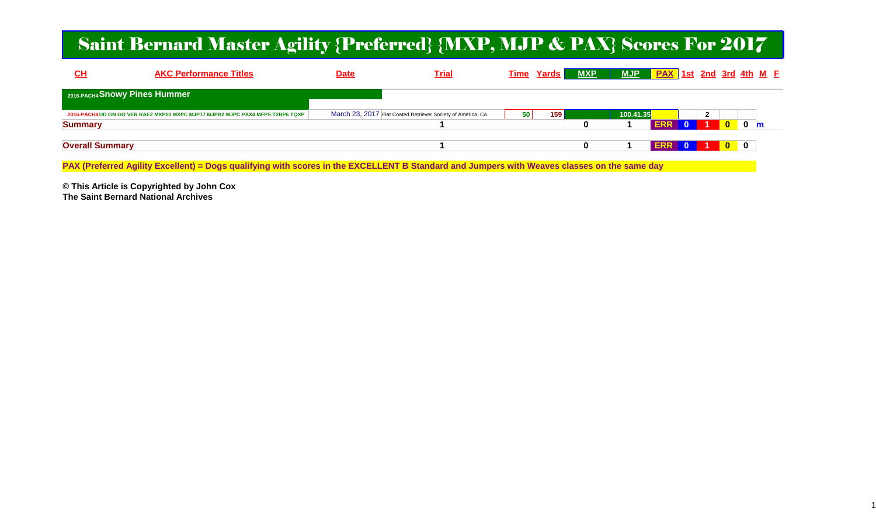### Saint Bernard Master Agility {Preferred} {MXP, MJP & PAX} Scores For 2017

| $CH$                          | <b>AKC Performance Titles</b>                                                 | <u>Date</u> | <b>Trial</b>                                                | Time Yards      | <b>MXP</b> | <b>MJP</b>              | <b>PAX 1st 2nd 3rd 4th M E</b>            |                           |
|-------------------------------|-------------------------------------------------------------------------------|-------------|-------------------------------------------------------------|-----------------|------------|-------------------------|-------------------------------------------|---------------------------|
| 2016-PACH4 Snowy Pines Hummer |                                                                               |             |                                                             |                 |            |                         |                                           |                           |
| <b>Summary</b>                | 2016-PACH4 UD GN GO VER RAE2 MXP10 MXPC MJP17 MJPB2 MJPC PAX4 MFPS T2BP6 TQXP |             | March 23, 2017 Flat Coated Retriever Society of America, CA | 50 <sub>1</sub> | 159        | 100.41.35<br><b>ERR</b> | $\overline{2}$<br>$\overline{\mathbf{0}}$ | $\mathbf{0}$ m            |
| <b>Overall Summary</b>        |                                                                               |             |                                                             |                 |            | ERR 0                   |                                           | $\overline{\mathbf{0}}$ 0 |

**PAX (Preferred Agility Excellent) = Dogs qualifying with scores in the EXCELLENT B Standard and Jumpers with Weaves classes on the same day**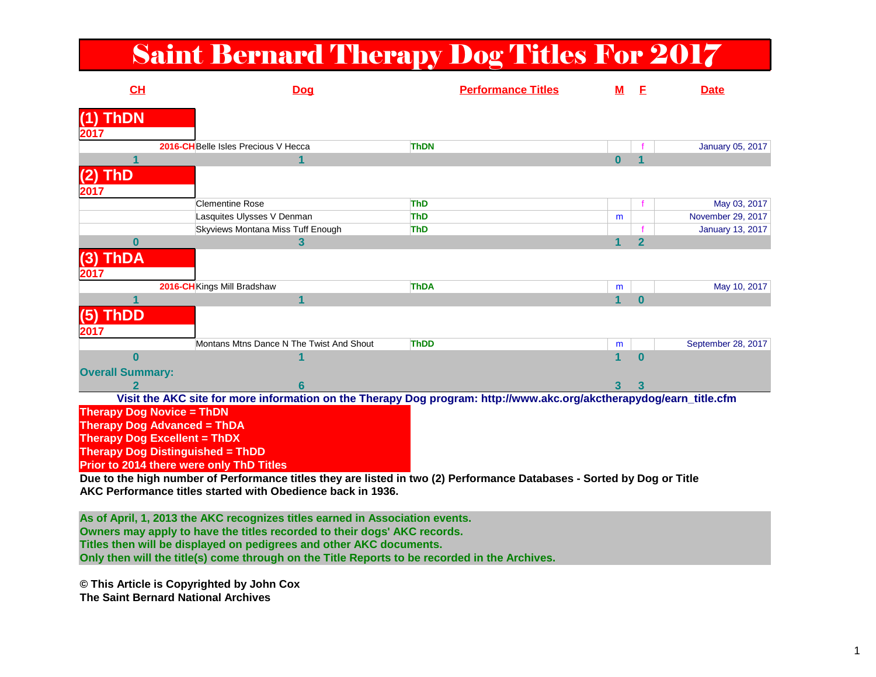## Saint Bernard Therapy Dog Titles For 2017

| CH                                      | <b>Dog</b>                                                                                                          | <b>Performance Titles</b> | <u>M</u> | E              | <b>Date</b>             |
|-----------------------------------------|---------------------------------------------------------------------------------------------------------------------|---------------------------|----------|----------------|-------------------------|
| <b>ThDN</b><br>2017                     |                                                                                                                     |                           |          |                |                         |
|                                         | 2016-CHBelle Isles Precious V Hecca                                                                                 | <b>ThDN</b>               |          |                | January 05, 2017        |
|                                         |                                                                                                                     |                           | 0        |                |                         |
| <b>ThD</b><br>21<br>2017                |                                                                                                                     |                           |          |                |                         |
|                                         | <b>Clementine Rose</b>                                                                                              | <b>ThD</b>                |          |                | May 03, 2017            |
|                                         | Lasquites Ulysses V Denman                                                                                          | <b>ThD</b>                | m        |                | November 29, 2017       |
|                                         | Skyviews Montana Miss Tuff Enough                                                                                   | <b>ThD</b>                |          |                | <b>January 13, 2017</b> |
| 0                                       | 3                                                                                                                   |                           |          | $\overline{2}$ |                         |
| (3) ThDA<br>2017                        |                                                                                                                     |                           |          |                |                         |
|                                         | 2016-CHKings Mill Bradshaw                                                                                          | <b>ThDA</b>               | m        |                | May 10, 2017            |
|                                         |                                                                                                                     |                           | 1        | $\bf{0}$       |                         |
| $(5)$ ThDD<br>2017                      |                                                                                                                     |                           |          |                |                         |
|                                         | Montans Mtns Dance N The Twist And Shout                                                                            | <b>ThDD</b>               | m        |                | September 28, 2017      |
| $\bf{0}$                                |                                                                                                                     |                           |          | ŋ              |                         |
| <b>Overall Summary:</b>                 |                                                                                                                     |                           |          |                |                         |
| $\overline{\mathbf{2}}$                 | 6                                                                                                                   |                           | 3        | 3              |                         |
|                                         | Visit the AKC site for more information on the Therapy Dog program: http://www.akc.org/akctherapydog/earn_title.cfm |                           |          |                |                         |
| <b>Therapy Dog Novice = ThDN</b>        |                                                                                                                     |                           |          |                |                         |
| <b>Therapy Dog Advanced = ThDA</b>      |                                                                                                                     |                           |          |                |                         |
| <b>Therapy Dog Excellent = ThDX</b>     |                                                                                                                     |                           |          |                |                         |
| <b>Therapy Dog Distinguished = ThDD</b> |                                                                                                                     |                           |          |                |                         |

**Prior to 2014 there were only ThD Titles**

 **Due to the high number of Performance titles they are listed in two (2) Performance Databases - Sorted by Dog or TitleAKC Performance titles started with Obedience back in 1936.**

**As of April, 1, 2013 the AKC recognizes titles earned in Association events.Owners may apply to have the titles recorded to their dogs' AKC records. Titles then will be displayed on pedigrees and other AKC documents. Only then will the title(s) come through on the Title Reports to be recorded in the Archives.**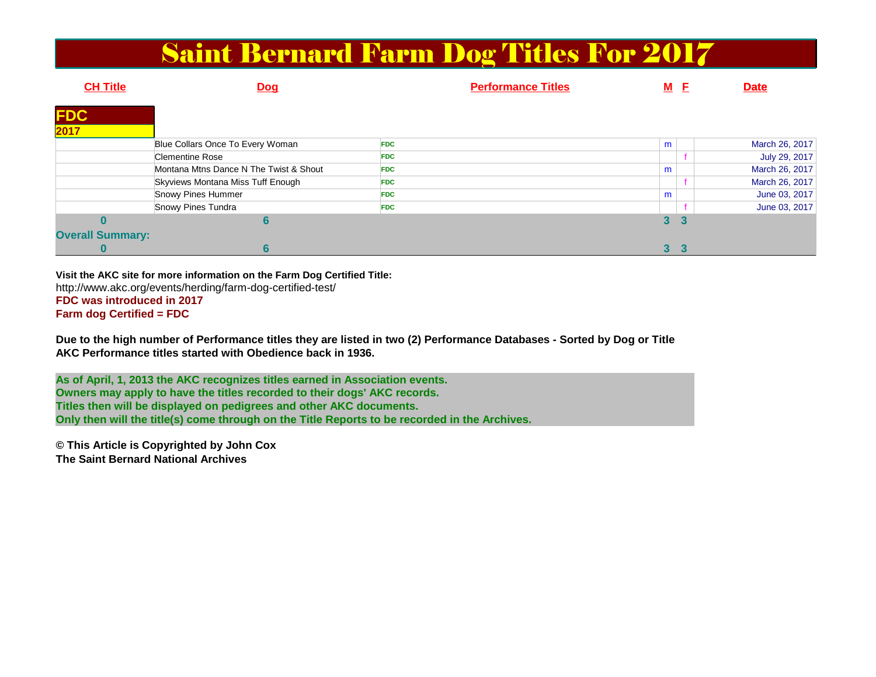#### Saint Bernard Farm Dog Titles For 2017

| <b>CH Title</b>         | <b>Dog</b>                             | <b>Performance Titles</b> |                | M E | <b>Date</b>    |
|-------------------------|----------------------------------------|---------------------------|----------------|-----|----------------|
| <b>FDC</b><br>2017      |                                        |                           |                |     |                |
|                         |                                        |                           |                |     |                |
|                         | Blue Collars Once To Every Woman       | <b>FDC</b>                | m              |     | March 26, 2017 |
|                         | <b>Clementine Rose</b>                 | <b>FDC</b>                |                |     | July 29, 2017  |
|                         | Montana Mtns Dance N The Twist & Shout | <b>FDC</b>                | m              |     | March 26, 2017 |
|                         | Skyviews Montana Miss Tuff Enough      | <b>FDC</b>                |                |     | March 26, 2017 |
|                         | Snowy Pines Hummer                     | <b>FDC</b>                | m              |     | June 03, 2017  |
|                         | Snowy Pines Tundra                     | <b>FDC</b>                |                |     | June 03, 2017  |
|                         | 6                                      |                           | 3              |     |                |
| <b>Overall Summary:</b> |                                        |                           |                |     |                |
|                         | 6                                      |                           | 3 <sup>1</sup> |     |                |

**Visit the AKC site for more information on the Farm Dog Certified Title:** http://www.akc.org/events/herding/farm-dog-certified-test/**FDC was introduced in 2017Farm dog Certified = FDC**

**Due to the high number of Performance titles they are listed in two (2) Performance Databases - Sorted by Dog or TitleAKC Performance titles started with Obedience back in 1936.**

**As of April, 1, 2013 the AKC recognizes titles earned in Association events.Owners may apply to have the titles recorded to their dogs' AKC records. Titles then will be displayed on pedigrees and other AKC documents. Only then will the title(s) come through on the Title Reports to be recorded in the Archives.**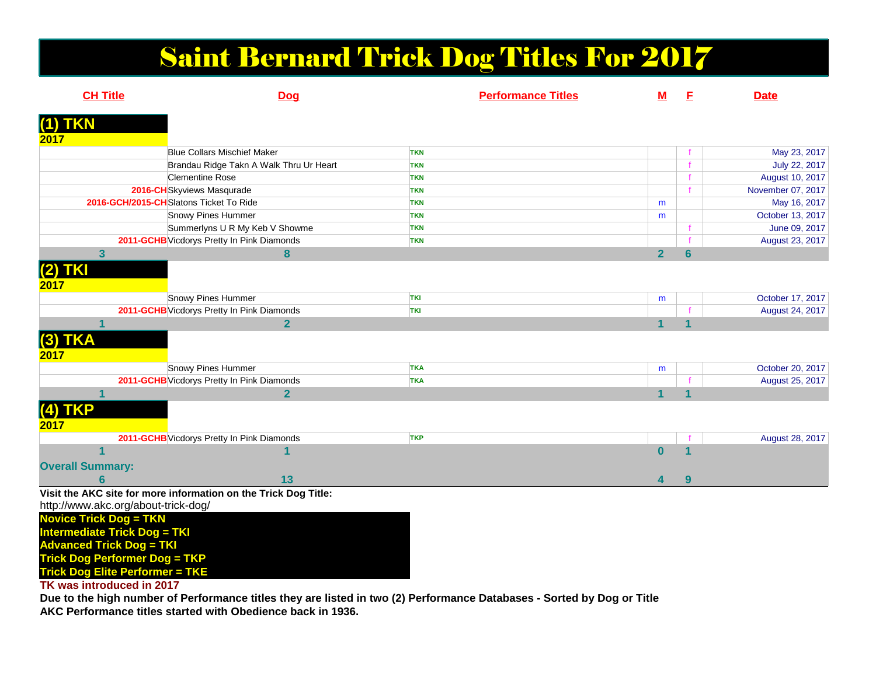## Saint Bernard Trick Dog Titles For 2017

| <b>CH Title</b>                     | <b>Dog</b>                                                      | <b>Performance Titles</b> | <u>M</u>                | E               | <b>Date</b>       |
|-------------------------------------|-----------------------------------------------------------------|---------------------------|-------------------------|-----------------|-------------------|
| $(1)$ TKN                           |                                                                 |                           |                         |                 |                   |
| 2017                                |                                                                 |                           |                         |                 |                   |
|                                     | <b>Blue Collars Mischief Maker</b>                              | <b>TKN</b>                |                         |                 | May 23, 2017      |
|                                     | Brandau Ridge Takn A Walk Thru Ur Heart                         | <b>TKN</b>                |                         |                 | July 22, 2017     |
|                                     | <b>Clementine Rose</b>                                          | <b>TKN</b>                |                         |                 | August 10, 2017   |
|                                     | 2016-CH Skyviews Masqurade                                      | <b>TKN</b>                |                         |                 | November 07, 2017 |
|                                     | 2016-GCH/2015-CHSlatons Ticket To Ride                          | <b>TKN</b>                | m                       |                 | May 16, 2017      |
|                                     | Snowy Pines Hummer                                              | <b>TKN</b>                | m                       |                 | October 13, 2017  |
|                                     | Summerlyns U R My Keb V Showme                                  | <b>TKN</b>                |                         |                 | June 09, 2017     |
|                                     | 2011-GCHB Vicdorys Pretty In Pink Diamonds                      | <b>TKN</b>                |                         |                 | August 23, 2017   |
| $\overline{\mathbf{3}}$             | 8                                                               |                           | $\overline{2}$          | $6\phantom{1}6$ |                   |
| $(2)$ TKI                           |                                                                 |                           |                         |                 |                   |
|                                     |                                                                 |                           |                         |                 |                   |
| 2017                                |                                                                 |                           |                         |                 |                   |
|                                     | Snowy Pines Hummer                                              | <b>TKI</b>                | m                       |                 | October 17, 2017  |
|                                     | 2011-GCHB Vicdorys Pretty In Pink Diamonds                      | TKI                       |                         |                 | August 24, 2017   |
|                                     | $\overline{2}$                                                  |                           | $\overline{\mathbf{1}}$ |                 |                   |
| $(3)$ TKA                           |                                                                 |                           |                         |                 |                   |
| 2017                                |                                                                 |                           |                         |                 |                   |
|                                     | Snowy Pines Hummer                                              | <b>TKA</b>                | m                       |                 | October 20, 2017  |
|                                     | 2011-GCHB Vicdorys Pretty In Pink Diamonds                      | <b>TKA</b>                |                         |                 | August 25, 2017   |
|                                     | $\overline{2}$                                                  |                           | $\blacktriangleleft$    | 4               |                   |
|                                     |                                                                 |                           |                         |                 |                   |
| $(4)$ TKP                           |                                                                 |                           |                         |                 |                   |
| 2017                                |                                                                 |                           |                         |                 |                   |
|                                     | 2011-GCHB Vicdorys Pretty In Pink Diamonds                      | <b>TKP</b>                |                         |                 | August 28, 2017   |
|                                     |                                                                 |                           | $\bf{0}$                |                 |                   |
| <b>Overall Summary:</b>             |                                                                 |                           |                         |                 |                   |
| 6                                   | 13                                                              |                           | 4                       | 9               |                   |
|                                     | Visit the AKC site for more information on the Trick Dog Title: |                           |                         |                 |                   |
| http://www.akc.org/about-trick-dog/ |                                                                 |                           |                         |                 |                   |
| <b>Novice Trick Dog = TKN</b>       |                                                                 |                           |                         |                 |                   |
| <b>Intermediate Trick Dog = TKI</b> |                                                                 |                           |                         |                 |                   |
| <b>Advanced Trick Dog = TKI</b>     |                                                                 |                           |                         |                 |                   |
|                                     | T/T                                                             |                           |                         |                 |                   |

**Trick Dog Performer Dog = TKP Trick Dog Elite Performer = TKE**

**TK was introduced in 2017**

 **Due to the high number of Performance titles they are listed in two (2) Performance Databases - Sorted by Dog or TitleAKC Performance titles started with Obedience back in 1936.**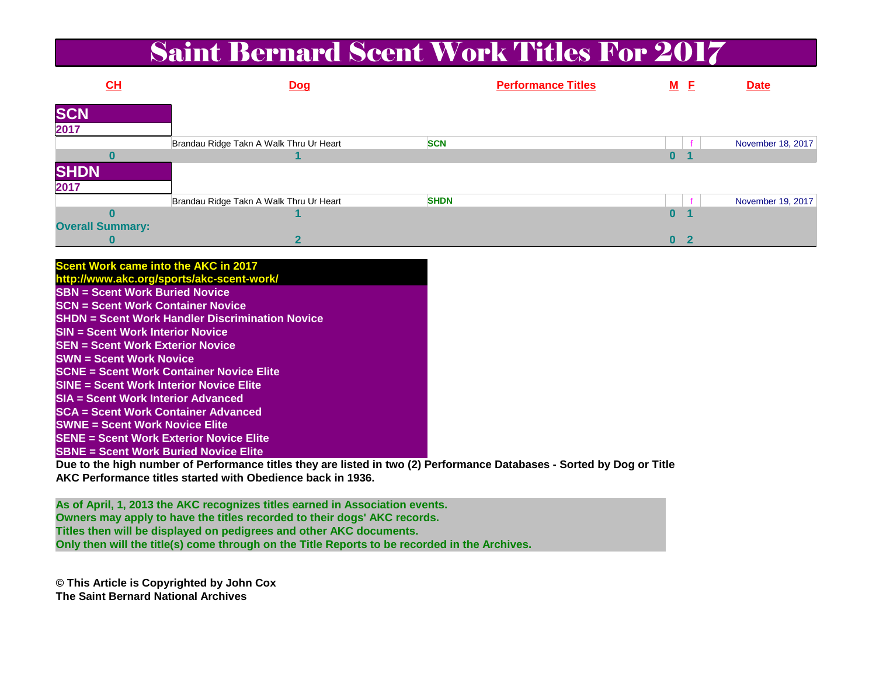#### Saint Bernard Scent Work Titles For 2017

| CL                      | <b>Dog</b>                              | <b>Performance Titles</b> |    | <u>M E</u> | <b>Date</b>       |
|-------------------------|-----------------------------------------|---------------------------|----|------------|-------------------|
| <b>SCN</b>              |                                         |                           |    |            |                   |
| 2017                    |                                         |                           |    |            |                   |
|                         | Brandau Ridge Takn A Walk Thru Ur Heart | <b>SCN</b>                |    |            | November 18, 2017 |
|                         |                                         |                           | U. |            |                   |
| <b>SHDN</b>             |                                         |                           |    |            |                   |
| 2017                    |                                         |                           |    |            |                   |
|                         | Brandau Ridge Takn A Walk Thru Ur Heart | <b>SHDN</b>               |    |            | November 19, 2017 |
|                         |                                         |                           | U  |            |                   |
| <b>Overall Summary:</b> |                                         |                           |    |            |                   |
|                         |                                         |                           | 0  |            |                   |

| Scent Work came into the AKC in 2017                    |  |
|---------------------------------------------------------|--|
| http://www.akc.org/sports/akc-scent-work/               |  |
| <b>SBN = Scent Work Buried Novice</b>                   |  |
| <b>SCN = Scent Work Container Novice</b>                |  |
| <b>ISHDN = Scent Work Handler Discrimination Novice</b> |  |
| <b>ISIN = Scent Work Interior Novice</b>                |  |
| <b>SEN = Scent Work Exterior Novice</b>                 |  |
| <b>ISWN = Scent Work Novice</b>                         |  |
| <b>SCNE = Scent Work Container Novice Elite</b>         |  |
| <b>SINE = Scent Work Interior Novice Elite</b>          |  |
| <b>SIA = Scent Work Interior Advanced</b>               |  |
| <b>SCA</b> = Scent Work Container Advanced              |  |
| <b>SWNE = Scent Work Novice Elite</b>                   |  |
| <b>SENE = Scent Work Exterior Novice Elite</b>          |  |
| <b>SBNE = Scent Work Buried Novice Elite</b>            |  |

 **Due to the high number of Performance titles they are listed in two (2) Performance Databases - Sorted by Dog or TitleAKC Performance titles started with Obedience back in 1936.**

**As of April, 1, 2013 the AKC recognizes titles earned in Association events.Owners may apply to have the titles recorded to their dogs' AKC records. Titles then will be displayed on pedigrees and other AKC documents. Only then will the title(s) come through on the Title Reports to be recorded in the Archives.**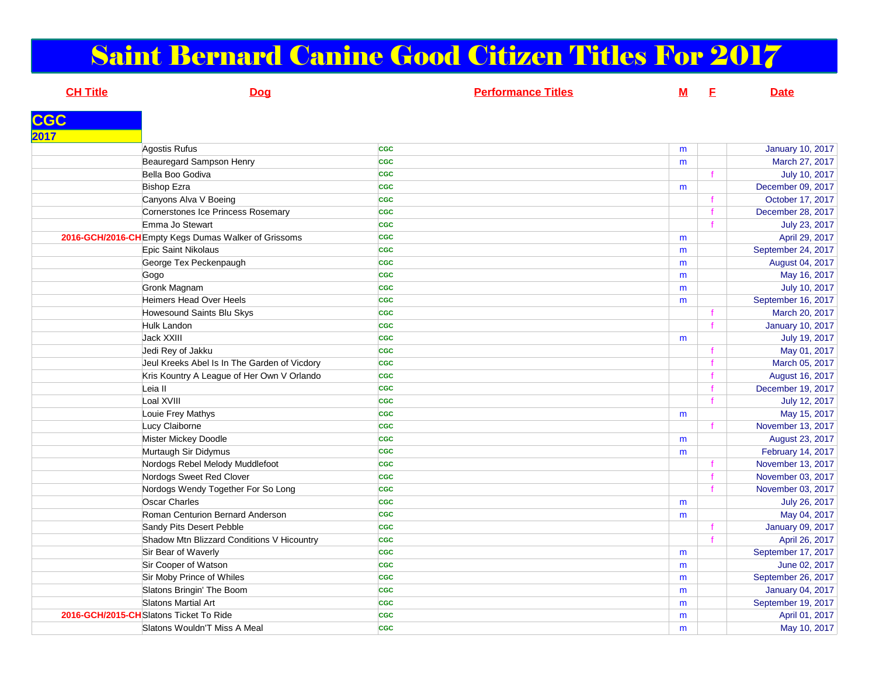# Saint Bernard Canine Good Citizen Titles For 2017

| <u>Dog</u>                     | <b>Performance Titles</b>                                                                                                                                                                                                                                                                                                                                                                                                                                                                                                                                                                                                                                                                                                                                                                                                                                                                                                                                           | <u>M</u>   | E                     | <b>Date</b>             |
|--------------------------------|---------------------------------------------------------------------------------------------------------------------------------------------------------------------------------------------------------------------------------------------------------------------------------------------------------------------------------------------------------------------------------------------------------------------------------------------------------------------------------------------------------------------------------------------------------------------------------------------------------------------------------------------------------------------------------------------------------------------------------------------------------------------------------------------------------------------------------------------------------------------------------------------------------------------------------------------------------------------|------------|-----------------------|-------------------------|
|                                |                                                                                                                                                                                                                                                                                                                                                                                                                                                                                                                                                                                                                                                                                                                                                                                                                                                                                                                                                                     |            |                       |                         |
|                                |                                                                                                                                                                                                                                                                                                                                                                                                                                                                                                                                                                                                                                                                                                                                                                                                                                                                                                                                                                     |            |                       |                         |
|                                | <b>CGC</b>                                                                                                                                                                                                                                                                                                                                                                                                                                                                                                                                                                                                                                                                                                                                                                                                                                                                                                                                                          | m          |                       | <b>January 10, 2017</b> |
|                                | <b>CGC</b>                                                                                                                                                                                                                                                                                                                                                                                                                                                                                                                                                                                                                                                                                                                                                                                                                                                                                                                                                          | m          |                       | March 27, 2017          |
|                                | <b>CGC</b>                                                                                                                                                                                                                                                                                                                                                                                                                                                                                                                                                                                                                                                                                                                                                                                                                                                                                                                                                          |            |                       | July 10, 2017           |
|                                | <b>CGC</b>                                                                                                                                                                                                                                                                                                                                                                                                                                                                                                                                                                                                                                                                                                                                                                                                                                                                                                                                                          | m          |                       | December 09, 2017       |
|                                | <b>CGC</b>                                                                                                                                                                                                                                                                                                                                                                                                                                                                                                                                                                                                                                                                                                                                                                                                                                                                                                                                                          |            |                       | October 17, 2017        |
|                                | <b>CGC</b>                                                                                                                                                                                                                                                                                                                                                                                                                                                                                                                                                                                                                                                                                                                                                                                                                                                                                                                                                          |            | $\mathbf{f}$          | December 28, 2017       |
|                                | <b>CGC</b>                                                                                                                                                                                                                                                                                                                                                                                                                                                                                                                                                                                                                                                                                                                                                                                                                                                                                                                                                          |            |                       | July 23, 2017           |
|                                | <b>CGC</b>                                                                                                                                                                                                                                                                                                                                                                                                                                                                                                                                                                                                                                                                                                                                                                                                                                                                                                                                                          | m          |                       | April 29, 2017          |
|                                | <b>CGC</b>                                                                                                                                                                                                                                                                                                                                                                                                                                                                                                                                                                                                                                                                                                                                                                                                                                                                                                                                                          | m          |                       | September 24, 2017      |
|                                | <b>CGC</b>                                                                                                                                                                                                                                                                                                                                                                                                                                                                                                                                                                                                                                                                                                                                                                                                                                                                                                                                                          | m          |                       | August 04, 2017         |
|                                | <b>CGC</b>                                                                                                                                                                                                                                                                                                                                                                                                                                                                                                                                                                                                                                                                                                                                                                                                                                                                                                                                                          | m          |                       | May 16, 2017            |
|                                | <b>CGC</b>                                                                                                                                                                                                                                                                                                                                                                                                                                                                                                                                                                                                                                                                                                                                                                                                                                                                                                                                                          | m          |                       | July 10, 2017           |
| <b>Heimers Head Over Heels</b> | <b>CGC</b>                                                                                                                                                                                                                                                                                                                                                                                                                                                                                                                                                                                                                                                                                                                                                                                                                                                                                                                                                          | m          |                       | September 16, 2017      |
| Howesound Saints Blu Skys      | <b>CGC</b>                                                                                                                                                                                                                                                                                                                                                                                                                                                                                                                                                                                                                                                                                                                                                                                                                                                                                                                                                          |            |                       | March 20, 2017          |
|                                | <b>CGC</b>                                                                                                                                                                                                                                                                                                                                                                                                                                                                                                                                                                                                                                                                                                                                                                                                                                                                                                                                                          |            | f                     | <b>January 10, 2017</b> |
|                                | <b>CGC</b>                                                                                                                                                                                                                                                                                                                                                                                                                                                                                                                                                                                                                                                                                                                                                                                                                                                                                                                                                          | m          |                       | July 19, 2017           |
| Jedi Rey of Jakku              | <b>CGC</b>                                                                                                                                                                                                                                                                                                                                                                                                                                                                                                                                                                                                                                                                                                                                                                                                                                                                                                                                                          |            |                       | May 01, 2017            |
|                                | <b>CGC</b>                                                                                                                                                                                                                                                                                                                                                                                                                                                                                                                                                                                                                                                                                                                                                                                                                                                                                                                                                          |            |                       | March 05, 2017          |
|                                | <b>CGC</b>                                                                                                                                                                                                                                                                                                                                                                                                                                                                                                                                                                                                                                                                                                                                                                                                                                                                                                                                                          |            |                       | August 16, 2017         |
| Leia II                        | <b>CGC</b>                                                                                                                                                                                                                                                                                                                                                                                                                                                                                                                                                                                                                                                                                                                                                                                                                                                                                                                                                          |            |                       | December 19, 2017       |
|                                | <b>CGC</b>                                                                                                                                                                                                                                                                                                                                                                                                                                                                                                                                                                                                                                                                                                                                                                                                                                                                                                                                                          |            |                       | July 12, 2017           |
|                                | <b>CGC</b>                                                                                                                                                                                                                                                                                                                                                                                                                                                                                                                                                                                                                                                                                                                                                                                                                                                                                                                                                          | m          |                       | May 15, 2017            |
|                                | <b>CGC</b>                                                                                                                                                                                                                                                                                                                                                                                                                                                                                                                                                                                                                                                                                                                                                                                                                                                                                                                                                          |            | f.                    | November 13, 2017       |
|                                | <b>CGC</b>                                                                                                                                                                                                                                                                                                                                                                                                                                                                                                                                                                                                                                                                                                                                                                                                                                                                                                                                                          | m          |                       | August 23, 2017         |
|                                | <b>CGC</b>                                                                                                                                                                                                                                                                                                                                                                                                                                                                                                                                                                                                                                                                                                                                                                                                                                                                                                                                                          | m          |                       | February 14, 2017       |
|                                | <b>CGC</b>                                                                                                                                                                                                                                                                                                                                                                                                                                                                                                                                                                                                                                                                                                                                                                                                                                                                                                                                                          |            |                       | November 13, 2017       |
|                                | <b>CGC</b>                                                                                                                                                                                                                                                                                                                                                                                                                                                                                                                                                                                                                                                                                                                                                                                                                                                                                                                                                          |            | $\mathbf f$           | November 03, 2017       |
|                                | <b>CGC</b>                                                                                                                                                                                                                                                                                                                                                                                                                                                                                                                                                                                                                                                                                                                                                                                                                                                                                                                                                          |            |                       | November 03, 2017       |
| <b>Oscar Charles</b>           | <b>CGC</b>                                                                                                                                                                                                                                                                                                                                                                                                                                                                                                                                                                                                                                                                                                                                                                                                                                                                                                                                                          |            |                       | July 26, 2017           |
|                                | CGC                                                                                                                                                                                                                                                                                                                                                                                                                                                                                                                                                                                                                                                                                                                                                                                                                                                                                                                                                                 |            |                       | May 04, 2017            |
|                                | <b>CGC</b>                                                                                                                                                                                                                                                                                                                                                                                                                                                                                                                                                                                                                                                                                                                                                                                                                                                                                                                                                          |            | f                     | January 09, 2017        |
|                                | <b>CGC</b>                                                                                                                                                                                                                                                                                                                                                                                                                                                                                                                                                                                                                                                                                                                                                                                                                                                                                                                                                          |            |                       | April 26, 2017          |
|                                |                                                                                                                                                                                                                                                                                                                                                                                                                                                                                                                                                                                                                                                                                                                                                                                                                                                                                                                                                                     |            |                       | September 17, 2017      |
|                                | <b>CGC</b>                                                                                                                                                                                                                                                                                                                                                                                                                                                                                                                                                                                                                                                                                                                                                                                                                                                                                                                                                          | m          |                       | June 02, 2017           |
|                                | <b>CGC</b>                                                                                                                                                                                                                                                                                                                                                                                                                                                                                                                                                                                                                                                                                                                                                                                                                                                                                                                                                          |            |                       | September 26, 2017      |
|                                | <b>CGC</b>                                                                                                                                                                                                                                                                                                                                                                                                                                                                                                                                                                                                                                                                                                                                                                                                                                                                                                                                                          | m          |                       | January 04, 2017        |
|                                | <b>CGC</b>                                                                                                                                                                                                                                                                                                                                                                                                                                                                                                                                                                                                                                                                                                                                                                                                                                                                                                                                                          |            |                       | September 19, 2017      |
|                                | <b>CGC</b>                                                                                                                                                                                                                                                                                                                                                                                                                                                                                                                                                                                                                                                                                                                                                                                                                                                                                                                                                          | m          |                       | April 01, 2017          |
|                                | <b>CGC</b>                                                                                                                                                                                                                                                                                                                                                                                                                                                                                                                                                                                                                                                                                                                                                                                                                                                                                                                                                          | m          |                       | May 10, 2017            |
|                                | Agostis Rufus<br>Beauregard Sampson Henry<br>Bella Boo Godiva<br><b>Bishop Ezra</b><br>Canyons Alva V Boeing<br>Cornerstones Ice Princess Rosemary<br>Emma Jo Stewart<br>2016-GCH/2016-CH Empty Kegs Dumas Walker of Grissoms<br>Epic Saint Nikolaus<br>George Tex Peckenpaugh<br>Gogo<br>Gronk Magnam<br>Hulk Landon<br>Jack XXIII<br>Jeul Kreeks Abel Is In The Garden of Vicdory<br>Kris Kountry A League of Her Own V Orlando<br>Loal XVIII<br>Louie Frey Mathys<br>Lucy Claiborne<br>Mister Mickey Doodle<br>Murtaugh Sir Didymus<br>Nordogs Rebel Melody Muddlefoot<br>Nordogs Sweet Red Clover<br>Nordogs Wendy Together For So Long<br>Roman Centurion Bernard Anderson<br>Sandy Pits Desert Pebble<br>Shadow Mtn Blizzard Conditions V Hicountry<br>Sir Bear of Waverly<br>Sir Cooper of Watson<br>Sir Moby Prince of Whiles<br>Slatons Bringin' The Boom<br>Slatons Martial Art<br>2016-GCH/2015-CHSlatons Ticket To Ride<br>Slatons Wouldn'T Miss A Meal | <b>CGC</b> | m<br>m<br>m<br>m<br>m |                         |

**m** | May 10, 2017

**CGC**